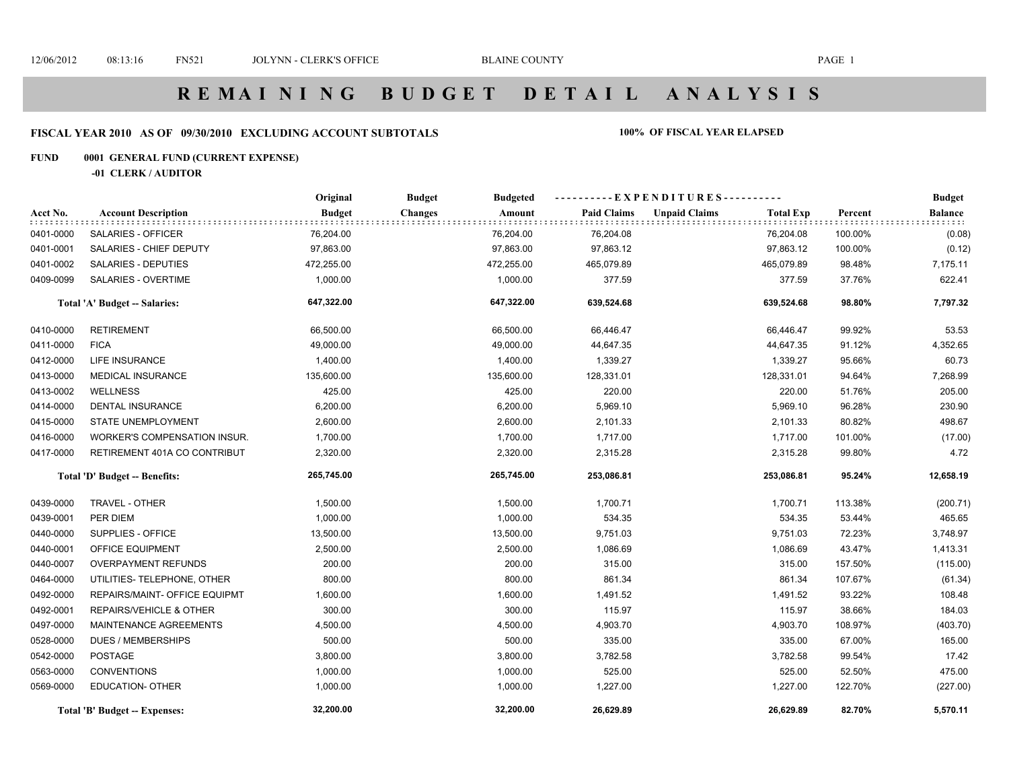# **FISCAL YEAR 2010 AS OF 09/30/2010 EXCLUDING ACCOUNT SUBTOTALS 100% OF FISCAL YEAR ELAPSED**

### **FUND 0001 GENERAL FUND (CURRENT EXPENSE)**

#### **-01 CLERK / AUDITOR**

|           |                                      | Original      | <b>Budgeted</b><br><b>Budget</b> |                    | ----------EXPENDITURES----------         |         | <b>Budget</b>  |
|-----------|--------------------------------------|---------------|----------------------------------|--------------------|------------------------------------------|---------|----------------|
| Acct No.  | <b>Account Description</b>           | <b>Budget</b> | <b>Changes</b><br>Amount         | <b>Paid Claims</b> | <b>Unpaid Claims</b><br><b>Total Exp</b> | Percent | <b>Balance</b> |
| 0401-0000 | SALARIES - OFFICER                   | 76,204.00     | 76,204.00                        | 76,204.08          | 76,204.08                                | 100.00% | (0.08)         |
| 0401-0001 | SALARIES - CHIEF DEPUTY              | 97,863.00     | 97,863.00                        | 97,863.12          | 97,863.12                                | 100.00% | (0.12)         |
| 0401-0002 | <b>SALARIES - DEPUTIES</b>           | 472,255.00    | 472,255.00                       | 465,079.89         | 465,079.89                               | 98.48%  | 7,175.11       |
| 0409-0099 | SALARIES - OVERTIME                  | 1,000.00      | 1,000.00                         | 377.59             | 377.59                                   | 37.76%  | 622.41         |
|           | Total 'A' Budget -- Salaries:        | 647,322.00    | 647,322.00                       | 639,524.68         | 639,524.68                               | 98.80%  | 7,797.32       |
| 0410-0000 | <b>RETIREMENT</b>                    | 66,500.00     | 66,500.00                        | 66,446.47          | 66,446.47                                | 99.92%  | 53.53          |
| 0411-0000 | <b>FICA</b>                          | 49,000.00     | 49,000.00                        | 44,647.35          | 44,647.35                                | 91.12%  | 4,352.65       |
| 0412-0000 | <b>LIFE INSURANCE</b>                | 1,400.00      | 1,400.00                         | 1,339.27           | 1,339.27                                 | 95.66%  | 60.73          |
| 0413-0000 | MEDICAL INSURANCE                    | 135,600.00    | 135,600.00                       | 128,331.01         | 128,331.01                               | 94.64%  | 7,268.99       |
| 0413-0002 | WELLNESS                             | 425.00        | 425.00                           | 220.00             | 220.00                                   | 51.76%  | 205.00         |
| 0414-0000 | DENTAL INSURANCE                     | 6,200.00      | 6,200.00                         | 5,969.10           | 5,969.10                                 | 96.28%  | 230.90         |
| 0415-0000 | <b>STATE UNEMPLOYMENT</b>            | 2,600.00      | 2,600.00                         | 2,101.33           | 2,101.33                                 | 80.82%  | 498.67         |
| 0416-0000 | WORKER'S COMPENSATION INSUR.         | 1,700.00      | 1,700.00                         | 1,717.00           | 1,717.00                                 | 101.00% | (17.00)        |
| 0417-0000 | RETIREMENT 401A CO CONTRIBUT         | 2,320.00      | 2,320.00                         | 2,315.28           | 2,315.28                                 | 99.80%  | 4.72           |
|           | Total 'D' Budget -- Benefits:        | 265,745.00    | 265,745.00                       | 253,086.81         | 253,086.81                               | 95.24%  | 12,658.19      |
| 0439-0000 | <b>TRAVEL - OTHER</b>                | 1,500.00      | 1,500.00                         | 1,700.71           | 1,700.71                                 | 113.38% | (200.71)       |
| 0439-0001 | PER DIEM                             | 1,000.00      | 1,000.00                         | 534.35             | 534.35                                   | 53.44%  | 465.65         |
| 0440-0000 | SUPPLIES - OFFICE                    | 13,500.00     | 13,500.00                        | 9,751.03           | 9,751.03                                 | 72.23%  | 3,748.97       |
| 0440-0001 | OFFICE EQUIPMENT                     | 2,500.00      | 2,500.00                         | 1,086.69           | 1,086.69                                 | 43.47%  | 1,413.31       |
| 0440-0007 | <b>OVERPAYMENT REFUNDS</b>           | 200.00        | 200.00                           | 315.00             | 315.00                                   | 157.50% | (115.00)       |
| 0464-0000 | UTILITIES- TELEPHONE, OTHER          | 800.00        | 800.00                           | 861.34             | 861.34                                   | 107.67% | (61.34)        |
| 0492-0000 | REPAIRS/MAINT- OFFICE EQUIPMT        | 1,600.00      | 1,600.00                         | 1,491.52           | 1,491.52                                 | 93.22%  | 108.48         |
| 0492-0001 | REPAIRS/VEHICLE & OTHER              | 300.00        | 300.00                           | 115.97             | 115.97                                   | 38.66%  | 184.03         |
| 0497-0000 | <b>MAINTENANCE AGREEMENTS</b>        | 4,500.00      | 4,500.00                         | 4,903.70           | 4,903.70                                 | 108.97% | (403.70)       |
| 0528-0000 | DUES / MEMBERSHIPS                   | 500.00        | 500.00                           | 335.00             | 335.00                                   | 67.00%  | 165.00         |
| 0542-0000 | <b>POSTAGE</b>                       | 3,800.00      | 3,800.00                         | 3,782.58           | 3,782.58                                 | 99.54%  | 17.42          |
| 0563-0000 | <b>CONVENTIONS</b>                   | 1,000.00      | 1,000.00                         | 525.00             | 525.00                                   | 52.50%  | 475.00         |
| 0569-0000 | <b>EDUCATION- OTHER</b>              | 1,000.00      | 1,000.00                         | 1,227.00           | 1,227.00                                 | 122.70% | (227.00)       |
|           | <b>Total 'B' Budget -- Expenses:</b> | 32,200.00     | 32,200.00                        | 26,629.89          | 26,629.89                                | 82.70%  | 5,570.11       |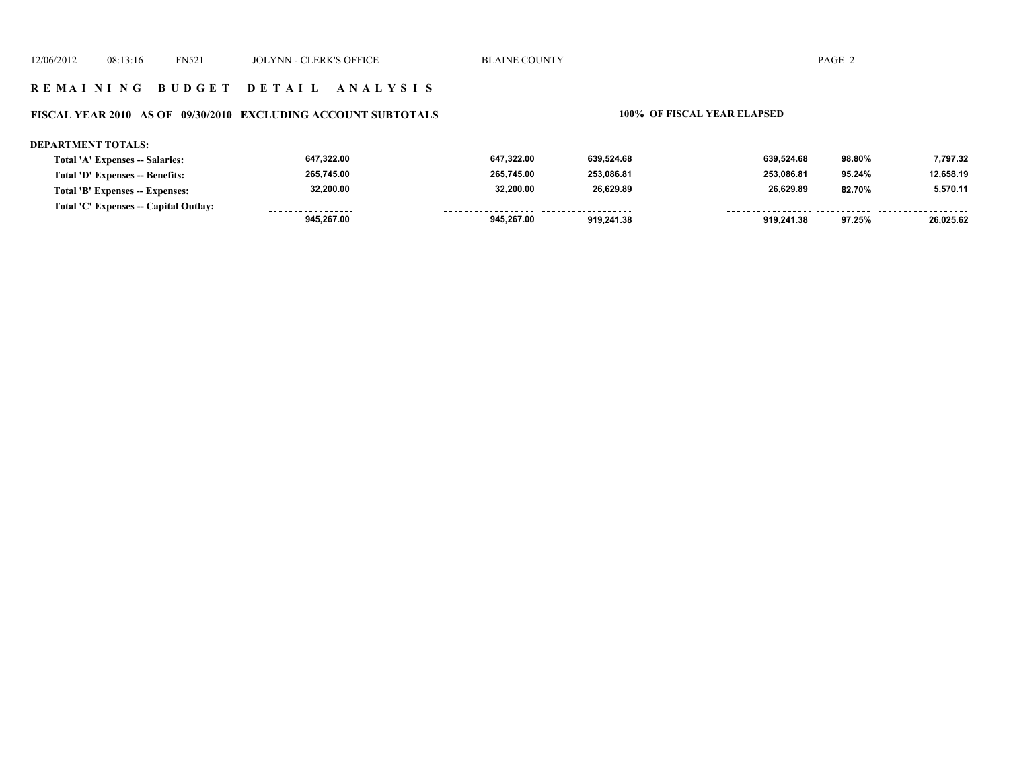# **FISCAL YEAR 2010 AS OF 09/30/2010 EXCLUDING ACCOUNT SUBTOTALS 100% OF FISCAL YEAR ELAPSED**

#### **DEPARTMENT TOTALS:**

| Total 'A' Expenses -- Salaries:       | 647,322.00        | 647.322.00          | 639.524.68          | 639.524.68 | 98.80% | 7,797.32  |
|---------------------------------------|-------------------|---------------------|---------------------|------------|--------|-----------|
| Total 'D' Expenses -- Benefits:       | 265,745.00        | 265.745.00          | 253.086.81          | 253.086.81 | 95.24% | 12,658.19 |
| Total 'B' Expenses -- Expenses:       | 32,200.00         | 32.200.00           | 26,629.89           | 26.629.89  | 82.70% | 5,570.11  |
| Total 'C' Expenses -- Capital Outlay: | ----------------- | ------------------- | ------------------- |            |        |           |
|                                       | 945,267.00        | 945.267.00          | 919.241.38          | 919.241.38 | 97.25% | 26,025.62 |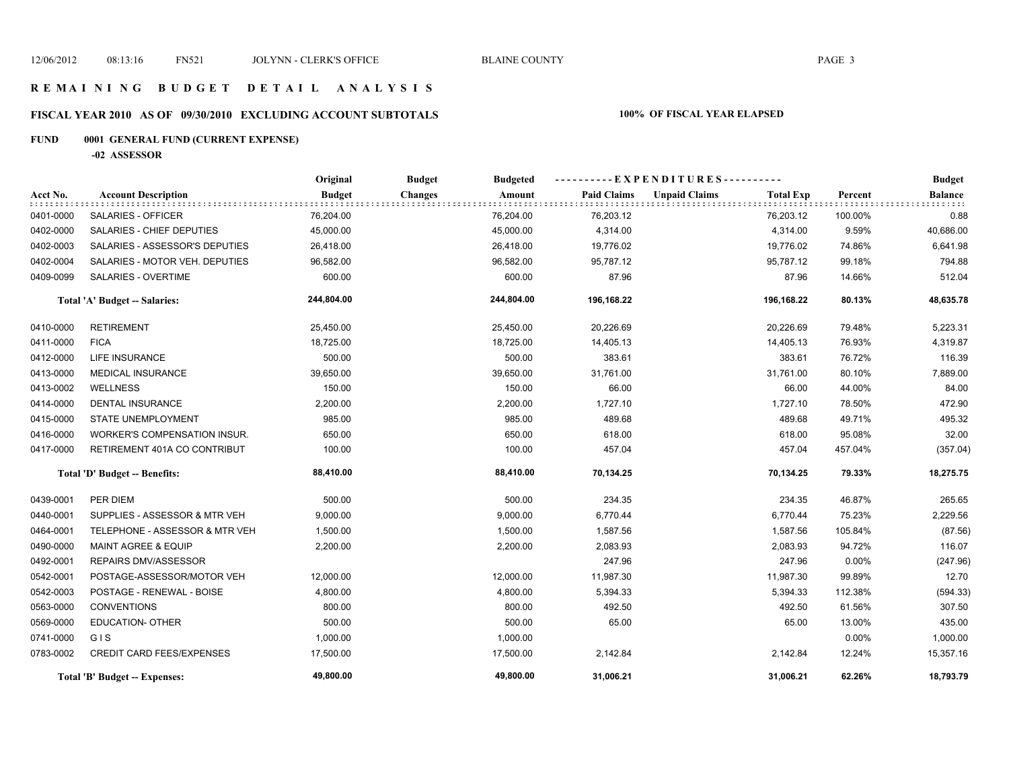# **FISCAL YEAR 2010 AS OF 09/30/2010 EXCLUDING ACCOUNT SUBTOTALS 100% OF FISCAL YEAR ELAPSED**

# **FUND 0001 GENERAL FUND (CURRENT EXPENSE)**

**-02 ASSESSOR**

|           |                                      | Original      | <b>Budget</b><br><b>Budgeted</b> |                    | ----------EXPENDITURES----------         |          | <b>Budget</b>            |
|-----------|--------------------------------------|---------------|----------------------------------|--------------------|------------------------------------------|----------|--------------------------|
| Acct No.  | <b>Account Description</b>           | <b>Budget</b> | <b>Changes</b><br>Amount         | <b>Paid Claims</b> | <b>Unpaid Claims</b><br><b>Total Exp</b> | Percent  | <b>Balance</b><br>e e el |
| 0401-0000 | SALARIES - OFFICER                   | 76,204.00     | 76,204.00                        | 76,203.12          | 76,203.12                                | 100.00%  | 0.88                     |
| 0402-0000 | SALARIES - CHIEF DEPUTIES            | 45,000.00     | 45,000.00                        | 4,314.00           | 4,314.00                                 | 9.59%    | 40,686.00                |
| 0402-0003 | SALARIES - ASSESSOR'S DEPUTIES       | 26,418.00     | 26,418.00                        | 19,776.02          | 19,776.02                                | 74.86%   | 6,641.98                 |
| 0402-0004 | SALARIES - MOTOR VEH. DEPUTIES       | 96,582.00     | 96,582.00                        | 95,787.12          | 95,787.12                                | 99.18%   | 794.88                   |
| 0409-0099 | SALARIES - OVERTIME                  | 600.00        | 600.00                           | 87.96              | 87.96                                    | 14.66%   | 512.04                   |
|           | Total 'A' Budget -- Salaries:        | 244,804.00    | 244,804.00                       | 196,168.22         | 196,168.22                               | 80.13%   | 48,635.78                |
| 0410-0000 | <b>RETIREMENT</b>                    | 25,450.00     | 25,450.00                        | 20,226.69          | 20,226.69                                | 79.48%   | 5,223.31                 |
| 0411-0000 | <b>FICA</b>                          | 18,725.00     | 18,725.00                        | 14,405.13          | 14,405.13                                | 76.93%   | 4,319.87                 |
| 0412-0000 | <b>LIFE INSURANCE</b>                | 500.00        | 500.00                           | 383.61             | 383.61                                   | 76.72%   | 116.39                   |
| 0413-0000 | <b>MEDICAL INSURANCE</b>             | 39,650.00     | 39,650.00                        | 31,761.00          | 31,761.00                                | 80.10%   | 7,889.00                 |
| 0413-0002 | <b>WELLNESS</b>                      | 150.00        | 150.00                           | 66.00              | 66.00                                    | 44.00%   | 84.00                    |
| 0414-0000 | <b>DENTAL INSURANCE</b>              | 2,200.00      | 2,200.00                         | 1,727.10           | 1,727.10                                 | 78.50%   | 472.90                   |
| 0415-0000 | STATE UNEMPLOYMENT                   | 985.00        | 985.00                           | 489.68             | 489.68                                   | 49.71%   | 495.32                   |
| 0416-0000 | WORKER'S COMPENSATION INSUR.         | 650.00        | 650.00                           | 618.00             | 618.00                                   | 95.08%   | 32.00                    |
| 0417-0000 | RETIREMENT 401A CO CONTRIBUT         | 100.00        | 100.00                           | 457.04             | 457.04                                   | 457.04%  | (357.04)                 |
|           | Total 'D' Budget -- Benefits:        | 88,410.00     | 88,410.00                        | 70,134.25          | 70,134.25                                | 79.33%   | 18,275.75                |
| 0439-0001 | PER DIEM                             | 500.00        | 500.00                           | 234.35             | 234.35                                   | 46.87%   | 265.65                   |
| 0440-0001 | SUPPLIES - ASSESSOR & MTR VEH        | 9,000.00      | 9,000.00                         | 6,770.44           | 6,770.44                                 | 75.23%   | 2,229.56                 |
| 0464-0001 | TELEPHONE - ASSESSOR & MTR VEH       | 1,500.00      | 1,500.00                         | 1,587.56           | 1,587.56                                 | 105.84%  | (87.56)                  |
| 0490-0000 | <b>MAINT AGREE &amp; EQUIP</b>       | 2,200.00      | 2,200.00                         | 2,083.93           | 2,083.93                                 | 94.72%   | 116.07                   |
| 0492-0001 | REPAIRS DMV/ASSESSOR                 |               |                                  | 247.96             | 247.96                                   | $0.00\%$ | (247.96)                 |
| 0542-0001 | POSTAGE-ASSESSOR/MOTOR VEH           | 12,000.00     | 12,000.00                        | 11,987.30          | 11,987.30                                | 99.89%   | 12.70                    |
| 0542-0003 | POSTAGE - RENEWAL - BOISE            | 4,800.00      | 4,800.00                         | 5,394.33           | 5,394.33                                 | 112.38%  | (594.33)                 |
| 0563-0000 | <b>CONVENTIONS</b>                   | 800.00        | 800.00                           | 492.50             | 492.50                                   | 61.56%   | 307.50                   |
| 0569-0000 | <b>EDUCATION- OTHER</b>              | 500.00        | 500.00                           | 65.00              | 65.00                                    | 13.00%   | 435.00                   |
| 0741-0000 | GIS                                  | 1,000.00      | 1,000.00                         |                    |                                          | 0.00%    | 1,000.00                 |
| 0783-0002 | <b>CREDIT CARD FEES/EXPENSES</b>     | 17,500.00     | 17,500.00                        | 2,142.84           | 2,142.84                                 | 12.24%   | 15,357.16                |
|           | <b>Total 'B' Budget -- Expenses:</b> | 49.800.00     | 49.800.00                        | 31,006.21          | 31,006.21                                | 62.26%   | 18,793.79                |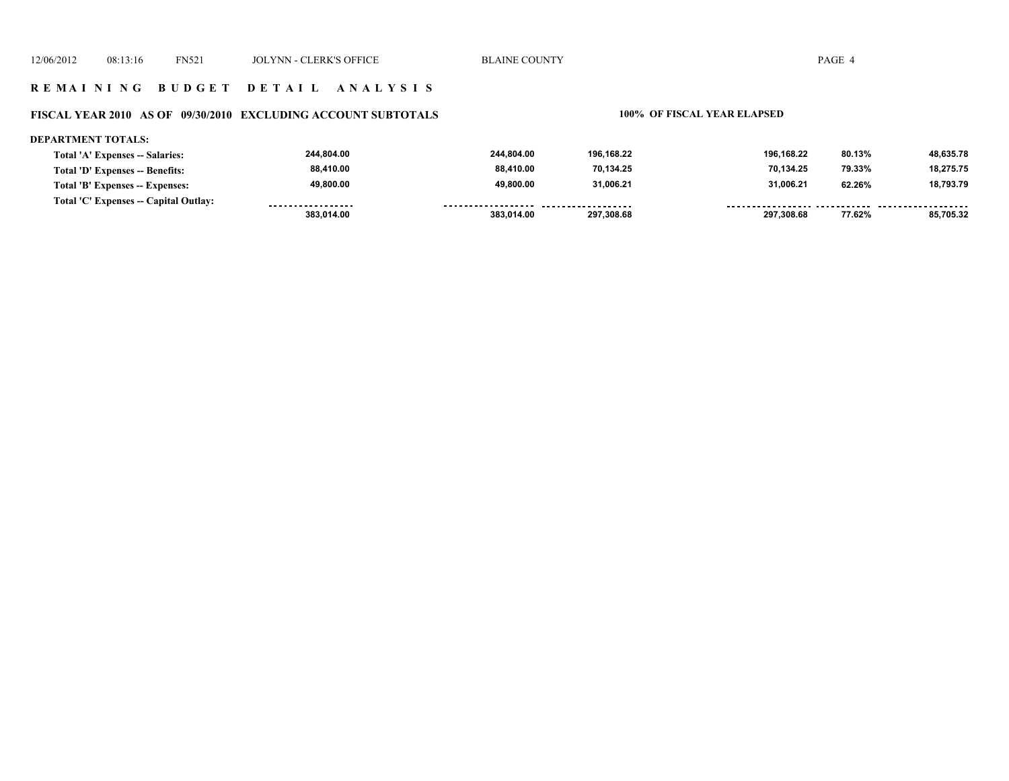# **FISCAL YEAR 2010 AS OF 09/30/2010 EXCLUDING ACCOUNT SUBTOTALS 100% OF FISCAL YEAR ELAPSED**

#### **DEPARTMENT TOTALS:**

| Total 'A' Expenses -- Salaries:       | 244.804.00        | 244.804.00         | 196.168.22 | 196.168.22 | 80.13% | 48,635.78 |
|---------------------------------------|-------------------|--------------------|------------|------------|--------|-----------|
| Total 'D' Expenses -- Benefits:       | 88,410.00         | 88.410.00          | 70.134.25  | 70.134.25  | 79.33% | 18,275.75 |
| Total 'B' Expenses -- Expenses:       | 49.800.00         | 49.800.00          | 31,006.21  | 31.006.21  | 62.26% | 18,793.79 |
| Total 'C' Expenses -- Capital Outlay: | ----------------- | ------------------ | .          |            |        |           |
|                                       | 383.014.00        | 383.014.00         | 297.308.68 | 297.308.68 | 77.62% | 85.705.32 |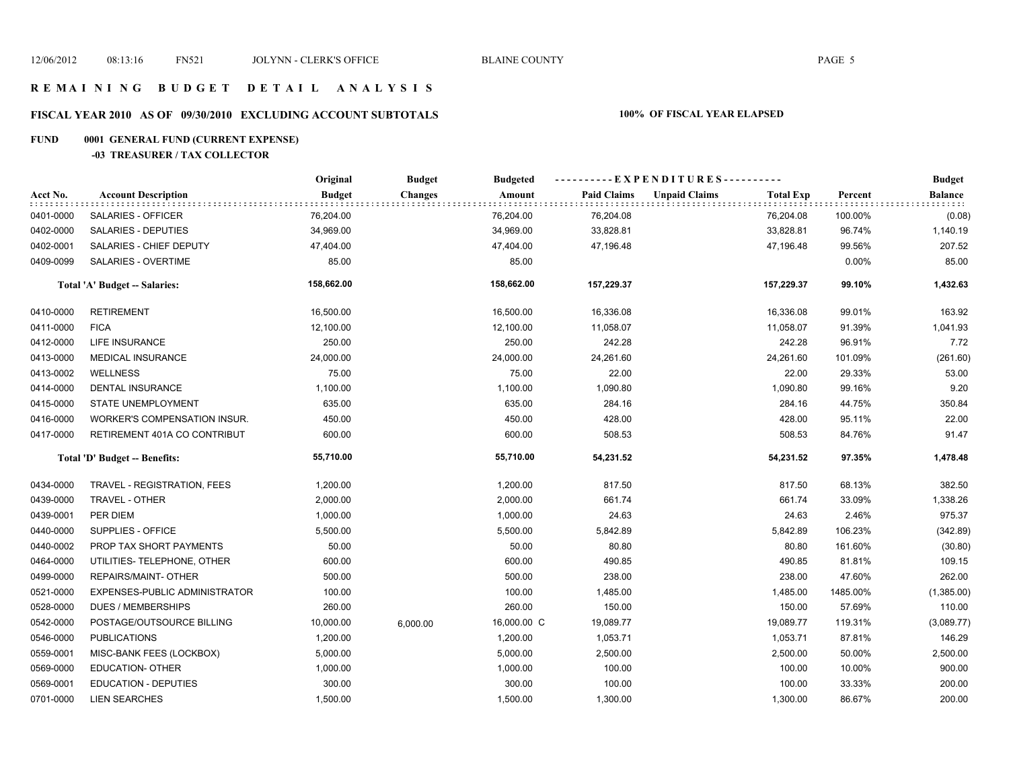# **FISCAL YEAR 2010 AS OF 09/30/2010 EXCLUDING ACCOUNT SUBTOTALS 100% OF FISCAL YEAR ELAPSED**

# **FUND 0001 GENERAL FUND (CURRENT EXPENSE)**

#### **-03 TREASURER / TAX COLLECTOR**

|           |                                     | Original      | <b>Budget</b>  | <b>Budgeted</b> |                    | ----------EXPENDITURES---------- |                  |          | <b>Budget</b>  |
|-----------|-------------------------------------|---------------|----------------|-----------------|--------------------|----------------------------------|------------------|----------|----------------|
| Acct No.  | <b>Account Description</b>          | <b>Budget</b> | <b>Changes</b> | Amount          | <b>Paid Claims</b> | <b>Unpaid Claims</b>             | <b>Total Exp</b> | Percent  | <b>Balance</b> |
| 0401-0000 | SALARIES - OFFICER                  | 76,204.00     |                | 76,204.00       | 76,204.08          |                                  | 76,204.08        | 100.00%  | (0.08)         |
| 0402-0000 | SALARIES - DEPUTIES                 | 34,969.00     |                | 34,969.00       | 33,828.81          |                                  | 33,828.81        | 96.74%   | 1,140.19       |
| 0402-0001 | SALARIES - CHIEF DEPUTY             | 47,404.00     |                | 47,404.00       | 47,196.48          |                                  | 47,196.48        | 99.56%   | 207.52         |
| 0409-0099 | SALARIES - OVERTIME                 | 85.00         |                | 85.00           |                    |                                  |                  | $0.00\%$ | 85.00          |
|           | Total 'A' Budget -- Salaries:       | 158,662.00    |                | 158,662.00      | 157,229.37         |                                  | 157,229.37       | 99.10%   | 1,432.63       |
| 0410-0000 | <b>RETIREMENT</b>                   | 16,500.00     |                | 16,500.00       | 16,336.08          |                                  | 16,336.08        | 99.01%   | 163.92         |
| 0411-0000 | <b>FICA</b>                         | 12,100.00     |                | 12,100.00       | 11,058.07          |                                  | 11,058.07        | 91.39%   | 1,041.93       |
| 0412-0000 | <b>LIFE INSURANCE</b>               | 250.00        |                | 250.00          | 242.28             |                                  | 242.28           | 96.91%   | 7.72           |
| 0413-0000 | <b>MEDICAL INSURANCE</b>            | 24,000.00     |                | 24,000.00       | 24,261.60          |                                  | 24,261.60        | 101.09%  | (261.60)       |
| 0413-0002 | <b>WELLNESS</b>                     | 75.00         |                | 75.00           | 22.00              |                                  | 22.00            | 29.33%   | 53.00          |
| 0414-0000 | DENTAL INSURANCE                    | 1,100.00      |                | 1,100.00        | 1,090.80           |                                  | 1,090.80         | 99.16%   | 9.20           |
| 0415-0000 | STATE UNEMPLOYMENT                  | 635.00        |                | 635.00          | 284.16             |                                  | 284.16           | 44.75%   | 350.84         |
| 0416-0000 | <b>WORKER'S COMPENSATION INSUR.</b> | 450.00        |                | 450.00          | 428.00             |                                  | 428.00           | 95.11%   | 22.00          |
| 0417-0000 | RETIREMENT 401A CO CONTRIBUT        | 600.00        |                | 600.00          | 508.53             |                                  | 508.53           | 84.76%   | 91.47          |
|           | Total 'D' Budget -- Benefits:       | 55,710.00     |                | 55,710.00       | 54,231.52          |                                  | 54,231.52        | 97.35%   | 1,478.48       |
| 0434-0000 | TRAVEL - REGISTRATION, FEES         | 1,200.00      |                | 1,200.00        | 817.50             |                                  | 817.50           | 68.13%   | 382.50         |
| 0439-0000 | TRAVEL - OTHER                      | 2,000.00      |                | 2,000.00        | 661.74             |                                  | 661.74           | 33.09%   | 1,338.26       |
| 0439-0001 | PER DIEM                            | 1,000.00      |                | 1,000.00        | 24.63              |                                  | 24.63            | 2.46%    | 975.37         |
| 0440-0000 | SUPPLIES - OFFICE                   | 5,500.00      |                | 5,500.00        | 5,842.89           |                                  | 5,842.89         | 106.23%  | (342.89)       |
| 0440-0002 | PROP TAX SHORT PAYMENTS             | 50.00         |                | 50.00           | 80.80              |                                  | 80.80            | 161.60%  | (30.80)        |
| 0464-0000 | UTILITIES- TELEPHONE, OTHER         | 600.00        |                | 600.00          | 490.85             |                                  | 490.85           | 81.81%   | 109.15         |
| 0499-0000 | REPAIRS/MAINT- OTHER                | 500.00        |                | 500.00          | 238.00             |                                  | 238.00           | 47.60%   | 262.00         |
| 0521-0000 | EXPENSES-PUBLIC ADMINISTRATOR       | 100.00        |                | 100.00          | 1,485.00           |                                  | 1,485.00         | 1485.00% | (1,385.00)     |
| 0528-0000 | <b>DUES / MEMBERSHIPS</b>           | 260.00        |                | 260.00          | 150.00             |                                  | 150.00           | 57.69%   | 110.00         |
| 0542-0000 | POSTAGE/OUTSOURCE BILLING           | 10,000.00     | 6,000.00       | 16,000.00 C     | 19,089.77          |                                  | 19,089.77        | 119.31%  | (3,089.77)     |
| 0546-0000 | <b>PUBLICATIONS</b>                 | 1,200.00      |                | 1,200.00        | 1,053.71           |                                  | 1,053.71         | 87.81%   | 146.29         |
| 0559-0001 | MISC-BANK FEES (LOCKBOX)            | 5,000.00      |                | 5,000.00        | 2,500.00           |                                  | 2,500.00         | 50.00%   | 2,500.00       |
| 0569-0000 | EDUCATION- OTHER                    | 1,000.00      |                | 1,000.00        | 100.00             |                                  | 100.00           | 10.00%   | 900.00         |
| 0569-0001 | <b>EDUCATION - DEPUTIES</b>         | 300.00        |                | 300.00          | 100.00             |                                  | 100.00           | 33.33%   | 200.00         |
| 0701-0000 | <b>LIEN SEARCHES</b>                | 1,500.00      |                | 1,500.00        | 1,300.00           |                                  | 1,300.00         | 86.67%   | 200.00         |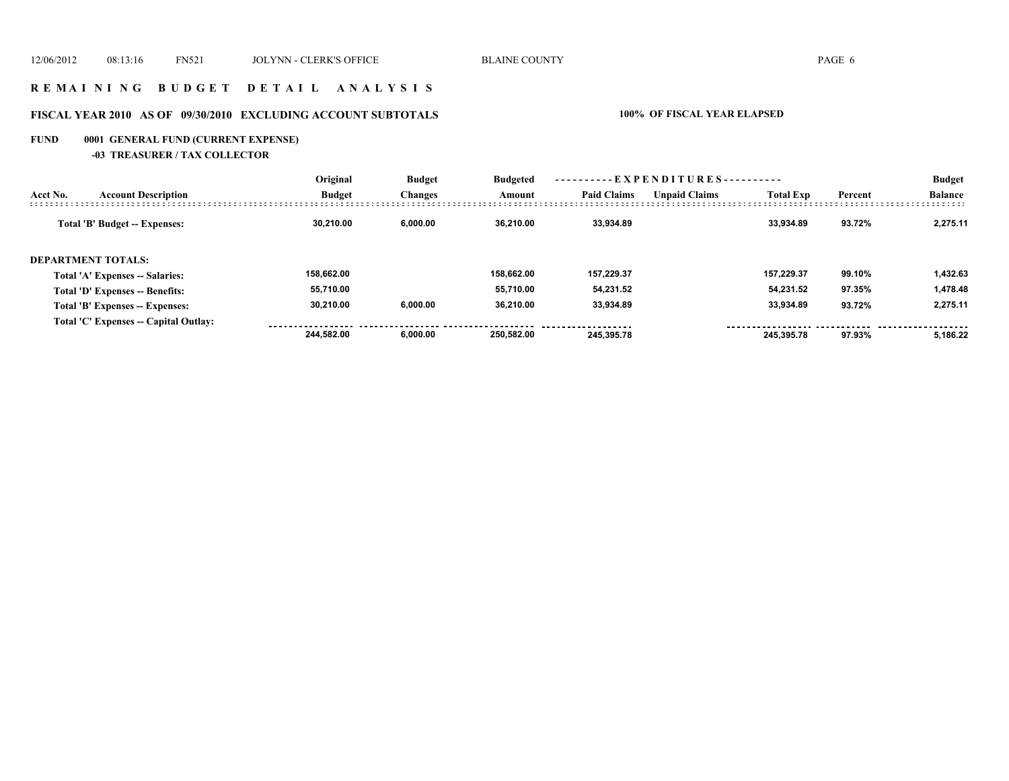### **R E M A I N I N G B U D G E T D E T A I L A N A L Y S I S**

# **FISCAL YEAR 2010 AS OF 09/30/2010 EXCLUDING ACCOUNT SUBTOTALS 100% OF FISCAL YEAR ELAPSED**

# **FUND 0001 GENERAL FUND (CURRENT EXPENSE)**

**-03 TREASURER / TAX COLLECTOR**

|                           |                                       | Original      | <b>Budget</b>  | <b>Budgeted</b> | ----------EXPENDITURES---------- |                      |                  |         | <b>Budget</b>  |
|---------------------------|---------------------------------------|---------------|----------------|-----------------|----------------------------------|----------------------|------------------|---------|----------------|
| Acct No.                  | <b>Account Description</b>            | <b>Budget</b> | <b>Changes</b> | Amount          | <b>Paid Claims</b>               | <b>Unpaid Claims</b> | <b>Total Exp</b> | Percent | <b>Balance</b> |
|                           | <b>Total 'B' Budget -- Expenses:</b>  | 30.210.00     | 6.000.00       | 36.210.00       | 33.934.89                        |                      | 33.934.89        | 93.72%  | 2.275.11       |
| <b>DEPARTMENT TOTALS:</b> |                                       |               |                |                 |                                  |                      |                  |         |                |
|                           | Total 'A' Expenses -- Salaries:       | 158.662.00    |                | 158.662.00      | 157.229.37                       |                      | 157.229.37       | 99.10%  | 1,432.63       |
|                           | Total 'D' Expenses -- Benefits:       | 55,710.00     |                | 55.710.00       | 54.231.52                        |                      | 54.231.52        | 97.35%  | 1.478.48       |
|                           | Total 'B' Expenses -- Expenses:       | 30.210.00     | 6.000.00       | 36.210.00       | 33.934.89                        |                      | 33.934.89        | 93.72%  | 2.275.11       |
|                           | Total 'C' Expenses -- Capital Outlay: |               |                |                 |                                  |                      |                  |         |                |
|                           |                                       | 244.582.00    | 6.000.00       | 250.582.00      | 245.395.78                       |                      | 245.395.78       | 97.93%  | 5.186.22       |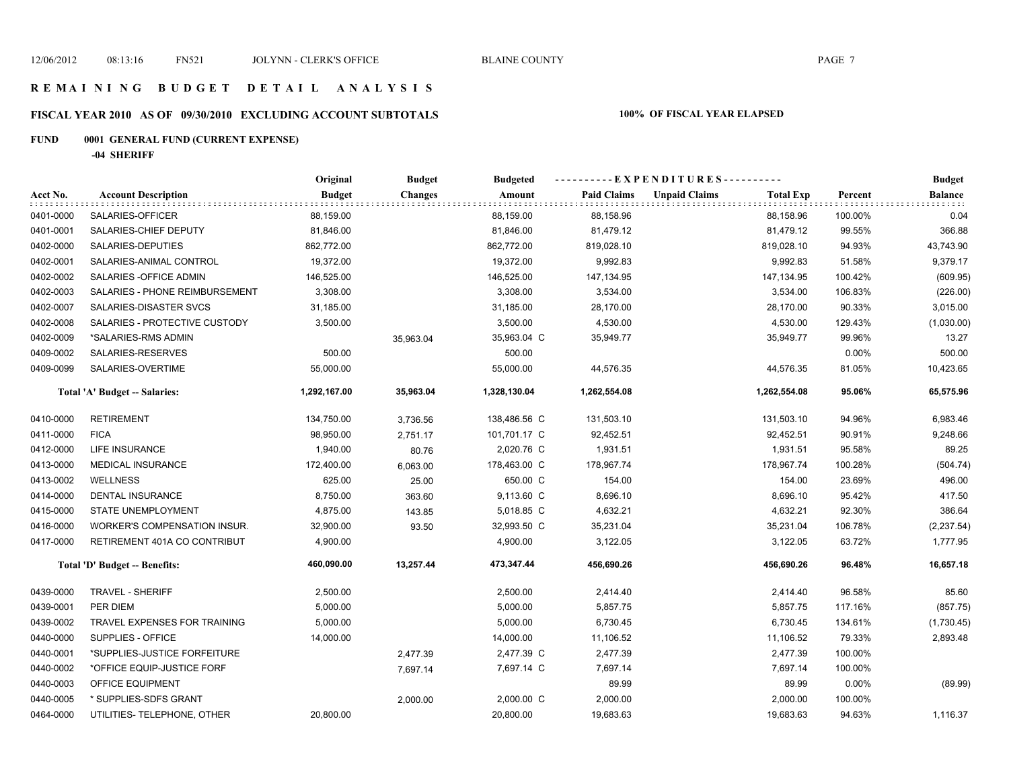# **FISCAL YEAR 2010 AS OF 09/30/2010 EXCLUDING ACCOUNT SUBTOTALS 100% OF FISCAL YEAR ELAPSED**

# **FUND 0001 GENERAL FUND (CURRENT EXPENSE)**

**-04 SHERIFF**

|           |                                | Original      | <b>Budget</b> | <b>Budgeted</b> |                    | ----------EXPENDITURES----------         |         | <b>Budget</b>  |
|-----------|--------------------------------|---------------|---------------|-----------------|--------------------|------------------------------------------|---------|----------------|
| Acct No.  | <b>Account Description</b>     | <b>Budget</b> | Changes       | Amount          | <b>Paid Claims</b> | <b>Unpaid Claims</b><br><b>Total Exp</b> | Percent | <b>Balance</b> |
| 0401-0000 | SALARIES-OFFICER               | 88,159.00     |               | 88,159.00       | 88,158.96          | 88,158.96                                | 100.00% | 0.04           |
| 0401-0001 | SALARIES-CHIEF DEPUTY          | 81,846.00     |               | 81,846.00       | 81,479.12          | 81,479.12                                | 99.55%  | 366.88         |
| 0402-0000 | SALARIES-DEPUTIES              | 862,772.00    |               | 862,772.00      | 819,028.10         | 819,028.10                               | 94.93%  | 43,743.90      |
| 0402-0001 | SALARIES-ANIMAL CONTROL        | 19,372.00     |               | 19,372.00       | 9,992.83           | 9,992.83                                 | 51.58%  | 9,379.17       |
| 0402-0002 | SALARIES - OFFICE ADMIN        | 146,525.00    |               | 146,525.00      | 147,134.95         | 147,134.95                               | 100.42% | (609.95)       |
| 0402-0003 | SALARIES - PHONE REIMBURSEMENT | 3,308.00      |               | 3,308.00        | 3,534.00           | 3,534.00                                 | 106.83% | (226.00)       |
| 0402-0007 | SALARIES-DISASTER SVCS         | 31,185.00     |               | 31,185.00       | 28,170.00          | 28,170.00                                | 90.33%  | 3,015.00       |
| 0402-0008 | SALARIES - PROTECTIVE CUSTODY  | 3,500.00      |               | 3,500.00        | 4,530.00           | 4,530.00                                 | 129.43% | (1,030.00)     |
| 0402-0009 | *SALARIES-RMS ADMIN            |               | 35,963.04     | 35,963.04 C     | 35,949.77          | 35,949.77                                | 99.96%  | 13.27          |
| 0409-0002 | SALARIES-RESERVES              | 500.00        |               | 500.00          |                    |                                          | 0.00%   | 500.00         |
| 0409-0099 | SALARIES-OVERTIME              | 55,000.00     |               | 55,000.00       | 44,576.35          | 44,576.35                                | 81.05%  | 10,423.65      |
|           | Total 'A' Budget -- Salaries:  | 1,292,167.00  | 35,963.04     | 1,328,130.04    | 1,262,554.08       | 1,262,554.08                             | 95.06%  | 65,575.96      |
| 0410-0000 | <b>RETIREMENT</b>              | 134,750.00    | 3,736.56      | 138,486.56 C    | 131,503.10         | 131,503.10                               | 94.96%  | 6,983.46       |
| 0411-0000 | <b>FICA</b>                    | 98,950.00     | 2,751.17      | 101,701.17 C    | 92,452.51          | 92,452.51                                | 90.91%  | 9,248.66       |
| 0412-0000 | LIFE INSURANCE                 | 1,940.00      | 80.76         | 2,020.76 C      | 1,931.51           | 1,931.51                                 | 95.58%  | 89.25          |
| 0413-0000 | <b>MEDICAL INSURANCE</b>       | 172,400.00    | 6,063.00      | 178,463.00 C    | 178,967.74         | 178,967.74                               | 100.28% | (504.74)       |
| 0413-0002 | <b>WELLNESS</b>                | 625.00        | 25.00         | 650.00 C        | 154.00             | 154.00                                   | 23.69%  | 496.00         |
| 0414-0000 | <b>DENTAL INSURANCE</b>        | 8,750.00      | 363.60        | 9,113.60 C      | 8,696.10           | 8,696.10                                 | 95.42%  | 417.50         |
| 0415-0000 | <b>STATE UNEMPLOYMENT</b>      | 4,875.00      | 143.85        | 5,018.85 C      | 4,632.21           | 4,632.21                                 | 92.30%  | 386.64         |
| 0416-0000 | WORKER'S COMPENSATION INSUR.   | 32,900.00     | 93.50         | 32,993.50 C     | 35,231.04          | 35,231.04                                | 106.78% | (2, 237.54)    |
| 0417-0000 | RETIREMENT 401A CO CONTRIBUT   | 4,900.00      |               | 4,900.00        | 3,122.05           | 3,122.05                                 | 63.72%  | 1,777.95       |
|           | Total 'D' Budget -- Benefits:  | 460,090.00    | 13,257.44     | 473,347.44      | 456,690.26         | 456,690.26                               | 96.48%  | 16,657.18      |
| 0439-0000 | <b>TRAVEL - SHERIFF</b>        | 2,500.00      |               | 2,500.00        | 2,414.40           | 2,414.40                                 | 96.58%  | 85.60          |
| 0439-0001 | PER DIEM                       | 5,000.00      |               | 5,000.00        | 5,857.75           | 5,857.75                                 | 117.16% | (857.75)       |
| 0439-0002 | TRAVEL EXPENSES FOR TRAINING   | 5,000.00      |               | 5,000.00        | 6,730.45           | 6,730.45                                 | 134.61% | (1,730.45)     |
| 0440-0000 | SUPPLIES - OFFICE              | 14,000.00     |               | 14,000.00       | 11,106.52          | 11,106.52                                | 79.33%  | 2,893.48       |
| 0440-0001 | *SUPPLIES-JUSTICE FORFEITURE   |               | 2,477.39      | 2,477.39 C      | 2,477.39           | 2,477.39                                 | 100.00% |                |
| 0440-0002 | *OFFICE EQUIP-JUSTICE FORF     |               | 7,697.14      | 7,697.14 C      | 7,697.14           | 7,697.14                                 | 100.00% |                |
| 0440-0003 | OFFICE EQUIPMENT               |               |               |                 | 89.99              | 89.99                                    | 0.00%   | (89.99)        |
| 0440-0005 | * SUPPLIES-SDFS GRANT          |               | 2,000.00      | 2,000.00 C      | 2,000.00           | 2,000.00                                 | 100.00% |                |
| 0464-0000 | UTILITIES- TELEPHONE, OTHER    | 20,800.00     |               | 20,800.00       | 19,683.63          | 19,683.63                                | 94.63%  | 1,116.37       |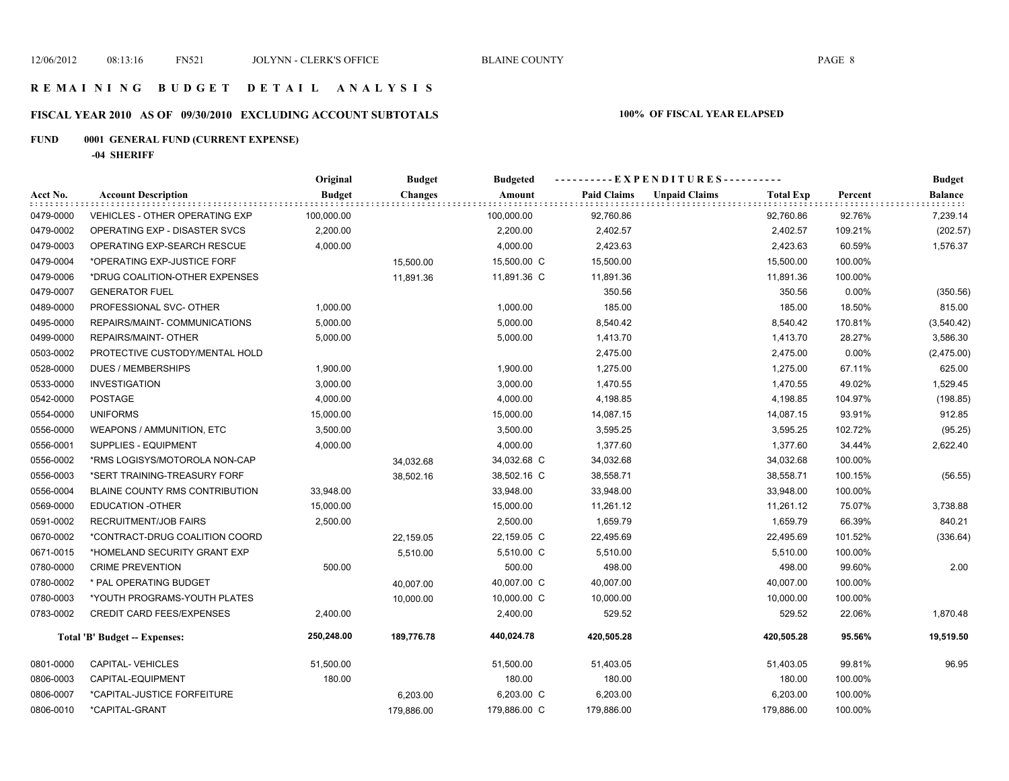# **FISCAL YEAR 2010 AS OF 09/30/2010 EXCLUDING ACCOUNT SUBTOTALS 100% OF FISCAL YEAR ELAPSED**

# **FUND 0001 GENERAL FUND (CURRENT EXPENSE)**

**-04 SHERIFF**

|           |                                      | Original      | <b>Budget</b>  | <b>Budgeted</b> |                    | ----------EXPENDITURES---------- |                  |         | <b>Budget</b>  |
|-----------|--------------------------------------|---------------|----------------|-----------------|--------------------|----------------------------------|------------------|---------|----------------|
| Acct No.  | <b>Account Description</b>           | <b>Budget</b> | <b>Changes</b> | Amount          | <b>Paid Claims</b> | <b>Unpaid Claims</b>             | <b>Total Exp</b> | Percent | <b>Balance</b> |
| 0479-0000 | VEHICLES - OTHER OPERATING EXP       | 100,000.00    |                | 100,000.00      | 92,760.86          |                                  | 92,760.86        | 92.76%  | 7,239.14       |
| 0479-0002 | OPERATING EXP - DISASTER SVCS        | 2,200.00      |                | 2,200.00        | 2,402.57           |                                  | 2,402.57         | 109.21% | (202.57)       |
| 0479-0003 | OPERATING EXP-SEARCH RESCUE          | 4,000.00      |                | 4,000.00        | 2,423.63           |                                  | 2,423.63         | 60.59%  | 1,576.37       |
| 0479-0004 | *OPERATING EXP-JUSTICE FORF          |               | 15,500.00      | 15,500.00 C     | 15,500.00          |                                  | 15,500.00        | 100.00% |                |
| 0479-0006 | *DRUG COALITION-OTHER EXPENSES       |               | 11,891.36      | 11,891.36 C     | 11,891.36          |                                  | 11,891.36        | 100.00% |                |
| 0479-0007 | <b>GENERATOR FUEL</b>                |               |                |                 | 350.56             |                                  | 350.56           | 0.00%   | (350.56)       |
| 0489-0000 | PROFESSIONAL SVC- OTHER              | 1,000.00      |                | 1,000.00        | 185.00             |                                  | 185.00           | 18.50%  | 815.00         |
| 0495-0000 | REPAIRS/MAINT- COMMUNICATIONS        | 5,000.00      |                | 5,000.00        | 8,540.42           |                                  | 8,540.42         | 170.81% | (3,540.42)     |
| 0499-0000 | REPAIRS/MAINT- OTHER                 | 5,000.00      |                | 5,000.00        | 1,413.70           |                                  | 1,413.70         | 28.27%  | 3,586.30       |
| 0503-0002 | PROTECTIVE CUSTODY/MENTAL HOLD       |               |                |                 | 2,475.00           |                                  | 2,475.00         | 0.00%   | (2,475.00)     |
| 0528-0000 | <b>DUES / MEMBERSHIPS</b>            | 1,900.00      |                | 1,900.00        | 1,275.00           |                                  | 1,275.00         | 67.11%  | 625.00         |
| 0533-0000 | <b>INVESTIGATION</b>                 | 3,000.00      |                | 3,000.00        | 1,470.55           |                                  | 1,470.55         | 49.02%  | 1,529.45       |
| 0542-0000 | POSTAGE                              | 4,000.00      |                | 4,000.00        | 4,198.85           |                                  | 4,198.85         | 104.97% | (198.85)       |
| 0554-0000 | <b>UNIFORMS</b>                      | 15,000.00     |                | 15,000.00       | 14,087.15          |                                  | 14,087.15        | 93.91%  | 912.85         |
| 0556-0000 | WEAPONS / AMMUNITION, ETC            | 3,500.00      |                | 3,500.00        | 3,595.25           |                                  | 3,595.25         | 102.72% | (95.25)        |
| 0556-0001 | SUPPLIES - EQUIPMENT                 | 4,000.00      |                | 4,000.00        | 1,377.60           |                                  | 1,377.60         | 34.44%  | 2,622.40       |
| 0556-0002 | *RMS LOGISYS/MOTOROLA NON-CAP        |               | 34,032.68      | 34,032.68 C     | 34,032.68          |                                  | 34,032.68        | 100.00% |                |
| 0556-0003 | *SERT TRAINING-TREASURY FORF         |               | 38,502.16      | 38,502.16 C     | 38,558.71          |                                  | 38,558.71        | 100.15% | (56.55)        |
| 0556-0004 | BLAINE COUNTY RMS CONTRIBUTION       | 33,948.00     |                | 33,948.00       | 33,948.00          |                                  | 33,948.00        | 100.00% |                |
| 0569-0000 | EDUCATION -OTHER                     | 15,000.00     |                | 15,000.00       | 11,261.12          |                                  | 11,261.12        | 75.07%  | 3,738.88       |
| 0591-0002 | <b>RECRUITMENT/JOB FAIRS</b>         | 2,500.00      |                | 2,500.00        | 1,659.79           |                                  | 1,659.79         | 66.39%  | 840.21         |
| 0670-0002 | *CONTRACT-DRUG COALITION COORD       |               | 22,159.05      | 22,159.05 C     | 22,495.69          |                                  | 22,495.69        | 101.52% | (336.64)       |
| 0671-0015 | *HOMELAND SECURITY GRANT EXP         |               | 5,510.00       | 5,510.00 C      | 5,510.00           |                                  | 5,510.00         | 100.00% |                |
| 0780-0000 | <b>CRIME PREVENTION</b>              | 500.00        |                | 500.00          | 498.00             |                                  | 498.00           | 99.60%  | 2.00           |
| 0780-0002 | * PAL OPERATING BUDGET               |               | 40,007.00      | 40,007.00 C     | 40,007.00          |                                  | 40,007.00        | 100.00% |                |
| 0780-0003 | *YOUTH PROGRAMS-YOUTH PLATES         |               | 10,000.00      | 10,000.00 C     | 10,000.00          |                                  | 10,000.00        | 100.00% |                |
| 0783-0002 | <b>CREDIT CARD FEES/EXPENSES</b>     | 2,400.00      |                | 2,400.00        | 529.52             |                                  | 529.52           | 22.06%  | 1,870.48       |
|           | <b>Total 'B' Budget -- Expenses:</b> | 250,248.00    | 189,776.78     | 440,024.78      | 420,505.28         |                                  | 420,505.28       | 95.56%  | 19,519.50      |
| 0801-0000 | CAPITAL-VEHICLES                     | 51,500.00     |                | 51,500.00       | 51,403.05          |                                  | 51,403.05        | 99.81%  | 96.95          |
| 0806-0003 | CAPITAL-EQUIPMENT                    | 180.00        |                | 180.00          | 180.00             |                                  | 180.00           | 100.00% |                |
| 0806-0007 | *CAPITAL-JUSTICE FORFEITURE          |               | 6,203.00       | 6,203.00 C      | 6,203.00           |                                  | 6,203.00         | 100.00% |                |
| 0806-0010 | *CAPITAL-GRANT                       |               | 179,886.00     | 179,886.00 C    | 179,886.00         |                                  | 179,886.00       | 100.00% |                |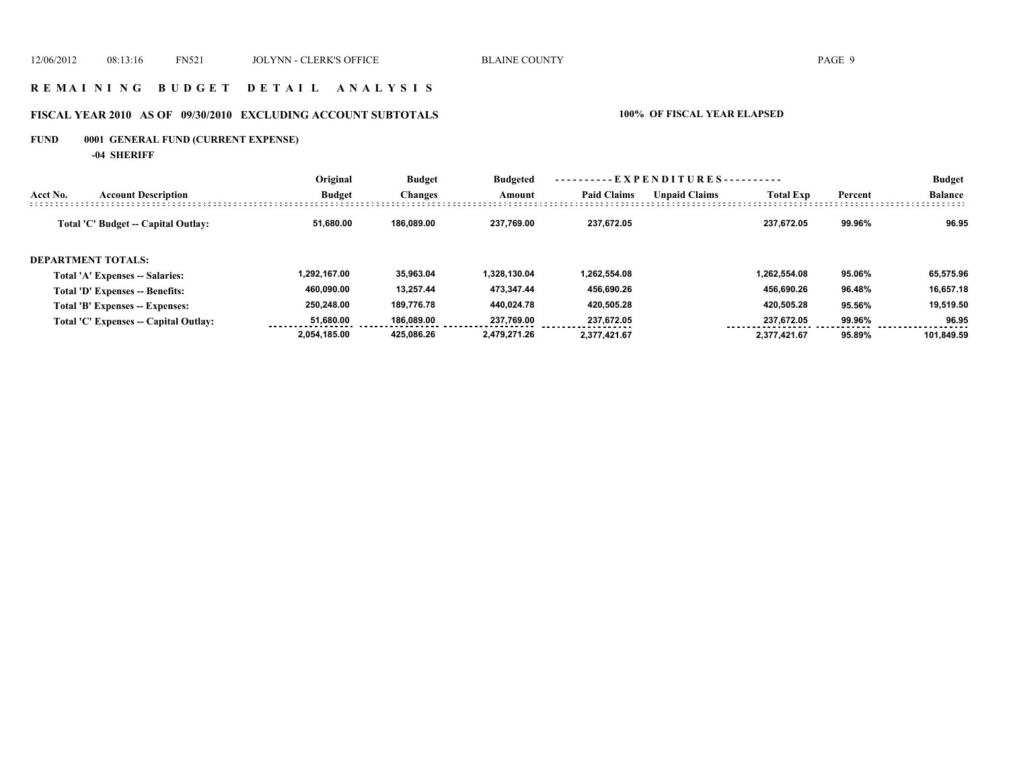### **R E M A I N I N G B U D G E T D E T A I L A N A L Y S I S**

# **FISCAL YEAR 2010 AS OF 09/30/2010 EXCLUDING ACCOUNT SUBTOTALS 100% OF FISCAL YEAR ELAPSED**

# **FUND 0001 GENERAL FUND (CURRENT EXPENSE)**

**-04 SHERIFF**

|                                        | Original      | <b>Budget</b>  | <b>Budgeted</b> |                    | - - E X P E N D I T U R E S - - - - - - - - - - |                  |         | <b>Budget</b>  |
|----------------------------------------|---------------|----------------|-----------------|--------------------|-------------------------------------------------|------------------|---------|----------------|
| <b>Account Description</b><br>Acct No. | <b>Budget</b> | <b>Changes</b> | Amount          | <b>Paid Claims</b> | <b>Unpaid Claims</b>                            | <b>Total Exp</b> | Percent | <b>Balance</b> |
| Total 'C' Budget -- Capital Outlay:    | 51.680.00     | 186.089.00     | 237.769.00      | 237.672.05         |                                                 | 237.672.05       | 99.96%  | 96.95          |
| <b>DEPARTMENT TOTALS:</b>              |               |                |                 |                    |                                                 |                  |         |                |
| <b>Total 'A' Expenses -- Salaries:</b> | 1.292.167.00  | 35.963.04      | 1.328.130.04    | 1.262.554.08       |                                                 | 1.262.554.08     | 95.06%  | 65,575.96      |
| Total 'D' Expenses -- Benefits:        | 460.090.00    | 13.257.44      | 473.347.44      | 456.690.26         |                                                 | 456.690.26       | 96.48%  | 16.657.18      |
| Total 'B' Expenses -- Expenses:        | 250.248.00    | 189.776.78     | 440.024.78      | 420.505.28         |                                                 | 420.505.28       | 95.56%  | 19,519.50      |
| Total 'C' Expenses -- Capital Outlay:  | 51.680.00     | 186.089.00     | 237.769.00      | 237.672.05         |                                                 | 237,672.05       | 99.96%  | 96.95          |
|                                        | 2,054,185.00  | 425.086.26     | 2.479.271.26    | 2.377.421.67       |                                                 | 2.377.421.67     | 95.89%  | 101.849.59     |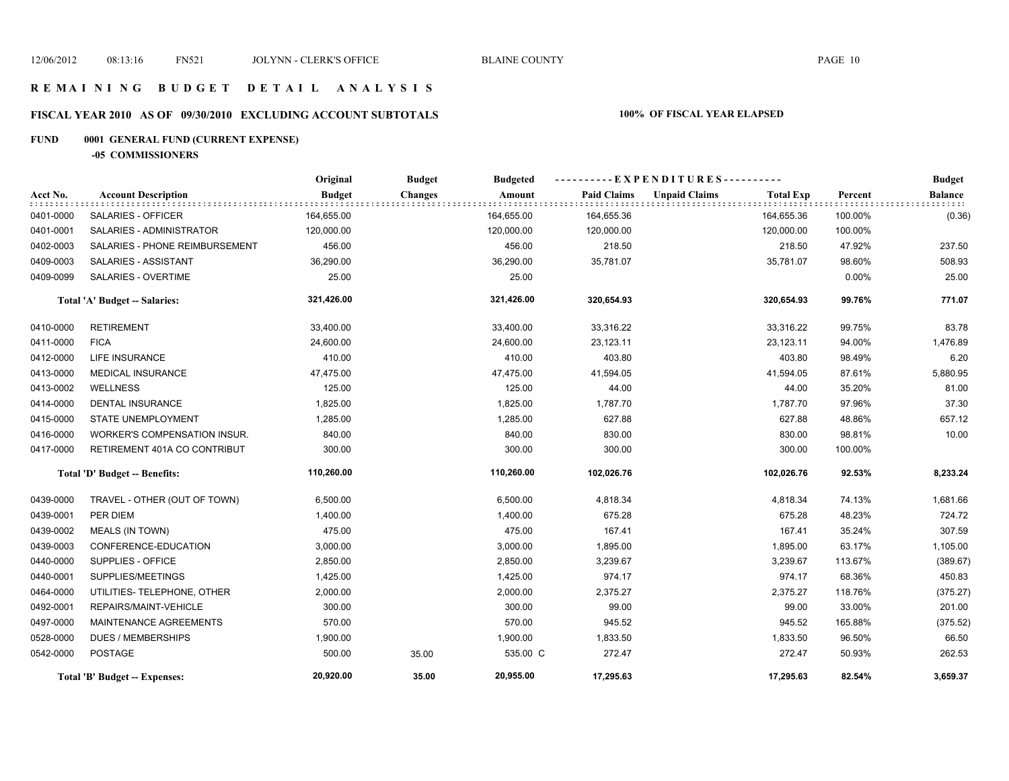# **FISCAL YEAR 2010 AS OF 09/30/2010 EXCLUDING ACCOUNT SUBTOTALS 100% OF FISCAL YEAR ELAPSED**

# **FUND 0001 GENERAL FUND (CURRENT EXPENSE)**

**-05 COMMISSIONERS**

|           |                                | Original      | <b>Budget</b>  | <b>Budgeted</b> |                    | ----------EXPENDITURES----------         |         | <b>Budget</b>  |
|-----------|--------------------------------|---------------|----------------|-----------------|--------------------|------------------------------------------|---------|----------------|
| Acct No.  | <b>Account Description</b>     | <b>Budget</b> | <b>Changes</b> | Amount          | <b>Paid Claims</b> | <b>Unpaid Claims</b><br><b>Total Exp</b> | Percent | <b>Balance</b> |
| 0401-0000 | <b>SALARIES - OFFICER</b>      | 164,655.00    |                | 164,655.00      | 164,655.36         | 164,655.36                               | 100.00% | (0.36)         |
| 0401-0001 | SALARIES - ADMINISTRATOR       | 120,000.00    |                | 120,000.00      | 120,000.00         | 120,000.00                               | 100.00% |                |
| 0402-0003 | SALARIES - PHONE REIMBURSEMENT | 456.00        |                | 456.00          | 218.50             | 218.50                                   | 47.92%  | 237.50         |
| 0409-0003 | SALARIES - ASSISTANT           | 36,290.00     |                | 36,290.00       | 35,781.07          | 35,781.07                                | 98.60%  | 508.93         |
| 0409-0099 | SALARIES - OVERTIME            | 25.00         |                | 25.00           |                    |                                          | 0.00%   | 25.00          |
|           | Total 'A' Budget -- Salaries:  | 321,426.00    |                | 321,426.00      | 320,654.93         | 320,654.93                               | 99.76%  | 771.07         |
| 0410-0000 | <b>RETIREMENT</b>              | 33,400.00     |                | 33,400.00       | 33,316.22          | 33,316.22                                | 99.75%  | 83.78          |
| 0411-0000 | <b>FICA</b>                    | 24,600.00     |                | 24,600.00       | 23,123.11          | 23,123.11                                | 94.00%  | 1,476.89       |
| 0412-0000 | <b>LIFE INSURANCE</b>          | 410.00        |                | 410.00          | 403.80             | 403.80                                   | 98.49%  | 6.20           |
| 0413-0000 | <b>MEDICAL INSURANCE</b>       | 47,475.00     |                | 47,475.00       | 41,594.05          | 41,594.05                                | 87.61%  | 5,880.95       |
| 0413-0002 | <b>WELLNESS</b>                | 125.00        |                | 125.00          | 44.00              | 44.00                                    | 35.20%  | 81.00          |
| 0414-0000 | DENTAL INSURANCE               | 1,825.00      |                | 1,825.00        | 1,787.70           | 1,787.70                                 | 97.96%  | 37.30          |
| 0415-0000 | <b>STATE UNEMPLOYMENT</b>      | 1,285.00      |                | 1,285.00        | 627.88             | 627.88                                   | 48.86%  | 657.12         |
| 0416-0000 | WORKER'S COMPENSATION INSUR.   | 840.00        |                | 840.00          | 830.00             | 830.00                                   | 98.81%  | 10.00          |
| 0417-0000 | RETIREMENT 401A CO CONTRIBUT   | 300.00        |                | 300.00          | 300.00             | 300.00                                   | 100.00% |                |
|           | Total 'D' Budget -- Benefits:  | 110,260.00    |                | 110,260.00      | 102,026.76         | 102,026.76                               | 92.53%  | 8,233.24       |
| 0439-0000 | TRAVEL - OTHER (OUT OF TOWN)   | 6,500.00      |                | 6,500.00        | 4,818.34           | 4,818.34                                 | 74.13%  | 1,681.66       |
| 0439-0001 | PER DIEM                       | 1,400.00      |                | 1,400.00        | 675.28             | 675.28                                   | 48.23%  | 724.72         |
| 0439-0002 | <b>MEALS (IN TOWN)</b>         | 475.00        |                | 475.00          | 167.41             | 167.41                                   | 35.24%  | 307.59         |
| 0439-0003 | CONFERENCE-EDUCATION           | 3,000.00      |                | 3,000.00        | 1,895.00           | 1,895.00                                 | 63.17%  | 1,105.00       |
| 0440-0000 | SUPPLIES - OFFICE              | 2,850.00      |                | 2,850.00        | 3,239.67           | 3,239.67                                 | 113.67% | (389.67)       |
| 0440-0001 | SUPPLIES/MEETINGS              | 1,425.00      |                | 1,425.00        | 974.17             | 974.17                                   | 68.36%  | 450.83         |
| 0464-0000 | UTILITIES- TELEPHONE, OTHER    | 2,000.00      |                | 2,000.00        | 2,375.27           | 2,375.27                                 | 118.76% | (375.27)       |
| 0492-0001 | REPAIRS/MAINT-VEHICLE          | 300.00        |                | 300.00          | 99.00              | 99.00                                    | 33.00%  | 201.00         |
| 0497-0000 | MAINTENANCE AGREEMENTS         | 570.00        |                | 570.00          | 945.52             | 945.52                                   | 165.88% | (375.52)       |
| 0528-0000 | <b>DUES / MEMBERSHIPS</b>      | 1,900.00      |                | 1,900.00        | 1,833.50           | 1,833.50                                 | 96.50%  | 66.50          |
| 0542-0000 | <b>POSTAGE</b>                 | 500.00        | 35.00          | 535.00 C        | 272.47             | 272.47                                   | 50.93%  | 262.53         |
|           | Total 'B' Budget -- Expenses:  | 20,920.00     | 35.00          | 20,955.00       | 17,295.63          | 17,295.63                                | 82.54%  | 3,659.37       |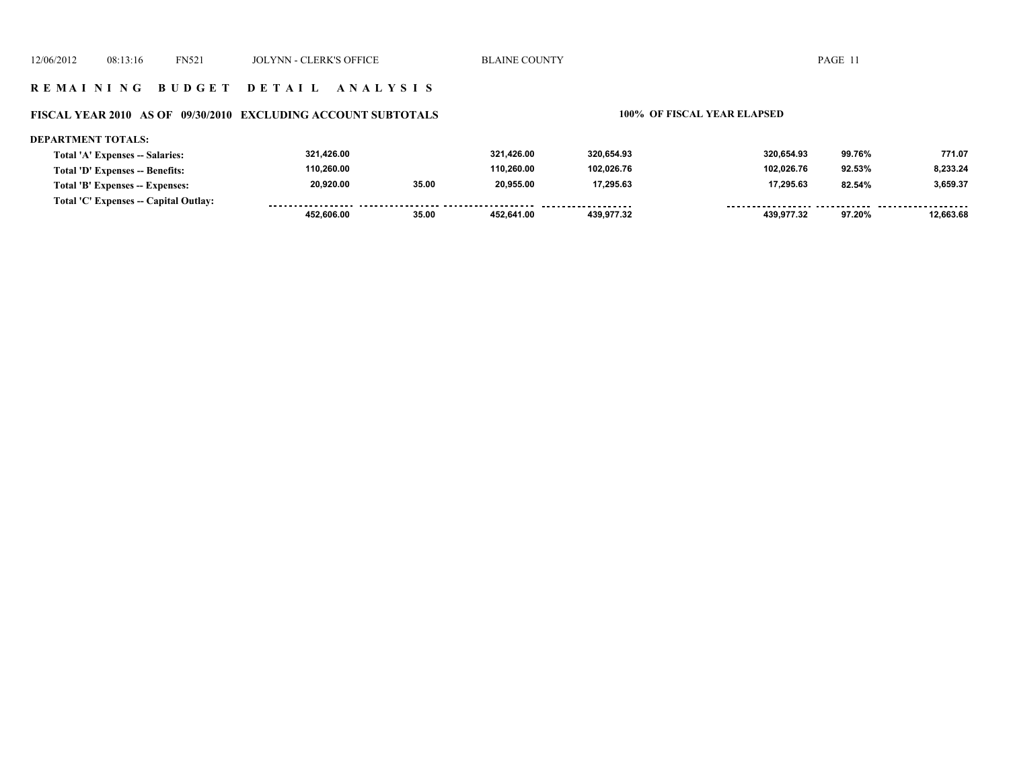#### **FISCAL YEAR 2010 AS OF 09/30/2010 EXCLUDING ACCOUNT SUBTOTALS 100% OF FISCAL YEAR ELAPSED**

#### **DEPARTMENT TOTALS: 321,426.00 321,426.00 320,654.93 320,654.93 99.76% 771.07 Total 'A' Expenses -- Salaries: 110,260.00 110,260.00 102,026.76 102,026.76 92.53% 8,233.24 Total 'D' Expenses -- Benefits: 20,920.00 35.00 20,955.00 17,295.63 17,295.63 82.54% 3,659.37 Total 'B' Expenses -- Expenses: Total 'C' Expenses -- Capital Outlay:** . . . . . . . . . . . . . . . . . . .......... ................... .................. .. ......... . . . . . . . . . . . . . . . . .  $1.1.1.1.1.1$ ------- -------- **452,606.00 35.00 452,641.00 439,977.32 439,977.32 97.20% 12,663.68**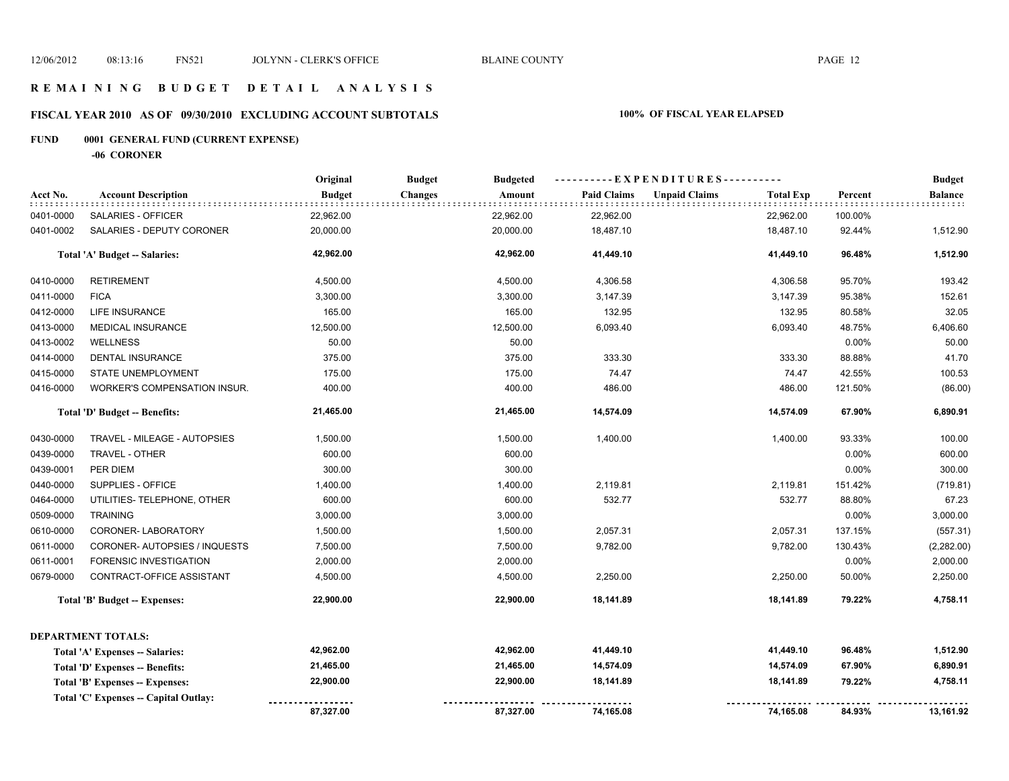# **FISCAL YEAR 2010 AS OF 09/30/2010 EXCLUDING ACCOUNT SUBTOTALS 100% OF FISCAL YEAR ELAPSED**

# **FUND 0001 GENERAL FUND (CURRENT EXPENSE)**

**-06 CORONER**

|           |                                       | Original      | <b>Budget</b><br><b>Budgeted</b> |                    | ----------EXPENDITURES----------         |         | <b>Budget</b>       |
|-----------|---------------------------------------|---------------|----------------------------------|--------------------|------------------------------------------|---------|---------------------|
| Acct No.  | <b>Account Description</b>            | <b>Budget</b> | Amount<br><b>Changes</b>         | <b>Paid Claims</b> | <b>Unpaid Claims</b><br><b>Total Exp</b> | Percent | <b>Balance</b><br>. |
| 0401-0000 | SALARIES - OFFICER                    | 22,962.00     | 22,962.00                        | 22,962.00          | 22,962.00                                | 100.00% |                     |
| 0401-0002 | SALARIES - DEPUTY CORONER             | 20,000.00     | 20,000.00                        | 18,487.10          | 18,487.10                                | 92.44%  | 1,512.90            |
|           | Total 'A' Budget -- Salaries:         | 42,962.00     | 42,962.00                        | 41,449.10          | 41,449.10                                | 96.48%  | 1,512.90            |
| 0410-0000 | <b>RETIREMENT</b>                     | 4,500.00      | 4,500.00                         | 4,306.58           | 4,306.58                                 | 95.70%  | 193.42              |
| 0411-0000 | <b>FICA</b>                           | 3,300.00      | 3,300.00                         | 3,147.39           | 3,147.39                                 | 95.38%  | 152.61              |
| 0412-0000 | LIFE INSURANCE                        | 165.00        | 165.00                           | 132.95             | 132.95                                   | 80.58%  | 32.05               |
| 0413-0000 | <b>MEDICAL INSURANCE</b>              | 12,500.00     | 12,500.00                        | 6,093.40           | 6,093.40                                 | 48.75%  | 6,406.60            |
| 0413-0002 | <b>WELLNESS</b>                       | 50.00         | 50.00                            |                    |                                          | 0.00%   | 50.00               |
| 0414-0000 | <b>DENTAL INSURANCE</b>               | 375.00        | 375.00                           | 333.30             | 333.30                                   | 88.88%  | 41.70               |
| 0415-0000 | <b>STATE UNEMPLOYMENT</b>             | 175.00        | 175.00                           | 74.47              | 74.47                                    | 42.55%  | 100.53              |
| 0416-0000 | WORKER'S COMPENSATION INSUR.          | 400.00        | 400.00                           | 486.00             | 486.00                                   | 121.50% | (86.00)             |
|           | Total 'D' Budget -- Benefits:         | 21,465.00     | 21,465.00                        | 14,574.09          | 14,574.09                                | 67.90%  | 6,890.91            |
| 0430-0000 | TRAVEL - MILEAGE - AUTOPSIES          | 1,500.00      | 1,500.00                         | 1,400.00           | 1,400.00                                 | 93.33%  | 100.00              |
| 0439-0000 | TRAVEL - OTHER                        | 600.00        | 600.00                           |                    |                                          | 0.00%   | 600.00              |
| 0439-0001 | PER DIEM                              | 300.00        | 300.00                           |                    |                                          | 0.00%   | 300.00              |
| 0440-0000 | SUPPLIES - OFFICE                     | 1,400.00      | 1,400.00                         | 2,119.81           | 2,119.81                                 | 151.42% | (719.81)            |
| 0464-0000 | UTILITIES- TELEPHONE, OTHER           | 600.00        | 600.00                           | 532.77             | 532.77                                   | 88.80%  | 67.23               |
| 0509-0000 | <b>TRAINING</b>                       | 3,000.00      | 3,000.00                         |                    |                                          | 0.00%   | 3,000.00            |
| 0610-0000 | CORONER-LABORATORY                    | 1,500.00      | 1,500.00                         | 2,057.31           | 2,057.31                                 | 137.15% | (557.31)            |
| 0611-0000 | CORONER-AUTOPSIES / INQUESTS          | 7,500.00      | 7,500.00                         | 9,782.00           | 9,782.00                                 | 130.43% | (2, 282.00)         |
| 0611-0001 | FORENSIC INVESTIGATION                | 2,000.00      | 2,000.00                         |                    |                                          | 0.00%   | 2,000.00            |
| 0679-0000 | CONTRACT-OFFICE ASSISTANT             | 4,500.00      | 4,500.00                         | 2,250.00           | 2,250.00                                 | 50.00%  | 2,250.00            |
|           | Total 'B' Budget -- Expenses:         | 22,900.00     | 22,900.00                        | 18,141.89          | 18,141.89                                | 79.22%  | 4,758.11            |
|           | <b>DEPARTMENT TOTALS:</b>             |               |                                  |                    |                                          |         |                     |
|           | Total 'A' Expenses -- Salaries:       | 42,962.00     | 42,962.00                        | 41,449.10          | 41,449.10                                | 96.48%  | 1,512.90            |
|           | Total 'D' Expenses -- Benefits:       | 21,465.00     | 21,465.00                        | 14,574.09          | 14,574.09                                | 67.90%  | 6,890.91            |
|           | Total 'B' Expenses -- Expenses:       | 22,900.00     | 22,900.00                        | 18,141.89          | 18,141.89                                | 79.22%  | 4,758.11            |
|           | Total 'C' Expenses -- Capital Outlay: |               |                                  |                    |                                          |         |                     |
|           |                                       | 87,327.00     | 87,327.00                        | 74,165.08          | 74,165.08                                | 84.93%  | 13,161.92           |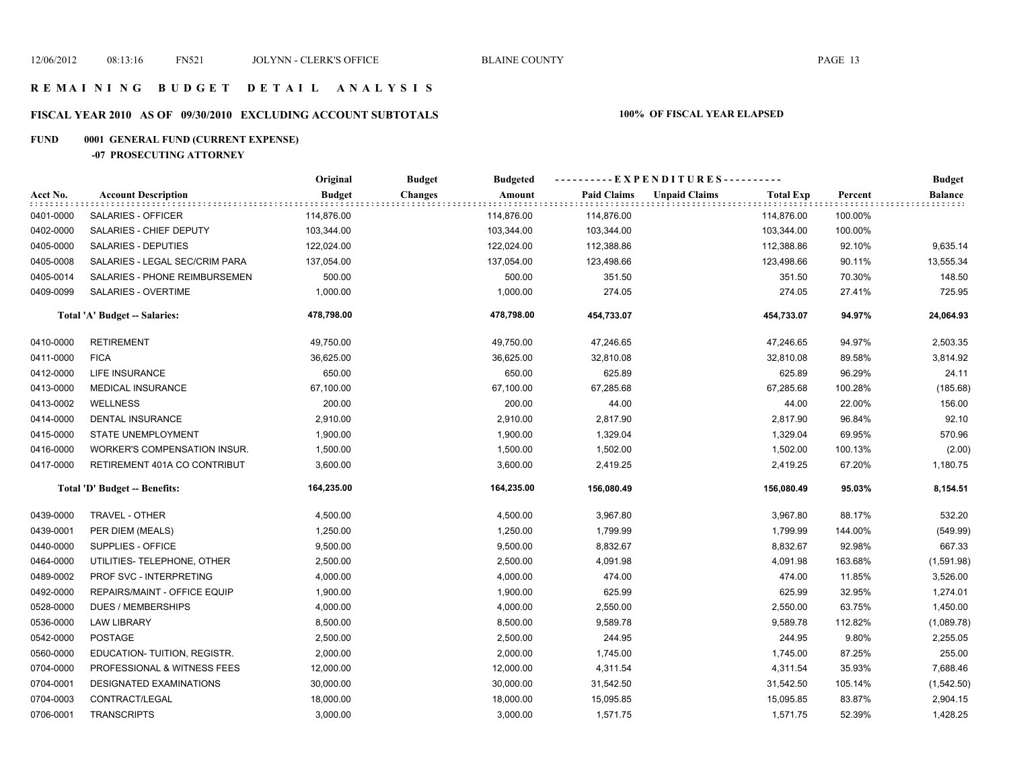# **FISCAL YEAR 2010 AS OF 09/30/2010 EXCLUDING ACCOUNT SUBTOTALS 100% OF FISCAL YEAR ELAPSED**

# **FUND 0001 GENERAL FUND (CURRENT EXPENSE)**

#### **-07 PROSECUTING ATTORNEY**

|           |                                     | Original      | <b>Budgeted</b><br><b>Budget</b> |                    | ----------EXPENDITURES----------         |                 | <b>Budget</b>             |
|-----------|-------------------------------------|---------------|----------------------------------|--------------------|------------------------------------------|-----------------|---------------------------|
| Acct No.  | <b>Account Description</b>          | <b>Budget</b> | <b>Changes</b><br>Amount         | <b>Paid Claims</b> | <b>Unpaid Claims</b><br><b>Total Exp</b> | Percent         | <b>Balance</b><br>1111111 |
| 0401-0000 | SALARIES - OFFICER                  | 114,876.00    | 114,876.00                       | 114,876.00         | 114,876.00                               | 100.00%         |                           |
| 0402-0000 | SALARIES - CHIEF DEPUTY             | 103,344.00    | 103,344.00                       | 103,344.00         | 103,344.00                               | 100.00%         |                           |
| 0405-0000 | <b>SALARIES - DEPUTIES</b>          | 122,024.00    | 122,024.00                       | 112,388.86         | 112,388.86                               | 92.10%          | 9,635.14                  |
| 0405-0008 | SALARIES - LEGAL SEC/CRIM PARA      | 137,054.00    | 137,054.00                       | 123,498.66         | 123,498.66                               | 90.11%          | 13,555.34                 |
| 0405-0014 | SALARIES - PHONE REIMBURSEMEN       | 500.00        | 500.00                           | 351.50             | 351.50                                   | 70.30%          | 148.50                    |
| 0409-0099 | SALARIES - OVERTIME                 | 1,000.00      | 1,000.00                         | 274.05             | 274.05                                   | 27.41%          | 725.95                    |
|           | Total 'A' Budget -- Salaries:       | 478,798.00    | 478,798.00                       | 454,733.07         | 454,733.07                               | 94.97%          | 24,064.93                 |
| 0410-0000 | <b>RETIREMENT</b>                   | 49,750.00     | 49,750.00                        | 47,246.65          | 47,246.65                                | 94.97%          | 2,503.35                  |
| 0411-0000 | <b>FICA</b>                         | 36,625.00     | 36,625.00                        | 32,810.08          | 32,810.08                                | 89.58%          | 3,814.92                  |
| 0412-0000 | LIFE INSURANCE                      | 650.00        | 650.00                           | 625.89             | 625.89                                   | 96.29%          | 24.11                     |
| 0413-0000 | <b>MEDICAL INSURANCE</b>            | 67,100.00     | 67,100.00                        | 67,285.68          | 67,285.68                                | 100.28%         | (185.68)                  |
| 0413-0002 | <b>WELLNESS</b>                     | 200.00        | 200.00                           | 44.00              |                                          | 22.00%<br>44.00 | 156.00                    |
| 0414-0000 | DENTAL INSURANCE                    | 2,910.00      | 2,910.00                         | 2,817.90           | 2,817.90                                 | 96.84%          | 92.10                     |
| 0415-0000 | STATE UNEMPLOYMENT                  | 1,900.00      | 1,900.00                         | 1,329.04           | 1,329.04                                 | 69.95%          | 570.96                    |
| 0416-0000 | <b>WORKER'S COMPENSATION INSUR.</b> | 1,500.00      | 1,500.00                         | 1,502.00           | 1,502.00                                 | 100.13%         | (2.00)                    |
| 0417-0000 | RETIREMENT 401A CO CONTRIBUT        | 3,600.00      | 3,600.00                         | 2,419.25           | 2,419.25                                 | 67.20%          | 1,180.75                  |
|           | Total 'D' Budget -- Benefits:       | 164,235.00    | 164,235.00                       | 156,080.49         | 156,080.49                               | 95.03%          | 8,154.51                  |
| 0439-0000 | TRAVEL - OTHER                      | 4,500.00      | 4,500.00                         | 3,967.80           | 3,967.80                                 | 88.17%          | 532.20                    |
| 0439-0001 | PER DIEM (MEALS)                    | 1,250.00      | 1,250.00                         | 1,799.99           | 1,799.99                                 | 144.00%         | (549.99)                  |
| 0440-0000 | SUPPLIES - OFFICE                   | 9,500.00      | 9,500.00                         | 8,832.67           | 8,832.67                                 | 92.98%          | 667.33                    |
| 0464-0000 | UTILITIES- TELEPHONE, OTHER         | 2,500.00      | 2,500.00                         | 4,091.98           | 4,091.98                                 | 163.68%         | (1,591.98)                |
| 0489-0002 | PROF SVC - INTERPRETING             | 4,000.00      | 4,000.00                         | 474.00             | 474.00                                   | 11.85%          | 3,526.00                  |
| 0492-0000 | REPAIRS/MAINT - OFFICE EQUIP        | 1,900.00      | 1,900.00                         | 625.99             | 625.99                                   | 32.95%          | 1,274.01                  |
| 0528-0000 | <b>DUES / MEMBERSHIPS</b>           | 4,000.00      | 4,000.00                         | 2,550.00           | 2,550.00                                 | 63.75%          | 1,450.00                  |
| 0536-0000 | <b>LAW LIBRARY</b>                  | 8,500.00      | 8,500.00                         | 9,589.78           | 9,589.78                                 | 112.82%         | (1,089.78)                |
| 0542-0000 | <b>POSTAGE</b>                      | 2,500.00      | 2,500.00                         | 244.95             | 244.95                                   | 9.80%           | 2,255.05                  |
| 0560-0000 | EDUCATION- TUITION, REGISTR.        | 2,000.00      | 2,000.00                         | 1,745.00           | 1,745.00                                 | 87.25%          | 255.00                    |
| 0704-0000 | PROFESSIONAL & WITNESS FEES         | 12,000.00     | 12,000.00                        | 4,311.54           | 4,311.54                                 | 35.93%          | 7,688.46                  |
| 0704-0001 | DESIGNATED EXAMINATIONS             | 30,000.00     | 30,000.00                        | 31,542.50          | 31,542.50                                | 105.14%         | (1,542.50)                |
| 0704-0003 | CONTRACT/LEGAL                      | 18,000.00     | 18,000.00                        | 15,095.85          | 15,095.85                                | 83.87%          | 2,904.15                  |
| 0706-0001 | <b>TRANSCRIPTS</b>                  | 3,000.00      | 3,000.00                         | 1,571.75           | 1,571.75                                 | 52.39%          | 1,428.25                  |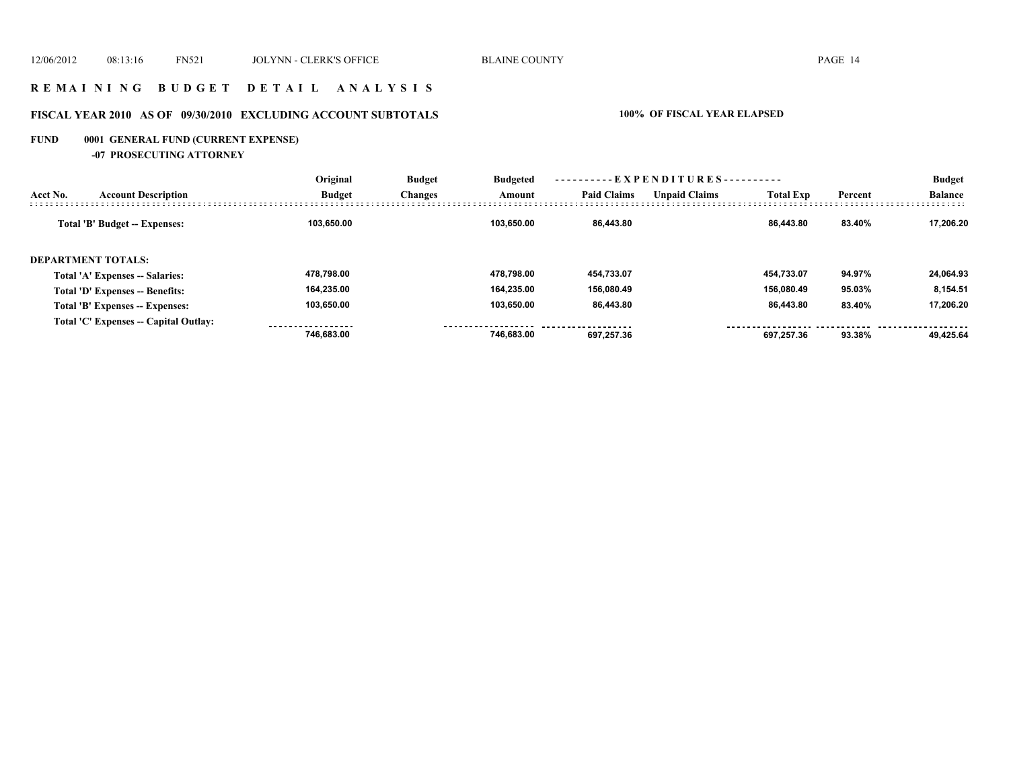### **R E M A I N I N G B U D G E T D E T A I L A N A L Y S I S**

# **FISCAL YEAR 2010 AS OF 09/30/2010 EXCLUDING ACCOUNT SUBTOTALS 100% OF FISCAL YEAR ELAPSED**

# **FUND 0001 GENERAL FUND (CURRENT EXPENSE)**

**-07 PROSECUTING ATTORNEY**

|          |                                       | Original      | <b>Budget</b><br><b>Changes</b> | <b>Budgeted</b> | ----------EXPENDITURES---------- |                      |                  | <b>Budget</b> |                |
|----------|---------------------------------------|---------------|---------------------------------|-----------------|----------------------------------|----------------------|------------------|---------------|----------------|
| Acct No. | <b>Account Description</b>            | <b>Budget</b> |                                 | Amount          | <b>Paid Claims</b>               | <b>Unpaid Claims</b> | <b>Total Exp</b> | Percent       | <b>Balance</b> |
|          | Total 'B' Budget -- Expenses:         | 103.650.00    |                                 | 103.650.00      | 86.443.80                        |                      | 86.443.80        | 83.40%        | 17.206.20      |
|          | <b>DEPARTMENT TOTALS:</b>             |               |                                 |                 |                                  |                      |                  |               |                |
|          | Total 'A' Expenses -- Salaries:       | 478.798.00    |                                 | 478.798.00      | 454,733.07                       |                      | 454.733.07       | 94.97%        | 24,064.93      |
|          | Total 'D' Expenses -- Benefits:       | 164,235.00    |                                 | 164.235.00      | 156,080.49                       |                      | 156.080.49       | 95.03%        | 8,154.51       |
|          | Total 'B' Expenses -- Expenses:       | 103,650.00    |                                 | 103.650.00      | 86,443.80                        |                      | 86,443.80        | 83.40%        | 17.206.20      |
|          | Total 'C' Expenses -- Capital Outlay: | 746.683.00    |                                 | 746.683.00      | 697.257.36                       |                      | 697.257.36       | 93.38%        | 49.425.64      |
|          |                                       |               |                                 |                 |                                  |                      |                  |               |                |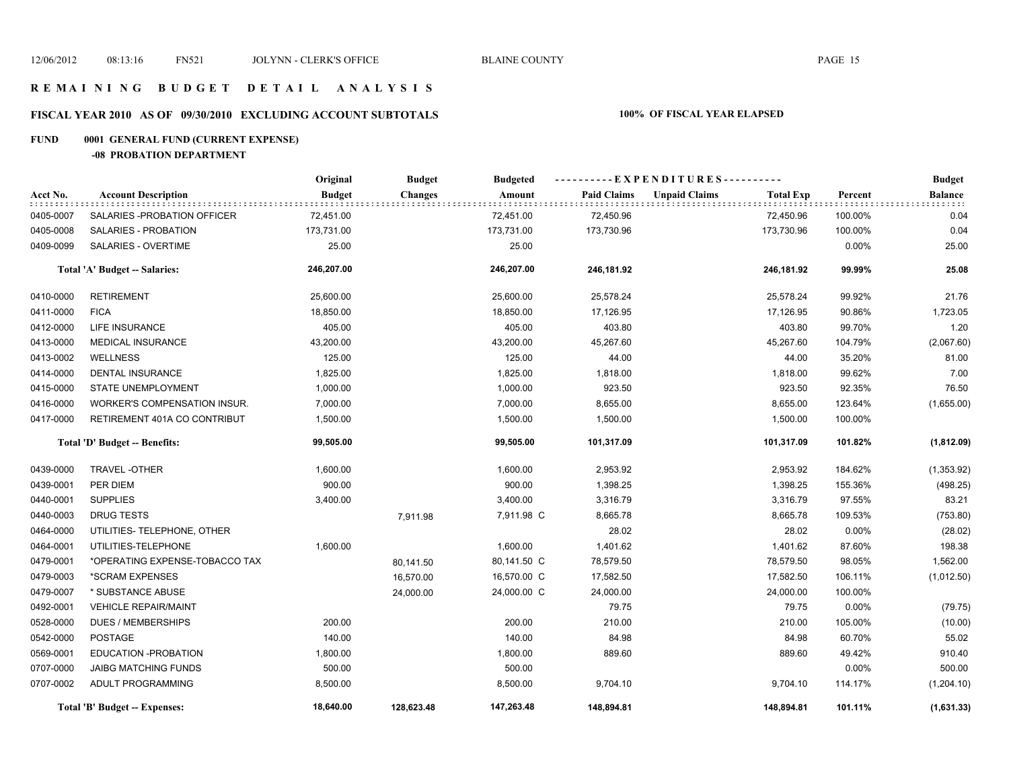# **FISCAL YEAR 2010 AS OF 09/30/2010 EXCLUDING ACCOUNT SUBTOTALS 100% OF FISCAL YEAR ELAPSED**

### **FUND 0001 GENERAL FUND (CURRENT EXPENSE)**

**-08 PROBATION DEPARTMENT**

|           |                                | Original      | <b>Budget</b> | <b>Budgeted</b> | ----------EXPENDITURES---------- |                      |                  | <b>Budget</b> |                |
|-----------|--------------------------------|---------------|---------------|-----------------|----------------------------------|----------------------|------------------|---------------|----------------|
| Acct No.  | <b>Account Description</b>     | <b>Budget</b> | Changes       | Amount          | <b>Paid Claims</b>               | <b>Unpaid Claims</b> | <b>Total Exp</b> | Percent       | <b>Balance</b> |
| 0405-0007 | SALARIES - PROBATION OF FICER  | 72,451.00     |               | 72,451.00       | 72,450.96                        |                      | 72,450.96        | 100.00%       | 0.04           |
| 0405-0008 | SALARIES - PROBATION           | 173,731.00    |               | 173,731.00      | 173,730.96                       |                      | 173,730.96       | 100.00%       | 0.04           |
| 0409-0099 | SALARIES - OVERTIME            | 25.00         |               | 25.00           |                                  |                      |                  | 0.00%         | 25.00          |
|           | Total 'A' Budget -- Salaries:  | 246,207.00    |               | 246,207.00      | 246,181.92                       |                      | 246,181.92       | 99.99%        | 25.08          |
| 0410-0000 | <b>RETIREMENT</b>              | 25,600.00     |               | 25,600.00       | 25,578.24                        |                      | 25,578.24        | 99.92%        | 21.76          |
| 0411-0000 | <b>FICA</b>                    | 18,850.00     |               | 18,850.00       | 17,126.95                        |                      | 17,126.95        | 90.86%        | 1,723.05       |
| 0412-0000 | LIFE INSURANCE                 | 405.00        |               | 405.00          | 403.80                           |                      | 403.80           | 99.70%        | 1.20           |
| 0413-0000 | <b>MEDICAL INSURANCE</b>       | 43,200.00     |               | 43,200.00       | 45,267.60                        |                      | 45,267.60        | 104.79%       | (2,067.60)     |
| 0413-0002 | <b>WELLNESS</b>                | 125.00        |               | 125.00          | 44.00                            |                      | 44.00            | 35.20%        | 81.00          |
| 0414-0000 | DENTAL INSURANCE               | 1,825.00      |               | 1,825.00        | 1,818.00                         |                      | 1,818.00         | 99.62%        | 7.00           |
| 0415-0000 | <b>STATE UNEMPLOYMENT</b>      | 1,000.00      |               | 1,000.00        | 923.50                           |                      | 923.50           | 92.35%        | 76.50          |
| 0416-0000 | WORKER'S COMPENSATION INSUR.   | 7,000.00      |               | 7,000.00        | 8,655.00                         |                      | 8,655.00         | 123.64%       | (1,655.00)     |
| 0417-0000 | RETIREMENT 401A CO CONTRIBUT   | 1,500.00      |               | 1,500.00        | 1,500.00                         |                      | 1,500.00         | 100.00%       |                |
|           | Total 'D' Budget -- Benefits:  | 99,505.00     |               | 99,505.00       | 101,317.09                       |                      | 101,317.09       | 101.82%       | (1,812.09)     |
| 0439-0000 | <b>TRAVEL-OTHER</b>            | 1,600.00      |               | 1,600.00        | 2,953.92                         |                      | 2,953.92         | 184.62%       | (1,353.92)     |
| 0439-0001 | PER DIEM                       | 900.00        |               | 900.00          | 1,398.25                         |                      | 1,398.25         | 155.36%       | (498.25)       |
| 0440-0001 | <b>SUPPLIES</b>                | 3,400.00      |               | 3,400.00        | 3,316.79                         |                      | 3,316.79         | 97.55%        | 83.21          |
| 0440-0003 | <b>DRUG TESTS</b>              |               | 7,911.98      | 7,911.98 C      | 8,665.78                         |                      | 8,665.78         | 109.53%       | (753.80)       |
| 0464-0000 | UTILITIES- TELEPHONE, OTHER    |               |               |                 | 28.02                            |                      | 28.02            | 0.00%         | (28.02)        |
| 0464-0001 | UTILITIES-TELEPHONE            | 1,600.00      |               | 1,600.00        | 1,401.62                         |                      | 1,401.62         | 87.60%        | 198.38         |
| 0479-0001 | *OPERATING EXPENSE-TOBACCO TAX |               | 80,141.50     | 80,141.50 C     | 78,579.50                        |                      | 78,579.50        | 98.05%        | 1,562.00       |
| 0479-0003 | *SCRAM EXPENSES                |               | 16,570.00     | 16,570.00 C     | 17,582.50                        |                      | 17,582.50        | 106.11%       | (1,012.50)     |
| 0479-0007 | * SUBSTANCE ABUSE              |               | 24,000.00     | 24,000.00 C     | 24,000.00                        |                      | 24,000.00        | 100.00%       |                |
| 0492-0001 | <b>VEHICLE REPAIR/MAINT</b>    |               |               |                 | 79.75                            |                      | 79.75            | 0.00%         | (79.75)        |
| 0528-0000 | <b>DUES / MEMBERSHIPS</b>      | 200.00        |               | 200.00          | 210.00                           |                      | 210.00           | 105.00%       | (10.00)        |
| 0542-0000 | POSTAGE                        | 140.00        |               | 140.00          | 84.98                            |                      | 84.98            | 60.70%        | 55.02          |
| 0569-0001 | EDUCATION - PROBATION          | 1,800.00      |               | 1,800.00        | 889.60                           |                      | 889.60           | 49.42%        | 910.40         |
| 0707-0000 | <b>JAIBG MATCHING FUNDS</b>    | 500.00        |               | 500.00          |                                  |                      |                  | 0.00%         | 500.00         |
| 0707-0002 | ADULT PROGRAMMING              | 8,500.00      |               | 8,500.00        | 9,704.10                         |                      | 9,704.10         | 114.17%       | (1,204.10)     |
|           | Total 'B' Budget -- Expenses:  | 18,640.00     | 128,623.48    | 147,263.48      | 148,894.81                       |                      | 148,894.81       | 101.11%       | (1,631.33)     |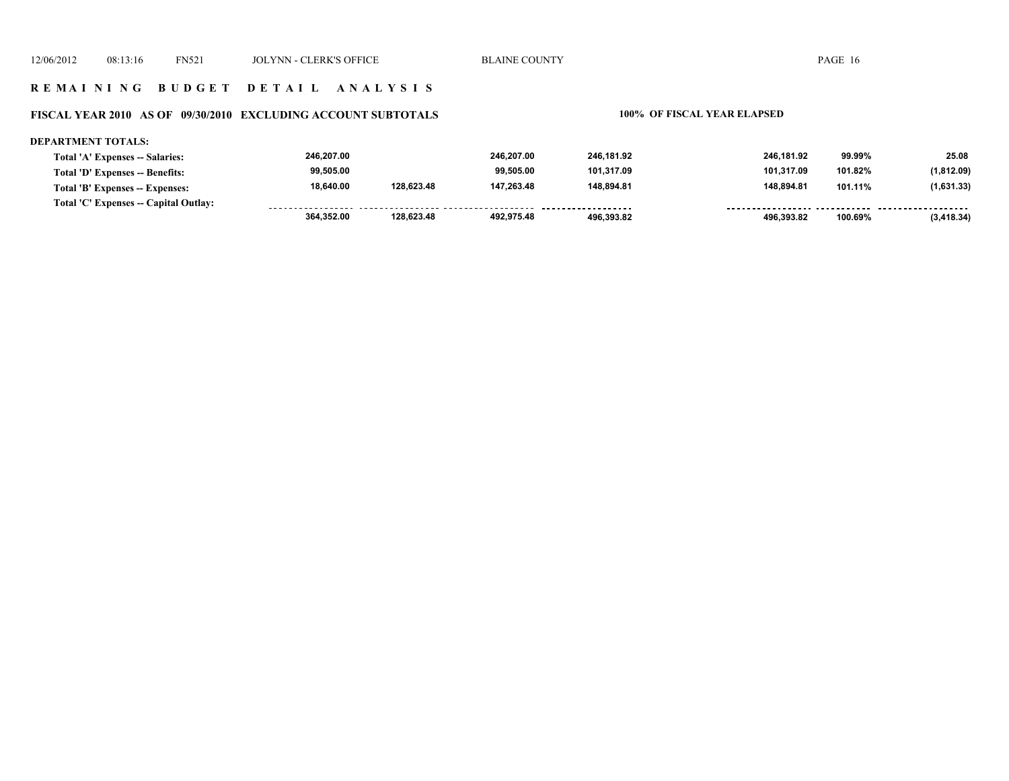#### **FISCAL YEAR 2010 AS OF 09/30/2010 EXCLUDING ACCOUNT SUBTOTALS 100% OF FISCAL YEAR ELAPSED**

#### **DEPARTMENT TOTALS: 246,207.00 246,207.00 246,181.92 246,181.92 99.99% 25.08 Total 'A' Expenses -- Salaries: 99,505.00 99,505.00 101,317.09 101,317.09 101.82% (1,812.09) Total 'D' Expenses -- Benefits: 18,640.00 128,623.48 147,263.48 148,894.81 148,894.81 101.11% (1,631.33) Total 'B' Expenses -- Expenses: Total 'C' Expenses -- Capital Outlay:** ................... -------- --------. . . . . . . . .  **364,352.00 128,623.48 492,975.48 496,393.82 496,393.82 100.69% (3,418.34)**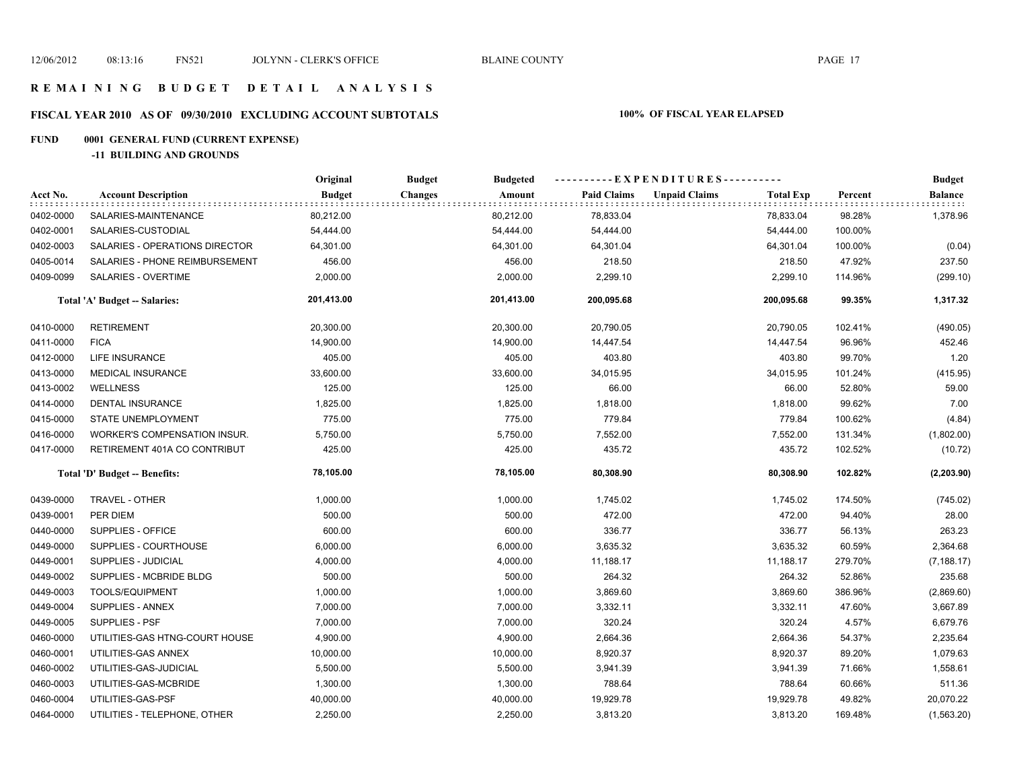# **FISCAL YEAR 2010 AS OF 09/30/2010 EXCLUDING ACCOUNT SUBTOTALS 100% OF FISCAL YEAR ELAPSED**

# **FUND 0001 GENERAL FUND (CURRENT EXPENSE)**

**-11 BUILDING AND GROUNDS**

|           |                                | Original      | <b>Budget</b><br><b>Budgeted</b> |                    | ----------EXPENDITURES----------         |         | <b>Budget</b> |
|-----------|--------------------------------|---------------|----------------------------------|--------------------|------------------------------------------|---------|---------------|
| Acct No.  | <b>Account Description</b>     | <b>Budget</b> | Amount<br><b>Changes</b>         | <b>Paid Claims</b> | <b>Unpaid Claims</b><br><b>Total Exp</b> | Percent | Balance       |
| 0402-0000 | SALARIES-MAINTENANCE           | 80,212.00     | 80,212.00                        | 78,833.04          | 78,833.04                                | 98.28%  | 1,378.96      |
| 0402-0001 | SALARIES-CUSTODIAL             | 54,444.00     | 54,444.00                        | 54,444.00          | 54,444.00                                | 100.00% |               |
| 0402-0003 | SALARIES - OPERATIONS DIRECTOR | 64,301.00     | 64,301.00                        | 64,301.04          | 64,301.04                                | 100.00% | (0.04)        |
| 0405-0014 | SALARIES - PHONE REIMBURSEMENT | 456.00        | 456.00                           | 218.50             | 218.50                                   | 47.92%  | 237.50        |
| 0409-0099 | SALARIES - OVERTIME            | 2,000.00      | 2,000.00                         | 2,299.10           | 2,299.10                                 | 114.96% | (299.10)      |
|           | Total 'A' Budget -- Salaries:  | 201,413.00    | 201,413.00                       | 200,095.68         | 200,095.68                               | 99.35%  | 1,317.32      |
| 0410-0000 | <b>RETIREMENT</b>              | 20,300.00     | 20,300.00                        | 20,790.05          | 20,790.05                                | 102.41% | (490.05)      |
| 0411-0000 | <b>FICA</b>                    | 14,900.00     | 14,900.00                        | 14,447.54          | 14,447.54                                | 96.96%  | 452.46        |
| 0412-0000 | LIFE INSURANCE                 | 405.00        | 405.00                           | 403.80             | 403.80                                   | 99.70%  | 1.20          |
| 0413-0000 | <b>MEDICAL INSURANCE</b>       | 33,600.00     | 33,600.00                        | 34,015.95          | 34,015.95                                | 101.24% | (415.95)      |
| 0413-0002 | <b>WELLNESS</b>                | 125.00        | 125.00                           | 66.00              | 66.00                                    | 52.80%  | 59.00         |
| 0414-0000 | DENTAL INSURANCE               | 1,825.00      | 1,825.00                         | 1,818.00           | 1,818.00                                 | 99.62%  | 7.00          |
| 0415-0000 | STATE UNEMPLOYMENT             | 775.00        | 775.00                           | 779.84             | 779.84                                   | 100.62% | (4.84)        |
| 0416-0000 | WORKER'S COMPENSATION INSUR.   | 5,750.00      | 5,750.00                         | 7,552.00           | 7,552.00                                 | 131.34% | (1,802.00)    |
| 0417-0000 | RETIREMENT 401A CO CONTRIBUT   | 425.00        | 425.00                           | 435.72             | 435.72                                   | 102.52% | (10.72)       |
|           | Total 'D' Budget -- Benefits:  | 78,105.00     | 78,105.00                        | 80,308.90          | 80,308.90                                | 102.82% | (2, 203.90)   |
| 0439-0000 | TRAVEL - OTHER                 | 1,000.00      | 1,000.00                         | 1,745.02           | 1,745.02                                 | 174.50% | (745.02)      |
| 0439-0001 | PER DIEM                       | 500.00        | 500.00                           | 472.00             | 472.00                                   | 94.40%  | 28.00         |
| 0440-0000 | SUPPLIES - OFFICE              | 600.00        | 600.00                           | 336.77             | 336.77                                   | 56.13%  | 263.23        |
| 0449-0000 | SUPPLIES - COURTHOUSE          | 6,000.00      | 6,000.00                         | 3,635.32           | 3,635.32                                 | 60.59%  | 2,364.68      |
| 0449-0001 | SUPPLIES - JUDICIAL            | 4,000.00      | 4,000.00                         | 11,188.17          | 11,188.17                                | 279.70% | (7, 188.17)   |
| 0449-0002 | SUPPLIES - MCBRIDE BLDG        | 500.00        | 500.00                           | 264.32             | 264.32                                   | 52.86%  | 235.68        |
| 0449-0003 | TOOLS/EQUIPMENT                | 1,000.00      | 1,000.00                         | 3,869.60           | 3,869.60                                 | 386.96% | (2,869.60)    |
| 0449-0004 | SUPPLIES - ANNEX               | 7,000.00      | 7,000.00                         | 3,332.11           | 3,332.11                                 | 47.60%  | 3,667.89      |
| 0449-0005 | SUPPLIES - PSF                 | 7,000.00      | 7,000.00                         | 320.24             | 320.24                                   | 4.57%   | 6,679.76      |
| 0460-0000 | UTILITIES-GAS HTNG-COURT HOUSE | 4,900.00      | 4,900.00                         | 2,664.36           | 2,664.36                                 | 54.37%  | 2,235.64      |
| 0460-0001 | UTILITIES-GAS ANNEX            | 10,000.00     | 10,000.00                        | 8,920.37           | 8,920.37                                 | 89.20%  | 1,079.63      |
| 0460-0002 | UTILITIES-GAS-JUDICIAL         | 5,500.00      | 5,500.00                         | 3,941.39           | 3,941.39                                 | 71.66%  | 1,558.61      |
| 0460-0003 | UTILITIES-GAS-MCBRIDE          | 1,300.00      | 1,300.00                         | 788.64             | 788.64                                   | 60.66%  | 511.36        |
| 0460-0004 | UTILITIES-GAS-PSF              | 40,000.00     | 40,000.00                        | 19,929.78          | 19,929.78                                | 49.82%  | 20,070.22     |
| 0464-0000 | UTILITIES - TELEPHONE, OTHER   | 2,250.00      | 2,250.00                         | 3,813.20           | 3,813.20                                 | 169.48% | (1,563.20)    |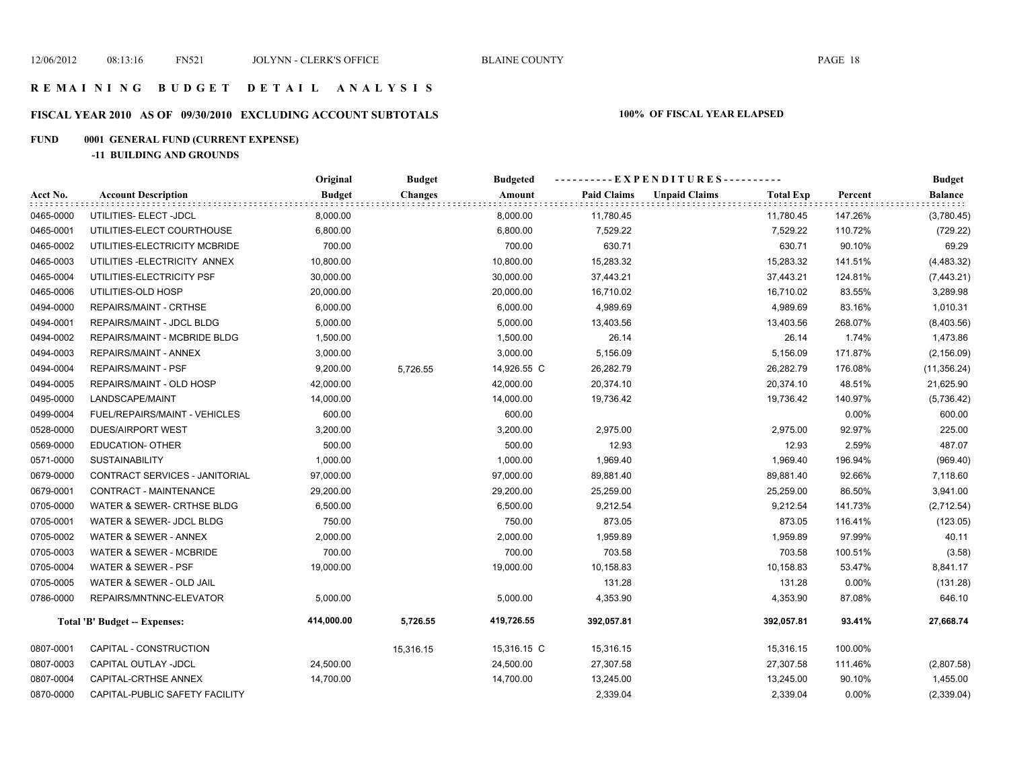# **FISCAL YEAR 2010 AS OF 09/30/2010 EXCLUDING ACCOUNT SUBTOTALS 100% OF FISCAL YEAR ELAPSED**

# **FUND 0001 GENERAL FUND (CURRENT EXPENSE)**

**-11 BUILDING AND GROUNDS**

|           |                                      | Original      | <b>Budget</b>  | <b>Budgeted</b> | ----------EXPENDITURES---------- |                      |                  |         | <b>Budget</b>  |
|-----------|--------------------------------------|---------------|----------------|-----------------|----------------------------------|----------------------|------------------|---------|----------------|
| Acct No.  | <b>Account Description</b>           | <b>Budget</b> | <b>Changes</b> | Amount          | <b>Paid Claims</b>               | <b>Unpaid Claims</b> | <b>Total Exp</b> | Percent | <b>Balance</b> |
| 0465-0000 | UTILITIES- ELECT -JDCL               | 8,000.00      |                | 8,000.00        | 11,780.45                        |                      | 11,780.45        | 147.26% | (3,780.45)     |
| 0465-0001 | UTILITIES-ELECT COURTHOUSE           | 6,800.00      |                | 6,800.00        | 7,529.22                         |                      | 7,529.22         | 110.72% | (729.22)       |
| 0465-0002 | UTILITIES-ELECTRICITY MCBRIDE        | 700.00        |                | 700.00          | 630.71                           |                      | 630.71           | 90.10%  | 69.29          |
| 0465-0003 | UTILITIES-ELECTRICITY ANNEX          | 10,800.00     |                | 10,800.00       | 15,283.32                        |                      | 15,283.32        | 141.51% | (4,483.32)     |
| 0465-0004 | UTILITIES-ELECTRICITY PSF            | 30,000.00     |                | 30,000.00       | 37,443.21                        |                      | 37,443.21        | 124.81% | (7,443.21)     |
| 0465-0006 | UTILITIES-OLD HOSP                   | 20,000.00     |                | 20,000.00       | 16,710.02                        |                      | 16,710.02        | 83.55%  | 3,289.98       |
| 0494-0000 | REPAIRS/MAINT - CRTHSE               | 6,000.00      |                | 6,000.00        | 4,989.69                         |                      | 4,989.69         | 83.16%  | 1,010.31       |
| 0494-0001 | REPAIRS/MAINT - JDCL BLDG            | 5,000.00      |                | 5,000.00        | 13,403.56                        |                      | 13,403.56        | 268.07% | (8,403.56)     |
| 0494-0002 | REPAIRS/MAINT - MCBRIDE BLDG         | 1,500.00      |                | 1,500.00        | 26.14                            |                      | 26.14            | 1.74%   | 1,473.86       |
| 0494-0003 | REPAIRS/MAINT - ANNEX                | 3,000.00      |                | 3,000.00        | 5,156.09                         |                      | 5,156.09         | 171.87% | (2, 156.09)    |
| 0494-0004 | <b>REPAIRS/MAINT - PSF</b>           | 9,200.00      | 5,726.55       | 14,926.55 C     | 26,282.79                        |                      | 26,282.79        | 176.08% | (11, 356.24)   |
| 0494-0005 | REPAIRS/MAINT - OLD HOSP             | 42,000.00     |                | 42,000.00       | 20,374.10                        |                      | 20,374.10        | 48.51%  | 21,625.90      |
| 0495-0000 | LANDSCAPE/MAINT                      | 14,000.00     |                | 14,000.00       | 19,736.42                        |                      | 19,736.42        | 140.97% | (5,736.42)     |
| 0499-0004 | FUEL/REPAIRS/MAINT - VEHICLES        | 600.00        |                | 600.00          |                                  |                      |                  | 0.00%   | 600.00         |
| 0528-0000 | DUES/AIRPORT WEST                    | 3,200.00      |                | 3,200.00        | 2,975.00                         |                      | 2,975.00         | 92.97%  | 225.00         |
| 0569-0000 | <b>EDUCATION- OTHER</b>              | 500.00        |                | 500.00          | 12.93                            |                      | 12.93            | 2.59%   | 487.07         |
| 0571-0000 | <b>SUSTAINABILITY</b>                | 1,000.00      |                | 1,000.00        | 1,969.40                         |                      | 1,969.40         | 196.94% | (969.40)       |
| 0679-0000 | CONTRACT SERVICES - JANITORIAL       | 97,000.00     |                | 97,000.00       | 89,881.40                        |                      | 89,881.40        | 92.66%  | 7,118.60       |
| 0679-0001 | CONTRACT - MAINTENANCE               | 29,200.00     |                | 29,200.00       | 25,259.00                        |                      | 25,259.00        | 86.50%  | 3,941.00       |
| 0705-0000 | WATER & SEWER- CRTHSE BLDG           | 6,500.00      |                | 6,500.00        | 9,212.54                         |                      | 9,212.54         | 141.73% | (2,712.54)     |
| 0705-0001 | WATER & SEWER- JDCL BLDG             | 750.00        |                | 750.00          | 873.05                           |                      | 873.05           | 116.41% | (123.05)       |
| 0705-0002 | WATER & SEWER - ANNEX                | 2,000.00      |                | 2,000.00        | 1,959.89                         |                      | 1,959.89         | 97.99%  | 40.11          |
| 0705-0003 | <b>WATER &amp; SEWER - MCBRIDE</b>   | 700.00        |                | 700.00          | 703.58                           |                      | 703.58           | 100.51% | (3.58)         |
| 0705-0004 | WATER & SEWER - PSF                  | 19,000.00     |                | 19,000.00       | 10,158.83                        |                      | 10,158.83        | 53.47%  | 8,841.17       |
| 0705-0005 | WATER & SEWER - OLD JAIL             |               |                |                 | 131.28                           |                      | 131.28           | 0.00%   | (131.28)       |
| 0786-0000 | REPAIRS/MNTNNC-ELEVATOR              | 5,000.00      |                | 5,000.00        | 4,353.90                         |                      | 4,353.90         | 87.08%  | 646.10         |
|           | <b>Total 'B' Budget -- Expenses:</b> | 414,000.00    | 5,726.55       | 419,726.55      | 392,057.81                       |                      | 392,057.81       | 93.41%  | 27,668.74      |
| 0807-0001 | CAPITAL - CONSTRUCTION               |               | 15,316.15      | 15,316.15 C     | 15,316.15                        |                      | 15,316.15        | 100.00% |                |
| 0807-0003 | CAPITAL OUTLAY -JDCL                 | 24,500.00     |                | 24,500.00       | 27,307.58                        |                      | 27,307.58        | 111.46% | (2,807.58)     |
| 0807-0004 | CAPITAL-CRTHSE ANNEX                 | 14,700.00     |                | 14,700.00       | 13,245.00                        |                      | 13,245.00        | 90.10%  | 1,455.00       |
| 0870-0000 | CAPITAL-PUBLIC SAFETY FACILITY       |               |                |                 | 2,339.04                         |                      | 2,339.04         | 0.00%   | (2,339.04)     |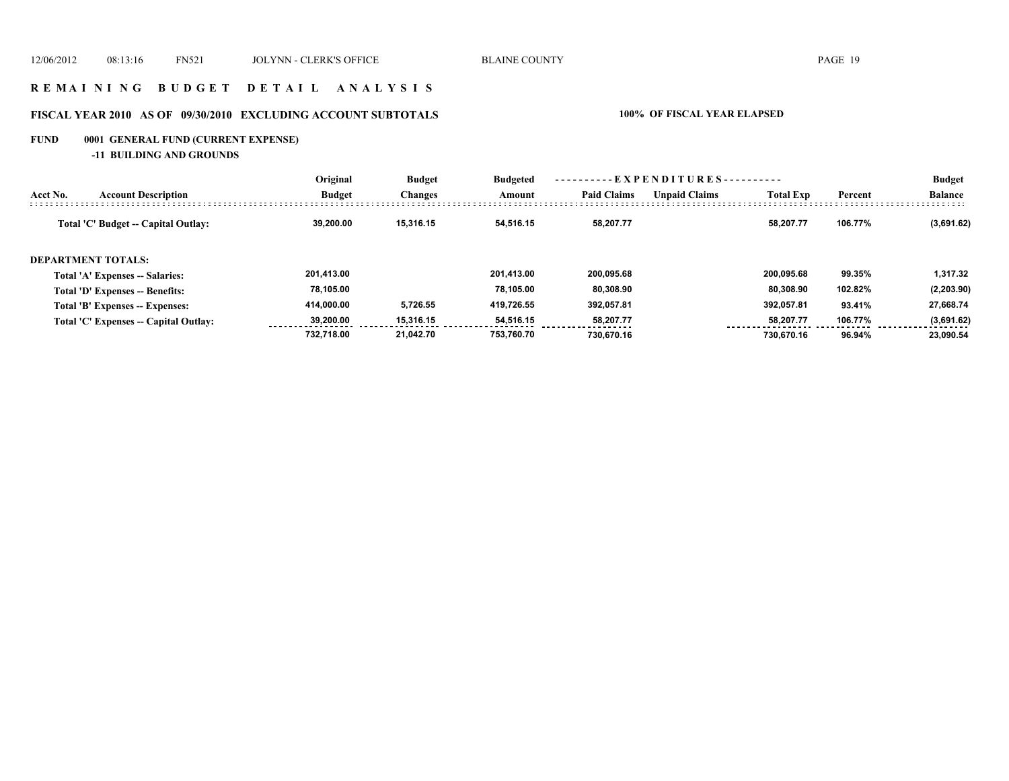### **R E M A I N I N G B U D G E T D E T A I L A N A L Y S I S**

# **FISCAL YEAR 2010 AS OF 09/30/2010 EXCLUDING ACCOUNT SUBTOTALS 100% OF FISCAL YEAR ELAPSED**

# **FUND 0001 GENERAL FUND (CURRENT EXPENSE)**

**-11 BUILDING AND GROUNDS**

|          |                                       | Original      | <b>Budget</b><br>Changes | <b>Budgeted</b><br>Amount | $-$ EXPENDITURES---------- |                      |                  |         | <b>Budget</b>  |
|----------|---------------------------------------|---------------|--------------------------|---------------------------|----------------------------|----------------------|------------------|---------|----------------|
| Acct No. | <b>Account Description</b>            | <b>Budget</b> |                          |                           | <b>Paid Claims</b>         | <b>Unpaid Claims</b> | <b>Total Exp</b> | Percent | <b>Balance</b> |
|          | Total 'C' Budget -- Capital Outlay:   | 39.200.00     | 15.316.15                | 54.516.15                 | 58.207.77                  |                      | 58.207.77        | 106.77% | (3,691.62)     |
|          | <b>DEPARTMENT TOTALS:</b>             |               |                          |                           |                            |                      |                  |         |                |
|          | Total 'A' Expenses -- Salaries:       | 201.413.00    |                          | 201.413.00                | 200.095.68                 |                      | 200.095.68       | 99.35%  | 1.317.32       |
|          | Total 'D' Expenses -- Benefits:       | 78.105.00     |                          | 78.105.00                 | 80.308.90                  |                      | 80.308.90        | 102.82% | (2,203.90)     |
|          | Total 'B' Expenses -- Expenses:       | 414.000.00    | 5,726.55                 | 419.726.55                | 392,057.81                 |                      | 392.057.81       | 93.41%  | 27,668.74      |
|          | Total 'C' Expenses -- Capital Outlay: | 39,200,00     | 15.316.15                | 54,516.15                 | 58.207.77                  |                      | 58,207.77        | 106.77% | (3,691.62)     |
|          |                                       | 732.718.00    | 21.042.70                | 753.760.70                | 730.670.16                 |                      | 730.670.16       | 96.94%  | 23.090.54      |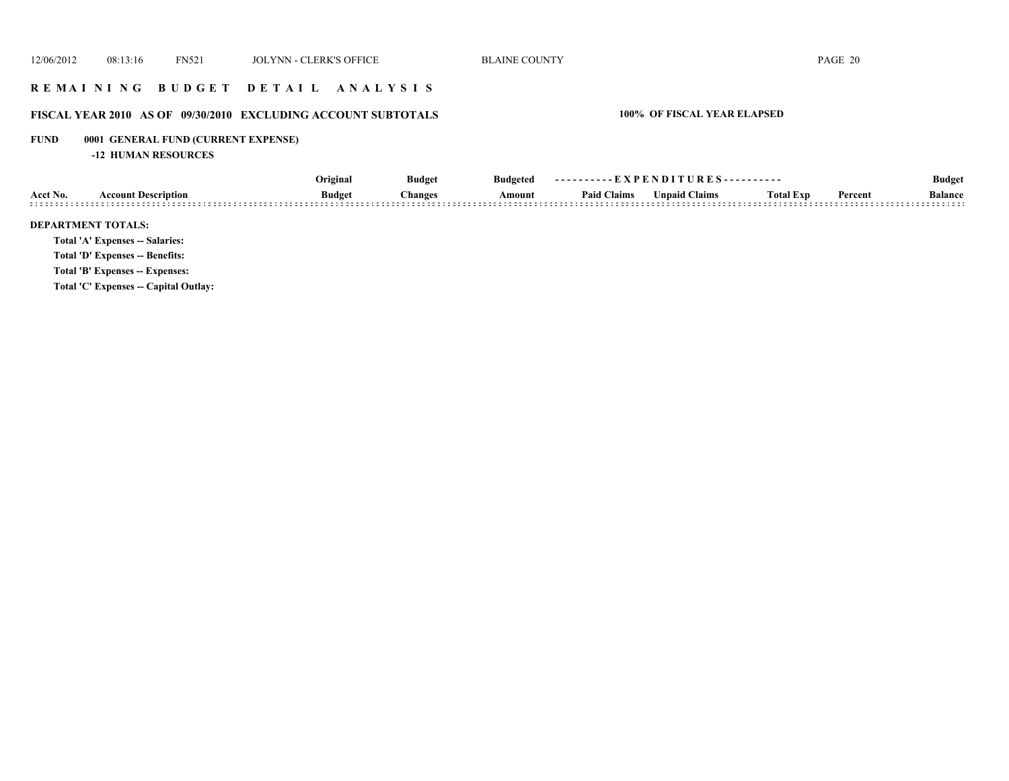# **R E M A I N I N G B U D G E T D E T A I L A N A L Y S I S**

# **FISCAL YEAR 2010 AS OF 09/30/2010 EXCLUDING ACCOUNT SUBTOTALS 100% OF FISCAL YEAR ELAPSED**

# **FUND 0001 GENERAL FUND (CURRENT EXPENSE)**

**-12 HUMAN RESOURCES**

|          |                                        | Original      | <b>Budget</b>  | <b>Budgeted</b> | ----------EXPENDITURES---------- |               |                  |         | <b>Budget</b>  |
|----------|----------------------------------------|---------------|----------------|-----------------|----------------------------------|---------------|------------------|---------|----------------|
| Acct No. | <b>Account Description</b>             | <b>Budget</b> | <b>Changes</b> | Amount          | <b>Paid Claims</b>               | Unpaid Claims | <b>Total Exp</b> | Percent | <b>Balance</b> |
|          | <b>DEPARTMENT TOTALS:</b>              |               |                |                 |                                  |               |                  |         |                |
|          | <b>Total 'A' Expenses -- Salaries:</b> |               |                |                 |                                  |               |                  |         |                |
|          | Total 'D' Expenses -- Benefits:        |               |                |                 |                                  |               |                  |         |                |
|          | Total 'B' Expenses -- Expenses:        |               |                |                 |                                  |               |                  |         |                |
|          | Total 'C' Expenses -- Capital Outlay:  |               |                |                 |                                  |               |                  |         |                |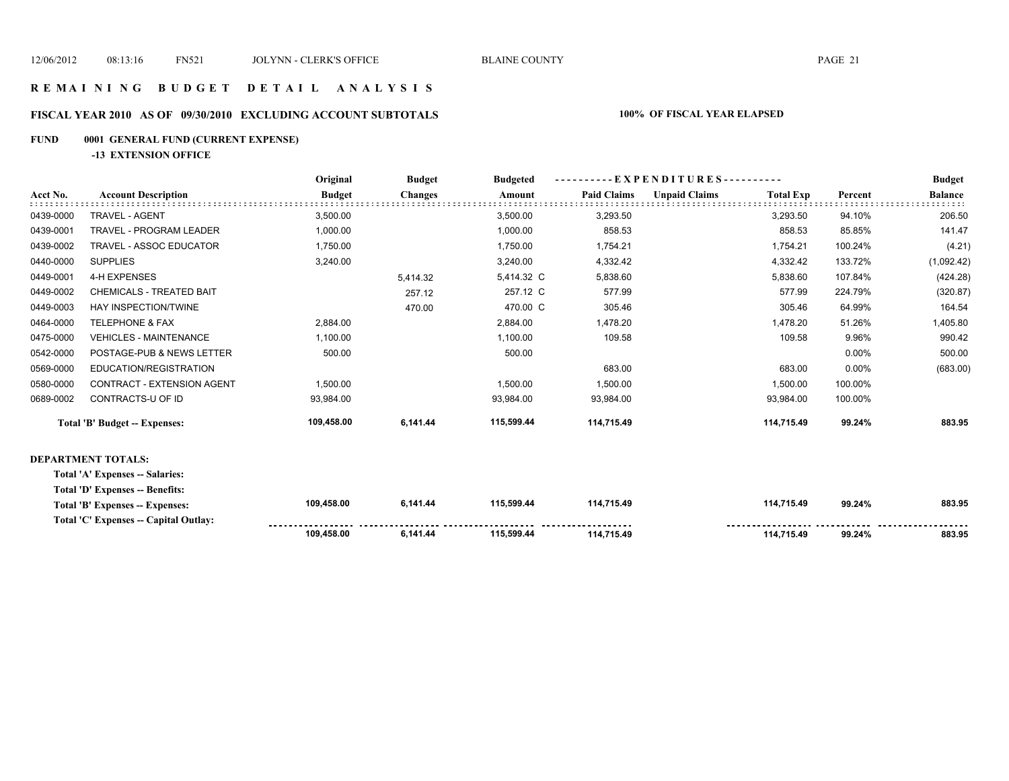**109,458.00** 

 **114,715.49 114,715.49 99.24% 883.95** 

### **R E M A I N I N G B U D G E T D E T A I L A N A L Y S I S**

# **FISCAL YEAR 2010 AS OF 09/30/2010 EXCLUDING ACCOUNT SUBTOTALS 100% OF FISCAL YEAR ELAPSED**

### **FUND 0001 GENERAL FUND (CURRENT EXPENSE)**

**-13 EXTENSION OFFICE**

|           |                                        | Original      | <b>Budget</b><br><b>Budgeted</b> | - - - - - - - - - - E X P E N D I T U R E S - - - - - - - - - - |                    |                      |                  | <b>Budget</b> |                |
|-----------|----------------------------------------|---------------|----------------------------------|-----------------------------------------------------------------|--------------------|----------------------|------------------|---------------|----------------|
| Acct No.  | <b>Account Description</b>             | <b>Budget</b> | <b>Changes</b>                   | Amount                                                          | <b>Paid Claims</b> | <b>Unpaid Claims</b> | <b>Total Exp</b> | Percent       | <b>Balance</b> |
| 0439-0000 | <b>TRAVEL - AGENT</b>                  | 3,500.00      |                                  | 3,500.00                                                        | 3,293.50           |                      | 3,293.50         | 94.10%        | 206.50         |
| 0439-0001 | <b>TRAVEL - PROGRAM LEADER</b>         | 1,000.00      |                                  | 1,000.00                                                        | 858.53             |                      | 858.53           | 85.85%        | 141.47         |
| 0439-0002 | <b>TRAVEL - ASSOC EDUCATOR</b>         | 1,750.00      |                                  | 1,750.00                                                        | 1,754.21           |                      | 1,754.21         | 100.24%       | (4.21)         |
| 0440-0000 | <b>SUPPLIES</b>                        | 3,240.00      |                                  | 3,240.00                                                        | 4,332.42           |                      | 4,332.42         | 133.72%       | (1,092.42)     |
| 0449-0001 | 4-H EXPENSES                           |               | 5,414.32                         | 5,414.32 C                                                      | 5,838.60           |                      | 5,838.60         | 107.84%       | (424.28)       |
| 0449-0002 | <b>CHEMICALS - TREATED BAIT</b>        |               | 257.12                           | 257.12 C                                                        | 577.99             |                      | 577.99           | 224.79%       | (320.87)       |
| 0449-0003 | HAY INSPECTION/TWINE                   |               | 470.00                           | 470.00 C                                                        | 305.46             |                      | 305.46           | 64.99%        | 164.54         |
| 0464-0000 | <b>TELEPHONE &amp; FAX</b>             | 2,884.00      |                                  | 2,884.00                                                        | 1,478.20           |                      | 1,478.20         | 51.26%        | 1,405.80       |
| 0475-0000 | <b>VEHICLES - MAINTENANCE</b>          | 1,100.00      |                                  | 1,100.00                                                        | 109.58             |                      | 109.58           | 9.96%         | 990.42         |
| 0542-0000 | POSTAGE-PUB & NEWS LETTER              | 500.00        |                                  | 500.00                                                          |                    |                      |                  | 0.00%         | 500.00         |
| 0569-0000 | EDUCATION/REGISTRATION                 |               |                                  |                                                                 | 683.00             |                      | 683.00           | 0.00%         | (683.00)       |
| 0580-0000 | CONTRACT - EXTENSION AGENT             | 1,500.00      |                                  | 1,500.00                                                        | 1,500.00           |                      | 1,500.00         | 100.00%       |                |
| 0689-0002 | CONTRACTS-U OF ID                      | 93,984.00     |                                  | 93,984.00                                                       | 93,984.00          |                      | 93,984.00        | 100.00%       |                |
|           | <b>Total 'B' Budget -- Expenses:</b>   | 109,458.00    | 6,141.44                         | 115,599.44                                                      | 114,715.49         |                      | 114,715.49       | 99.24%        | 883.95         |
|           | <b>DEPARTMENT TOTALS:</b>              |               |                                  |                                                                 |                    |                      |                  |               |                |
|           | Total 'A' Expenses -- Salaries:        |               |                                  |                                                                 |                    |                      |                  |               |                |
|           | <b>Total 'D' Expenses -- Benefits:</b> |               |                                  |                                                                 |                    |                      |                  |               |                |
|           | Total 'B' Expenses -- Expenses:        | 109,458.00    | 6,141.44                         | 115,599.44                                                      | 114,715.49         |                      | 114,715.49       | 99.24%        | 883.95         |
|           | Total 'C' Expenses -- Capital Outlay:  |               |                                  |                                                                 |                    |                      |                  |               |                |

 **115,599.44 6,141.44**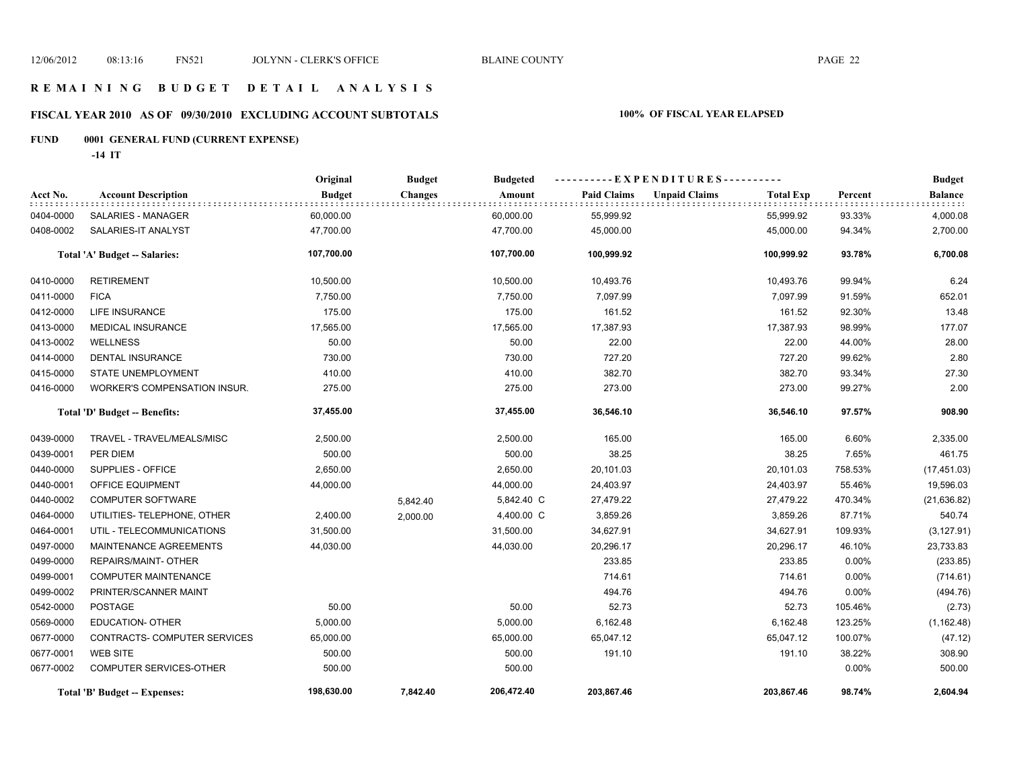# **FISCAL YEAR 2010 AS OF 09/30/2010 EXCLUDING ACCOUNT SUBTOTALS 100% OF FISCAL YEAR ELAPSED**

# **FUND 0001 GENERAL FUND (CURRENT EXPENSE)**

**-14 IT**

|           |                                      | Original      | <b>Budget</b>  | <b>Budgeted</b> | ----------EXPENDITURES---------- |                      |                  |          | <b>Budget</b>  |
|-----------|--------------------------------------|---------------|----------------|-----------------|----------------------------------|----------------------|------------------|----------|----------------|
| Acct No.  | <b>Account Description</b>           | <b>Budget</b> | <b>Changes</b> | Amount          | <b>Paid Claims</b>               | <b>Unpaid Claims</b> | <b>Total Exp</b> | Percent  | <b>Balance</b> |
| 0404-0000 | SALARIES - MANAGER                   | 60,000.00     |                | 60,000.00       | 55,999.92                        |                      | 55,999.92        | 93.33%   | 4,000.08       |
| 0408-0002 | SALARIES-IT ANALYST                  | 47,700.00     |                | 47,700.00       | 45,000.00                        |                      | 45,000.00        | 94.34%   | 2,700.00       |
|           | Total 'A' Budget -- Salaries:        | 107,700.00    |                | 107,700.00      | 100,999.92                       |                      | 100,999.92       | 93.78%   | 6,700.08       |
| 0410-0000 | <b>RETIREMENT</b>                    | 10,500.00     |                | 10,500.00       | 10,493.76                        |                      | 10,493.76        | 99.94%   | 6.24           |
| 0411-0000 | <b>FICA</b>                          | 7,750.00      |                | 7,750.00        | 7,097.99                         |                      | 7,097.99         | 91.59%   | 652.01         |
| 0412-0000 | LIFE INSURANCE                       | 175.00        |                | 175.00          | 161.52                           |                      | 161.52           | 92.30%   | 13.48          |
| 0413-0000 | <b>MEDICAL INSURANCE</b>             | 17,565.00     |                | 17,565.00       | 17,387.93                        |                      | 17,387.93        | 98.99%   | 177.07         |
| 0413-0002 | <b>WELLNESS</b>                      | 50.00         |                | 50.00           | 22.00                            |                      | 22.00            | 44.00%   | 28.00          |
| 0414-0000 | <b>DENTAL INSURANCE</b>              | 730.00        |                | 730.00          | 727.20                           |                      | 727.20           | 99.62%   | 2.80           |
| 0415-0000 | <b>STATE UNEMPLOYMENT</b>            | 410.00        |                | 410.00          | 382.70                           |                      | 382.70           | 93.34%   | 27.30          |
| 0416-0000 | <b>WORKER'S COMPENSATION INSUR.</b>  | 275.00        |                | 275.00          | 273.00                           |                      | 273.00           | 99.27%   | 2.00           |
|           | Total 'D' Budget -- Benefits:        | 37,455.00     |                | 37,455.00       | 36,546.10                        |                      | 36,546.10        | 97.57%   | 908.90         |
| 0439-0000 | TRAVEL - TRAVEL/MEALS/MISC           | 2,500.00      |                | 2,500.00        | 165.00                           |                      | 165.00           | 6.60%    | 2,335.00       |
| 0439-0001 | PER DIEM                             | 500.00        |                | 500.00          | 38.25                            |                      | 38.25            | 7.65%    | 461.75         |
| 0440-0000 | SUPPLIES - OFFICE                    | 2,650.00      |                | 2,650.00        | 20,101.03                        |                      | 20,101.03        | 758.53%  | (17, 451.03)   |
| 0440-0001 | OFFICE EQUIPMENT                     | 44,000.00     |                | 44,000.00       | 24,403.97                        |                      | 24,403.97        | 55.46%   | 19,596.03      |
| 0440-0002 | <b>COMPUTER SOFTWARE</b>             |               | 5,842.40       | 5,842.40 C      | 27,479.22                        |                      | 27,479.22        | 470.34%  | (21, 636.82)   |
| 0464-0000 | UTILITIES- TELEPHONE, OTHER          | 2,400.00      | 2,000.00       | 4,400.00 C      | 3,859.26                         |                      | 3,859.26         | 87.71%   | 540.74         |
| 0464-0001 | UTIL - TELECOMMUNICATIONS            | 31,500.00     |                | 31,500.00       | 34,627.91                        |                      | 34,627.91        | 109.93%  | (3, 127.91)    |
| 0497-0000 | MAINTENANCE AGREEMENTS               | 44,030.00     |                | 44,030.00       | 20,296.17                        |                      | 20,296.17        | 46.10%   | 23,733.83      |
| 0499-0000 | REPAIRS/MAINT- OTHER                 |               |                |                 | 233.85                           |                      | 233.85           | 0.00%    | (233.85)       |
| 0499-0001 | COMPUTER MAINTENANCE                 |               |                |                 | 714.61                           |                      | 714.61           | 0.00%    | (714.61)       |
| 0499-0002 | PRINTER/SCANNER MAINT                |               |                |                 | 494.76                           |                      | 494.76           | 0.00%    | (494.76)       |
| 0542-0000 | <b>POSTAGE</b>                       | 50.00         |                | 50.00           | 52.73                            |                      | 52.73            | 105.46%  | (2.73)         |
| 0569-0000 | <b>EDUCATION- OTHER</b>              | 5,000.00      |                | 5,000.00        | 6,162.48                         |                      | 6,162.48         | 123.25%  | (1, 162.48)    |
| 0677-0000 | CONTRACTS- COMPUTER SERVICES         | 65,000.00     |                | 65,000.00       | 65,047.12                        |                      | 65,047.12        | 100.07%  | (47.12)        |
| 0677-0001 | <b>WEB SITE</b>                      | 500.00        |                | 500.00          | 191.10                           |                      | 191.10           | 38.22%   | 308.90         |
| 0677-0002 | COMPUTER SERVICES-OTHER              | 500.00        |                | 500.00          |                                  |                      |                  | $0.00\%$ | 500.00         |
|           | <b>Total 'B' Budget -- Expenses:</b> | 198,630.00    | 7,842.40       | 206,472.40      | 203,867.46                       |                      | 203,867.46       | 98.74%   | 2,604.94       |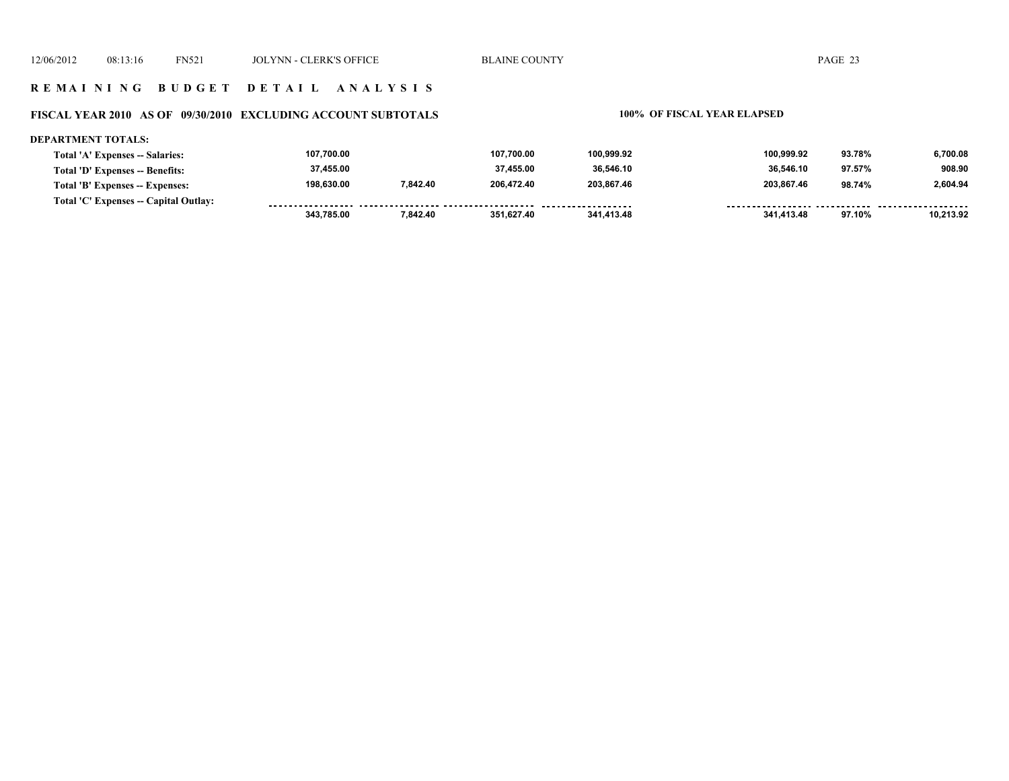#### **FISCAL YEAR 2010 AS OF 09/30/2010 EXCLUDING ACCOUNT SUBTOTALS 100% OF FISCAL YEAR ELAPSED**

#### **DEPARTMENT TOTALS: 107,700.00 107,700.00 100,999.92 100,999.92 93.78% 6,700.08 Total 'A' Expenses -- Salaries: 37,455.00 37,455.00 36,546.10 36,546.10 97.57% 908.90 Total 'D' Expenses -- Benefits: 198,630.00 7,842.40 206,472.40 203,867.46 203,867.46 98.74% 2,604.94 Total 'B' Expenses -- Expenses: Total 'C' Expenses -- Capital Outlay:** ------------------.......... ................... ......... <u>-------- ------</u> -----------------*-*------- -------- **343,785.00 7,842.40 351,627.40 341,413.48 341,413.48 97.10% 10,213.92**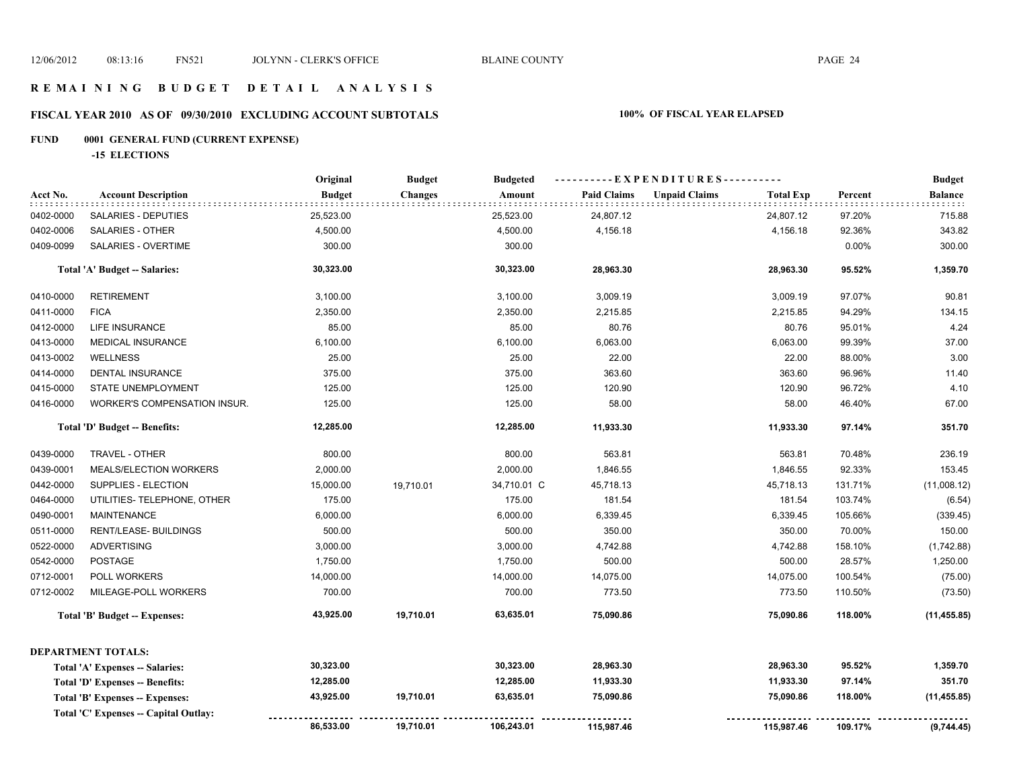# **FISCAL YEAR 2010 AS OF 09/30/2010 EXCLUDING ACCOUNT SUBTOTALS 100% OF FISCAL YEAR ELAPSED**

# **FUND 0001 GENERAL FUND (CURRENT EXPENSE)**

**-15 ELECTIONS**

|           |                                        | Original      | <b>Budget</b>  | <b>Budgeted</b> | ----------EXPENDITURES---------- |                      |                  |         | <b>Budget</b> |
|-----------|----------------------------------------|---------------|----------------|-----------------|----------------------------------|----------------------|------------------|---------|---------------|
| Acct No.  | <b>Account Description</b>             | <b>Budget</b> | <b>Changes</b> | Amount          | <b>Paid Claims</b>               | <b>Unpaid Claims</b> | <b>Total Exp</b> | Percent | Balance       |
| 0402-0000 | <b>SALARIES - DEPUTIES</b>             | 25,523.00     |                | 25,523.00       | 24,807.12                        |                      | 24,807.12        | 97.20%  | 715.88        |
| 0402-0006 | <b>SALARIES - OTHER</b>                | 4,500.00      |                | 4,500.00        | 4,156.18                         |                      | 4,156.18         | 92.36%  | 343.82        |
| 0409-0099 | SALARIES - OVERTIME                    | 300.00        |                | 300.00          |                                  |                      |                  | 0.00%   | 300.00        |
|           | Total 'A' Budget -- Salaries:          | 30,323.00     |                | 30,323.00       | 28,963.30                        |                      | 28,963.30        | 95.52%  | 1,359.70      |
| 0410-0000 | <b>RETIREMENT</b>                      | 3,100.00      |                | 3,100.00        | 3,009.19                         |                      | 3,009.19         | 97.07%  | 90.81         |
| 0411-0000 | <b>FICA</b>                            | 2,350.00      |                | 2,350.00        | 2,215.85                         |                      | 2,215.85         | 94.29%  | 134.15        |
| 0412-0000 | <b>LIFE INSURANCE</b>                  | 85.00         |                | 85.00           | 80.76                            |                      | 80.76            | 95.01%  | 4.24          |
| 0413-0000 | <b>MEDICAL INSURANCE</b>               | 6,100.00      |                | 6,100.00        | 6,063.00                         |                      | 6,063.00         | 99.39%  | 37.00         |
| 0413-0002 | <b>WELLNESS</b>                        | 25.00         |                | 25.00           | 22.00                            |                      | 22.00            | 88.00%  | 3.00          |
| 0414-0000 | DENTAL INSURANCE                       | 375.00        |                | 375.00          | 363.60                           |                      | 363.60           | 96.96%  | 11.40         |
| 0415-0000 | STATE UNEMPLOYMENT                     | 125.00        |                | 125.00          | 120.90                           |                      | 120.90           | 96.72%  | 4.10          |
| 0416-0000 | WORKER'S COMPENSATION INSUR.           | 125.00        |                | 125.00          | 58.00                            |                      | 58.00            | 46.40%  | 67.00         |
|           | Total 'D' Budget -- Benefits:          | 12,285.00     |                | 12,285.00       | 11,933.30                        |                      | 11,933.30        | 97.14%  | 351.70        |
| 0439-0000 | TRAVEL - OTHER                         | 800.00        |                | 800.00          | 563.81                           |                      | 563.81           | 70.48%  | 236.19        |
| 0439-0001 | MEALS/ELECTION WORKERS                 | 2,000.00      |                | 2,000.00        | 1,846.55                         |                      | 1,846.55         | 92.33%  | 153.45        |
| 0442-0000 | SUPPLIES - ELECTION                    | 15,000.00     | 19,710.01      | 34,710.01 C     | 45,718.13                        |                      | 45,718.13        | 131.71% | (11,008.12)   |
| 0464-0000 | UTILITIES- TELEPHONE, OTHER            | 175.00        |                | 175.00          | 181.54                           |                      | 181.54           | 103.74% | (6.54)        |
| 0490-0001 | <b>MAINTENANCE</b>                     | 6,000.00      |                | 6,000.00        | 6,339.45                         |                      | 6,339.45         | 105.66% | (339.45)      |
| 0511-0000 | RENT/LEASE- BUILDINGS                  | 500.00        |                | 500.00          | 350.00                           |                      | 350.00           | 70.00%  | 150.00        |
| 0522-0000 | <b>ADVERTISING</b>                     | 3,000.00      |                | 3,000.00        | 4,742.88                         |                      | 4,742.88         | 158.10% | (1,742.88)    |
| 0542-0000 | <b>POSTAGE</b>                         | 1,750.00      |                | 1,750.00        | 500.00                           |                      | 500.00           | 28.57%  | 1,250.00      |
| 0712-0001 | POLL WORKERS                           | 14,000.00     |                | 14,000.00       | 14,075.00                        |                      | 14,075.00        | 100.54% | (75.00)       |
| 0712-0002 | MILEAGE-POLL WORKERS                   | 700.00        |                | 700.00          | 773.50                           |                      | 773.50           | 110.50% | (73.50)       |
|           | Total 'B' Budget -- Expenses:          | 43,925.00     | 19,710.01      | 63,635.01       | 75,090.86                        |                      | 75,090.86        | 118.00% | (11, 455.85)  |
|           | <b>DEPARTMENT TOTALS:</b>              |               |                |                 |                                  |                      |                  |         |               |
|           | <b>Total 'A' Expenses -- Salaries:</b> | 30,323.00     |                | 30,323.00       | 28,963.30                        |                      | 28,963.30        | 95.52%  | 1,359.70      |
|           | Total 'D' Expenses -- Benefits:        | 12,285.00     |                | 12,285.00       | 11,933.30                        |                      | 11,933.30        | 97.14%  | 351.70        |
|           | Total 'B' Expenses -- Expenses:        | 43,925.00     | 19,710.01      | 63,635.01       | 75,090.86                        |                      | 75,090.86        | 118.00% | (11, 455.85)  |
|           | Total 'C' Expenses -- Capital Outlay:  | 86,533.00     | 19,710.01      | 106,243.01      | 115,987.46                       |                      | 115,987.46       | 109.17% | (9,744.45)    |
|           |                                        |               |                |                 |                                  |                      |                  |         |               |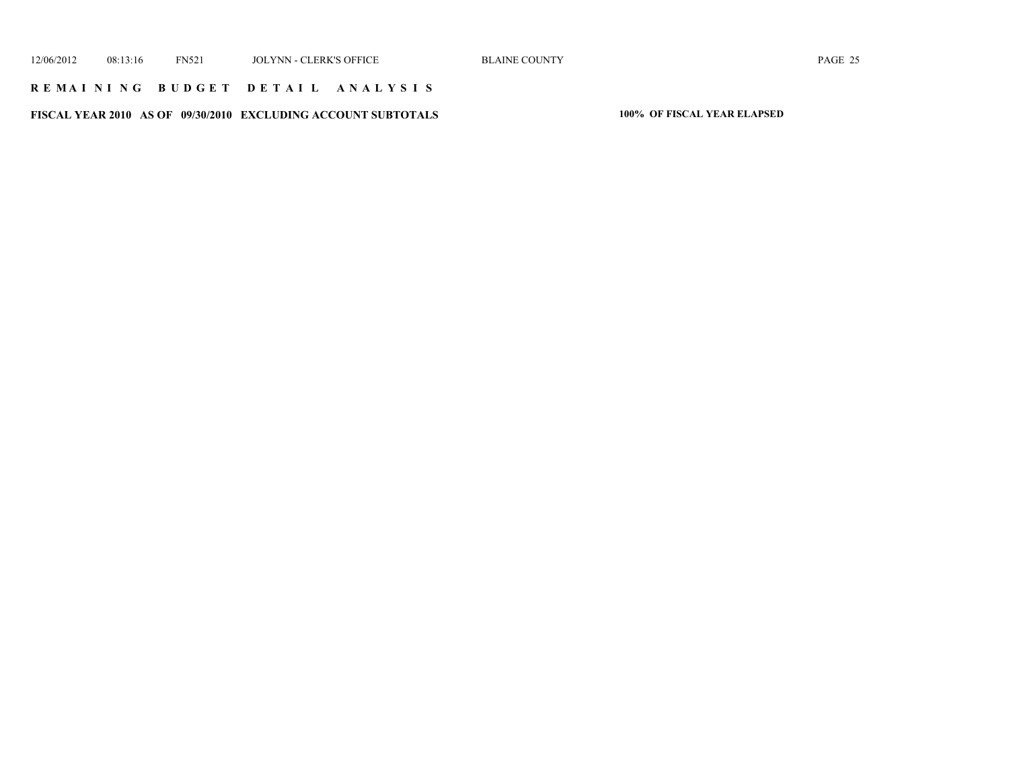### **R E M A I N I N G B U D G E T D E T A I L A N A L Y S I S**

**FISCAL YEAR 2010 AS OF 09/30/2010 EXCLUDING ACCOUNT SUBTOTALS 100% OF FISCAL YEAR ELAPSED**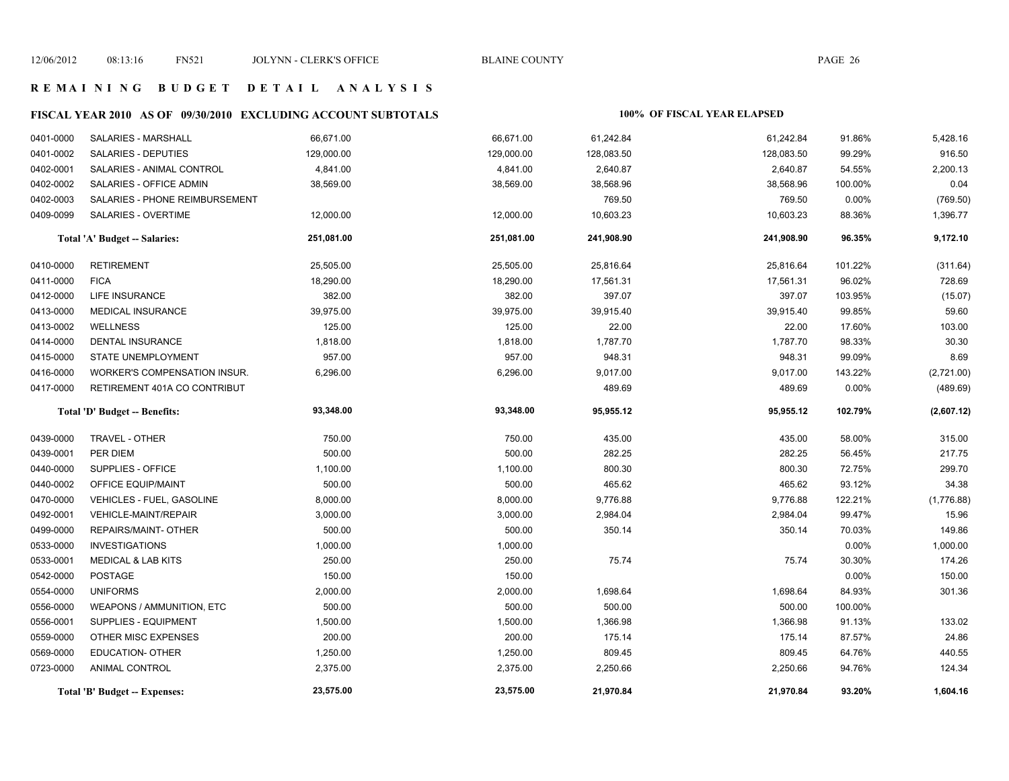# **FISCAL YEAR 2010 AS OF 09/30/2010 EXCLUDING ACCOUNT SUBTOTALS 100% OF FISCAL YEAR ELAPSED**

| 0401-0000 | SALARIES - MARSHALL              | 66,671.00  | 66,671.00  | 61,242.84  | 61,242.84  | 91.86%  | 5,428.16   |
|-----------|----------------------------------|------------|------------|------------|------------|---------|------------|
| 0401-0002 | <b>SALARIES - DEPUTIES</b>       | 129,000.00 | 129,000.00 | 128,083.50 | 128,083.50 | 99.29%  | 916.50     |
| 0402-0001 | SALARIES - ANIMAL CONTROL        | 4,841.00   | 4,841.00   | 2,640.87   | 2,640.87   | 54.55%  | 2,200.13   |
| 0402-0002 | SALARIES - OFFICE ADMIN          | 38,569.00  | 38,569.00  | 38,568.96  | 38,568.96  | 100.00% | 0.04       |
| 0402-0003 | SALARIES - PHONE REIMBURSEMENT   |            |            | 769.50     | 769.50     | 0.00%   | (769.50)   |
| 0409-0099 | SALARIES - OVERTIME              | 12,000.00  | 12,000.00  | 10,603.23  | 10,603.23  | 88.36%  | 1,396.77   |
|           | Total 'A' Budget -- Salaries:    | 251,081.00 | 251,081.00 | 241,908.90 | 241,908.90 | 96.35%  | 9,172.10   |
| 0410-0000 | RETIREMENT                       | 25,505.00  | 25,505.00  | 25,816.64  | 25,816.64  | 101.22% | (311.64)   |
| 0411-0000 | <b>FICA</b>                      | 18,290.00  | 18,290.00  | 17,561.31  | 17,561.31  | 96.02%  | 728.69     |
| 0412-0000 | <b>LIFE INSURANCE</b>            | 382.00     | 382.00     | 397.07     | 397.07     | 103.95% | (15.07)    |
| 0413-0000 | MEDICAL INSURANCE                | 39,975.00  | 39,975.00  | 39,915.40  | 39,915.40  | 99.85%  | 59.60      |
| 0413-0002 | <b>WELLNESS</b>                  | 125.00     | 125.00     | 22.00      | 22.00      | 17.60%  | 103.00     |
| 0414-0000 | DENTAL INSURANCE                 | 1,818.00   | 1,818.00   | 1,787.70   | 1,787.70   | 98.33%  | 30.30      |
| 0415-0000 | <b>STATE UNEMPLOYMENT</b>        | 957.00     | 957.00     | 948.31     | 948.31     | 99.09%  | 8.69       |
| 0416-0000 | WORKER'S COMPENSATION INSUR.     | 6,296.00   | 6,296.00   | 9,017.00   | 9,017.00   | 143.22% | (2,721.00) |
| 0417-0000 | RETIREMENT 401A CO CONTRIBUT     |            |            | 489.69     | 489.69     | 0.00%   | (489.69)   |
|           | Total 'D' Budget -- Benefits:    | 93,348.00  | 93,348.00  | 95,955.12  | 95,955.12  | 102.79% | (2,607.12) |
| 0439-0000 | TRAVEL - OTHER                   | 750.00     | 750.00     | 435.00     | 435.00     | 58.00%  | 315.00     |
| 0439-0001 | PER DIEM                         | 500.00     | 500.00     | 282.25     | 282.25     | 56.45%  | 217.75     |
| 0440-0000 | SUPPLIES - OFFICE                | 1,100.00   | 1,100.00   | 800.30     | 800.30     | 72.75%  | 299.70     |
| 0440-0002 | OFFICE EQUIP/MAINT               | 500.00     | 500.00     | 465.62     | 465.62     | 93.12%  | 34.38      |
| 0470-0000 | VEHICLES - FUEL, GASOLINE        | 8,000.00   | 8,000.00   | 9,776.88   | 9,776.88   | 122.21% | (1,776.88) |
| 0492-0001 | <b>VEHICLE-MAINT/REPAIR</b>      | 3,000.00   | 3,000.00   | 2,984.04   | 2,984.04   | 99.47%  | 15.96      |
| 0499-0000 | REPAIRS/MAINT- OTHER             | 500.00     | 500.00     | 350.14     | 350.14     | 70.03%  | 149.86     |
| 0533-0000 | <b>INVESTIGATIONS</b>            | 1,000.00   | 1,000.00   |            |            | 0.00%   | 1,000.00   |
| 0533-0001 | <b>MEDICAL &amp; LAB KITS</b>    | 250.00     | 250.00     | 75.74      | 75.74      | 30.30%  | 174.26     |
| 0542-0000 | POSTAGE                          | 150.00     | 150.00     |            |            | 0.00%   | 150.00     |
| 0554-0000 | <b>UNIFORMS</b>                  | 2,000.00   | 2,000.00   | 1,698.64   | 1,698.64   | 84.93%  | 301.36     |
| 0556-0000 | <b>WEAPONS / AMMUNITION, ETC</b> | 500.00     | 500.00     | 500.00     | 500.00     | 100.00% |            |
| 0556-0001 | <b>SUPPLIES - EQUIPMENT</b>      | 1,500.00   | 1,500.00   | 1,366.98   | 1,366.98   | 91.13%  | 133.02     |
| 0559-0000 | OTHER MISC EXPENSES              | 200.00     | 200.00     | 175.14     | 175.14     | 87.57%  | 24.86      |
| 0569-0000 | EDUCATION- OTHER                 | 1,250.00   | 1,250.00   | 809.45     | 809.45     | 64.76%  | 440.55     |
| 0723-0000 | <b>ANIMAL CONTROL</b>            | 2,375.00   | 2,375.00   | 2,250.66   | 2,250.66   | 94.76%  | 124.34     |
|           | Total 'B' Budget -- Expenses:    | 23,575.00  | 23,575.00  | 21,970.84  | 21,970.84  | 93.20%  | 1,604.16   |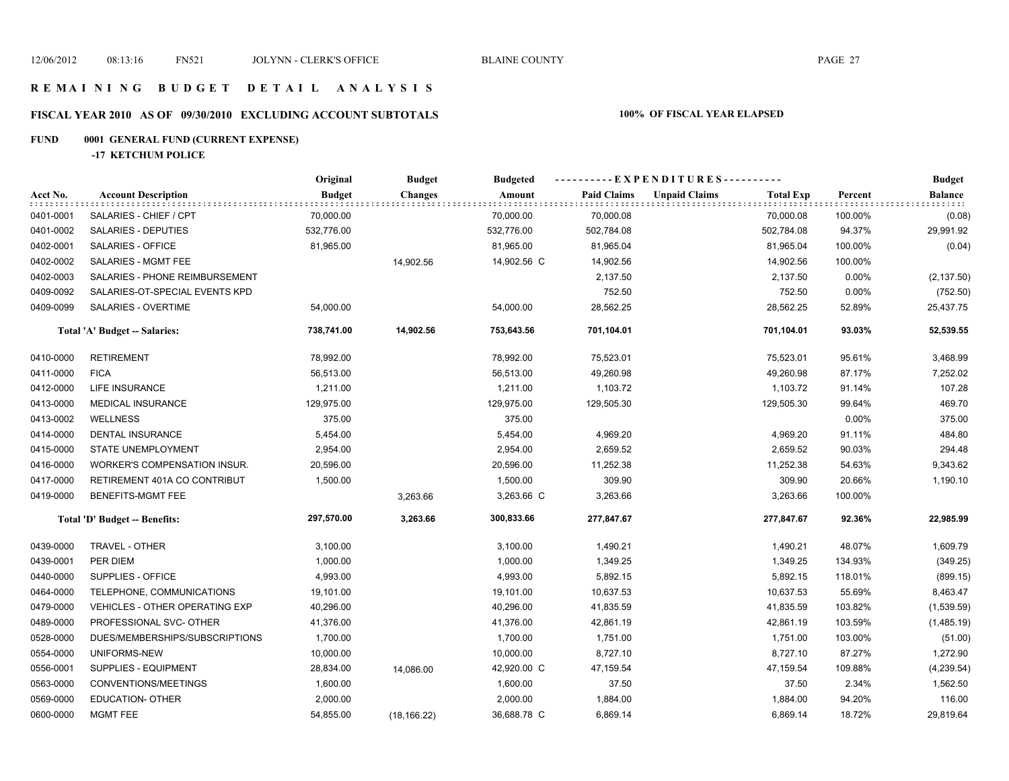# **FISCAL YEAR 2010 AS OF 09/30/2010 EXCLUDING ACCOUNT SUBTOTALS 100% OF FISCAL YEAR ELAPSED**

# **FUND 0001 GENERAL FUND (CURRENT EXPENSE)**

**-17 KETCHUM POLICE**

|           |                                       | Original      | <b>Budget</b>  | <b>Budgeted</b> | ----------EXPENDITURES---------- |                      |                  |         | <b>Budget</b>  |
|-----------|---------------------------------------|---------------|----------------|-----------------|----------------------------------|----------------------|------------------|---------|----------------|
| Acct No.  | <b>Account Description</b>            | <b>Budget</b> | <b>Changes</b> | Amount          | <b>Paid Claims</b>               | <b>Unpaid Claims</b> | <b>Total Exp</b> | Percent | <b>Balance</b> |
| 0401-0001 | SALARIES - CHIEF / CPT                | 70,000.00     |                | 70,000.00       | 70,000.08                        |                      | 70,000.08        | 100.00% | (0.08)         |
| 0401-0002 | SALARIES - DEPUTIES                   | 532,776.00    |                | 532,776.00      | 502,784.08                       |                      | 502,784.08       | 94.37%  | 29,991.92      |
| 0402-0001 | SALARIES - OFFICE                     | 81,965.00     |                | 81,965.00       | 81,965.04                        |                      | 81,965.04        | 100.00% | (0.04)         |
| 0402-0002 | SALARIES - MGMT FEE                   |               | 14,902.56      | 14,902.56 C     | 14,902.56                        |                      | 14,902.56        | 100.00% |                |
| 0402-0003 | SALARIES - PHONE REIMBURSEMENT        |               |                |                 | 2,137.50                         |                      | 2,137.50         | 0.00%   | (2, 137.50)    |
| 0409-0092 | SALARIES-OT-SPECIAL EVENTS KPD        |               |                |                 | 752.50                           |                      | 752.50           | 0.00%   | (752.50)       |
| 0409-0099 | SALARIES - OVERTIME                   | 54,000.00     |                | 54,000.00       | 28,562.25                        |                      | 28,562.25        | 52.89%  | 25,437.75      |
|           | Total 'A' Budget -- Salaries:         | 738,741.00    | 14,902.56      | 753,643.56      | 701,104.01                       |                      | 701,104.01       | 93.03%  | 52,539.55      |
| 0410-0000 | <b>RETIREMENT</b>                     | 78,992.00     |                | 78,992.00       | 75,523.01                        |                      | 75,523.01        | 95.61%  | 3,468.99       |
| 0411-0000 | <b>FICA</b>                           | 56,513.00     |                | 56,513.00       | 49,260.98                        |                      | 49,260.98        | 87.17%  | 7,252.02       |
| 0412-0000 | LIFE INSURANCE                        | 1,211.00      |                | 1,211.00        | 1,103.72                         |                      | 1,103.72         | 91.14%  | 107.28         |
| 0413-0000 | <b>MEDICAL INSURANCE</b>              | 129,975.00    |                | 129,975.00      | 129,505.30                       |                      | 129,505.30       | 99.64%  | 469.70         |
| 0413-0002 | <b>WELLNESS</b>                       | 375.00        |                | 375.00          |                                  |                      |                  | 0.00%   | 375.00         |
| 0414-0000 | DENTAL INSURANCE                      | 5,454.00      |                | 5,454.00        | 4,969.20                         |                      | 4,969.20         | 91.11%  | 484.80         |
| 0415-0000 | <b>STATE UNEMPLOYMENT</b>             | 2,954.00      |                | 2,954.00        | 2,659.52                         |                      | 2,659.52         | 90.03%  | 294.48         |
| 0416-0000 | WORKER'S COMPENSATION INSUR.          | 20,596.00     |                | 20,596.00       | 11,252.38                        |                      | 11,252.38        | 54.63%  | 9,343.62       |
| 0417-0000 | RETIREMENT 401A CO CONTRIBUT          | 1,500.00      |                | 1,500.00        | 309.90                           |                      | 309.90           | 20.66%  | 1,190.10       |
| 0419-0000 | BENEFITS-MGMT FEE                     |               | 3,263.66       | 3,263.66 C      | 3,263.66                         |                      | 3,263.66         | 100.00% |                |
|           | Total 'D' Budget -- Benefits:         | 297,570.00    | 3,263.66       | 300,833.66      | 277,847.67                       |                      | 277,847.67       | 92.36%  | 22,985.99      |
| 0439-0000 | TRAVEL - OTHER                        | 3,100.00      |                | 3,100.00        | 1,490.21                         |                      | 1,490.21         | 48.07%  | 1,609.79       |
| 0439-0001 | PER DIEM                              | 1,000.00      |                | 1,000.00        | 1,349.25                         |                      | 1,349.25         | 134.93% | (349.25)       |
| 0440-0000 | SUPPLIES - OFFICE                     | 4,993.00      |                | 4,993.00        | 5,892.15                         |                      | 5,892.15         | 118.01% | (899.15)       |
| 0464-0000 | TELEPHONE, COMMUNICATIONS             | 19,101.00     |                | 19,101.00       | 10,637.53                        |                      | 10,637.53        | 55.69%  | 8,463.47       |
| 0479-0000 | <b>VEHICLES - OTHER OPERATING EXP</b> | 40,296.00     |                | 40,296.00       | 41,835.59                        |                      | 41,835.59        | 103.82% | (1,539.59)     |
| 0489-0000 | PROFESSIONAL SVC- OTHER               | 41,376.00     |                | 41,376.00       | 42,861.19                        |                      | 42,861.19        | 103.59% | (1,485.19)     |
| 0528-0000 | DUES/MEMBERSHIPS/SUBSCRIPTIONS        | 1,700.00      |                | 1,700.00        | 1,751.00                         |                      | 1,751.00         | 103.00% | (51.00)        |
| 0554-0000 | UNIFORMS-NEW                          | 10,000.00     |                | 10,000.00       | 8,727.10                         |                      | 8,727.10         | 87.27%  | 1,272.90       |
| 0556-0001 | <b>SUPPLIES - EQUIPMENT</b>           | 28,834.00     | 14,086.00      | 42,920.00 C     | 47,159.54                        |                      | 47,159.54        | 109.88% | (4, 239.54)    |
| 0563-0000 | CONVENTIONS/MEETINGS                  | 1,600.00      |                | 1,600.00        | 37.50                            |                      | 37.50            | 2.34%   | 1,562.50       |
| 0569-0000 | <b>EDUCATION- OTHER</b>               | 2,000.00      |                | 2,000.00        | 1,884.00                         |                      | 1,884.00         | 94.20%  | 116.00         |
| 0600-0000 | MGMT FEE                              | 54,855.00     | (18, 166.22)   | 36,688.78 C     | 6,869.14                         |                      | 6,869.14         | 18.72%  | 29,819.64      |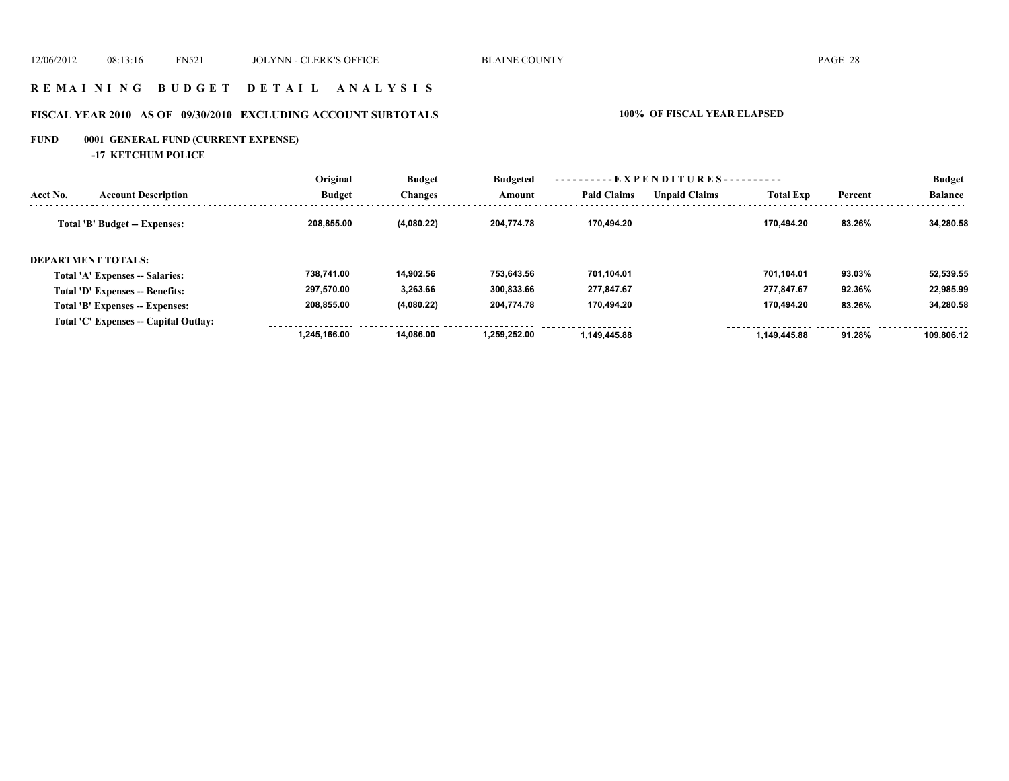# **R E M A I N I N G B U D G E T D E T A I L A N A L Y S I S**

# **FISCAL YEAR 2010 AS OF 09/30/2010 EXCLUDING ACCOUNT SUBTOTALS 100% OF FISCAL YEAR ELAPSED**

# **FUND 0001 GENERAL FUND (CURRENT EXPENSE)**

**-17 KETCHUM POLICE**

|          |                                       | Original      | <b>Budget</b><br><b>Changes</b> | <b>Budgeted</b> | ----------EXPENDITURES---------- |                      |                  | <b>Budget</b> |                |
|----------|---------------------------------------|---------------|---------------------------------|-----------------|----------------------------------|----------------------|------------------|---------------|----------------|
| Acct No. | <b>Account Description</b>            | <b>Budget</b> |                                 | Amount          | <b>Paid Claims</b>               | <b>Unpaid Claims</b> | <b>Total Exp</b> | Percent       | <b>Balance</b> |
|          | Total 'B' Budget -- Expenses:         | 208.855.00    | (4,080.22)                      | 204,774.78      | 170.494.20                       |                      | 170.494.20       | 83.26%        | 34.280.58      |
|          | <b>DEPARTMENT TOTALS:</b>             |               |                                 |                 |                                  |                      |                  |               |                |
|          | Total 'A' Expenses -- Salaries:       | 738.741.00    | 14.902.56                       | 753.643.56      | 701.104.01                       |                      | 701.104.01       | 93.03%        | 52,539.55      |
|          | Total 'D' Expenses -- Benefits:       | 297,570.00    | 3,263.66                        | 300.833.66      | 277,847.67                       |                      | 277,847.67       | 92.36%        | 22,985.99      |
|          | Total 'B' Expenses -- Expenses:       | 208,855.00    | (4,080.22)                      | 204,774.78      | 170.494.20                       |                      | 170.494.20       | 83.26%        | 34,280.58      |
|          | Total 'C' Expenses -- Capital Outlay: |               |                                 |                 |                                  |                      |                  |               |                |
|          |                                       | 1.245.166.00  | 14.086.00                       | 1.259.252.00    | 1.149.445.88                     |                      | 1.149.445.88     | 91.28%        | 109.806.12     |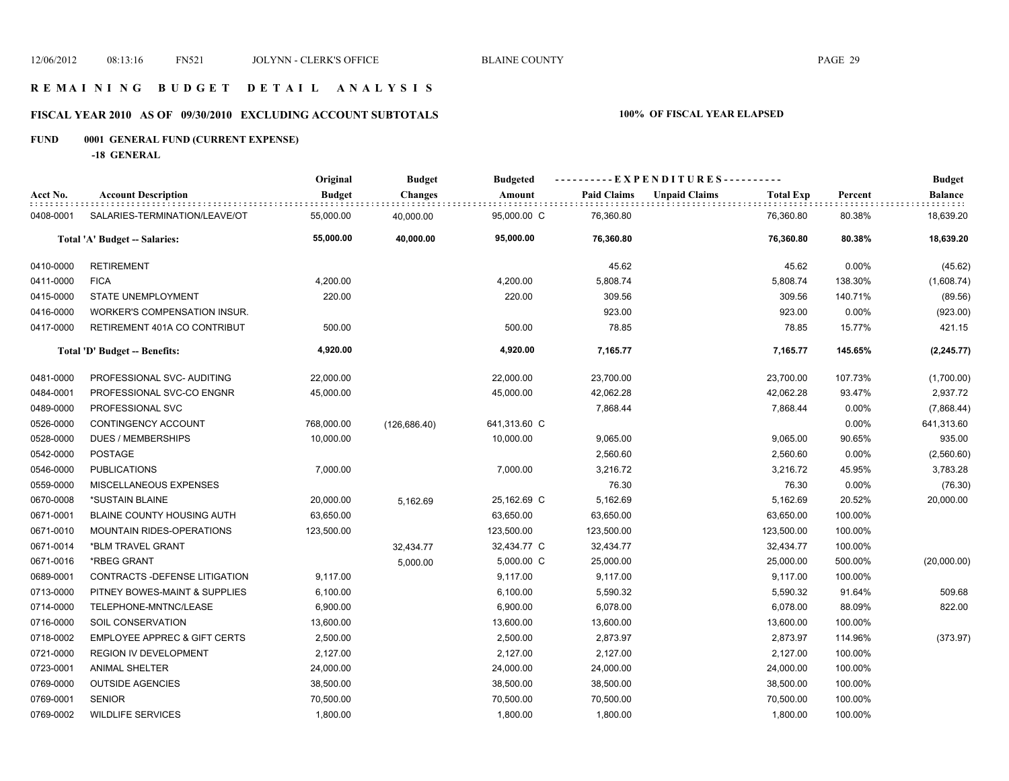# **R E M A I N I N G B U D G E T D E T A I L A N A L Y S I S**

# **FISCAL YEAR 2010 AS OF 09/30/2010 EXCLUDING ACCOUNT SUBTOTALS 100% OF FISCAL YEAR ELAPSED**

# **FUND 0001 GENERAL FUND (CURRENT EXPENSE)**

**-18 GENERAL**

|           |                                         | Original      | <b>Budget</b>  | <b>Budgeted</b> | ----------EXPENDITURES---------- |                                          |         | <b>Budget</b>  |
|-----------|-----------------------------------------|---------------|----------------|-----------------|----------------------------------|------------------------------------------|---------|----------------|
| Acct No.  | <b>Account Description</b>              | <b>Budget</b> | <b>Changes</b> | Amount          | <b>Paid Claims</b>               | <b>Unpaid Claims</b><br><b>Total Exp</b> | Percent | <b>Balance</b> |
| 0408-0001 | SALARIES-TERMINATION/LEAVE/OT           | 55,000.00     | 40,000.00      | 95,000.00 C     | 76,360.80                        | 76,360.80                                | 80.38%  | 18,639.20      |
|           | Total 'A' Budget -- Salaries:           | 55,000.00     | 40,000.00      | 95,000.00       | 76,360.80                        | 76,360.80                                | 80.38%  | 18,639.20      |
| 0410-0000 | <b>RETIREMENT</b>                       |               |                |                 | 45.62                            | 45.62                                    | 0.00%   | (45.62)        |
| 0411-0000 | <b>FICA</b>                             | 4,200.00      |                | 4,200.00        | 5,808.74                         | 5,808.74                                 | 138.30% | (1,608.74)     |
| 0415-0000 | STATE UNEMPLOYMENT                      | 220.00        |                | 220.00          | 309.56                           | 309.56                                   | 140.71% | (89.56)        |
| 0416-0000 | WORKER'S COMPENSATION INSUR.            |               |                |                 | 923.00                           | 923.00                                   | 0.00%   | (923.00)       |
| 0417-0000 | RETIREMENT 401A CO CONTRIBUT            | 500.00        |                | 500.00          | 78.85                            | 78.85                                    | 15.77%  | 421.15         |
|           | Total 'D' Budget -- Benefits:           | 4,920.00      |                | 4,920.00        | 7,165.77                         | 7,165.77                                 | 145.65% | (2, 245.77)    |
| 0481-0000 | PROFESSIONAL SVC- AUDITING              | 22,000.00     |                | 22,000.00       | 23,700.00                        | 23,700.00                                | 107.73% | (1,700.00)     |
| 0484-0001 | PROFESSIONAL SVC-CO ENGNR               | 45,000.00     |                | 45,000.00       | 42,062.28                        | 42,062.28                                | 93.47%  | 2,937.72       |
| 0489-0000 | PROFESSIONAL SVC                        |               |                |                 | 7,868.44                         | 7,868.44                                 | 0.00%   | (7,868.44)     |
| 0526-0000 | CONTINGENCY ACCOUNT                     | 768,000.00    | (126, 686.40)  | 641,313.60 C    |                                  |                                          | 0.00%   | 641,313.60     |
| 0528-0000 | <b>DUES / MEMBERSHIPS</b>               | 10,000.00     |                | 10,000.00       | 9,065.00                         | 9,065.00                                 | 90.65%  | 935.00         |
| 0542-0000 | POSTAGE                                 |               |                |                 | 2,560.60                         | 2,560.60                                 | 0.00%   | (2,560.60)     |
| 0546-0000 | <b>PUBLICATIONS</b>                     | 7,000.00      |                | 7,000.00        | 3,216.72                         | 3,216.72                                 | 45.95%  | 3,783.28       |
| 0559-0000 | MISCELLANEOUS EXPENSES                  |               |                |                 | 76.30                            | 76.30                                    | 0.00%   | (76.30)        |
| 0670-0008 | *SUSTAIN BLAINE                         | 20,000.00     | 5,162.69       | 25,162.69 C     | 5,162.69                         | 5,162.69                                 | 20.52%  | 20,000.00      |
| 0671-0001 | BLAINE COUNTY HOUSING AUTH              | 63,650.00     |                | 63,650.00       | 63,650.00                        | 63,650.00                                | 100.00% |                |
| 0671-0010 | <b>MOUNTAIN RIDES-OPERATIONS</b>        | 123,500.00    |                | 123,500.00      | 123,500.00                       | 123,500.00                               | 100.00% |                |
| 0671-0014 | *BLM TRAVEL GRANT                       |               | 32,434.77      | 32,434.77 C     | 32,434.77                        | 32,434.77                                | 100.00% |                |
| 0671-0016 | *RBEG GRANT                             |               | 5,000.00       | 5,000.00 C      | 25,000.00                        | 25,000.00                                | 500.00% | (20,000.00)    |
| 0689-0001 | CONTRACTS - DEFENSE LITIGATION          | 9,117.00      |                | 9,117.00        | 9,117.00                         | 9,117.00                                 | 100.00% |                |
| 0713-0000 | PITNEY BOWES-MAINT & SUPPLIES           | 6,100.00      |                | 6,100.00        | 5,590.32                         | 5,590.32                                 | 91.64%  | 509.68         |
| 0714-0000 | TELEPHONE-MNTNC/LEASE                   | 6,900.00      |                | 6,900.00        | 6,078.00                         | 6,078.00                                 | 88.09%  | 822.00         |
| 0716-0000 | SOIL CONSERVATION                       | 13,600.00     |                | 13,600.00       | 13,600.00                        | 13,600.00                                | 100.00% |                |
| 0718-0002 | <b>EMPLOYEE APPREC &amp; GIFT CERTS</b> | 2,500.00      |                | 2,500.00        | 2,873.97                         | 2,873.97                                 | 114.96% | (373.97)       |
| 0721-0000 | <b>REGION IV DEVELOPMENT</b>            | 2,127.00      |                | 2,127.00        | 2,127.00                         | 2,127.00                                 | 100.00% |                |
| 0723-0001 | <b>ANIMAL SHELTER</b>                   | 24,000.00     |                | 24,000.00       | 24,000.00                        | 24,000.00                                | 100.00% |                |
| 0769-0000 | <b>OUTSIDE AGENCIES</b>                 | 38,500.00     |                | 38,500.00       | 38,500.00                        | 38,500.00                                | 100.00% |                |
| 0769-0001 | SENIOR                                  | 70,500.00     |                | 70,500.00       | 70,500.00                        | 70,500.00                                | 100.00% |                |
| 0769-0002 | <b>WILDLIFE SERVICES</b>                | 1,800.00      |                | 1,800.00        | 1,800.00                         | 1,800.00                                 | 100.00% |                |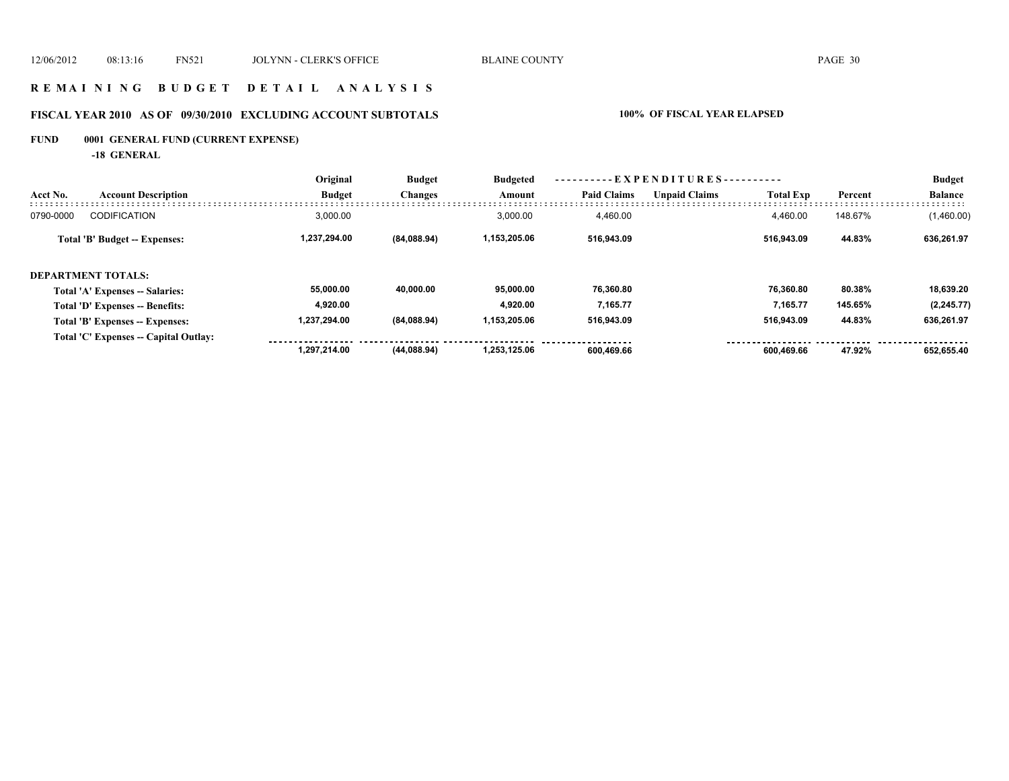# **R E M A I N I N G B U D G E T D E T A I L A N A L Y S I S**

# **FISCAL YEAR 2010 AS OF 09/30/2010 EXCLUDING ACCOUNT SUBTOTALS 100% OF FISCAL YEAR ELAPSED**

# **FUND 0001 GENERAL FUND (CURRENT EXPENSE)**

**-18 GENERAL**

|           |                                        | Original<br><b>Budget</b> | <b>Budget</b><br><b>Changes</b> | <b>Budgeted</b><br>Amount | $-$ <b>EXPENDITURES</b> |                      |                  |         | <b>Budget</b>  |
|-----------|----------------------------------------|---------------------------|---------------------------------|---------------------------|-------------------------|----------------------|------------------|---------|----------------|
| Acct No.  | <b>Account Description</b>             |                           |                                 |                           | <b>Paid Claims</b>      | <b>Unpaid Claims</b> | <b>Total Exp</b> | Percent | <b>Balance</b> |
| 0790-0000 | <b>CODIFICATION</b>                    | 3.000.00                  |                                 | 3.000.00                  | 4.460.00                |                      | 4.460.00         | 148.67% | (1,460.00)     |
|           | Total 'B' Budget -- Expenses:          | 1,237,294.00              | (84,088.94)                     | 1,153,205.06              | 516,943.09              |                      | 516.943.09       | 44.83%  | 636,261.97     |
|           | <b>DEPARTMENT TOTALS:</b>              |                           |                                 |                           |                         |                      |                  |         |                |
|           | <b>Total 'A' Expenses -- Salaries:</b> | 55,000.00                 | 40.000.00                       | 95.000.00                 | 76,360.80               |                      | 76.360.80        | 80.38%  | 18,639.20      |
|           | Total 'D' Expenses -- Benefits:        | 4,920.00                  |                                 | 4.920.00                  | 7,165.77                |                      | 7,165.77         | 145.65% | (2, 245.77)    |
|           | Total 'B' Expenses -- Expenses:        | 1,237,294.00              | (84,088.94)                     | 1,153,205.06              | 516,943.09              |                      | 516.943.09       | 44.83%  | 636,261.97     |
|           | Total 'C' Expenses -- Capital Outlay:  |                           |                                 |                           |                         |                      |                  |         |                |
|           |                                        | 1.297.214.00              | (44, 088.94)                    | 1,253,125.06              | 600.469.66              |                      | 600.469.66       | 47.92%  | 652.655.40     |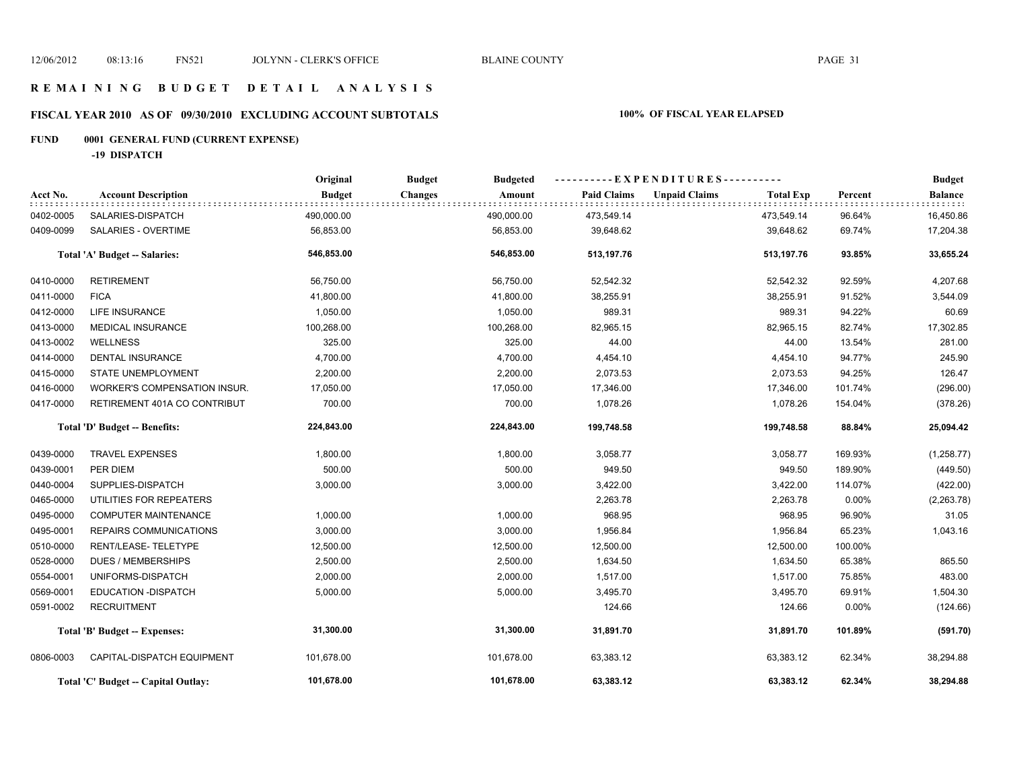# **FISCAL YEAR 2010 AS OF 09/30/2010 EXCLUDING ACCOUNT SUBTOTALS 100% OF FISCAL YEAR ELAPSED**

# **FUND 0001 GENERAL FUND (CURRENT EXPENSE)**

**-19 DISPATCH**

|           |                                     | Original      | <b>Budget</b><br><b>Budgeted</b> | ----------EXPENDITURES---------- |                      |                  |         | <b>Budget</b>  |
|-----------|-------------------------------------|---------------|----------------------------------|----------------------------------|----------------------|------------------|---------|----------------|
| Acct No.  | <b>Account Description</b>          | <b>Budget</b> | <b>Changes</b><br>Amount         | <b>Paid Claims</b>               | <b>Unpaid Claims</b> | <b>Total Exp</b> | Percent | <b>Balance</b> |
| 0402-0005 | SALARIES-DISPATCH                   | 490,000.00    | 490,000.00                       | 473,549.14                       |                      | 473,549.14       | 96.64%  | 16,450.86      |
| 0409-0099 | SALARIES - OVERTIME                 | 56,853.00     | 56,853.00                        | 39,648.62                        |                      | 39,648.62        | 69.74%  | 17,204.38      |
|           | Total 'A' Budget -- Salaries:       | 546,853.00    | 546,853.00                       | 513,197.76                       |                      | 513,197.76       | 93.85%  | 33,655.24      |
| 0410-0000 | <b>RETIREMENT</b>                   | 56,750.00     | 56,750.00                        | 52,542.32                        |                      | 52,542.32        | 92.59%  | 4,207.68       |
| 0411-0000 | <b>FICA</b>                         | 41,800.00     | 41,800.00                        | 38,255.91                        |                      | 38,255.91        | 91.52%  | 3,544.09       |
| 0412-0000 | <b>LIFE INSURANCE</b>               | 1,050.00      | 1,050.00                         | 989.31                           |                      | 989.31           | 94.22%  | 60.69          |
| 0413-0000 | <b>MEDICAL INSURANCE</b>            | 100,268.00    | 100,268.00                       | 82,965.15                        |                      | 82,965.15        | 82.74%  | 17,302.85      |
| 0413-0002 | <b>WELLNESS</b>                     | 325.00        | 325.00                           | 44.00                            |                      | 44.00            | 13.54%  | 281.00         |
| 0414-0000 | <b>DENTAL INSURANCE</b>             | 4,700.00      | 4,700.00                         | 4,454.10                         |                      | 4,454.10         | 94.77%  | 245.90         |
| 0415-0000 | STATE UNEMPLOYMENT                  | 2,200.00      | 2,200.00                         | 2,073.53                         |                      | 2,073.53         | 94.25%  | 126.47         |
| 0416-0000 | WORKER'S COMPENSATION INSUR.        | 17,050.00     | 17,050.00                        | 17,346.00                        |                      | 17,346.00        | 101.74% | (296.00)       |
| 0417-0000 | RETIREMENT 401A CO CONTRIBUT        | 700.00        | 700.00                           | 1,078.26                         |                      | 1,078.26         | 154.04% | (378.26)       |
|           | Total 'D' Budget -- Benefits:       | 224,843.00    | 224,843.00                       | 199,748.58                       |                      | 199,748.58       | 88.84%  | 25,094.42      |
| 0439-0000 | <b>TRAVEL EXPENSES</b>              | 1,800.00      | 1,800.00                         | 3,058.77                         |                      | 3,058.77         | 169.93% | (1,258.77)     |
| 0439-0001 | PER DIEM                            | 500.00        | 500.00                           | 949.50                           |                      | 949.50           | 189.90% | (449.50)       |
| 0440-0004 | SUPPLIES-DISPATCH                   | 3,000.00      | 3,000.00                         | 3,422.00                         |                      | 3,422.00         | 114.07% | (422.00)       |
| 0465-0000 | UTILITIES FOR REPEATERS             |               |                                  | 2,263.78                         |                      | 2,263.78         | 0.00%   | (2,263.78)     |
| 0495-0000 | <b>COMPUTER MAINTENANCE</b>         | 1,000.00      | 1,000.00                         | 968.95                           |                      | 968.95           | 96.90%  | 31.05          |
| 0495-0001 | REPAIRS COMMUNICATIONS              | 3,000.00      | 3,000.00                         | 1,956.84                         |                      | 1,956.84         | 65.23%  | 1,043.16       |
| 0510-0000 | RENT/LEASE-TELETYPE                 | 12,500.00     | 12,500.00                        | 12,500.00                        |                      | 12,500.00        | 100.00% |                |
| 0528-0000 | <b>DUES / MEMBERSHIPS</b>           | 2,500.00      | 2,500.00                         | 1,634.50                         |                      | 1,634.50         | 65.38%  | 865.50         |
| 0554-0001 | UNIFORMS-DISPATCH                   | 2,000.00      | 2,000.00                         | 1,517.00                         |                      | 1,517.00         | 75.85%  | 483.00         |
| 0569-0001 | EDUCATION - DISPATCH                | 5,000.00      | 5,000.00                         | 3,495.70                         |                      | 3,495.70         | 69.91%  | 1,504.30       |
| 0591-0002 | <b>RECRUITMENT</b>                  |               |                                  | 124.66                           |                      | 124.66           | 0.00%   | (124.66)       |
|           | Total 'B' Budget -- Expenses:       | 31,300.00     | 31,300.00                        | 31,891.70                        |                      | 31,891.70        | 101.89% | (591.70)       |
| 0806-0003 | CAPITAL-DISPATCH EQUIPMENT          | 101,678.00    | 101,678.00                       | 63,383.12                        |                      | 63,383.12        | 62.34%  | 38,294.88      |
|           | Total 'C' Budget -- Capital Outlay: | 101,678.00    | 101,678.00                       | 63,383.12                        |                      | 63,383.12        | 62.34%  | 38,294.88      |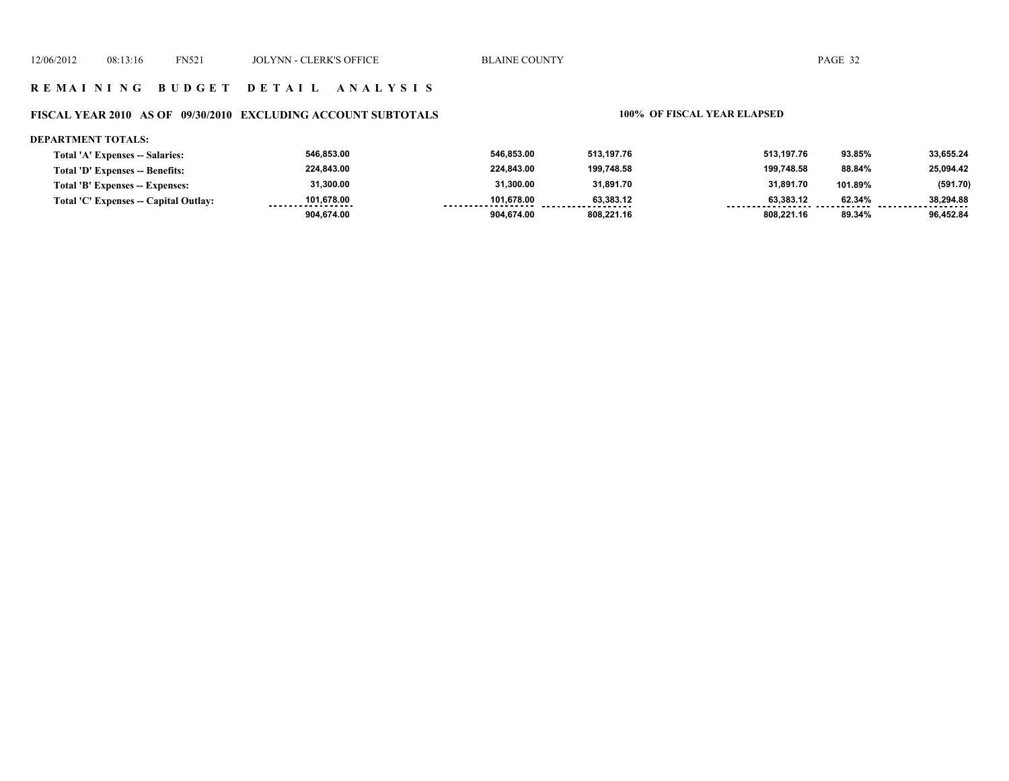### **FISCAL YEAR 2010 AS OF 09/30/2010 EXCLUDING ACCOUNT SUBTOTALS 100% OF FISCAL YEAR ELAPSED**

#### **DEPARTMENT TOTALS:**

| Total 'A' Expenses -- Salaries:       | 546.853.00                      | 546.853.00                       | 513.197.76     | 513.197.76 | 93.85%  | 33,655.24             |
|---------------------------------------|---------------------------------|----------------------------------|----------------|------------|---------|-----------------------|
| Total 'D' Expenses -- Benefits:       | 224,843.00                      | 224.843.00                       | 199.748.58     | 199.748.58 | 88.84%  | 25,094.42             |
| Total 'B' Expenses -- Expenses:       | 31,300.00                       | 31,300.00                        | 31,891.70      | 31,891.70  | 101.89% | (591.70)              |
| Total 'C' Expenses -- Capital Outlay: | 101.678.00<br>----------------- | 101.678.00<br>------------------ | 63.383.12<br>. | 63.383.12  | 62.34%  | 38.294.88<br>-------- |
|                                       | 904,674.00                      | 904.674.00                       | 808.221.16     | 808.221.16 | 89.34%  | 96.452.84             |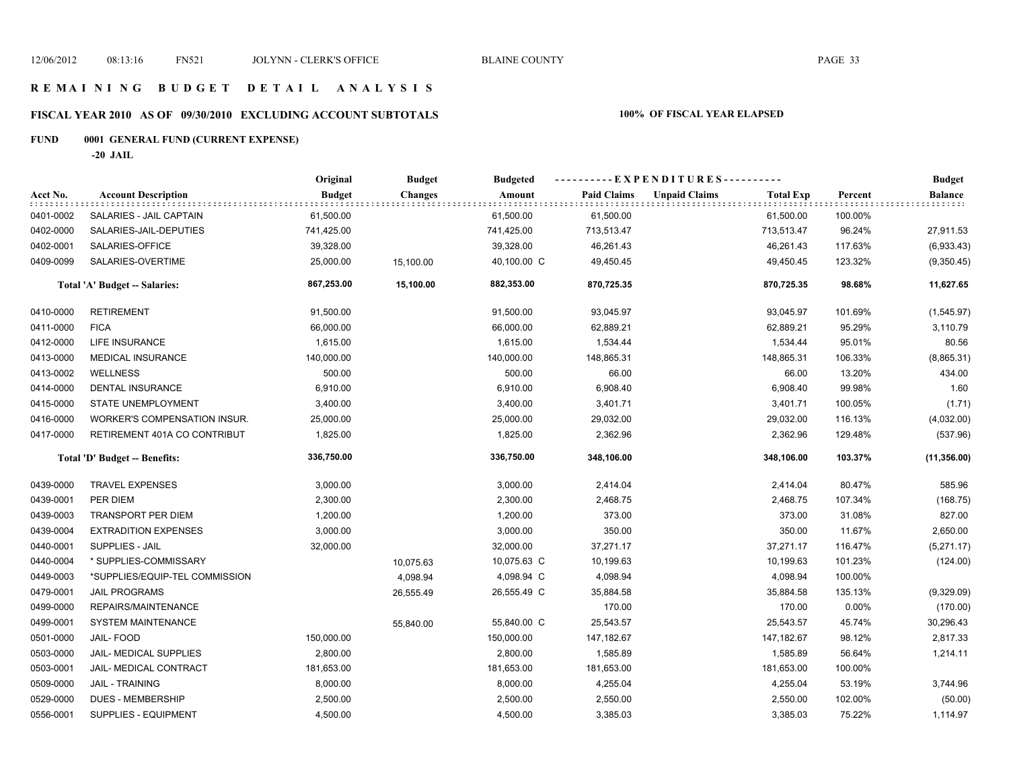# **FISCAL YEAR 2010 AS OF 09/30/2010 EXCLUDING ACCOUNT SUBTOTALS 100% OF FISCAL YEAR ELAPSED**

# **FUND 0001 GENERAL FUND (CURRENT EXPENSE)**

**-20 JAIL**

|           |                                | Original      | <b>Budget</b>  | <b>Budgeted</b> | ----------EXPENDITURES---------- |                      |                  |         | <b>Budget</b>               |
|-----------|--------------------------------|---------------|----------------|-----------------|----------------------------------|----------------------|------------------|---------|-----------------------------|
| Acct No.  | <b>Account Description</b>     | <b>Budget</b> | <b>Changes</b> | Amount          | <b>Paid Claims</b>               | <b>Unpaid Claims</b> | <b>Total Exp</b> | Percent | <b>Balance</b><br>: : : : : |
| 0401-0002 | SALARIES - JAIL CAPTAIN        | 61,500.00     |                | 61,500.00       | 61,500.00                        |                      | 61,500.00        | 100.00% |                             |
| 0402-0000 | SALARIES-JAIL-DEPUTIES         | 741,425.00    |                | 741,425.00      | 713,513.47                       |                      | 713,513.47       | 96.24%  | 27,911.53                   |
| 0402-0001 | SALARIES-OFFICE                | 39,328.00     |                | 39,328.00       | 46,261.43                        |                      | 46,261.43        | 117.63% | (6,933.43)                  |
| 0409-0099 | SALARIES-OVERTIME              | 25,000.00     | 15,100.00      | 40,100.00 C     | 49,450.45                        |                      | 49,450.45        | 123.32% | (9,350.45)                  |
|           | Total 'A' Budget -- Salaries:  | 867,253.00    | 15,100.00      | 882,353.00      | 870,725.35                       |                      | 870,725.35       | 98.68%  | 11,627.65                   |
| 0410-0000 | <b>RETIREMENT</b>              | 91,500.00     |                | 91,500.00       | 93,045.97                        |                      | 93,045.97        | 101.69% | (1,545.97)                  |
| 0411-0000 | <b>FICA</b>                    | 66,000.00     |                | 66,000.00       | 62,889.21                        |                      | 62,889.21        | 95.29%  | 3,110.79                    |
| 0412-0000 | <b>LIFE INSURANCE</b>          | 1,615.00      |                | 1,615.00        | 1,534.44                         |                      | 1,534.44         | 95.01%  | 80.56                       |
| 0413-0000 | <b>MEDICAL INSURANCE</b>       | 140,000.00    |                | 140,000.00      | 148,865.31                       |                      | 148,865.31       | 106.33% | (8,865.31)                  |
| 0413-0002 | <b>WELLNESS</b>                | 500.00        |                | 500.00          | 66.00                            |                      | 66.00            | 13.20%  | 434.00                      |
| 0414-0000 | DENTAL INSURANCE               | 6,910.00      |                | 6,910.00        | 6,908.40                         |                      | 6,908.40         | 99.98%  | 1.60                        |
| 0415-0000 | STATE UNEMPLOYMENT             | 3,400.00      |                | 3,400.00        | 3,401.71                         |                      | 3,401.71         | 100.05% | (1.71)                      |
| 0416-0000 | WORKER'S COMPENSATION INSUR.   | 25,000.00     |                | 25,000.00       | 29,032.00                        |                      | 29,032.00        | 116.13% | (4,032.00)                  |
| 0417-0000 | RETIREMENT 401A CO CONTRIBUT   | 1,825.00      |                | 1,825.00        | 2,362.96                         |                      | 2,362.96         | 129.48% | (537.96)                    |
|           | Total 'D' Budget -- Benefits:  | 336,750.00    |                | 336,750.00      | 348,106.00                       |                      | 348,106.00       | 103.37% | (11, 356.00)                |
| 0439-0000 | <b>TRAVEL EXPENSES</b>         | 3,000.00      |                | 3,000.00        | 2,414.04                         |                      | 2,414.04         | 80.47%  | 585.96                      |
| 0439-0001 | PER DIEM                       | 2,300.00      |                | 2,300.00        | 2,468.75                         |                      | 2,468.75         | 107.34% | (168.75)                    |
| 0439-0003 | <b>TRANSPORT PER DIEM</b>      | 1,200.00      |                | 1,200.00        | 373.00                           |                      | 373.00           | 31.08%  | 827.00                      |
| 0439-0004 | <b>EXTRADITION EXPENSES</b>    | 3,000.00      |                | 3,000.00        | 350.00                           |                      | 350.00           | 11.67%  | 2,650.00                    |
| 0440-0001 | <b>SUPPLIES - JAIL</b>         | 32,000.00     |                | 32,000.00       | 37,271.17                        |                      | 37,271.17        | 116.47% | (5,271.17)                  |
| 0440-0004 | * SUPPLIES-COMMISSARY          |               | 10,075.63      | 10,075.63 C     | 10,199.63                        |                      | 10,199.63        | 101.23% | (124.00)                    |
| 0449-0003 | *SUPPLIES/EQUIP-TEL COMMISSION |               | 4,098.94       | 4,098.94 C      | 4,098.94                         |                      | 4,098.94         | 100.00% |                             |
| 0479-0001 | <b>JAIL PROGRAMS</b>           |               | 26,555.49      | 26,555.49 C     | 35,884.58                        |                      | 35,884.58        | 135.13% | (9,329.09)                  |
| 0499-0000 | REPAIRS/MAINTENANCE            |               |                |                 | 170.00                           |                      | 170.00           | 0.00%   | (170.00)                    |
| 0499-0001 | <b>SYSTEM MAINTENANCE</b>      |               | 55,840.00      | 55,840.00 C     | 25,543.57                        |                      | 25,543.57        | 45.74%  | 30,296.43                   |
| 0501-0000 | JAIL-FOOD                      | 150,000.00    |                | 150,000.00      | 147,182.67                       |                      | 147, 182.67      | 98.12%  | 2,817.33                    |
| 0503-0000 | JAIL- MEDICAL SUPPLIES         | 2,800.00      |                | 2,800.00        | 1,585.89                         |                      | 1,585.89         | 56.64%  | 1,214.11                    |
| 0503-0001 | JAIL- MEDICAL CONTRACT         | 181,653.00    |                | 181,653.00      | 181,653.00                       |                      | 181,653.00       | 100.00% |                             |
| 0509-0000 | <b>JAIL - TRAINING</b>         | 8,000.00      |                | 8,000.00        | 4,255.04                         |                      | 4,255.04         | 53.19%  | 3,744.96                    |
| 0529-0000 | <b>DUES - MEMBERSHIP</b>       | 2,500.00      |                | 2,500.00        | 2,550.00                         |                      | 2,550.00         | 102.00% | (50.00)                     |
| 0556-0001 | SUPPLIES - EQUIPMENT           | 4,500.00      |                | 4,500.00        | 3,385.03                         |                      | 3,385.03         | 75.22%  | 1,114.97                    |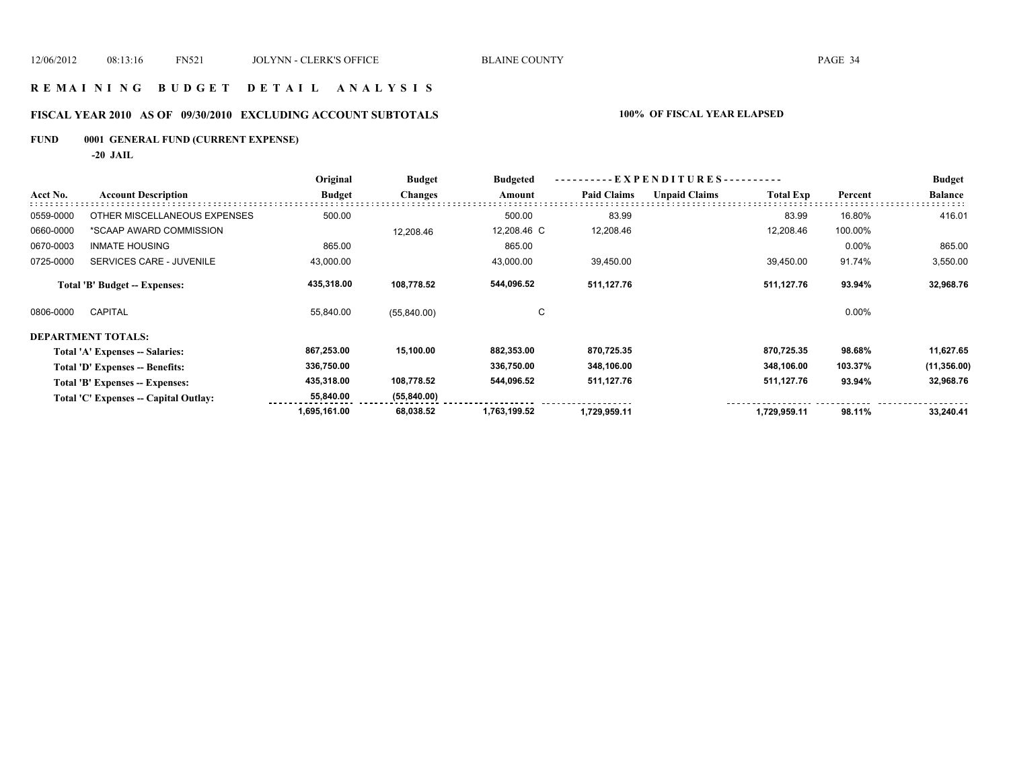## **R E M A I N I N G B U D G E T D E T A I L A N A L Y S I S**

# **FISCAL YEAR 2010 AS OF 09/30/2010 EXCLUDING ACCOUNT SUBTOTALS 100% OF FISCAL YEAR ELAPSED**

**FUND 0001 GENERAL FUND (CURRENT EXPENSE)**

**-20 JAIL**

|           |                                       | Original      | <b>Budget</b>  | <b>Budgeted</b> | EXPENDITURES--     |                      |                  |         | <b>Budget</b>  |
|-----------|---------------------------------------|---------------|----------------|-----------------|--------------------|----------------------|------------------|---------|----------------|
| Acct No.  | <b>Account Description</b>            | <b>Budget</b> | <b>Changes</b> | Amount          | <b>Paid Claims</b> | <b>Unpaid Claims</b> | <b>Total Exp</b> | Percent | <b>Balance</b> |
| 0559-0000 | OTHER MISCELLANEOUS EXPENSES          | 500.00        |                | 500.00          | 83.99              |                      | 83.99            | 16.80%  | 416.01         |
| 0660-0000 | *SCAAP AWARD COMMISSION               |               | 12,208.46      | 12,208.46 C     | 12,208.46          |                      | 12,208.46        | 100.00% |                |
| 0670-0003 | <b>INMATE HOUSING</b>                 | 865.00        |                | 865.00          |                    |                      |                  | 0.00%   | 865.00         |
| 0725-0000 | SERVICES CARE - JUVENILE              | 43,000.00     |                | 43,000.00       | 39,450.00          |                      | 39,450.00        | 91.74%  | 3,550.00       |
|           | <b>Total 'B' Budget -- Expenses:</b>  | 435,318.00    | 108,778.52     | 544,096.52      | 511,127.76         |                      | 511,127.76       | 93.94%  | 32,968.76      |
| 0806-0000 | <b>CAPITAL</b>                        | 55,840.00     | (55,840.00)    | C               |                    |                      |                  | 0.00%   |                |
|           | DEPARTMENT TOTALS:                    |               |                |                 |                    |                      |                  |         |                |
|           | Total 'A' Expenses -- Salaries:       | 867,253.00    | 15,100.00      | 882,353.00      | 870,725.35         |                      | 870,725.35       | 98.68%  | 11,627.65      |
|           | Total 'D' Expenses -- Benefits:       | 336,750.00    |                | 336,750.00      | 348,106.00         |                      | 348,106.00       | 103.37% | (11, 356.00)   |
|           | Total 'B' Expenses -- Expenses:       | 435,318.00    | 108,778.52     | 544,096.52      | 511,127.76         |                      | 511,127.76       | 93.94%  | 32,968.76      |
|           | Total 'C' Expenses -- Capital Outlay: | 55,840.00     | (55, 840.00)   |                 |                    |                      |                  |         |                |
|           |                                       | 1,695,161.00  | 68,038.52      | 1,763,199.52    | 1,729,959.11       |                      | 1,729,959.11     | 98.11%  | 33,240.41      |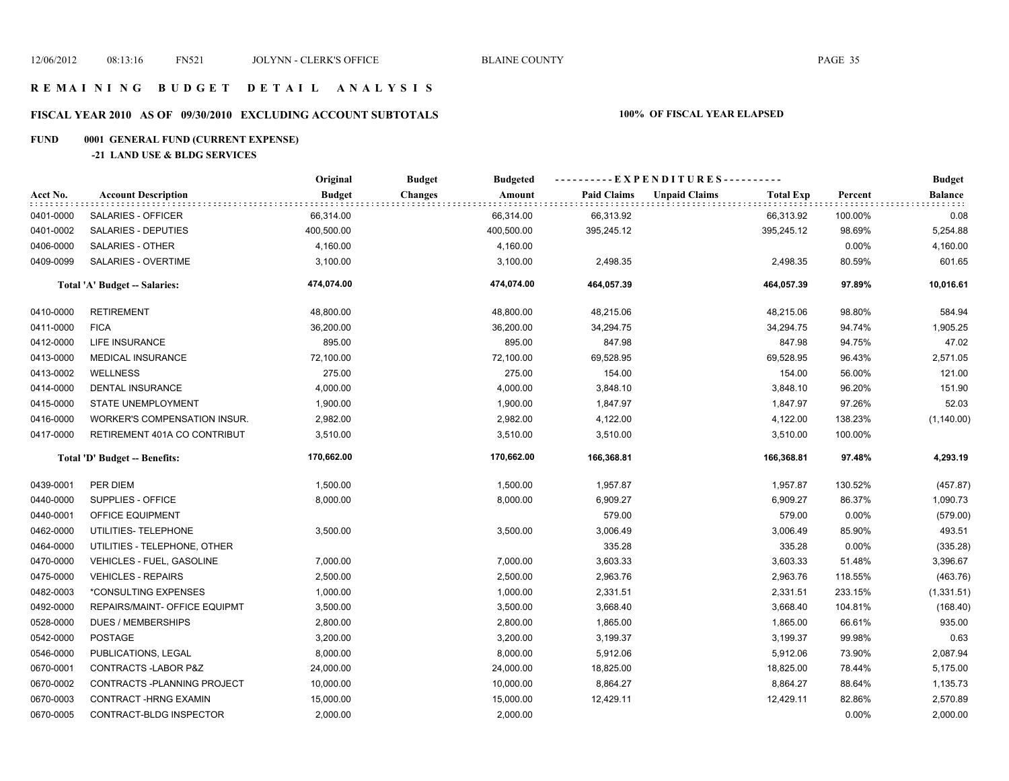# **FISCAL YEAR 2010 AS OF 09/30/2010 EXCLUDING ACCOUNT SUBTOTALS 100% OF FISCAL YEAR ELAPSED**

# **FUND 0001 GENERAL FUND (CURRENT EXPENSE)**

#### **-21 LAND USE & BLDG SERVICES**

|           | <b>Account Description</b>          | Original      | <b>Budget</b><br><b>Budgeted</b> |                    | ----------EXPENDITURES----------         |         | <b>Budget</b>               |
|-----------|-------------------------------------|---------------|----------------------------------|--------------------|------------------------------------------|---------|-----------------------------|
| Acct No.  |                                     | <b>Budget</b> | <b>Changes</b><br>Amount         | <b>Paid Claims</b> | <b>Unpaid Claims</b><br><b>Total Exp</b> | Percent | <b>Balance</b><br>: : : : : |
| 0401-0000 | SALARIES - OFFICER                  | 66,314.00     | 66,314.00                        | 66,313.92          | 66,313.92                                | 100.00% | 0.08                        |
| 0401-0002 | SALARIES - DEPUTIES                 | 400,500.00    | 400,500.00                       | 395,245.12         | 395,245.12                               | 98.69%  | 5,254.88                    |
| 0406-0000 | SALARIES - OTHER                    | 4,160.00      | 4,160.00                         |                    |                                          | 0.00%   | 4,160.00                    |
| 0409-0099 | SALARIES - OVERTIME                 | 3,100.00      | 3,100.00                         | 2,498.35           | 2,498.35                                 | 80.59%  | 601.65                      |
|           | Total 'A' Budget -- Salaries:       | 474,074.00    | 474,074.00                       | 464,057.39         | 464,057.39                               | 97.89%  | 10,016.61                   |
| 0410-0000 | <b>RETIREMENT</b>                   | 48,800.00     | 48,800.00                        | 48,215.06          | 48,215.06                                | 98.80%  | 584.94                      |
| 0411-0000 | <b>FICA</b>                         | 36,200.00     | 36,200.00                        | 34,294.75          | 34,294.75                                | 94.74%  | 1,905.25                    |
| 0412-0000 | <b>LIFE INSURANCE</b>               | 895.00        | 895.00                           | 847.98             | 847.98                                   | 94.75%  | 47.02                       |
| 0413-0000 | <b>MEDICAL INSURANCE</b>            | 72,100.00     | 72,100.00                        | 69,528.95          | 69,528.95                                | 96.43%  | 2,571.05                    |
| 0413-0002 | <b>WELLNESS</b>                     | 275.00        | 275.00                           | 154.00             | 154.00                                   | 56.00%  | 121.00                      |
| 0414-0000 | <b>DENTAL INSURANCE</b>             | 4,000.00      | 4,000.00                         | 3,848.10           | 3,848.10                                 | 96.20%  | 151.90                      |
| 0415-0000 | STATE UNEMPLOYMENT                  | 1,900.00      | 1,900.00                         | 1,847.97           | 1,847.97                                 | 97.26%  | 52.03                       |
| 0416-0000 | <b>WORKER'S COMPENSATION INSUR.</b> | 2,982.00      | 2,982.00                         | 4,122.00           | 4,122.00                                 | 138.23% | (1, 140.00)                 |
| 0417-0000 | RETIREMENT 401A CO CONTRIBUT        | 3,510.00      | 3,510.00                         | 3,510.00           | 3,510.00                                 | 100.00% |                             |
|           | Total 'D' Budget -- Benefits:       | 170,662.00    | 170,662.00                       | 166,368.81         | 166,368.81                               | 97.48%  | 4,293.19                    |
| 0439-0001 | PER DIEM                            | 1,500.00      | 1,500.00                         | 1,957.87           | 1,957.87                                 | 130.52% | (457.87)                    |
| 0440-0000 | SUPPLIES - OFFICE                   | 8,000.00      | 8,000.00                         | 6,909.27           | 6,909.27                                 | 86.37%  | 1,090.73                    |
| 0440-0001 | OFFICE EQUIPMENT                    |               |                                  | 579.00             | 579.00                                   | 0.00%   | (579.00)                    |
| 0462-0000 | UTILITIES- TELEPHONE                | 3,500.00      | 3,500.00                         | 3,006.49           | 3,006.49                                 | 85.90%  | 493.51                      |
| 0464-0000 | UTILITIES - TELEPHONE, OTHER        |               |                                  | 335.28             | 335.28                                   | 0.00%   | (335.28)                    |
| 0470-0000 | <b>VEHICLES - FUEL, GASOLINE</b>    | 7,000.00      | 7,000.00                         | 3,603.33           | 3,603.33                                 | 51.48%  | 3,396.67                    |
| 0475-0000 | <b>VEHICLES - REPAIRS</b>           | 2,500.00      | 2,500.00                         | 2,963.76           | 2,963.76                                 | 118.55% | (463.76)                    |
| 0482-0003 | *CONSULTING EXPENSES                | 1,000.00      | 1,000.00                         | 2,331.51           | 2,331.51                                 | 233.15% | (1, 331.51)                 |
| 0492-0000 | REPAIRS/MAINT- OFFICE EQUIPMT       | 3,500.00      | 3,500.00                         | 3,668.40           | 3,668.40                                 | 104.81% | (168.40)                    |
| 0528-0000 | <b>DUES / MEMBERSHIPS</b>           | 2,800.00      | 2,800.00                         | 1,865.00           | 1,865.00                                 | 66.61%  | 935.00                      |
| 0542-0000 | <b>POSTAGE</b>                      | 3,200.00      | 3,200.00                         | 3,199.37           | 3,199.37                                 | 99.98%  | 0.63                        |
| 0546-0000 | PUBLICATIONS, LEGAL                 | 8,000.00      | 8,000.00                         | 5,912.06           | 5,912.06                                 | 73.90%  | 2,087.94                    |
| 0670-0001 | CONTRACTS-LABOR P&Z                 | 24,000.00     | 24,000.00                        | 18,825.00          | 18,825.00                                | 78.44%  | 5,175.00                    |
| 0670-0002 | CONTRACTS - PLANNING PROJECT        | 10,000.00     | 10,000.00                        | 8,864.27           | 8,864.27                                 | 88.64%  | 1,135.73                    |
| 0670-0003 | <b>CONTRACT-HRNG EXAMIN</b>         | 15,000.00     | 15,000.00                        | 12,429.11          | 12,429.11                                | 82.86%  | 2,570.89                    |
| 0670-0005 | CONTRACT-BLDG INSPECTOR             | 2,000.00      | 2,000.00                         |                    |                                          | 0.00%   | 2,000.00                    |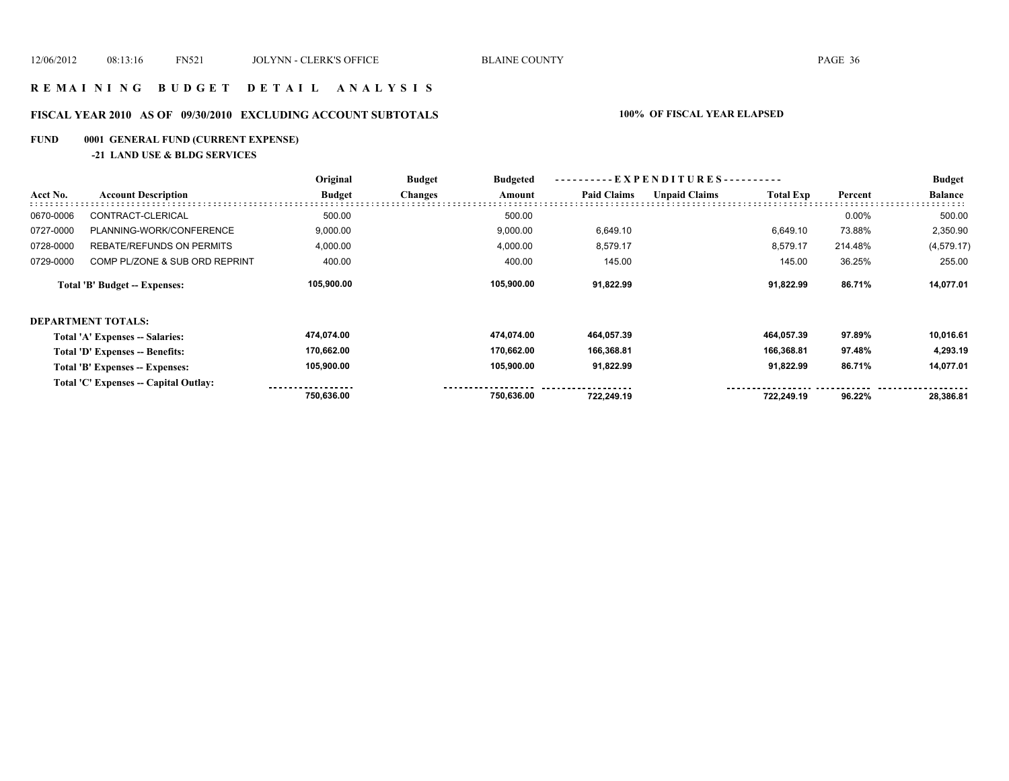# **R E M A I N I N G B U D G E T D E T A I L A N A L Y S I S**

# **FISCAL YEAR 2010 AS OF 09/30/2010 EXCLUDING ACCOUNT SUBTOTALS 100% OF FISCAL YEAR ELAPSED**

# **FUND 0001 GENERAL FUND (CURRENT EXPENSE)**

#### **-21 LAND USE & BLDG SERVICES**

|           |                                        | Original      | <b>Budget</b><br><b>Budgeted</b> | ----------EXPENDITURES---------- |                    |                      |                  | <b>Budget</b> |                |
|-----------|----------------------------------------|---------------|----------------------------------|----------------------------------|--------------------|----------------------|------------------|---------------|----------------|
| Acct No.  | <b>Account Description</b>             | <b>Budget</b> | <b>Changes</b>                   | Amount                           | <b>Paid Claims</b> | <b>Unpaid Claims</b> | <b>Total Exp</b> | Percent       | <b>Balance</b> |
| 0670-0006 | CONTRACT-CLERICAL                      | 500.00        |                                  | 500.00                           |                    |                      |                  | $0.00\%$      | 500.00         |
| 0727-0000 | PLANNING-WORK/CONFERENCE               | 9,000.00      |                                  | 9,000.00                         | 6,649.10           |                      | 6,649.10         | 73.88%        | 2,350.90       |
| 0728-0000 | <b>REBATE/REFUNDS ON PERMITS</b>       | 4,000.00      |                                  | 4,000.00                         | 8,579.17           |                      | 8,579.17         | 214.48%       | (4,579.17)     |
| 0729-0000 | COMP PL/ZONE & SUB ORD REPRINT         | 400.00        |                                  | 400.00                           | 145.00             |                      | 145.00           | 36.25%        | 255.00         |
|           | Total 'B' Budget -- Expenses:          | 105,900.00    |                                  | 105,900.00                       | 91,822.99          |                      | 91,822.99        | 86.71%        | 14,077.01      |
|           | DEPARTMENT TOTALS:                     |               |                                  |                                  |                    |                      |                  |               |                |
|           | <b>Total 'A' Expenses -- Salaries:</b> | 474,074.00    |                                  | 474,074.00                       | 464,057.39         |                      | 464,057.39       | 97.89%        | 10,016.61      |
|           | <b>Total 'D' Expenses -- Benefits:</b> | 170,662.00    |                                  | 170,662.00                       | 166,368.81         |                      | 166,368.81       | 97.48%        | 4,293.19       |
|           | Total 'B' Expenses -- Expenses:        | 105,900.00    |                                  | 105,900.00                       | 91,822.99          |                      | 91,822.99        | 86.71%        | 14,077.01      |
|           | Total 'C' Expenses -- Capital Outlay:  |               |                                  |                                  |                    |                      |                  |               |                |
|           |                                        | 750,636.00    |                                  | 750,636.00                       | 722.249.19         |                      | 722.249.19       | 96.22%        | 28,386.81      |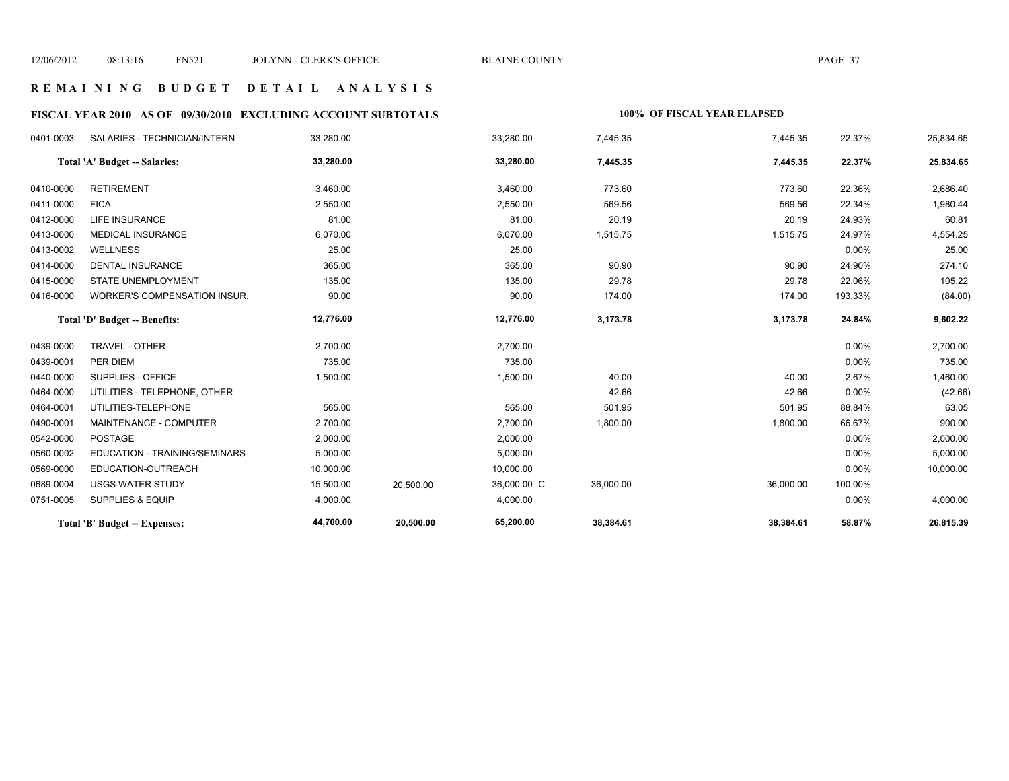### **R E M A I N I N G B U D G E T D E T A I L A N A L Y S I S**

# **FISCAL YEAR 2010 AS OF 09/30/2010 EXCLUDING ACCOUNT SUBTOTALS 100% OF FISCAL YEAR ELAPSED**

| 0401-0003 | SALARIES - TECHNICIAN/INTERN         | 33,280.00 |           | 33,280.00   | 7,445.35  | 7,445.35  | 22.37%   | 25,834.65 |
|-----------|--------------------------------------|-----------|-----------|-------------|-----------|-----------|----------|-----------|
|           | Total 'A' Budget -- Salaries:        | 33,280.00 |           | 33,280.00   | 7,445.35  | 7,445.35  | 22.37%   | 25,834.65 |
| 0410-0000 | <b>RETIREMENT</b>                    | 3,460.00  |           | 3,460.00    | 773.60    | 773.60    | 22.36%   | 2,686.40  |
| 0411-0000 | <b>FICA</b>                          | 2,550.00  |           | 2,550.00    | 569.56    | 569.56    | 22.34%   | 1,980.44  |
| 0412-0000 | LIFE INSURANCE                       | 81.00     |           | 81.00       | 20.19     | 20.19     | 24.93%   | 60.81     |
| 0413-0000 | <b>MEDICAL INSURANCE</b>             | 6,070.00  |           | 6,070.00    | 1,515.75  | 1,515.75  | 24.97%   | 4,554.25  |
| 0413-0002 | <b>WELLNESS</b>                      | 25.00     |           | 25.00       |           |           | $0.00\%$ | 25.00     |
| 0414-0000 | <b>DENTAL INSURANCE</b>              | 365.00    |           | 365.00      | 90.90     | 90.90     | 24.90%   | 274.10    |
| 0415-0000 | <b>STATE UNEMPLOYMENT</b>            | 135.00    |           | 135.00      | 29.78     | 29.78     | 22.06%   | 105.22    |
| 0416-0000 | <b>WORKER'S COMPENSATION INSUR.</b>  | 90.00     |           | 90.00       | 174.00    | 174.00    | 193.33%  | (84.00)   |
|           | Total 'D' Budget -- Benefits:        | 12,776.00 |           | 12,776.00   | 3,173.78  | 3,173.78  | 24.84%   | 9,602.22  |
| 0439-0000 | TRAVEL - OTHER                       | 2,700.00  |           | 2,700.00    |           |           | 0.00%    | 2,700.00  |
| 0439-0001 | PER DIEM                             | 735.00    |           | 735.00      |           |           | 0.00%    | 735.00    |
| 0440-0000 | SUPPLIES - OFFICE                    | 1,500.00  |           | 1,500.00    | 40.00     | 40.00     | 2.67%    | 1,460.00  |
| 0464-0000 | UTILITIES - TELEPHONE, OTHER         |           |           |             | 42.66     | 42.66     | $0.00\%$ | (42.66)   |
| 0464-0001 | UTILITIES-TELEPHONE                  | 565.00    |           | 565.00      | 501.95    | 501.95    | 88.84%   | 63.05     |
| 0490-0001 | MAINTENANCE - COMPUTER               | 2,700.00  |           | 2,700.00    | 1,800.00  | 1,800.00  | 66.67%   | 900.00    |
| 0542-0000 | <b>POSTAGE</b>                       | 2,000.00  |           | 2,000.00    |           |           | 0.00%    | 2,000.00  |
| 0560-0002 | <b>EDUCATION - TRAINING/SEMINARS</b> | 5,000.00  |           | 5,000.00    |           |           | 0.00%    | 5,000.00  |
| 0569-0000 | EDUCATION-OUTREACH                   | 10,000.00 |           | 10,000.00   |           |           | 0.00%    | 10,000.00 |
| 0689-0004 | <b>USGS WATER STUDY</b>              | 15,500.00 | 20,500.00 | 36,000.00 C | 36,000.00 | 36,000.00 | 100.00%  |           |
| 0751-0005 | <b>SUPPLIES &amp; EQUIP</b>          | 4,000.00  |           | 4,000.00    |           |           | 0.00%    | 4,000.00  |
|           | Total 'B' Budget -- Expenses:        | 44,700.00 | 20,500.00 | 65,200.00   | 38,384.61 | 38,384.61 | 58.87%   | 26,815.39 |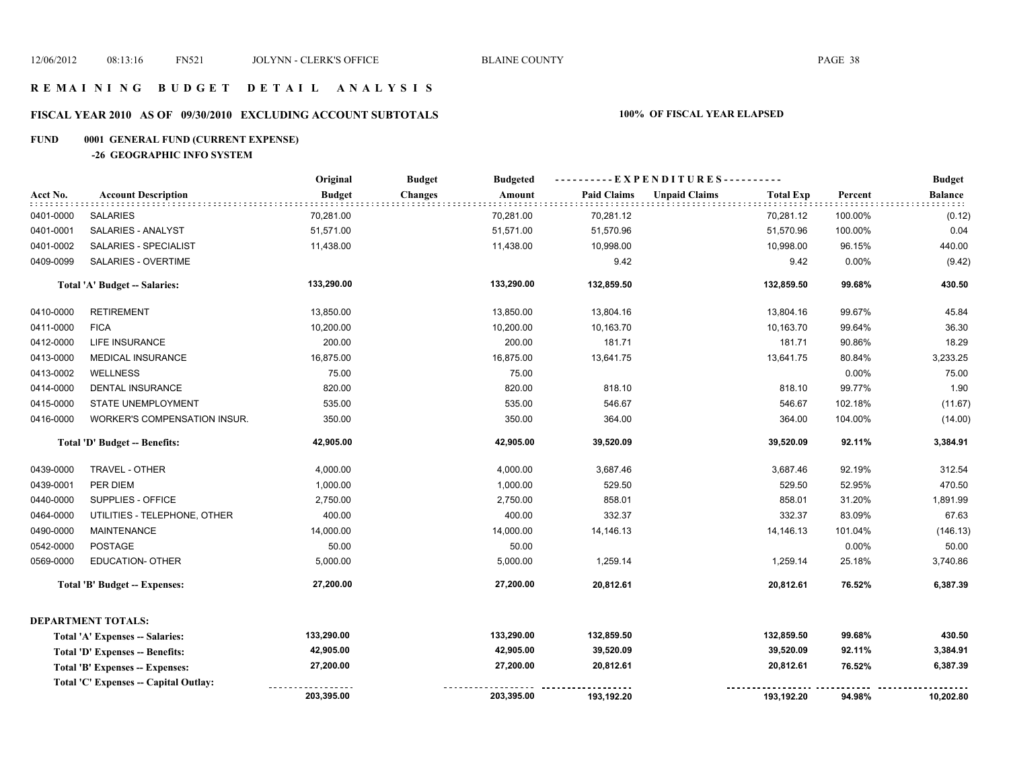# **FISCAL YEAR 2010 AS OF 09/30/2010 EXCLUDING ACCOUNT SUBTOTALS 100% OF FISCAL YEAR ELAPSED**

# **FUND 0001 GENERAL FUND (CURRENT EXPENSE)**

**-26 GEOGRAPHIC INFO SYSTEM**

|           |                                       | Original      | <b>Budget</b><br><b>Budgeted</b> |                    | ----------EXPENDITURES----------         |         | <b>Budget</b>  |
|-----------|---------------------------------------|---------------|----------------------------------|--------------------|------------------------------------------|---------|----------------|
| Acct No.  | <b>Account Description</b>            | <b>Budget</b> | <b>Changes</b><br>Amount         | <b>Paid Claims</b> | <b>Unpaid Claims</b><br><b>Total Exp</b> | Percent | <b>Balance</b> |
| 0401-0000 | <b>SALARIES</b>                       | 70,281.00     | 70,281.00                        | 70,281.12          | 70,281.12                                | 100.00% | (0.12)         |
| 0401-0001 | SALARIES - ANALYST                    | 51,571.00     | 51,571.00                        | 51,570.96          | 51,570.96                                | 100.00% | 0.04           |
| 0401-0002 | <b>SALARIES - SPECIALIST</b>          | 11,438.00     | 11,438.00                        | 10,998.00          | 10,998.00                                | 96.15%  | 440.00         |
| 0409-0099 | SALARIES - OVERTIME                   |               |                                  | 9.42               | 9.42                                     | 0.00%   | (9.42)         |
|           | Total 'A' Budget -- Salaries:         | 133,290.00    | 133,290.00                       | 132,859.50         | 132,859.50                               | 99.68%  | 430.50         |
| 0410-0000 | <b>RETIREMENT</b>                     | 13,850.00     | 13,850.00                        | 13,804.16          | 13,804.16                                | 99.67%  | 45.84          |
| 0411-0000 | <b>FICA</b>                           | 10,200.00     | 10,200.00                        | 10,163.70          | 10,163.70                                | 99.64%  | 36.30          |
| 0412-0000 | LIFE INSURANCE                        | 200.00        | 200.00                           | 181.71             | 181.71                                   | 90.86%  | 18.29          |
| 0413-0000 | <b>MEDICAL INSURANCE</b>              | 16,875.00     | 16,875.00                        | 13,641.75          | 13,641.75                                | 80.84%  | 3,233.25       |
| 0413-0002 | WELLNESS                              | 75.00         | 75.00                            |                    |                                          | 0.00%   | 75.00          |
| 0414-0000 | <b>DENTAL INSURANCE</b>               | 820.00        | 820.00                           | 818.10             | 818.10                                   | 99.77%  | 1.90           |
| 0415-0000 | <b>STATE UNEMPLOYMENT</b>             | 535.00        | 535.00                           | 546.67             | 546.67                                   | 102.18% | (11.67)        |
| 0416-0000 | WORKER'S COMPENSATION INSUR.          | 350.00        | 350.00                           | 364.00             | 364.00                                   | 104.00% | (14.00)        |
|           | Total 'D' Budget -- Benefits:         | 42,905.00     | 42,905.00                        | 39,520.09          | 39,520.09                                | 92.11%  | 3,384.91       |
| 0439-0000 | TRAVEL - OTHER                        | 4,000.00      | 4,000.00                         | 3,687.46           | 3,687.46                                 | 92.19%  | 312.54         |
| 0439-0001 | PER DIEM                              | 1,000.00      | 1,000.00                         | 529.50             | 529.50                                   | 52.95%  | 470.50         |
| 0440-0000 | SUPPLIES - OFFICE                     | 2,750.00      | 2,750.00                         | 858.01             | 858.01                                   | 31.20%  | 1,891.99       |
| 0464-0000 | UTILITIES - TELEPHONE, OTHER          | 400.00        | 400.00                           | 332.37             | 332.37                                   | 83.09%  | 67.63          |
| 0490-0000 | <b>MAINTENANCE</b>                    | 14,000.00     | 14,000.00                        | 14,146.13          | 14,146.13                                | 101.04% | (146.13)       |
| 0542-0000 | POSTAGE                               | 50.00         | 50.00                            |                    |                                          | 0.00%   | 50.00          |
| 0569-0000 | <b>EDUCATION- OTHER</b>               | 5,000.00      | 5,000.00                         | 1,259.14           | 1,259.14                                 | 25.18%  | 3,740.86       |
|           | <b>Total 'B' Budget -- Expenses:</b>  | 27,200.00     | 27,200.00                        | 20,812.61          | 20,812.61                                | 76.52%  | 6,387.39       |
|           | <b>DEPARTMENT TOTALS:</b>             |               |                                  |                    |                                          |         |                |
|           | Total 'A' Expenses -- Salaries:       | 133,290.00    | 133,290.00                       | 132,859.50         | 132,859.50                               | 99.68%  | 430.50         |
|           | Total 'D' Expenses -- Benefits:       | 42,905.00     | 42,905.00                        | 39,520.09          | 39,520.09                                | 92.11%  | 3,384.91       |
|           | Total 'B' Expenses -- Expenses:       | 27,200.00     | 27,200.00                        | 20,812.61          | 20,812.61                                | 76.52%  | 6,387.39       |
|           | Total 'C' Expenses -- Capital Outlay: |               |                                  |                    |                                          |         |                |
|           |                                       | 203,395.00    | 203,395.00                       | 193,192.20         | 193,192.20                               | 94.98%  | 10,202.80      |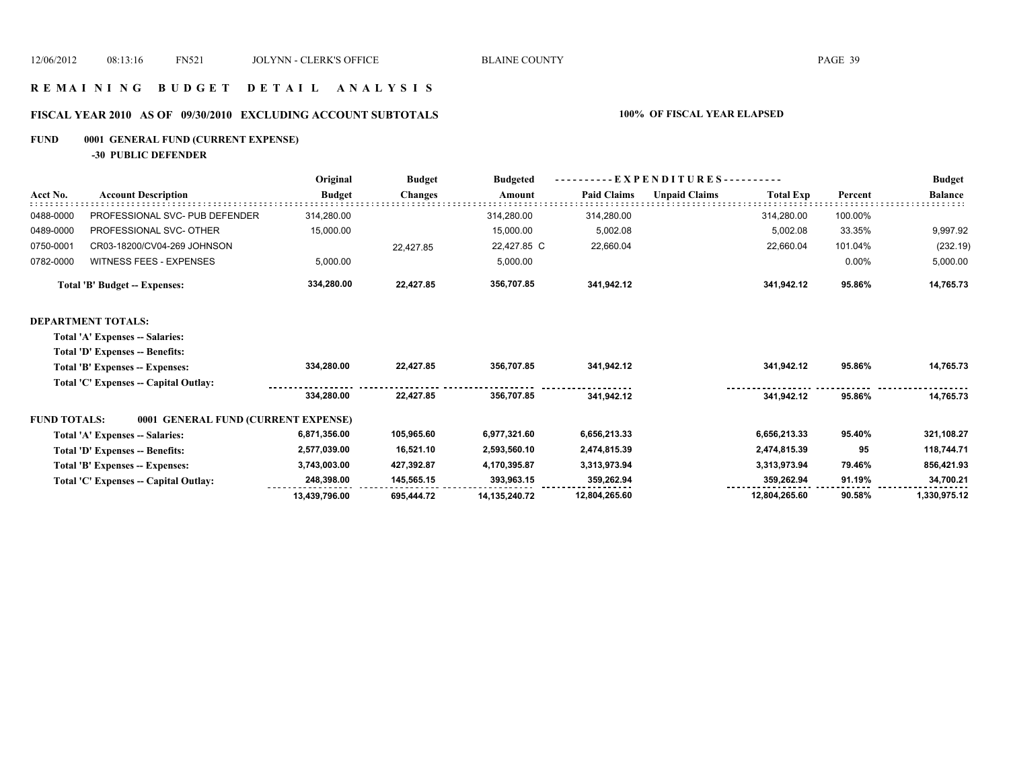### **R E M A I N I N G B U D G E T D E T A I L A N A L Y S I S**

# **FISCAL YEAR 2010 AS OF 09/30/2010 EXCLUDING ACCOUNT SUBTOTALS 100% OF FISCAL YEAR ELAPSED**

# **FUND 0001 GENERAL FUND (CURRENT EXPENSE)**

**-30 PUBLIC DEFENDER**

|                     |                                       | Original      | <b>Budget</b>  | <b>Budgeted</b>  | EXPENDITURES--     |                      |                  |         | <b>Budget</b>  |
|---------------------|---------------------------------------|---------------|----------------|------------------|--------------------|----------------------|------------------|---------|----------------|
| Acct No.            | <b>Account Description</b>            | <b>Budget</b> | <b>Changes</b> | Amount           | <b>Paid Claims</b> | <b>Unpaid Claims</b> | <b>Total Exp</b> | Percent | <b>Balance</b> |
| 0488-0000           | PROFESSIONAL SVC- PUB DEFENDER        | 314,280.00    |                | 314,280.00       | 314,280.00         |                      | 314,280.00       | 100.00% |                |
| 0489-0000           | PROFESSIONAL SVC- OTHER               | 15,000.00     |                | 15,000.00        | 5,002.08           |                      | 5,002.08         | 33.35%  | 9,997.92       |
| 0750-0001           | CR03-18200/CV04-269 JOHNSON           |               | 22,427.85      | 22,427.85 C      | 22,660.04          |                      | 22,660.04        | 101.04% | (232.19)       |
| 0782-0000           | WITNESS FEES - EXPENSES               | 5,000.00      |                | 5,000.00         |                    |                      |                  | 0.00%   | 5,000.00       |
|                     | <b>Total 'B' Budget -- Expenses:</b>  | 334,280.00    | 22,427.85      | 356,707.85       | 341,942.12         |                      | 341,942.12       | 95.86%  | 14,765.73      |
|                     | <b>DEPARTMENT TOTALS:</b>             |               |                |                  |                    |                      |                  |         |                |
|                     | Total 'A' Expenses -- Salaries:       |               |                |                  |                    |                      |                  |         |                |
|                     | Total 'D' Expenses -- Benefits:       |               |                |                  |                    |                      |                  |         |                |
|                     | Total 'B' Expenses -- Expenses:       | 334,280.00    | 22,427.85      | 356,707.85       | 341,942.12         |                      | 341,942.12       | 95.86%  | 14,765.73      |
|                     | Total 'C' Expenses -- Capital Outlay: |               |                |                  |                    |                      |                  |         |                |
|                     |                                       | 334,280.00    | 22,427.85      | 356,707.85       | 341.942.12         |                      | 341.942.12       | 95.86%  | 14,765.73      |
| <b>FUND TOTALS:</b> | 0001 GENERAL FUND (CURRENT EXPENSE)   |               |                |                  |                    |                      |                  |         |                |
|                     | Total 'A' Expenses -- Salaries:       | 6,871,356.00  | 105,965.60     | 6,977,321.60     | 6,656,213.33       |                      | 6,656,213.33     | 95.40%  | 321,108.27     |
|                     | Total 'D' Expenses -- Benefits:       | 2,577,039.00  | 16,521.10      | 2,593,560.10     | 2,474,815.39       |                      | 2,474,815.39     | 95      | 118,744.71     |
|                     | Total 'B' Expenses -- Expenses:       | 3,743,003.00  | 427,392.87     | 4,170,395.87     | 3,313,973.94       |                      | 3,313,973.94     | 79.46%  | 856,421.93     |
|                     | Total 'C' Expenses -- Capital Outlay: | 248,398.00    | 145,565.15     | 393,963.15       | 359,262.94         |                      | 359,262.94       | 91.19%  | 34,700.21      |
|                     |                                       | 13,439,796.00 | 695,444.72     | 14, 135, 240. 72 | 12,804,265.60      |                      | 12,804,265.60    | 90.58%  | 1,330,975.12   |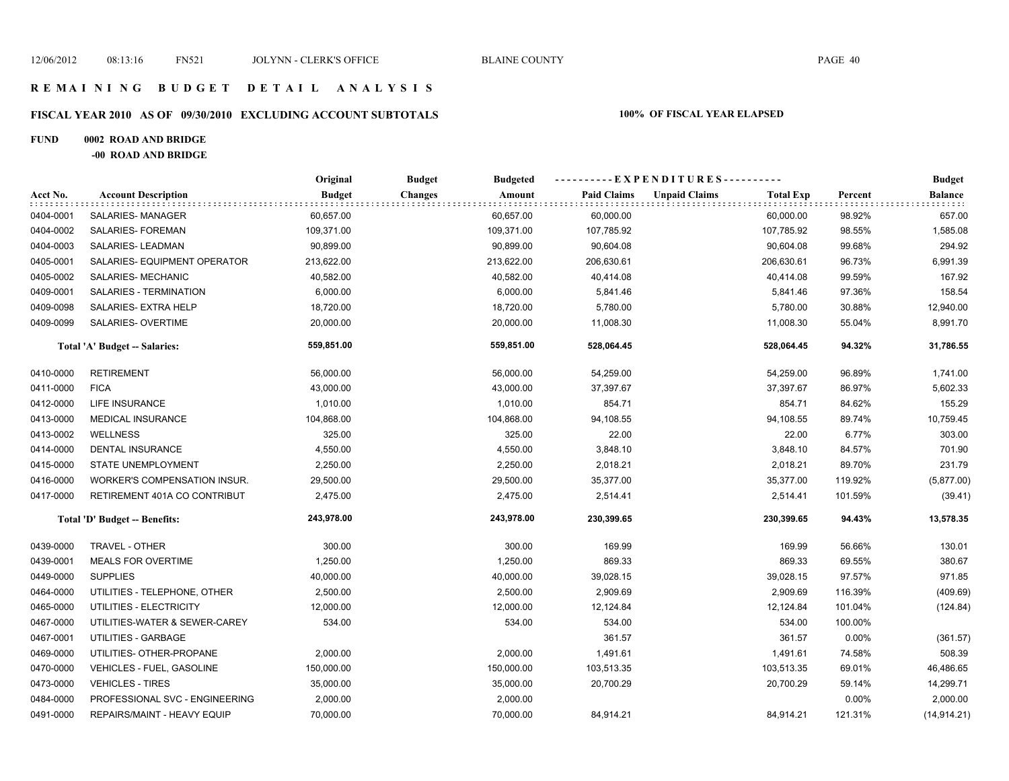# **FISCAL YEAR 2010 AS OF 09/30/2010 EXCLUDING ACCOUNT SUBTOTALS 100% OF FISCAL YEAR ELAPSED**

#### **FUND 0002 ROAD AND BRIDGE**

**-00 ROAD AND BRIDGE**

|           |                                | Original      | <b>Budget</b><br><b>Budgeted</b> | ----------EXPENDITURES---------- |                      |                  |         | <b>Budget</b>  |
|-----------|--------------------------------|---------------|----------------------------------|----------------------------------|----------------------|------------------|---------|----------------|
| Acct No.  | <b>Account Description</b>     | <b>Budget</b> | <b>Changes</b><br>Amount         | <b>Paid Claims</b>               | <b>Unpaid Claims</b> | <b>Total Exp</b> | Percent | <b>Balance</b> |
| 0404-0001 | SALARIES-MANAGER               | 60,657.00     | 60,657.00                        | 60,000.00                        |                      | 60,000.00        | 98.92%  | 657.00         |
| 0404-0002 | SALARIES- FOREMAN              | 109,371.00    | 109,371.00                       | 107,785.92                       |                      | 107,785.92       | 98.55%  | 1,585.08       |
| 0404-0003 | SALARIES-LEADMAN               | 90,899.00     | 90,899.00                        | 90,604.08                        |                      | 90,604.08        | 99.68%  | 294.92         |
| 0405-0001 | SALARIES- EQUIPMENT OPERATOR   | 213,622.00    | 213,622.00                       | 206,630.61                       |                      | 206,630.61       | 96.73%  | 6,991.39       |
| 0405-0002 | SALARIES- MECHANIC             | 40,582.00     | 40,582.00                        | 40,414.08                        |                      | 40,414.08        | 99.59%  | 167.92         |
| 0409-0001 | SALARIES - TERMINATION         | 6,000.00      | 6,000.00                         | 5,841.46                         |                      | 5,841.46         | 97.36%  | 158.54         |
| 0409-0098 | SALARIES- EXTRA HELP           | 18,720.00     | 18,720.00                        | 5,780.00                         |                      | 5,780.00         | 30.88%  | 12,940.00      |
| 0409-0099 | SALARIES- OVERTIME             | 20,000.00     | 20,000.00                        | 11,008.30                        |                      | 11,008.30        | 55.04%  | 8,991.70       |
|           | Total 'A' Budget -- Salaries:  | 559,851.00    | 559,851.00                       | 528,064.45                       |                      | 528,064.45       | 94.32%  | 31,786.55      |
| 0410-0000 | <b>RETIREMENT</b>              | 56,000.00     | 56,000.00                        | 54,259.00                        |                      | 54,259.00        | 96.89%  | 1,741.00       |
| 0411-0000 | <b>FICA</b>                    | 43,000.00     | 43,000.00                        | 37,397.67                        |                      | 37,397.67        | 86.97%  | 5,602.33       |
| 0412-0000 | LIFE INSURANCE                 | 1,010.00      | 1,010.00                         | 854.71                           |                      | 854.71           | 84.62%  | 155.29         |
| 0413-0000 | <b>MEDICAL INSURANCE</b>       | 104,868.00    | 104,868.00                       | 94,108.55                        |                      | 94,108.55        | 89.74%  | 10,759.45      |
| 0413-0002 | <b>WELLNESS</b>                | 325.00        | 325.00                           | 22.00                            |                      | 22.00            | 6.77%   | 303.00         |
| 0414-0000 | DENTAL INSURANCE               | 4,550.00      | 4,550.00                         | 3,848.10                         |                      | 3,848.10         | 84.57%  | 701.90         |
| 0415-0000 | <b>STATE UNEMPLOYMENT</b>      | 2,250.00      | 2,250.00                         | 2,018.21                         |                      | 2,018.21         | 89.70%  | 231.79         |
| 0416-0000 | WORKER'S COMPENSATION INSUR.   | 29,500.00     | 29,500.00                        | 35,377.00                        |                      | 35,377.00        | 119.92% | (5,877.00)     |
| 0417-0000 | RETIREMENT 401A CO CONTRIBUT   | 2,475.00      | 2,475.00                         | 2,514.41                         |                      | 2,514.41         | 101.59% | (39.41)        |
|           | Total 'D' Budget -- Benefits:  | 243,978.00    | 243,978.00                       | 230,399.65                       |                      | 230,399.65       | 94.43%  | 13,578.35      |
| 0439-0000 | TRAVEL - OTHER                 | 300.00        | 300.00                           | 169.99                           |                      | 169.99           | 56.66%  | 130.01         |
| 0439-0001 | <b>MEALS FOR OVERTIME</b>      | 1,250.00      | 1,250.00                         | 869.33                           |                      | 869.33           | 69.55%  | 380.67         |
| 0449-0000 | <b>SUPPLIES</b>                | 40,000.00     | 40,000.00                        | 39,028.15                        |                      | 39,028.15        | 97.57%  | 971.85         |
| 0464-0000 | UTILITIES - TELEPHONE, OTHER   | 2,500.00      | 2,500.00                         | 2,909.69                         |                      | 2,909.69         | 116.39% | (409.69)       |
| 0465-0000 | UTILITIES - ELECTRICITY        | 12,000.00     | 12,000.00                        | 12,124.84                        |                      | 12,124.84        | 101.04% | (124.84)       |
| 0467-0000 | UTILITIES-WATER & SEWER-CAREY  | 534.00        | 534.00                           | 534.00                           |                      | 534.00           | 100.00% |                |
| 0467-0001 | UTILITIES - GARBAGE            |               |                                  | 361.57                           |                      | 361.57           | 0.00%   | (361.57)       |
| 0469-0000 | UTILITIES- OTHER-PROPANE       | 2,000.00      | 2,000.00                         | 1,491.61                         |                      | 1,491.61         | 74.58%  | 508.39         |
| 0470-0000 | VEHICLES - FUEL, GASOLINE      | 150,000.00    | 150,000.00                       | 103,513.35                       |                      | 103,513.35       | 69.01%  | 46,486.65      |
| 0473-0000 | <b>VEHICLES - TIRES</b>        | 35,000.00     | 35,000.00                        | 20,700.29                        |                      | 20,700.29        | 59.14%  | 14,299.71      |
| 0484-0000 | PROFESSIONAL SVC - ENGINEERING | 2,000.00      | 2,000.00                         |                                  |                      |                  | 0.00%   | 2,000.00       |
| 0491-0000 | REPAIRS/MAINT - HEAVY EQUIP    | 70,000.00     | 70,000.00                        | 84,914.21                        |                      | 84,914.21        | 121.31% | (14, 914.21)   |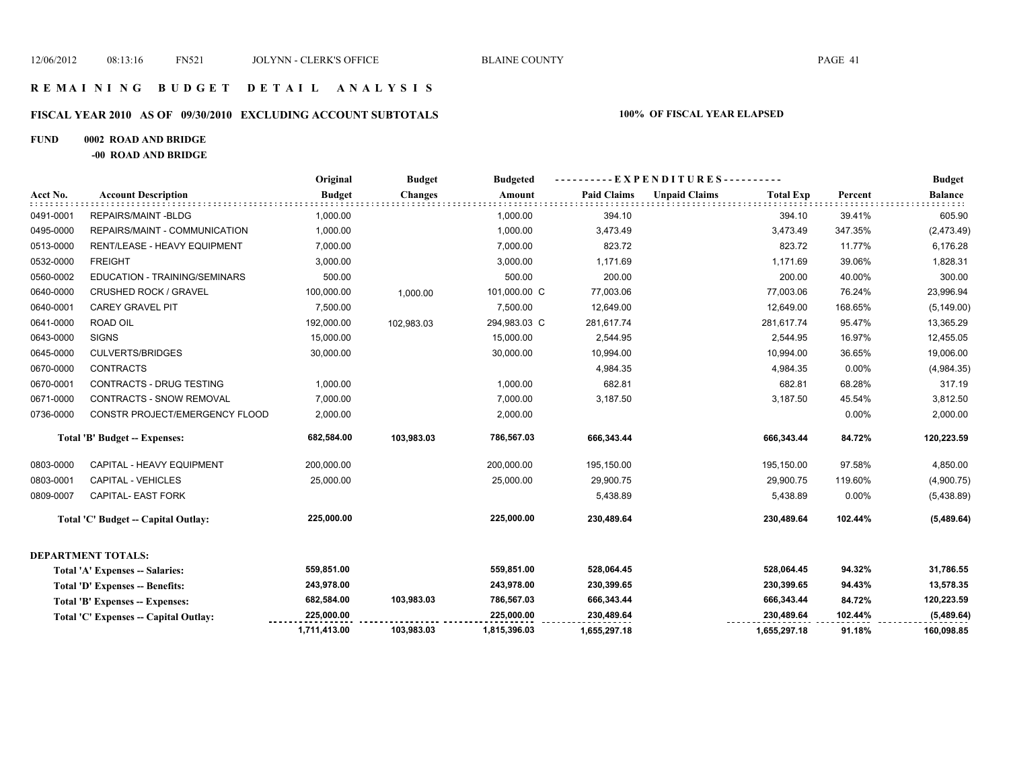### **FISCAL YEAR 2010 AS OF 09/30/2010 EXCLUDING ACCOUNT SUBTOTALS 100% OF FISCAL YEAR ELAPSED**

### **FUND 0002 ROAD AND BRIDGE**

**-00 ROAD AND BRIDGE**

|           |                                        | Original      | <b>Budget</b><br><b>Budgeted</b> | --EXPENDITURES---------- |                    |                      |                  | <b>Budget</b> |                |
|-----------|----------------------------------------|---------------|----------------------------------|--------------------------|--------------------|----------------------|------------------|---------------|----------------|
| Acct No.  | <b>Account Description</b>             | <b>Budget</b> | <b>Changes</b>                   | Amount                   | <b>Paid Claims</b> | <b>Unpaid Claims</b> | <b>Total Exp</b> | Percent       | <b>Balance</b> |
| 0491-0001 | REPAIRS/MAINT-BLDG                     | 1,000.00      |                                  | 1,000.00                 | 394.10             |                      | 394.10           | 39.41%        | 605.90         |
| 0495-0000 | REPAIRS/MAINT - COMMUNICATION          | 1,000.00      |                                  | 1,000.00                 | 3,473.49           |                      | 3,473.49         | 347.35%       | (2,473.49)     |
| 0513-0000 | RENT/LEASE - HEAVY EQUIPMENT           | 7,000.00      |                                  | 7,000.00                 | 823.72             |                      | 823.72           | 11.77%        | 6,176.28       |
| 0532-0000 | <b>FREIGHT</b>                         | 3,000.00      |                                  | 3,000.00                 | 1,171.69           |                      | 1,171.69         | 39.06%        | 1,828.31       |
| 0560-0002 | EDUCATION - TRAINING/SEMINARS          | 500.00        |                                  | 500.00                   | 200.00             |                      | 200.00           | 40.00%        | 300.00         |
| 0640-0000 | <b>CRUSHED ROCK / GRAVEL</b>           | 100,000.00    | 1,000.00                         | 101,000.00 C             | 77,003.06          |                      | 77,003.06        | 76.24%        | 23,996.94      |
| 0640-0001 | <b>CAREY GRAVEL PIT</b>                | 7,500.00      |                                  | 7,500.00                 | 12,649.00          |                      | 12,649.00        | 168.65%       | (5, 149.00)    |
| 0641-0000 | ROAD OIL                               | 192,000.00    | 102,983.03                       | 294,983.03 C             | 281,617.74         |                      | 281,617.74       | 95.47%        | 13,365.29      |
| 0643-0000 | <b>SIGNS</b>                           | 15,000.00     |                                  | 15,000.00                | 2,544.95           |                      | 2,544.95         | 16.97%        | 12,455.05      |
| 0645-0000 | <b>CULVERTS/BRIDGES</b>                | 30,000.00     |                                  | 30,000.00                | 10,994.00          |                      | 10,994.00        | 36.65%        | 19,006.00      |
| 0670-0000 | <b>CONTRACTS</b>                       |               |                                  |                          | 4,984.35           |                      | 4,984.35         | 0.00%         | (4,984.35)     |
| 0670-0001 | CONTRACTS - DRUG TESTING               | 1,000.00      |                                  | 1,000.00                 | 682.81             |                      | 682.81           | 68.28%        | 317.19         |
| 0671-0000 | <b>CONTRACTS - SNOW REMOVAL</b>        | 7,000.00      |                                  | 7,000.00                 | 3,187.50           |                      | 3,187.50         | 45.54%        | 3,812.50       |
| 0736-0000 | CONSTR PROJECT/EMERGENCY FLOOD         | 2,000.00      |                                  | 2,000.00                 |                    |                      |                  | 0.00%         | 2,000.00       |
|           | Total 'B' Budget -- Expenses:          | 682,584.00    | 103,983.03                       | 786,567.03               | 666,343.44         |                      | 666,343.44       | 84.72%        | 120,223.59     |
| 0803-0000 | CAPITAL - HEAVY EQUIPMENT              | 200,000.00    |                                  | 200,000.00               | 195,150.00         |                      | 195,150.00       | 97.58%        | 4,850.00       |
| 0803-0001 | <b>CAPITAL - VEHICLES</b>              | 25,000.00     |                                  | 25,000.00                | 29,900.75          |                      | 29,900.75        | 119.60%       | (4,900.75)     |
| 0809-0007 | CAPITAL- EAST FORK                     |               |                                  |                          | 5,438.89           |                      | 5,438.89         | 0.00%         | (5,438.89)     |
|           | Total 'C' Budget -- Capital Outlay:    | 225,000.00    |                                  | 225,000.00               | 230,489.64         |                      | 230,489.64       | 102.44%       | (5,489.64)     |
|           | <b>DEPARTMENT TOTALS:</b>              |               |                                  |                          |                    |                      |                  |               |                |
|           | Total 'A' Expenses -- Salaries:        | 559,851.00    |                                  | 559,851.00               | 528,064.45         |                      | 528,064.45       | 94.32%        | 31,786.55      |
|           | <b>Total 'D' Expenses -- Benefits:</b> | 243,978.00    |                                  | 243,978.00               | 230,399.65         |                      | 230,399.65       | 94.43%        | 13,578.35      |
|           | Total 'B' Expenses -- Expenses:        | 682,584.00    | 103,983.03                       | 786,567.03               | 666,343.44         |                      | 666,343.44       | 84.72%        | 120,223.59     |
|           | Total 'C' Expenses -- Capital Outlay:  | 225,000.00    |                                  | 225.000.00               | 230,489.64         |                      | 230,489.64       | 102.44%       | (5,489.64)     |
|           |                                        | 1,711,413.00  | 103,983.03                       | 1,815,396.03             | 1,655,297.18       |                      | 1,655,297.18     | 91.18%        | 160,098.85     |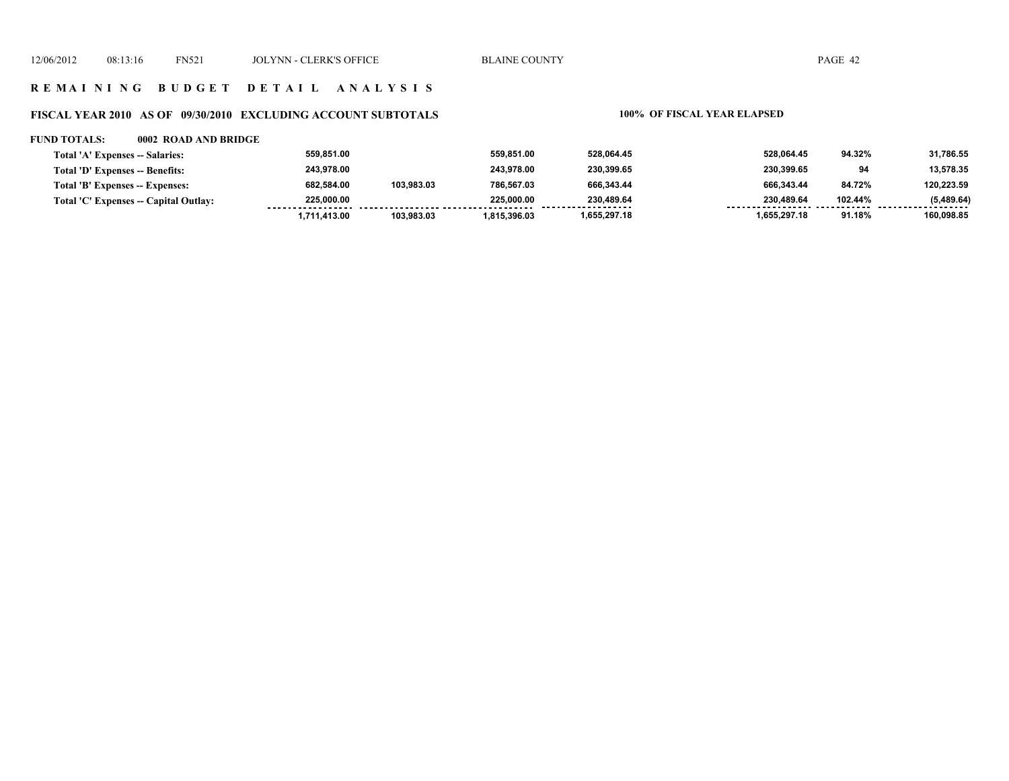### **R E M A I N I N G B U D G E T D E T A I L A N A L Y S I S**

### **FISCAL YEAR 2010 AS OF 09/30/2010 EXCLUDING ACCOUNT SUBTOTALS 100% OF FISCAL YEAR ELAPSED**

#### **FUND TOTALS: 0002 ROAD AND BRIDGE**

| Total 'A' Expenses -- Salaries:       | 559.851.00   |            | 559.851.00   | 528.064.45      | 528.064.45   | 94.32%  | 31,786.55       |
|---------------------------------------|--------------|------------|--------------|-----------------|--------------|---------|-----------------|
| Total 'D' Expenses -- Benefits:       | 243.978.00   |            | 243.978.00   | 230.399.65      | 230,399.65   | 94      | 13,578.35       |
| Total 'B' Expenses -- Expenses:       | 682.584.00   | 103.983.03 | 786.567.03   | 666.343.44      | 666.343.44   | 84.72%  | 120.223.59      |
| Total 'C' Expenses -- Capital Outlay: | 225.000.00   |            | 225.000.00   | 230.489.64<br>. | 230.489.64   | 102.44% | (5,489.64)<br>. |
|                                       | 1.711.413.00 | 103.983.03 | 1.815.396.03 | 1,655,297.18    | 1.655.297.18 | 91.18%  | 160,098.85      |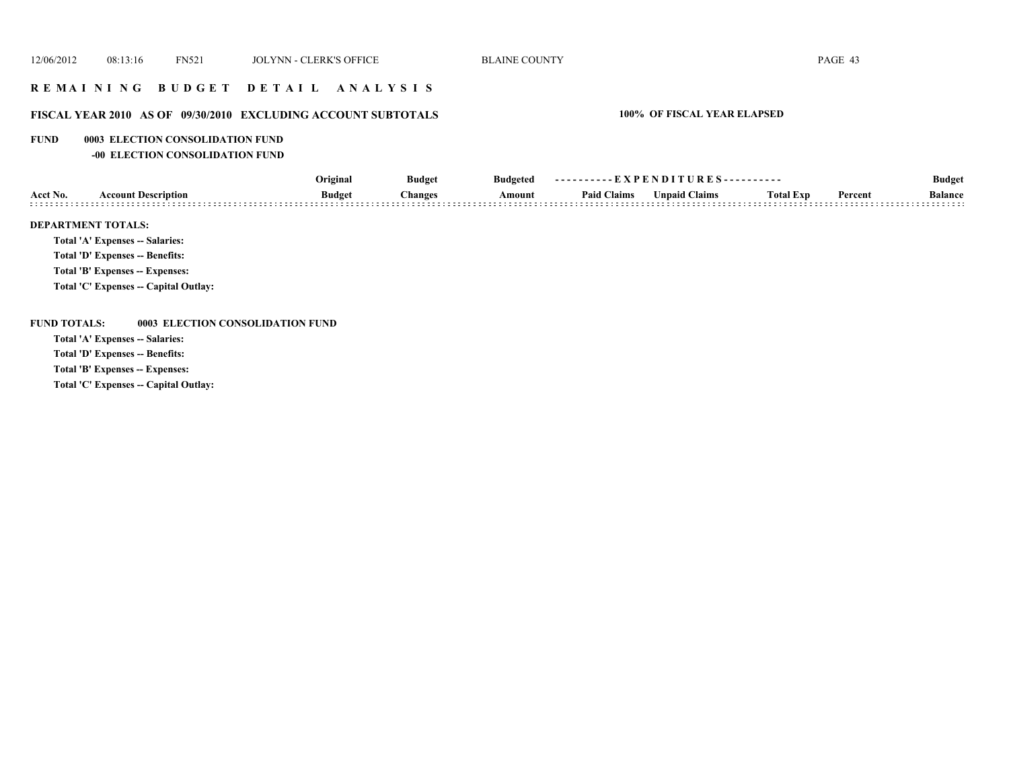# **R E M A I N I N G B U D G E T D E T A I L A N A L Y S I S**

# **FISCAL YEAR 2010 AS OF 09/30/2010 EXCLUDING ACCOUNT SUBTOTALS 100% OF FISCAL YEAR ELAPSED**

#### **FUND 0003 ELECTION CONSOLIDATION FUND**

**-00 ELECTION CONSOLIDATION FUND**

|          |                                 | Original      | <b>Budget</b> | <b>Budgeted</b> | ----------EXPENDITURES---------- |               |                  |         | <b>Budget</b>  |  |
|----------|---------------------------------|---------------|---------------|-----------------|----------------------------------|---------------|------------------|---------|----------------|--|
| Acct No. | <b>Account Description</b>      | <b>Budget</b> | Changes       | Amount          | <b>Paid Claims</b>               | Unpaid Claims | <b>Total Exp</b> | Percent | <b>Balance</b> |  |
|          |                                 |               |               |                 |                                  |               |                  |         |                |  |
|          | <b>DEPARTMENT TOTALS:</b>       |               |               |                 |                                  |               |                  |         |                |  |
|          | Total 'A' Expenses -- Salaries: |               |               |                 |                                  |               |                  |         |                |  |
|          | Total 'D' Expenses -- Benefits: |               |               |                 |                                  |               |                  |         |                |  |

**Total 'B' Expenses -- Expenses:**

**Total 'C' Expenses -- Capital Outlay:**

#### **FUND TOTALS: 0003 ELECTION CONSOLIDATION FUND**

**Total 'A' Expenses -- Salaries:**

**Total 'D' Expenses -- Benefits:**

**Total 'B' Expenses -- Expenses:**

**Total 'C' Expenses -- Capital Outlay:**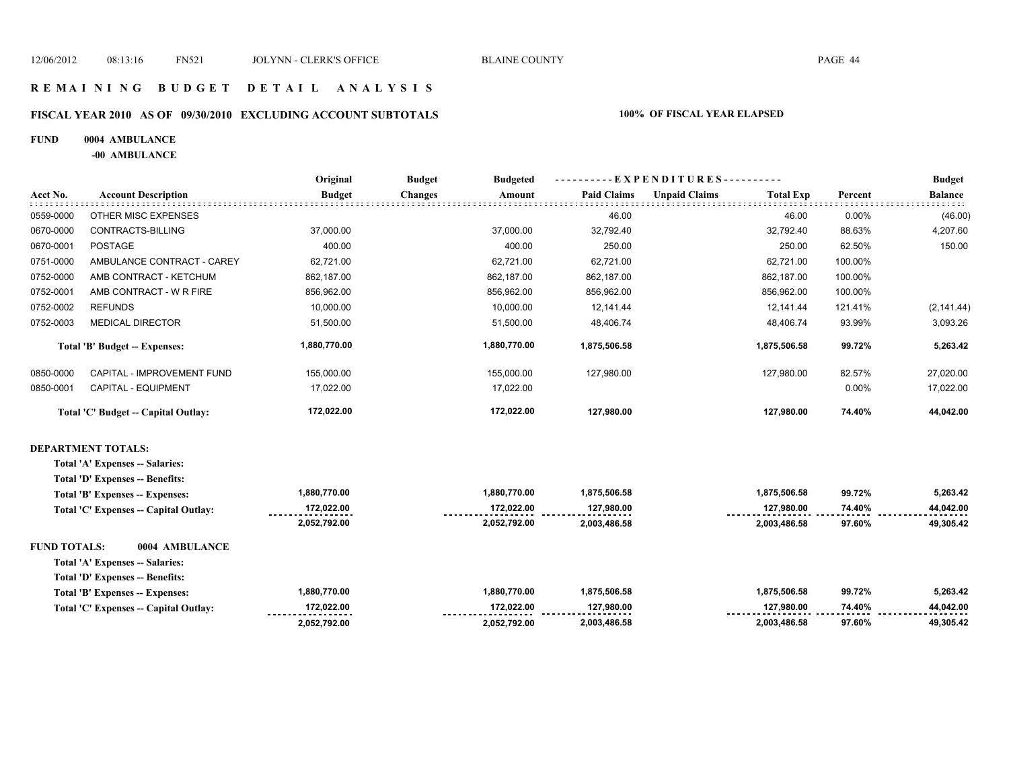**172,022.00 2,052,792.00** 

 **2,003,486.58 2,003,486.58 97.60% 49,305.42** 

 **127,980.00 74.40% 44,042.00** 

#### **R E M A I N I N G B U D G E T D E T A I L A N A L Y S I S**

#### **FISCAL YEAR 2010 AS OF 09/30/2010 EXCLUDING ACCOUNT SUBTOTALS 100% OF FISCAL YEAR ELAPSED**

#### **FUND 0004 AMBULANCE**

**-00 AMBULANCE**

**Total 'C' Expenses -- Capital Outlay:**

|                     |                                       | Original      | <b>Budget</b>  | <b>Budgeted</b> | - EXPENDITURES---------- |                      |                  |         | <b>Budget</b>  |
|---------------------|---------------------------------------|---------------|----------------|-----------------|--------------------------|----------------------|------------------|---------|----------------|
| Acct No.            | <b>Account Description</b>            | <b>Budget</b> | <b>Changes</b> | Amount          | <b>Paid Claims</b>       | <b>Unpaid Claims</b> | <b>Total Exp</b> | Percent | <b>Balance</b> |
| 0559-0000           | OTHER MISC EXPENSES                   |               |                |                 | 46.00                    |                      | 46.00            | 0.00%   | (46.00)        |
| 0670-0000           | CONTRACTS-BILLING                     | 37,000.00     |                | 37,000.00       | 32,792.40                |                      | 32,792.40        | 88.63%  | 4,207.60       |
| 0670-0001           | <b>POSTAGE</b>                        | 400.00        |                | 400.00          | 250.00                   |                      | 250.00           | 62.50%  | 150.00         |
| 0751-0000           | AMBULANCE CONTRACT - CAREY            | 62,721.00     |                | 62,721.00       | 62.721.00                |                      | 62,721.00        | 100.00% |                |
| 0752-0000           | AMB CONTRACT - KETCHUM                | 862,187.00    |                | 862,187.00      | 862,187.00               |                      | 862,187.00       | 100.00% |                |
| 0752-0001           | AMB CONTRACT - W R FIRE               | 856,962.00    |                | 856,962.00      | 856,962.00               |                      | 856,962.00       | 100.00% |                |
| 0752-0002           | <b>REFUNDS</b>                        | 10,000.00     |                | 10,000.00       | 12,141.44                |                      | 12,141.44        | 121.41% | (2, 141.44)    |
| 0752-0003           | <b>MEDICAL DIRECTOR</b>               | 51,500.00     |                | 51,500.00       | 48,406.74                |                      | 48,406.74        | 93.99%  | 3,093.26       |
|                     | Total 'B' Budget -- Expenses:         | 1,880,770.00  |                | 1,880,770.00    | 1,875,506.58             |                      | 1,875,506.58     | 99.72%  | 5,263.42       |
| 0850-0000           | CAPITAL - IMPROVEMENT FUND            | 155,000.00    |                | 155,000.00      | 127,980.00               |                      | 127,980.00       | 82.57%  | 27,020.00      |
| 0850-0001           | CAPITAL - EQUIPMENT                   | 17,022.00     |                | 17,022.00       |                          |                      |                  | 0.00%   | 17,022.00      |
|                     | Total 'C' Budget -- Capital Outlay:   | 172,022.00    |                | 172,022.00      | 127,980.00               |                      | 127,980.00       | 74.40%  | 44,042.00      |
|                     | <b>DEPARTMENT TOTALS:</b>             |               |                |                 |                          |                      |                  |         |                |
|                     | Total 'A' Expenses -- Salaries:       |               |                |                 |                          |                      |                  |         |                |
|                     | Total 'D' Expenses -- Benefits:       |               |                |                 |                          |                      |                  |         |                |
|                     | Total 'B' Expenses -- Expenses:       | 1,880,770.00  |                | 1,880,770.00    | 1,875,506.58             |                      | 1,875,506.58     | 99.72%  | 5,263.42       |
|                     | Total 'C' Expenses -- Capital Outlay: | 172,022.00    |                | 172,022.00      | 127,980.00               |                      | 127,980.00       | 74.40%  | 44,042.00      |
|                     |                                       | 2,052,792.00  |                | 2,052,792.00    | 2,003,486.58             |                      | 2,003,486.58     | 97.60%  | 49,305.42      |
| <b>FUND TOTALS:</b> | 0004 AMBULANCE                        |               |                |                 |                          |                      |                  |         |                |
|                     | Total 'A' Expenses -- Salaries:       |               |                |                 |                          |                      |                  |         |                |
|                     | Total 'D' Expenses -- Benefits:       |               |                |                 |                          |                      |                  |         |                |
|                     | Total 'B' Expenses -- Expenses:       | 1,880,770.00  |                | 1,880,770.00    | 1,875,506.58             |                      | 1,875,506.58     | 99.72%  | 5,263.42       |

 **127,980.00 172,022.00**

 **2,052,792.00**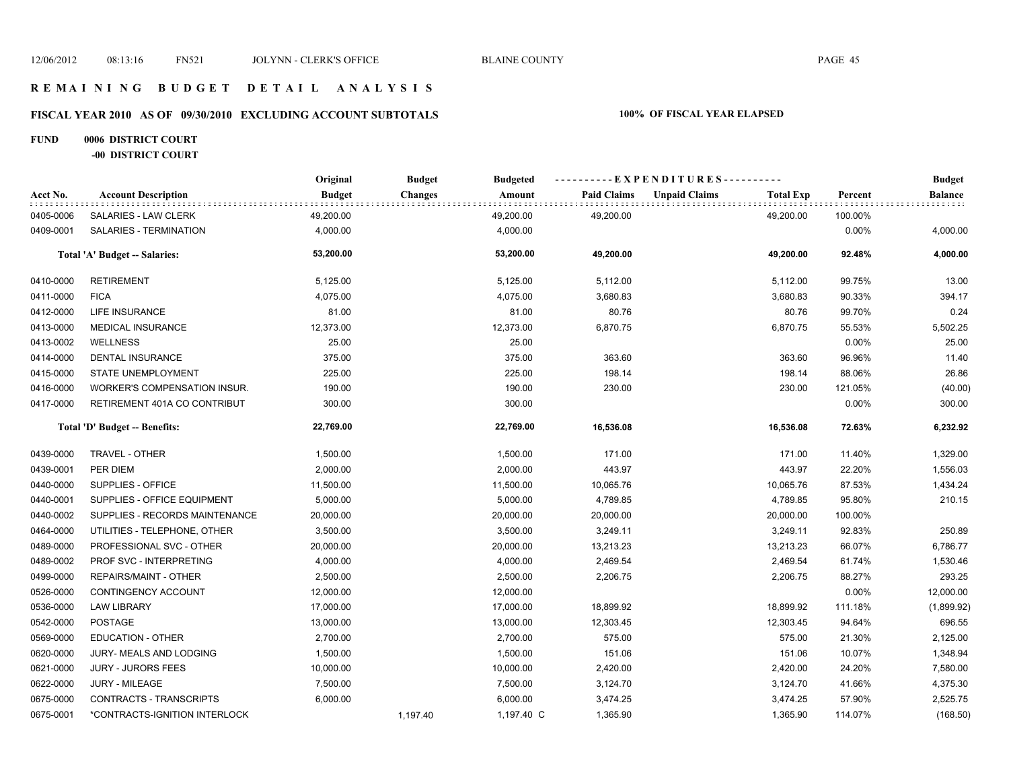# **FISCAL YEAR 2010 AS OF 09/30/2010 EXCLUDING ACCOUNT SUBTOTALS 100% OF FISCAL YEAR ELAPSED**

# **FUND 0006 DISTRICT COURT**

**-00 DISTRICT COURT**

|           |                                | Original      | <b>Budget</b><br><b>Budgeted</b> | ----------EXPENDITURES---------- |                    |                      |                  | <b>Budget</b> |                         |
|-----------|--------------------------------|---------------|----------------------------------|----------------------------------|--------------------|----------------------|------------------|---------------|-------------------------|
| Acct No.  | <b>Account Description</b>     | <b>Budget</b> | <b>Changes</b>                   | Amount                           | <b>Paid Claims</b> | <b>Unpaid Claims</b> | <b>Total Exp</b> | Percent       | <b>Balance</b><br>::::: |
| 0405-0006 | SALARIES - LAW CLERK           | 49,200.00     |                                  | 49,200.00                        | 49,200.00          |                      | 49,200.00        | 100.00%       |                         |
| 0409-0001 | SALARIES - TERMINATION         | 4,000.00      |                                  | 4,000.00                         |                    |                      |                  | 0.00%         | 4,000.00                |
|           | Total 'A' Budget -- Salaries:  | 53,200.00     |                                  | 53,200.00                        | 49,200.00          |                      | 49,200.00        | 92.48%        | 4,000.00                |
| 0410-0000 | <b>RETIREMENT</b>              | 5,125.00      |                                  | 5,125.00                         | 5,112.00           |                      | 5,112.00         | 99.75%        | 13.00                   |
| 0411-0000 | <b>FICA</b>                    | 4,075.00      |                                  | 4,075.00                         | 3,680.83           |                      | 3,680.83         | 90.33%        | 394.17                  |
| 0412-0000 | LIFE INSURANCE                 | 81.00         |                                  | 81.00                            | 80.76              |                      | 80.76            | 99.70%        | 0.24                    |
| 0413-0000 | <b>MEDICAL INSURANCE</b>       | 12,373.00     |                                  | 12,373.00                        | 6,870.75           |                      | 6,870.75         | 55.53%        | 5,502.25                |
| 0413-0002 | <b>WELLNESS</b>                | 25.00         |                                  | 25.00                            |                    |                      |                  | 0.00%         | 25.00                   |
| 0414-0000 | <b>DENTAL INSURANCE</b>        | 375.00        |                                  | 375.00                           | 363.60             |                      | 363.60           | 96.96%        | 11.40                   |
| 0415-0000 | <b>STATE UNEMPLOYMENT</b>      | 225.00        |                                  | 225.00                           | 198.14             |                      | 198.14           | 88.06%        | 26.86                   |
| 0416-0000 | WORKER'S COMPENSATION INSUR.   | 190.00        |                                  | 190.00                           | 230.00             |                      | 230.00           | 121.05%       | (40.00)                 |
| 0417-0000 | RETIREMENT 401A CO CONTRIBUT   | 300.00        |                                  | 300.00                           |                    |                      |                  | 0.00%         | 300.00                  |
|           | Total 'D' Budget -- Benefits:  | 22,769.00     |                                  | 22,769.00                        | 16,536.08          |                      | 16,536.08        | 72.63%        | 6,232.92                |
| 0439-0000 | TRAVEL - OTHER                 | 1,500.00      |                                  | 1,500.00                         | 171.00             |                      | 171.00           | 11.40%        | 1,329.00                |
| 0439-0001 | PER DIEM                       | 2,000.00      |                                  | 2,000.00                         | 443.97             |                      | 443.97           | 22.20%        | 1,556.03                |
| 0440-0000 | SUPPLIES - OFFICE              | 11,500.00     |                                  | 11,500.00                        | 10,065.76          |                      | 10,065.76        | 87.53%        | 1,434.24                |
| 0440-0001 | SUPPLIES - OFFICE EQUIPMENT    | 5,000.00      |                                  | 5,000.00                         | 4,789.85           |                      | 4,789.85         | 95.80%        | 210.15                  |
| 0440-0002 | SUPPLIES - RECORDS MAINTENANCE | 20,000.00     |                                  | 20,000.00                        | 20,000.00          |                      | 20,000.00        | 100.00%       |                         |
| 0464-0000 | UTILITIES - TELEPHONE, OTHER   | 3,500.00      |                                  | 3,500.00                         | 3,249.11           |                      | 3,249.11         | 92.83%        | 250.89                  |
| 0489-0000 | PROFESSIONAL SVC - OTHER       | 20,000.00     |                                  | 20,000.00                        | 13,213.23          |                      | 13,213.23        | 66.07%        | 6,786.77                |
| 0489-0002 | PROF SVC - INTERPRETING        | 4,000.00      |                                  | 4,000.00                         | 2,469.54           |                      | 2,469.54         | 61.74%        | 1,530.46                |
| 0499-0000 | REPAIRS/MAINT - OTHER          | 2,500.00      |                                  | 2,500.00                         | 2,206.75           |                      | 2,206.75         | 88.27%        | 293.25                  |
| 0526-0000 | CONTINGENCY ACCOUNT            | 12,000.00     |                                  | 12,000.00                        |                    |                      |                  | 0.00%         | 12,000.00               |
| 0536-0000 | <b>LAW LIBRARY</b>             | 17,000.00     |                                  | 17,000.00                        | 18,899.92          |                      | 18,899.92        | 111.18%       | (1,899.92)              |
| 0542-0000 | <b>POSTAGE</b>                 | 13,000.00     |                                  | 13,000.00                        | 12,303.45          |                      | 12,303.45        | 94.64%        | 696.55                  |
| 0569-0000 | <b>EDUCATION - OTHER</b>       | 2,700.00      |                                  | 2,700.00                         | 575.00             |                      | 575.00           | 21.30%        | 2,125.00                |
| 0620-0000 | JURY- MEALS AND LODGING        | 1,500.00      |                                  | 1,500.00                         | 151.06             |                      | 151.06           | 10.07%        | 1,348.94                |
| 0621-0000 | <b>JURY - JURORS FEES</b>      | 10,000.00     |                                  | 10,000.00                        | 2,420.00           |                      | 2,420.00         | 24.20%        | 7,580.00                |
| 0622-0000 | <b>JURY - MILEAGE</b>          | 7,500.00      |                                  | 7,500.00                         | 3,124.70           |                      | 3,124.70         | 41.66%        | 4,375.30                |
| 0675-0000 | CONTRACTS - TRANSCRIPTS        | 6,000.00      |                                  | 6,000.00                         | 3,474.25           |                      | 3,474.25         | 57.90%        | 2,525.75                |
| 0675-0001 | *CONTRACTS-IGNITION INTERLOCK  |               | 1,197.40                         | 1,197.40 C                       | 1,365.90           |                      | 1,365.90         | 114.07%       | (168.50)                |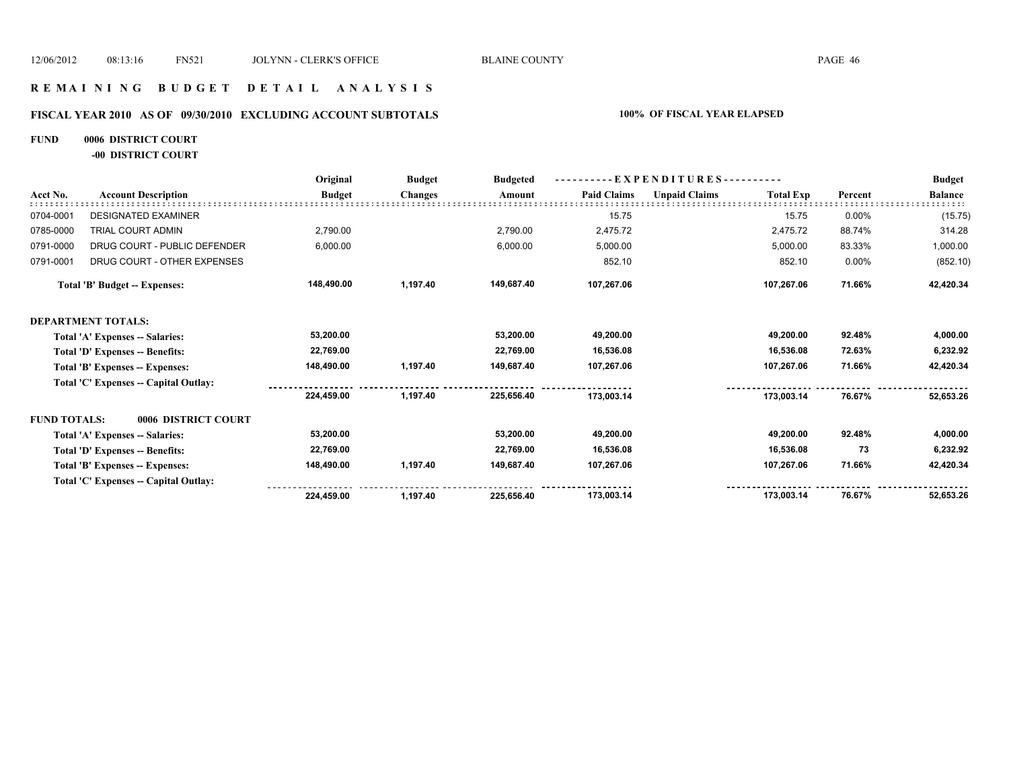# **FISCAL YEAR 2010 AS OF 09/30/2010 EXCLUDING ACCOUNT SUBTOTALS 100% OF FISCAL YEAR ELAPSED**

# **FUND 0006 DISTRICT COURT**

**-00 DISTRICT COURT**

|                     |                                       | Original      | <b>Budget</b>  | <b>Budgeted</b> | - EXPENDITURES---------- |                      |                  |         | <b>Budget</b>  |
|---------------------|---------------------------------------|---------------|----------------|-----------------|--------------------------|----------------------|------------------|---------|----------------|
| Acct No.            | <b>Account Description</b>            | <b>Budget</b> | <b>Changes</b> | Amount          | <b>Paid Claims</b>       | <b>Unpaid Claims</b> | <b>Total Exp</b> | Percent | <b>Balance</b> |
| 0704-0001           | <b>DESIGNATED EXAMINER</b>            |               |                |                 | 15.75                    |                      | 15.75            | 0.00%   | (15.75)        |
| 0785-0000           | TRIAL COURT ADMIN                     | 2,790.00      |                | 2,790.00        | 2,475.72                 |                      | 2,475.72         | 88.74%  | 314.28         |
| 0791-0000           | DRUG COURT - PUBLIC DEFENDER          | 6,000.00      |                | 6,000.00        | 5,000.00                 |                      | 5,000.00         | 83.33%  | 1,000.00       |
| 0791-0001           | DRUG COURT - OTHER EXPENSES           |               |                |                 | 852.10                   |                      | 852.10           | 0.00%   | (852.10)       |
|                     | Total 'B' Budget -- Expenses:         | 148,490.00    | 1,197.40       | 149,687.40      | 107,267.06               |                      | 107,267.06       | 71.66%  | 42,420.34      |
|                     | <b>DEPARTMENT TOTALS:</b>             |               |                |                 |                          |                      |                  |         |                |
|                     | Total 'A' Expenses -- Salaries:       | 53,200.00     |                | 53,200.00       | 49,200.00                |                      | 49,200.00        | 92.48%  | 4,000.00       |
|                     | Total 'D' Expenses -- Benefits:       | 22,769.00     |                | 22,769.00       | 16,536.08                |                      | 16,536.08        | 72.63%  | 6,232.92       |
|                     | Total 'B' Expenses -- Expenses:       | 148,490.00    | 1,197.40       | 149,687.40      | 107,267.06               |                      | 107,267.06       | 71.66%  | 42,420.34      |
|                     | Total 'C' Expenses -- Capital Outlay: |               |                |                 |                          |                      |                  |         |                |
|                     |                                       | 224.459.00    | 1,197.40       | 225.656.40      | 173,003.14               |                      | 173,003.14       | 76.67%  | 52,653.26      |
| <b>FUND TOTALS:</b> | 0006 DISTRICT COURT                   |               |                |                 |                          |                      |                  |         |                |
|                     | Total 'A' Expenses -- Salaries:       | 53,200.00     |                | 53,200.00       | 49,200.00                |                      | 49,200.00        | 92.48%  | 4,000.00       |
|                     | Total 'D' Expenses -- Benefits:       | 22,769.00     |                | 22,769.00       | 16,536.08                |                      | 16,536.08        | 73      | 6,232.92       |
|                     | Total 'B' Expenses -- Expenses:       | 148,490.00    | 1,197.40       | 149,687.40      | 107,267.06               |                      | 107,267.06       | 71.66%  | 42,420.34      |
|                     | Total 'C' Expenses -- Capital Outlay: |               |                |                 |                          |                      |                  |         |                |
|                     |                                       | 224,459.00    | 1,197.40       | 225,656.40      | 173,003.14               |                      | 173,003.14       | 76.67%  | 52,653.26      |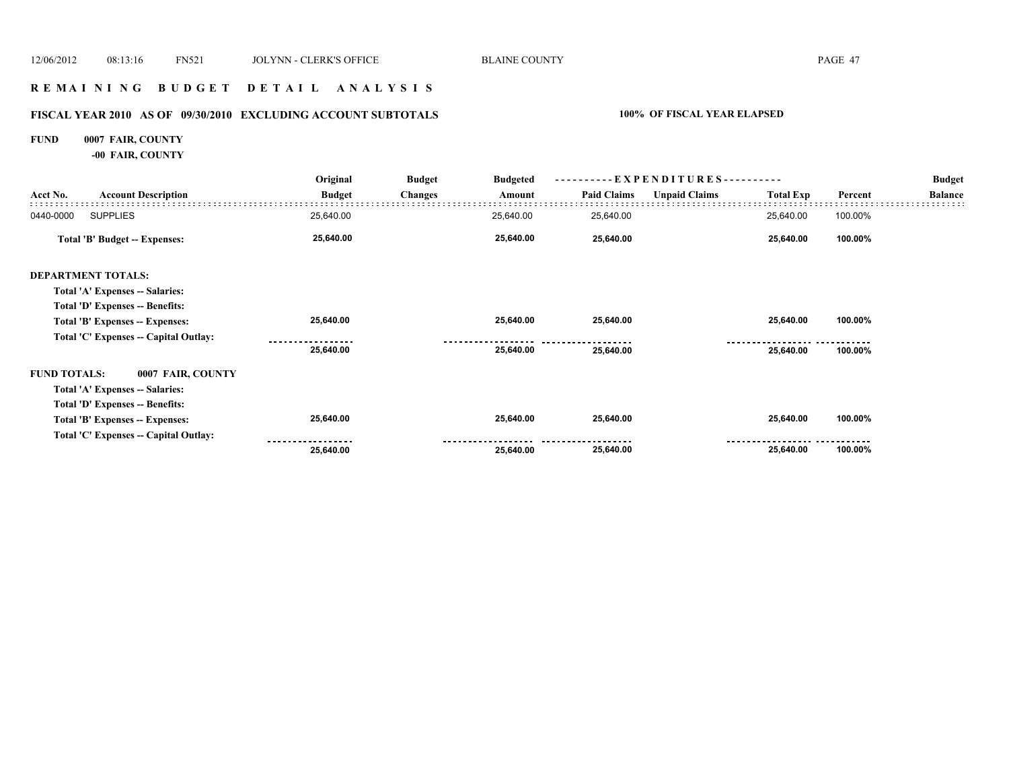# **R E M A I N I N G B U D G E T D E T A I L A N A L Y S I S**

# **FISCAL YEAR 2010 AS OF 09/30/2010 EXCLUDING ACCOUNT SUBTOTALS 100% OF FISCAL YEAR ELAPSED**

# **FUND 0007 FAIR, COUNTY**

**-00 FAIR, COUNTY**

|                     | <b>Account Description</b>            | Original      | <b>Budget</b>  | <b>Budgeted</b> |                    | - EXPENDITURES - -   |                  |         | <b>Budget</b>  |
|---------------------|---------------------------------------|---------------|----------------|-----------------|--------------------|----------------------|------------------|---------|----------------|
| Acct No.            |                                       | <b>Budget</b> | <b>Changes</b> | Amount          | <b>Paid Claims</b> | <b>Unpaid Claims</b> | <b>Total Exp</b> | Percent | <b>Balance</b> |
| 0440-0000           | <b>SUPPLIES</b>                       | 25,640.00     |                | 25,640.00       | 25,640.00          |                      | 25,640.00        | 100.00% |                |
|                     | <b>Total 'B' Budget -- Expenses:</b>  | 25,640.00     |                | 25,640.00       | 25,640.00          |                      | 25,640.00        | 100.00% |                |
|                     | <b>DEPARTMENT TOTALS:</b>             |               |                |                 |                    |                      |                  |         |                |
|                     | Total 'A' Expenses -- Salaries:       |               |                |                 |                    |                      |                  |         |                |
|                     | Total 'D' Expenses -- Benefits:       |               |                |                 |                    |                      |                  |         |                |
|                     | Total 'B' Expenses -- Expenses:       | 25,640.00     |                | 25,640.00       | 25,640.00          |                      | 25,640.00        | 100.00% |                |
|                     | Total 'C' Expenses -- Capital Outlay: |               |                |                 |                    |                      |                  |         |                |
|                     |                                       | 25,640.00     |                | 25,640.00       | 25,640.00          |                      | 25,640.00        | 100.00% |                |
| <b>FUND TOTALS:</b> | 0007 FAIR, COUNTY                     |               |                |                 |                    |                      |                  |         |                |
|                     | Total 'A' Expenses -- Salaries:       |               |                |                 |                    |                      |                  |         |                |
|                     | Total 'D' Expenses -- Benefits:       |               |                |                 |                    |                      |                  |         |                |
|                     | Total 'B' Expenses -- Expenses:       | 25,640.00     |                | 25,640.00       | 25,640.00          |                      | 25,640.00        | 100.00% |                |
|                     | Total 'C' Expenses -- Capital Outlay: |               |                |                 |                    |                      |                  |         |                |
|                     |                                       | 25,640.00     |                | 25,640.00       | 25,640.00          |                      | 25,640.00        | 100.00% |                |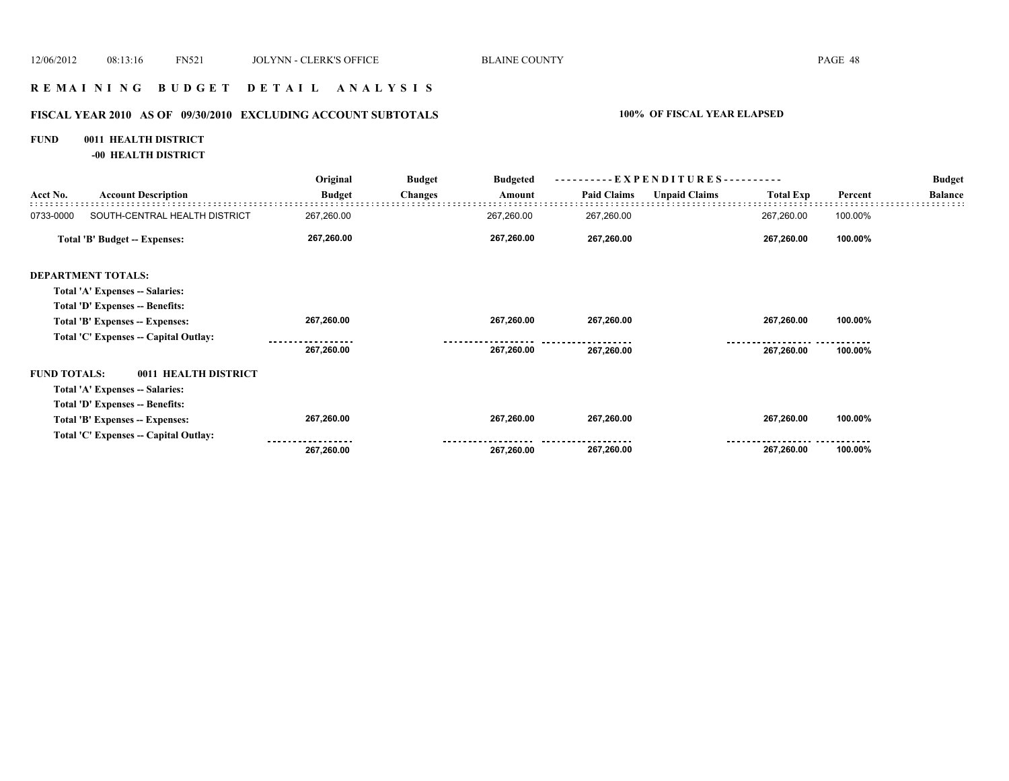## **R E M A I N I N G B U D G E T D E T A I L A N A L Y S I S**

# **FISCAL YEAR 2010 AS OF 09/30/2010 EXCLUDING ACCOUNT SUBTOTALS 100% OF FISCAL YEAR ELAPSED**

#### **FUND 0011 HEALTH DISTRICT**

**-00 HEALTH DISTRICT**

|                     |                                       | Original      | <b>Budget</b>  | <b>Budgeted</b> | - EXPENDITURES---------- |                      |                  |         | <b>Budget</b>  |
|---------------------|---------------------------------------|---------------|----------------|-----------------|--------------------------|----------------------|------------------|---------|----------------|
| Acct No.            | <b>Account Description</b>            | <b>Budget</b> | <b>Changes</b> | Amount          | <b>Paid Claims</b>       | <b>Unpaid Claims</b> | <b>Total Exp</b> | Percent | <b>Balance</b> |
| 0733-0000           | SOUTH-CENTRAL HEALTH DISTRICT         | 267,260.00    |                | 267,260.00      | 267,260.00               |                      | 267,260.00       | 100.00% |                |
|                     | Total 'B' Budget -- Expenses:         | 267,260.00    |                | 267,260.00      | 267,260.00               |                      | 267,260.00       | 100.00% |                |
|                     | <b>DEPARTMENT TOTALS:</b>             |               |                |                 |                          |                      |                  |         |                |
|                     | Total 'A' Expenses -- Salaries:       |               |                |                 |                          |                      |                  |         |                |
|                     | Total 'D' Expenses -- Benefits:       |               |                |                 |                          |                      |                  |         |                |
|                     | Total 'B' Expenses -- Expenses:       | 267,260.00    |                | 267,260.00      | 267,260.00               |                      | 267,260.00       | 100.00% |                |
|                     | Total 'C' Expenses -- Capital Outlay: |               |                |                 |                          |                      |                  |         |                |
|                     |                                       | 267,260.00    |                | 267,260.00      | 267,260.00               |                      | 267,260.00       | 100.00% |                |
| <b>FUND TOTALS:</b> | 0011 HEALTH DISTRICT                  |               |                |                 |                          |                      |                  |         |                |
|                     | Total 'A' Expenses -- Salaries:       |               |                |                 |                          |                      |                  |         |                |
|                     | Total 'D' Expenses -- Benefits:       |               |                |                 |                          |                      |                  |         |                |
|                     | Total 'B' Expenses -- Expenses:       | 267,260.00    |                | 267,260.00      | 267,260.00               |                      | 267,260.00       | 100.00% |                |
|                     | Total 'C' Expenses -- Capital Outlay: |               |                |                 |                          |                      |                  |         |                |
|                     |                                       | 267,260.00    |                | 267,260.00      | 267,260.00               |                      | 267,260.00       | 100.00% |                |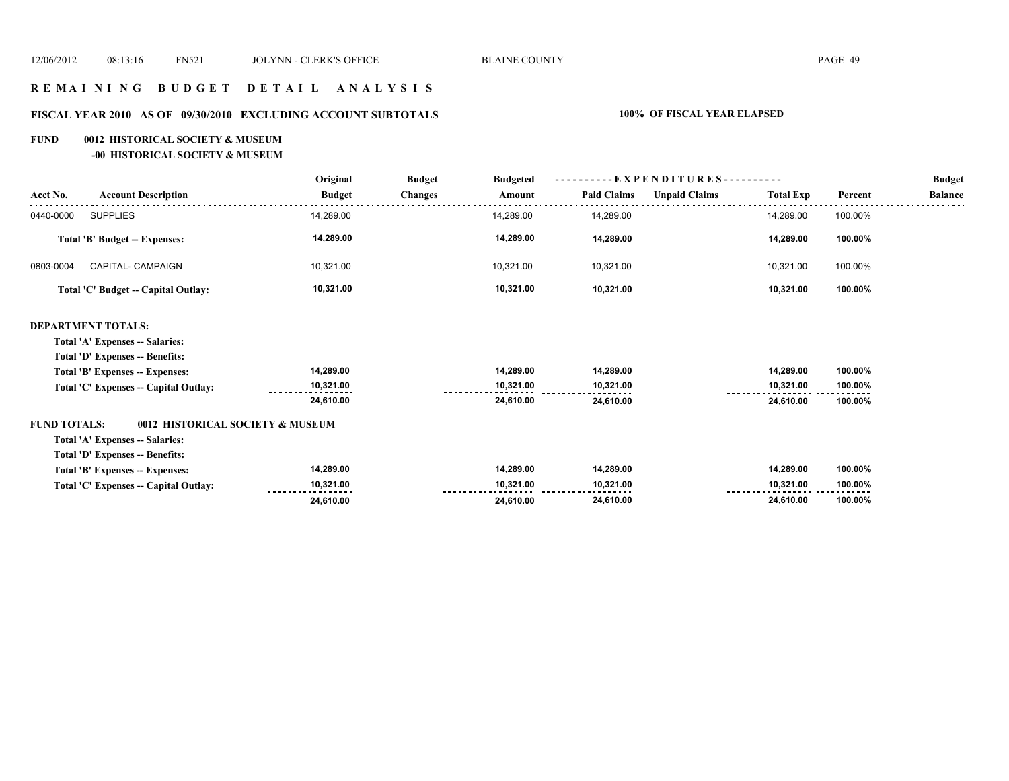## **R E M A I N I N G B U D G E T D E T A I L A N A L Y S I S**

# **FISCAL YEAR 2010 AS OF 09/30/2010 EXCLUDING ACCOUNT SUBTOTALS 100% OF FISCAL YEAR ELAPSED**

#### **FUND 0012 HISTORICAL SOCIETY & MUSEUM**

**-00 HISTORICAL SOCIETY & MUSEUM**

|                                                         | Original      | <b>Budget</b><br><b>Budgeted</b> | - EXPENDITURES---------- |                    |                      |                  | <b>Budget</b> |                |
|---------------------------------------------------------|---------------|----------------------------------|--------------------------|--------------------|----------------------|------------------|---------------|----------------|
| <b>Account Description</b><br>Acct No.                  | <b>Budget</b> | <b>Changes</b>                   | Amount                   | <b>Paid Claims</b> | <b>Unpaid Claims</b> | <b>Total Exp</b> | Percent       | <b>Balance</b> |
| <b>SUPPLIES</b><br>0440-0000                            | 14,289.00     |                                  | 14,289.00                | 14,289.00          |                      | 14,289.00        | 100.00%       |                |
| <b>Total 'B' Budget -- Expenses:</b>                    | 14,289.00     |                                  | 14,289.00                | 14,289.00          |                      | 14,289.00        | 100.00%       |                |
| 0803-0004<br>CAPITAL- CAMPAIGN                          | 10,321.00     |                                  | 10,321.00                | 10,321.00          |                      | 10,321.00        | 100.00%       |                |
| Total 'C' Budget -- Capital Outlay:                     | 10,321.00     |                                  | 10,321.00                | 10,321.00          |                      | 10,321.00        | 100.00%       |                |
| <b>DEPARTMENT TOTALS:</b>                               |               |                                  |                          |                    |                      |                  |               |                |
| Total 'A' Expenses -- Salaries:                         |               |                                  |                          |                    |                      |                  |               |                |
| Total 'D' Expenses -- Benefits:                         |               |                                  |                          |                    |                      |                  |               |                |
| Total 'B' Expenses -- Expenses:                         | 14,289.00     |                                  | 14,289.00                | 14,289.00          |                      | 14,289.00        | 100.00%       |                |
| Total 'C' Expenses -- Capital Outlay:                   | 10,321.00     |                                  | 10,321.00                | 10,321.00          |                      | 10,321.00        | 100.00%       |                |
|                                                         | 24,610.00     |                                  | 24,610.00                | 24,610.00          |                      | 24,610.00        | 100.00%       |                |
| <b>FUND TOTALS:</b><br>0012 HISTORICAL SOCIETY & MUSEUM |               |                                  |                          |                    |                      |                  |               |                |
| Total 'A' Expenses -- Salaries:                         |               |                                  |                          |                    |                      |                  |               |                |
| <b>Total 'D' Expenses -- Benefits:</b>                  |               |                                  |                          |                    |                      |                  |               |                |
| Total 'B' Expenses -- Expenses:                         | 14,289.00     |                                  | 14,289.00                | 14,289.00          |                      | 14,289.00        | 100.00%       |                |
| Total 'C' Expenses -- Capital Outlay:                   | 10,321.00     |                                  | 10,321.00                | 10,321.00          |                      | 10,321.00        | 100.00%       |                |
|                                                         | 24,610.00     |                                  | 24,610.00                | 24,610.00          |                      | 24,610.00        | 100.00%       |                |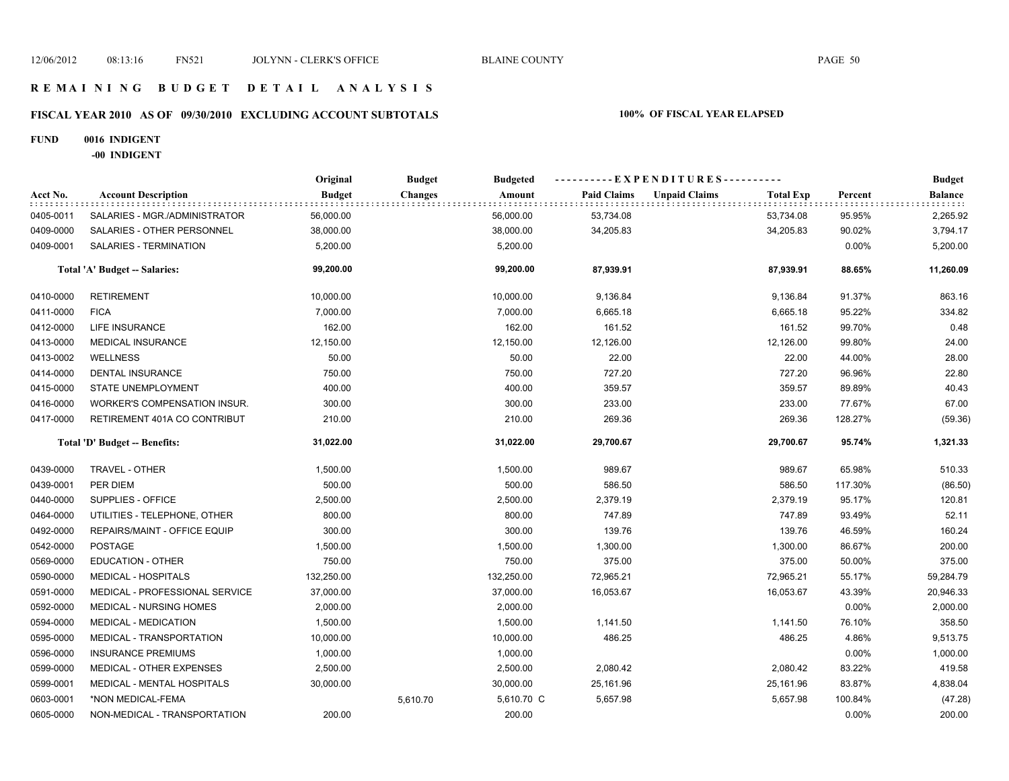# **FISCAL YEAR 2010 AS OF 09/30/2010 EXCLUDING ACCOUNT SUBTOTALS 100% OF FISCAL YEAR ELAPSED**

#### **FUND 0016 INDIGENT**

**-00 INDIGENT**

|           |                                | Original      | <b>Budget</b>  | <b>Budgeted</b> | ----------EXPENDITURES---------- |                                          | <b>Budget</b> |           |
|-----------|--------------------------------|---------------|----------------|-----------------|----------------------------------|------------------------------------------|---------------|-----------|
| Acct No.  | <b>Account Description</b>     | <b>Budget</b> | <b>Changes</b> | Amount          | <b>Paid Claims</b>               | <b>Unpaid Claims</b><br><b>Total Exp</b> | Percent       | Balance   |
| 0405-0011 | SALARIES - MGR./ADMINISTRATOR  | 56,000.00     |                | 56,000.00       | 53,734.08                        | 53,734.08                                | 95.95%        | 2,265.92  |
| 0409-0000 | SALARIES - OTHER PERSONNEL     | 38,000.00     |                | 38,000.00       | 34,205.83                        | 34,205.83                                | 90.02%        | 3,794.17  |
| 0409-0001 | SALARIES - TERMINATION         | 5,200.00      |                | 5,200.00        |                                  |                                          | 0.00%         | 5,200.00  |
|           | Total 'A' Budget -- Salaries:  | 99,200.00     |                | 99,200.00       | 87,939.91                        | 87,939.91                                | 88.65%        | 11,260.09 |
| 0410-0000 | <b>RETIREMENT</b>              | 10,000.00     |                | 10,000.00       | 9,136.84                         | 9,136.84                                 | 91.37%        | 863.16    |
| 0411-0000 | <b>FICA</b>                    | 7,000.00      |                | 7,000.00        | 6,665.18                         | 6,665.18                                 | 95.22%        | 334.82    |
| 0412-0000 | LIFE INSURANCE                 | 162.00        |                | 162.00          | 161.52                           | 161.52                                   | 99.70%        | 0.48      |
| 0413-0000 | MEDICAL INSURANCE              | 12,150.00     |                | 12,150.00       | 12,126.00                        | 12,126.00                                | 99.80%        | 24.00     |
| 0413-0002 | <b>WELLNESS</b>                | 50.00         |                | 50.00           | 22.00                            | 22.00                                    | 44.00%        | 28.00     |
| 0414-0000 | <b>DENTAL INSURANCE</b>        | 750.00        |                | 750.00          | 727.20                           | 727.20                                   | 96.96%        | 22.80     |
| 0415-0000 | STATE UNEMPLOYMENT             | 400.00        |                | 400.00          | 359.57                           | 359.57                                   | 89.89%        | 40.43     |
| 0416-0000 | WORKER'S COMPENSATION INSUR.   | 300.00        |                | 300.00          | 233.00                           | 233.00                                   | 77.67%        | 67.00     |
| 0417-0000 | RETIREMENT 401A CO CONTRIBUT   | 210.00        |                | 210.00          | 269.36                           | 269.36                                   | 128.27%       | (59.36)   |
|           | Total 'D' Budget -- Benefits:  | 31,022.00     |                | 31,022.00       | 29,700.67                        | 29,700.67                                | 95.74%        | 1,321.33  |
| 0439-0000 | TRAVEL - OTHER                 | 1,500.00      |                | 1,500.00        | 989.67                           | 989.67                                   | 65.98%        | 510.33    |
| 0439-0001 | PER DIEM                       | 500.00        |                | 500.00          | 586.50                           | 586.50                                   | 117.30%       | (86.50)   |
| 0440-0000 | <b>SUPPLIES - OFFICE</b>       | 2,500.00      |                | 2,500.00        | 2,379.19                         | 2,379.19                                 | 95.17%        | 120.81    |
| 0464-0000 | UTILITIES - TELEPHONE, OTHER   | 800.00        |                | 800.00          | 747.89                           | 747.89                                   | 93.49%        | 52.11     |
| 0492-0000 | REPAIRS/MAINT - OFFICE EQUIP   | 300.00        |                | 300.00          | 139.76                           | 139.76                                   | 46.59%        | 160.24    |
| 0542-0000 | <b>POSTAGE</b>                 | 1,500.00      |                | 1,500.00        | 1,300.00                         | 1,300.00                                 | 86.67%        | 200.00    |
| 0569-0000 | EDUCATION - OTHER              | 750.00        |                | 750.00          | 375.00                           | 375.00                                   | 50.00%        | 375.00    |
| 0590-0000 | <b>MEDICAL - HOSPITALS</b>     | 132,250.00    |                | 132,250.00      | 72,965.21                        | 72,965.21                                | 55.17%        | 59,284.79 |
| 0591-0000 | MEDICAL - PROFESSIONAL SERVICE | 37,000.00     |                | 37,000.00       | 16,053.67                        | 16,053.67                                | 43.39%        | 20,946.33 |
| 0592-0000 | MEDICAL - NURSING HOMES        | 2,000.00      |                | 2,000.00        |                                  |                                          | 0.00%         | 2,000.00  |
| 0594-0000 | <b>MEDICAL - MEDICATION</b>    | 1,500.00      |                | 1,500.00        | 1,141.50                         | 1,141.50                                 | 76.10%        | 358.50    |
| 0595-0000 | MEDICAL - TRANSPORTATION       | 10,000.00     |                | 10,000.00       | 486.25                           | 486.25                                   | 4.86%         | 9,513.75  |
| 0596-0000 | <b>INSURANCE PREMIUMS</b>      | 1,000.00      |                | 1,000.00        |                                  |                                          | 0.00%         | 1,000.00  |
| 0599-0000 | MEDICAL - OTHER EXPENSES       | 2,500.00      |                | 2,500.00        | 2,080.42                         | 2,080.42                                 | 83.22%        | 419.58    |
| 0599-0001 | MEDICAL - MENTAL HOSPITALS     | 30,000.00     |                | 30,000.00       | 25,161.96                        | 25,161.96                                | 83.87%        | 4,838.04  |
| 0603-0001 | *NON MEDICAL-FEMA              |               | 5,610.70       | 5,610.70 C      | 5,657.98                         | 5,657.98                                 | 100.84%       | (47.28)   |
| 0605-0000 | NON-MEDICAL - TRANSPORTATION   | 200.00        |                | 200.00          |                                  |                                          | 0.00%         | 200.00    |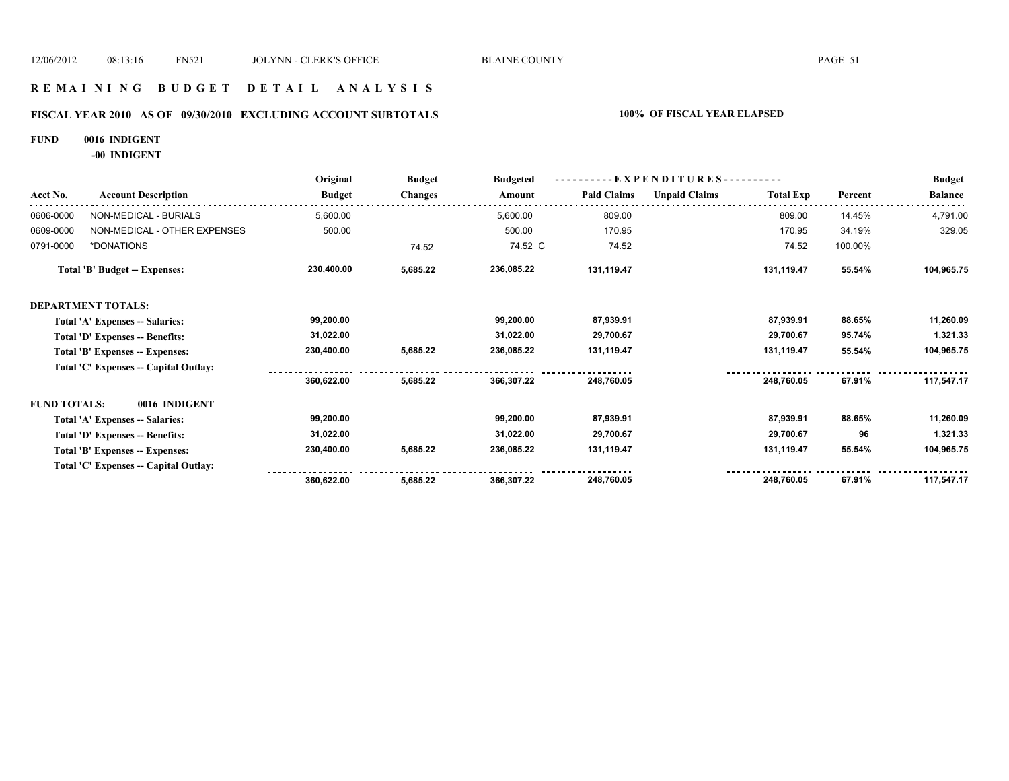## **R E M A I N I N G B U D G E T D E T A I L A N A L Y S I S**

# **FISCAL YEAR 2010 AS OF 09/30/2010 EXCLUDING ACCOUNT SUBTOTALS 100% OF FISCAL YEAR ELAPSED**

#### **FUND 0016 INDIGENT**

**-00 INDIGENT**

|                     |                                       | Original      | <b>Budget</b>  | <b>Budgeted</b> | - EXPENDITURES---------- |                      |                  |         | <b>Budget</b>  |
|---------------------|---------------------------------------|---------------|----------------|-----------------|--------------------------|----------------------|------------------|---------|----------------|
| Acct No.            | <b>Account Description</b>            | <b>Budget</b> | <b>Changes</b> | Amount          | <b>Paid Claims</b>       | <b>Unpaid Claims</b> | <b>Total Exp</b> | Percent | <b>Balance</b> |
| 0606-0000           | NON-MEDICAL - BURIALS                 | 5,600.00      |                | 5,600.00        | 809.00                   |                      | 809.00           | 14.45%  | 4,791.00       |
| 0609-0000           | NON-MEDICAL - OTHER EXPENSES          | 500.00        |                | 500.00          | 170.95                   |                      | 170.95           | 34.19%  | 329.05         |
| 0791-0000           | *DONATIONS                            |               | 74.52          | 74.52 C         | 74.52                    |                      | 74.52            | 100.00% |                |
|                     | <b>Total 'B' Budget -- Expenses:</b>  | 230,400.00    | 5,685.22       | 236,085.22      | 131,119.47               |                      | 131,119.47       | 55.54%  | 104,965.75     |
|                     | <b>DEPARTMENT TOTALS:</b>             |               |                |                 |                          |                      |                  |         |                |
|                     | Total 'A' Expenses -- Salaries:       | 99,200.00     |                | 99,200.00       | 87,939.91                |                      | 87,939.91        | 88.65%  | 11,260.09      |
|                     | Total 'D' Expenses -- Benefits:       | 31,022.00     |                | 31,022.00       | 29,700.67                |                      | 29,700.67        | 95.74%  | 1,321.33       |
|                     | Total 'B' Expenses -- Expenses:       | 230,400.00    | 5,685.22       | 236,085.22      | 131,119.47               |                      | 131,119.47       | 55.54%  | 104,965.75     |
|                     | Total 'C' Expenses -- Capital Outlay: |               |                |                 |                          |                      |                  |         |                |
|                     |                                       | 360,622.00    | 5,685.22       | 366,307.22      | 248,760.05               |                      | 248,760.05       | 67.91%  | 117,547.17     |
| <b>FUND TOTALS:</b> | 0016 INDIGENT                         |               |                |                 |                          |                      |                  |         |                |
|                     | Total 'A' Expenses -- Salaries:       | 99,200.00     |                | 99,200.00       | 87,939.91                |                      | 87,939.91        | 88.65%  | 11,260.09      |
|                     | Total 'D' Expenses -- Benefits:       | 31,022.00     |                | 31,022.00       | 29,700.67                |                      | 29,700.67        | 96      | 1,321.33       |
|                     | Total 'B' Expenses -- Expenses:       | 230,400.00    | 5,685.22       | 236,085.22      | 131,119.47               |                      | 131,119.47       | 55.54%  | 104,965.75     |
|                     | Total 'C' Expenses -- Capital Outlay: |               |                |                 |                          |                      |                  |         |                |
|                     |                                       | 360,622.00    | 5,685.22       | 366,307.22      | 248,760.05               |                      | 248,760.05       | 67.91%  | 117,547.17     |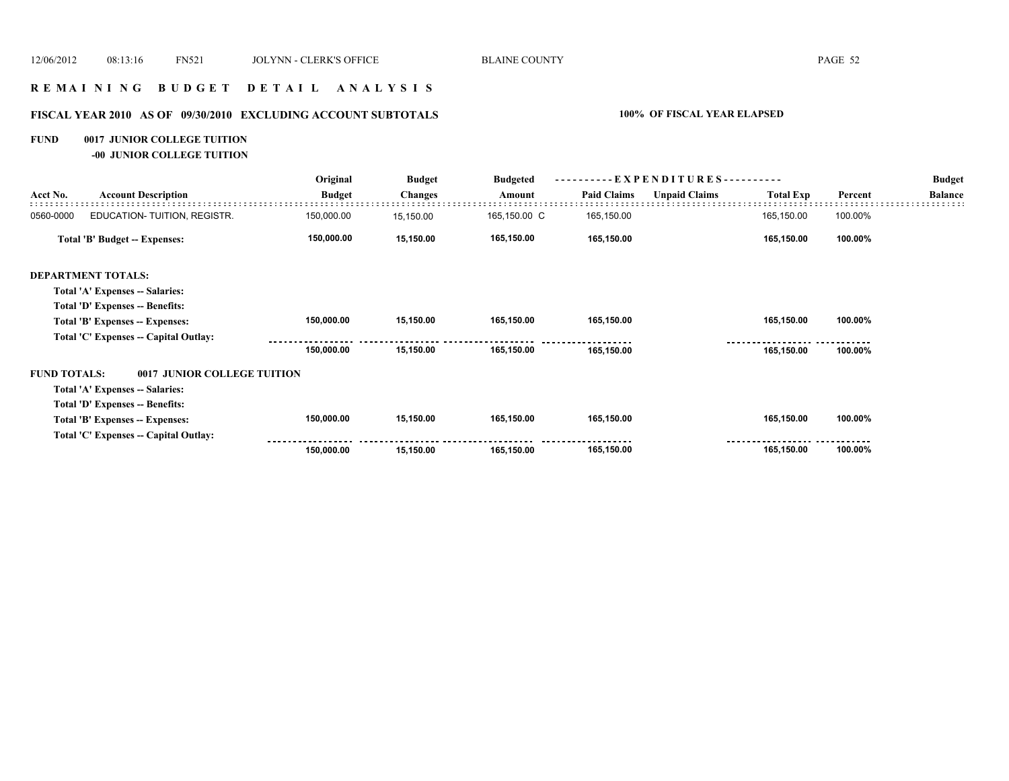### **R E M A I N I N G B U D G E T D E T A I L A N A L Y S I S**

# **FISCAL YEAR 2010 AS OF 09/30/2010 EXCLUDING ACCOUNT SUBTOTALS 100% OF FISCAL YEAR ELAPSED**

#### **FUND 0017 JUNIOR COLLEGE TUITION**

**-00 JUNIOR COLLEGE TUITION**

|                     |                                       | Original      | <b>Budget</b>  | <b>Budgeted</b> | - EXPENDITURES---------- |                      |                  |         | <b>Budget</b>  |
|---------------------|---------------------------------------|---------------|----------------|-----------------|--------------------------|----------------------|------------------|---------|----------------|
| Acct No.            | <b>Account Description</b>            | <b>Budget</b> | <b>Changes</b> | Amount          | <b>Paid Claims</b>       | <b>Unpaid Claims</b> | <b>Total Exp</b> | Percent | <b>Balance</b> |
| 0560-0000           | EDUCATION-TUITION, REGISTR.           | 150,000.00    | 15,150.00      | 165,150.00 C    | 165,150.00               |                      | 165,150.00       | 100.00% |                |
|                     | Total 'B' Budget -- Expenses:         | 150,000.00    | 15,150.00      | 165,150.00      | 165,150.00               |                      | 165,150.00       | 100.00% |                |
|                     | <b>DEPARTMENT TOTALS:</b>             |               |                |                 |                          |                      |                  |         |                |
|                     | Total 'A' Expenses -- Salaries:       |               |                |                 |                          |                      |                  |         |                |
|                     | Total 'D' Expenses -- Benefits:       |               |                |                 |                          |                      |                  |         |                |
|                     | Total 'B' Expenses -- Expenses:       | 150,000.00    | 15,150.00      | 165,150.00      | 165,150.00               |                      | 165,150.00       | 100.00% |                |
|                     | Total 'C' Expenses -- Capital Outlay: |               |                |                 |                          |                      |                  |         |                |
|                     |                                       | 150,000.00    | 15,150.00      | 165,150.00      | 165,150.00               |                      | 165,150.00       | 100.00% |                |
| <b>FUND TOTALS:</b> | 0017 JUNIOR COLLEGE TUITION           |               |                |                 |                          |                      |                  |         |                |
|                     | Total 'A' Expenses -- Salaries:       |               |                |                 |                          |                      |                  |         |                |
|                     | Total 'D' Expenses -- Benefits:       |               |                |                 |                          |                      |                  |         |                |
|                     | Total 'B' Expenses -- Expenses:       | 150,000.00    | 15,150.00      | 165,150.00      | 165,150.00               |                      | 165,150.00       | 100.00% |                |
|                     | Total 'C' Expenses -- Capital Outlay: |               |                |                 |                          |                      |                  |         |                |
|                     |                                       | 150,000.00    | 15,150.00      | 165,150.00      | 165,150.00               |                      | 165,150.00       | 100.00% |                |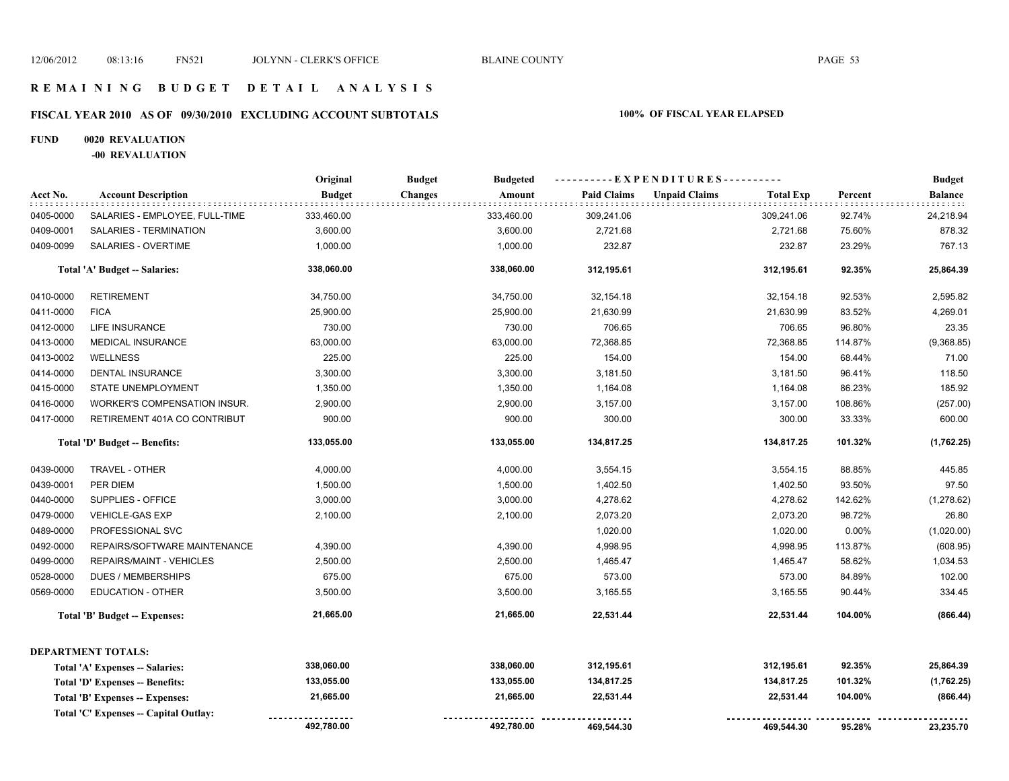# **FISCAL YEAR 2010 AS OF 09/30/2010 EXCLUDING ACCOUNT SUBTOTALS 100% OF FISCAL YEAR ELAPSED**

#### **FUND 0020 REVALUATION**

**-00 REVALUATION**

|           |                                        | Original      | <b>Budget</b><br><b>Budgeted</b> | ----------EXPENDITURES---------- |                                          |         | <b>Budget</b> |
|-----------|----------------------------------------|---------------|----------------------------------|----------------------------------|------------------------------------------|---------|---------------|
| Acct No.  | <b>Account Description</b>             | <b>Budget</b> | <b>Changes</b><br>Amount         | <b>Paid Claims</b>               | <b>Unpaid Claims</b><br><b>Total Exp</b> | Percent | Balance       |
| 0405-0000 | SALARIES - EMPLOYEE, FULL-TIME         | 333,460.00    | 333,460.00                       | 309,241.06                       | 309,241.06                               | 92.74%  | 24,218.94     |
| 0409-0001 | SALARIES - TERMINATION                 | 3,600.00      | 3,600.00                         | 2,721.68                         | 2,721.68                                 | 75.60%  | 878.32        |
| 0409-0099 | SALARIES - OVERTIME                    | 1,000.00      | 1,000.00                         | 232.87                           | 232.87                                   | 23.29%  | 767.13        |
|           | Total 'A' Budget -- Salaries:          | 338,060.00    | 338,060.00                       | 312,195.61                       | 312,195.61                               | 92.35%  | 25,864.39     |
| 0410-0000 | <b>RETIREMENT</b>                      | 34,750.00     | 34,750.00                        | 32,154.18                        | 32,154.18                                | 92.53%  | 2,595.82      |
| 0411-0000 | <b>FICA</b>                            | 25,900.00     | 25,900.00                        | 21,630.99                        | 21,630.99                                | 83.52%  | 4,269.01      |
| 0412-0000 | LIFE INSURANCE                         | 730.00        | 730.00                           | 706.65                           | 706.65                                   | 96.80%  | 23.35         |
| 0413-0000 | <b>MEDICAL INSURANCE</b>               | 63,000.00     | 63,000.00                        | 72,368.85                        | 72,368.85                                | 114.87% | (9,368.85)    |
| 0413-0002 | <b>WELLNESS</b>                        | 225.00        | 225.00                           | 154.00                           | 154.00                                   | 68.44%  | 71.00         |
| 0414-0000 | DENTAL INSURANCE                       | 3,300.00      | 3,300.00                         | 3,181.50                         | 3,181.50                                 | 96.41%  | 118.50        |
| 0415-0000 | <b>STATE UNEMPLOYMENT</b>              | 1,350.00      | 1,350.00                         | 1,164.08                         | 1,164.08                                 | 86.23%  | 185.92        |
| 0416-0000 | WORKER'S COMPENSATION INSUR.           | 2,900.00      | 2,900.00                         | 3,157.00                         | 3,157.00                                 | 108.86% | (257.00)      |
| 0417-0000 | RETIREMENT 401A CO CONTRIBUT           | 900.00        | 900.00                           | 300.00                           | 300.00                                   | 33.33%  | 600.00        |
|           | Total 'D' Budget -- Benefits:          | 133,055.00    | 133,055.00                       | 134,817.25                       | 134,817.25                               | 101.32% | (1,762.25)    |
| 0439-0000 | TRAVEL - OTHER                         | 4,000.00      | 4,000.00                         | 3,554.15                         | 3,554.15                                 | 88.85%  | 445.85        |
| 0439-0001 | PER DIEM                               | 1,500.00      | 1,500.00                         | 1,402.50                         | 1,402.50                                 | 93.50%  | 97.50         |
| 0440-0000 | SUPPLIES - OFFICE                      | 3,000.00      | 3,000.00                         | 4,278.62                         | 4,278.62                                 | 142.62% | (1,278.62)    |
| 0479-0000 | <b>VEHICLE-GAS EXP</b>                 | 2,100.00      | 2,100.00                         | 2,073.20                         | 2,073.20                                 | 98.72%  | 26.80         |
| 0489-0000 | PROFESSIONAL SVC                       |               |                                  | 1,020.00                         | 1,020.00                                 | 0.00%   | (1,020.00)    |
| 0492-0000 | REPAIRS/SOFTWARE MAINTENANCE           | 4,390.00      | 4,390.00                         | 4,998.95                         | 4,998.95                                 | 113.87% | (608.95)      |
| 0499-0000 | REPAIRS/MAINT - VEHICLES               | 2,500.00      | 2,500.00                         | 1,465.47                         | 1,465.47                                 | 58.62%  | 1,034.53      |
| 0528-0000 | <b>DUES / MEMBERSHIPS</b>              | 675.00        | 675.00                           | 573.00                           | 573.00                                   | 84.89%  | 102.00        |
| 0569-0000 | EDUCATION - OTHER                      | 3,500.00      | 3,500.00                         | 3,165.55                         | 3,165.55                                 | 90.44%  | 334.45        |
|           | <b>Total 'B' Budget -- Expenses:</b>   | 21,665.00     | 21,665.00                        | 22,531.44                        | 22,531.44                                | 104.00% | (866.44)      |
|           | <b>DEPARTMENT TOTALS:</b>              |               |                                  |                                  |                                          |         |               |
|           | Total 'A' Expenses -- Salaries:        | 338,060.00    | 338,060.00                       | 312,195.61                       | 312,195.61                               | 92.35%  | 25,864.39     |
|           | <b>Total 'D' Expenses -- Benefits:</b> | 133,055.00    | 133,055.00                       | 134,817.25                       | 134,817.25                               | 101.32% | (1,762.25)    |
|           | Total 'B' Expenses -- Expenses:        | 21,665.00     | 21,665.00                        | 22,531.44                        | 22,531.44                                | 104.00% | (866.44)      |
|           | Total 'C' Expenses -- Capital Outlay:  |               |                                  |                                  |                                          |         |               |
|           |                                        | 492,780.00    | 492,780.00                       | 469,544.30                       | 469,544.30                               | 95.28%  | 23,235.70     |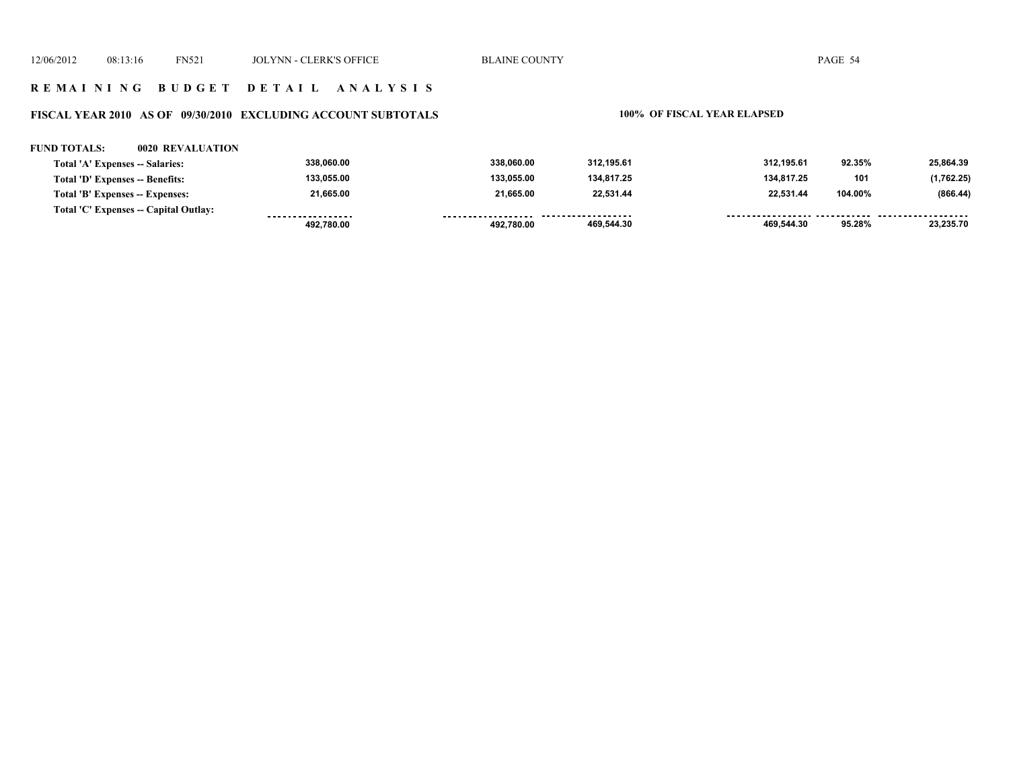### **FISCAL YEAR 2010 AS OF 09/30/2010 EXCLUDING ACCOUNT SUBTOTALS 100% OF FISCAL YEAR ELAPSED**

#### **FUND TOTALS: 0020 REVALUATION**

| Total 'A' Expenses -- Salaries:       | 338.060.00         | 338.060.00 | 312.195.61          | 312.195.61 | 92.35%  | 25.864.39  |
|---------------------------------------|--------------------|------------|---------------------|------------|---------|------------|
| Total 'D' Expenses -- Benefits:       | 133.055.00         | 133.055.00 | 134.817.25          | 134,817.25 | 101     | (1,762.25) |
| Total 'B' Expenses -- Expenses:       | 21.665.00          | 21.665.00  | 22.531.44           | 22.531.44  | 104.00% | (866.44)   |
| Total 'C' Expenses -- Capital Outlay: | ------------------ |            | ------------------- |            |         |            |
|                                       | 492.780.00         | 492.780.00 | 469,544.30          | 469.544.30 | 95.28%  | 23,235.70  |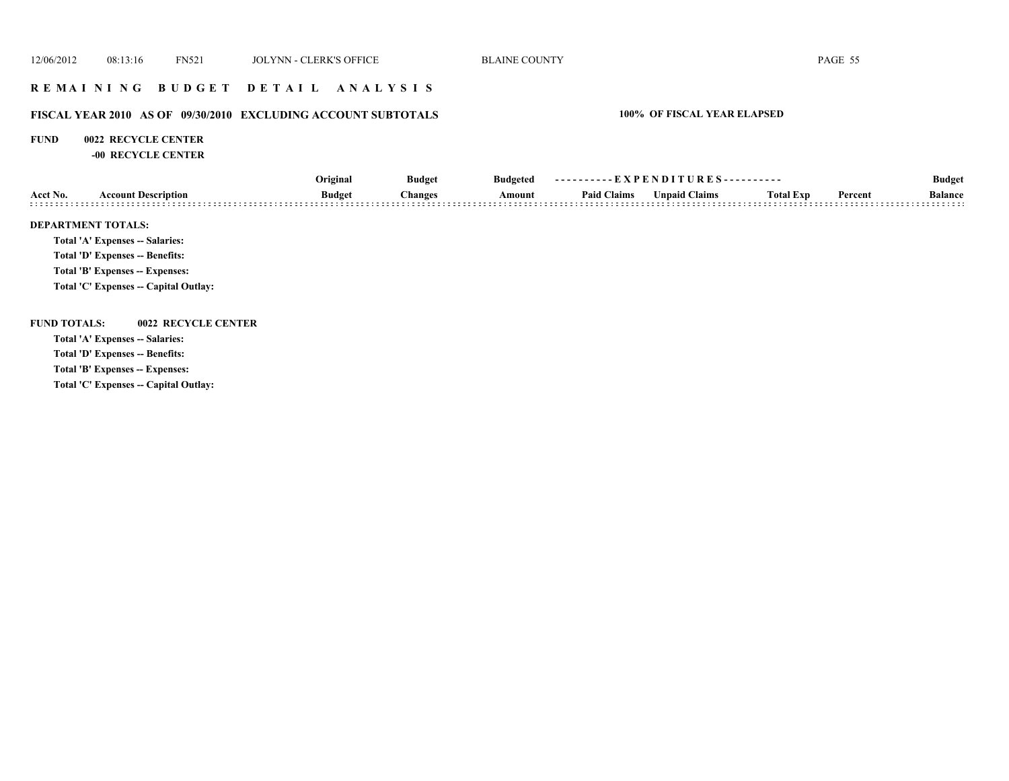# **R E M A I N I N G B U D G E T D E T A I L A N A L Y S I S**

# **FISCAL YEAR 2010 AS OF 09/30/2010 EXCLUDING ACCOUNT SUBTOTALS 100% OF FISCAL YEAR ELAPSED**

#### **FUND 0022 RECYCLE CENTER**

**-00 RECYCLE CENTER**

|                     | <b>Account Description</b>             | Original                        | <b>Budget</b><br><b>Budgeted</b> | ----------EXPENDITURES---------- |                      |                  |         | <b>Budget</b>  |  |
|---------------------|----------------------------------------|---------------------------------|----------------------------------|----------------------------------|----------------------|------------------|---------|----------------|--|
| Acct No.            |                                        | <b>Budget</b><br><b>Changes</b> | Amount                           | <b>Paid Claims</b>               | <b>Unpaid Claims</b> | <b>Total Exp</b> | Percent | <b>Balance</b> |  |
|                     | <b>DEPARTMENT TOTALS:</b>              |                                 |                                  |                                  |                      |                  |         |                |  |
|                     | <b>Total 'A' Expenses -- Salaries:</b> |                                 |                                  |                                  |                      |                  |         |                |  |
|                     | Total 'D' Expenses -- Benefits:        |                                 |                                  |                                  |                      |                  |         |                |  |
|                     | Total 'B' Expenses -- Expenses:        |                                 |                                  |                                  |                      |                  |         |                |  |
|                     | Total 'C' Expenses -- Capital Outlay:  |                                 |                                  |                                  |                      |                  |         |                |  |
| <b>FUND TOTALS:</b> | 0022 RECYCLE CENTER                    |                                 |                                  |                                  |                      |                  |         |                |  |
|                     | <b>Total 'A' Expenses -- Salaries:</b> |                                 |                                  |                                  |                      |                  |         |                |  |
|                     | Total 'D' Expenses -- Benefits:        |                                 |                                  |                                  |                      |                  |         |                |  |
|                     | Total 'B' Expenses -- Expenses:        |                                 |                                  |                                  |                      |                  |         |                |  |
|                     | ________                               |                                 |                                  |                                  |                      |                  |         |                |  |

**Total 'C' Expenses -- Capital Outlay:**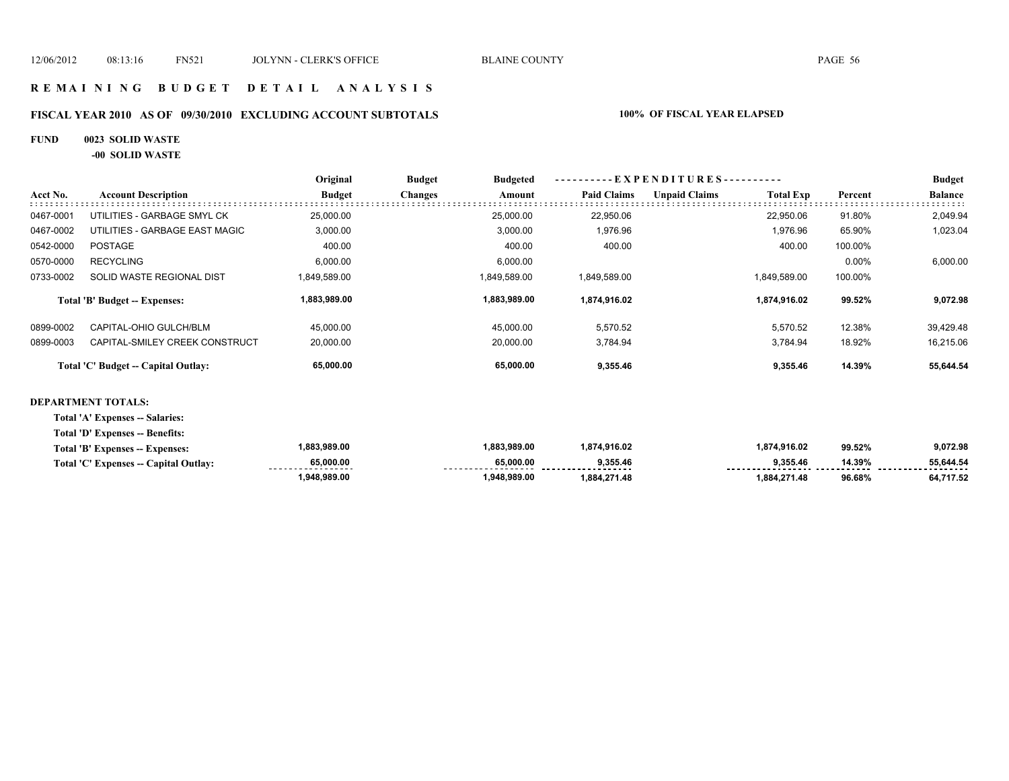# **R E M A I N I N G B U D G E T D E T A I L A N A L Y S I S**

# **FISCAL YEAR 2010 AS OF 09/30/2010 EXCLUDING ACCOUNT SUBTOTALS 100% OF FISCAL YEAR ELAPSED**

#### **FUND 0023 SOLID WASTE**

**-00 SOLID WASTE**

|           |                                     | Original      | <b>Budget</b>  | <b>Budgeted</b> | ----------EXPENDITURES---------- |                      |                  |         | <b>Budget</b>  |
|-----------|-------------------------------------|---------------|----------------|-----------------|----------------------------------|----------------------|------------------|---------|----------------|
| Acct No.  | <b>Account Description</b>          | <b>Budget</b> | <b>Changes</b> | Amount          | <b>Paid Claims</b>               | <b>Unpaid Claims</b> | <b>Total Exp</b> | Percent | <b>Balance</b> |
| 0467-0001 | UTILITIES - GARBAGE SMYL CK         | 25,000.00     |                | 25,000.00       | 22,950.06                        |                      | 22,950.06        | 91.80%  | 2,049.94       |
| 0467-0002 | UTILITIES - GARBAGE EAST MAGIC      | 3,000.00      |                | 3,000.00        | 1,976.96                         |                      | 1,976.96         | 65.90%  | 1,023.04       |
| 0542-0000 | <b>POSTAGE</b>                      | 400.00        |                | 400.00          | 400.00                           |                      | 400.00           | 100.00% |                |
| 0570-0000 | <b>RECYCLING</b>                    | 6,000.00      |                | 6,000.00        |                                  |                      |                  | 0.00%   | 6,000.00       |
| 0733-0002 | SOLID WASTE REGIONAL DIST           | 1,849,589.00  |                | 1,849,589.00    | 1,849,589.00                     |                      | 1,849,589.00     | 100.00% |                |
|           | Total 'B' Budget -- Expenses:       | 1,883,989.00  |                | 1,883,989.00    | 1,874,916.02                     |                      | 1,874,916.02     | 99.52%  | 9,072.98       |
| 0899-0002 | CAPITAL-OHIO GULCH/BLM              | 45,000.00     |                | 45,000.00       | 5,570.52                         |                      | 5,570.52         | 12.38%  | 39,429.48      |
| 0899-0003 | CAPITAL-SMILEY CREEK CONSTRUCT      | 20,000.00     |                | 20,000.00       | 3,784.94                         |                      | 3,784.94         | 18.92%  | 16,215.06      |
|           | Total 'C' Budget -- Capital Outlay: | 65,000.00     |                | 65,000.00       | 9,355.46                         |                      | 9,355.46         | 14.39%  | 55,644.54      |
|           | <b>DEPARTMENT TOTALS:</b>           |               |                |                 |                                  |                      |                  |         |                |
|           | Total 'A' Expenses -- Salaries:     |               |                |                 |                                  |                      |                  |         |                |
|           | Total 'D' Expenses -- Benefits:     |               |                |                 |                                  |                      |                  |         |                |

| Total 'B' Expenses -- Expenses:       | ,883,989.00                     | 883,989.00     | ,874,916.02 | 1,874,916.02 | 99.52% | 9,072.98       |
|---------------------------------------|---------------------------------|----------------|-------------|--------------|--------|----------------|
| Total 'C' Expenses -- Capital Outlay: | 65,000.00<br>------------------ | 65.000.00<br>. | 9.355.46    | 9.355.46     | 14.39% | 55.644.54<br>. |
|                                       | .948.989.00                     | .948.989.00    | .884.271.48 | 1.884.271.48 | 96.68% | 1,717.52       |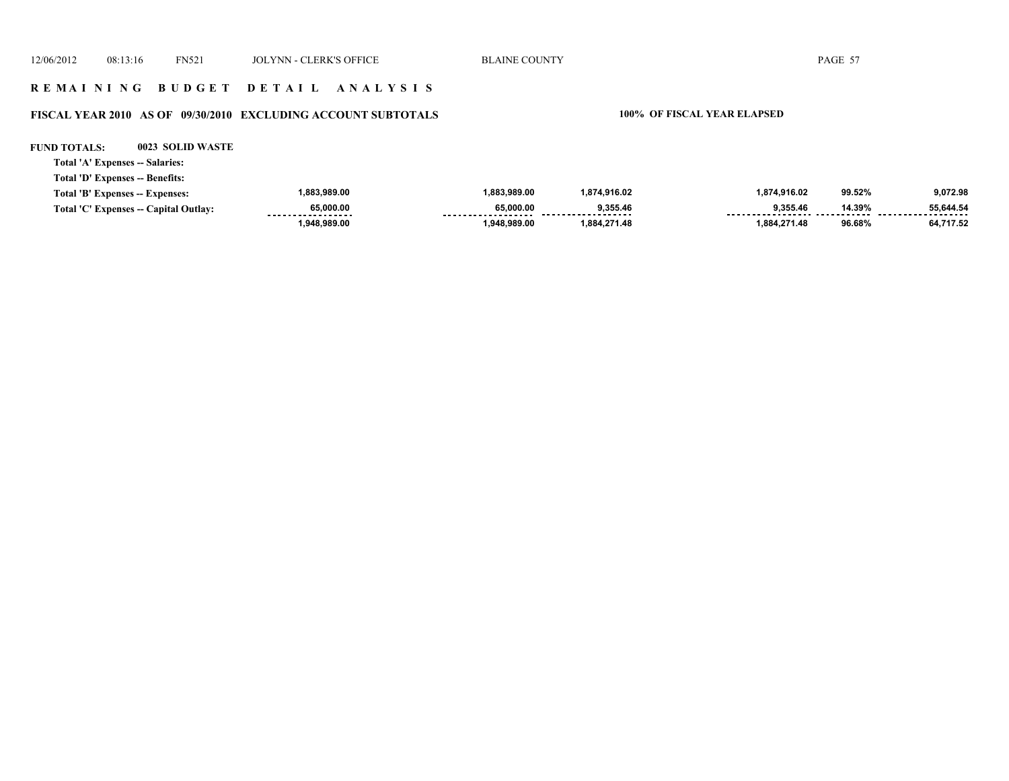### **R E M A I N I N G B U D G E T D E T A I L A N A L Y S I S**

# **FISCAL YEAR 2010 AS OF 09/30/2010 EXCLUDING ACCOUNT SUBTOTALS 100% OF FISCAL YEAR ELAPSED**

| <b>FUND TOTALS:</b>             | 0023 SOLID WASTE                      |               |              |              |              |        |                       |
|---------------------------------|---------------------------------------|---------------|--------------|--------------|--------------|--------|-----------------------|
| Total 'A' Expenses -- Salaries: |                                       |               |              |              |              |        |                       |
| Total 'D' Expenses -- Benefits: |                                       |               |              |              |              |        |                       |
| Total 'B' Expenses -- Expenses: |                                       | 1,883,989.00  | 1.883.989.00 | 1,874,916.02 | 1,874,916.02 | 99.52% | 9,072.98              |
|                                 | Total 'C' Expenses -- Capital Outlay: | 65,000.00<br> | 65.000.00    | 9,355.46     | 9.355.46     | 14.39% | 55,644.54<br>-------- |
|                                 |                                       | 1,948,989.00  | 1,948,989.00 | 1,884,271.48 | 1,884,271.48 | 96.68% | 64,717.52             |
|                                 |                                       |               |              |              |              |        |                       |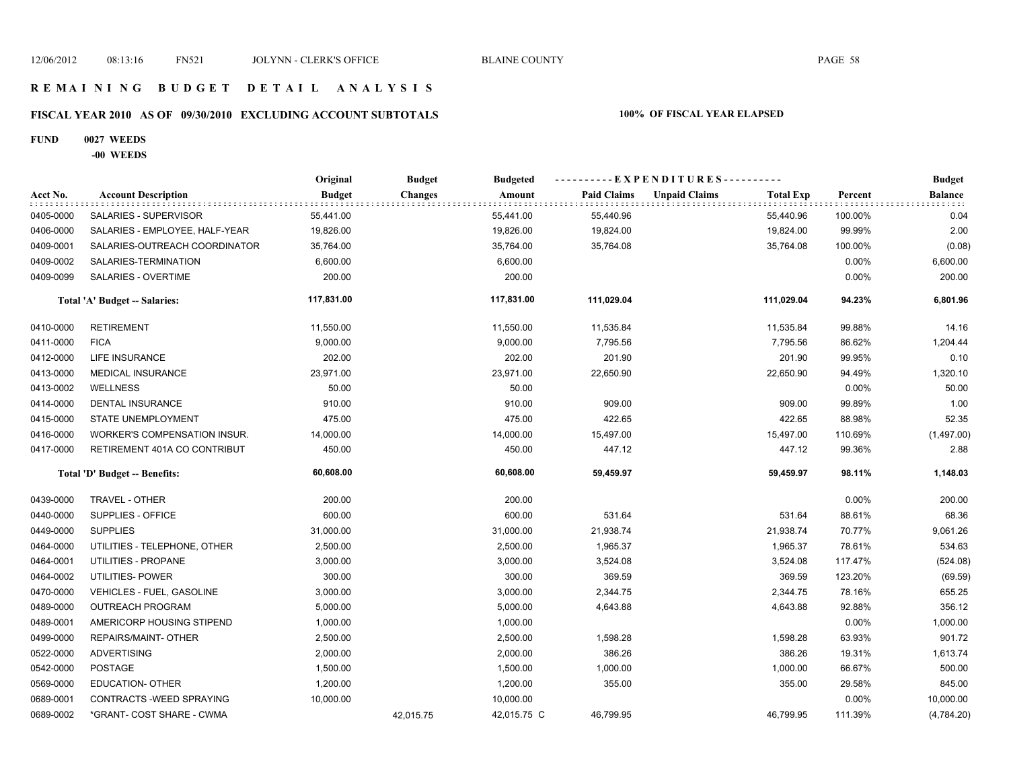# **FISCAL YEAR 2010 AS OF 09/30/2010 EXCLUDING ACCOUNT SUBTOTALS 100% OF FISCAL YEAR ELAPSED**

#### **FUND 0027 WEEDS**

**-00 WEEDS**

|           |                                | Original      | <b>Budget</b> | <b>Budgeted</b> | - - - - - - - - - - E X P E N D I T U R E S - - - - - - - - - - - |                      |                  |         | <b>Budget</b>  |
|-----------|--------------------------------|---------------|---------------|-----------------|-------------------------------------------------------------------|----------------------|------------------|---------|----------------|
| Acct No.  | <b>Account Description</b>     | <b>Budget</b> | Changes       | Amount          | <b>Paid Claims</b>                                                | <b>Unpaid Claims</b> | <b>Total Exp</b> | Percent | <b>Balance</b> |
| 0405-0000 | <b>SALARIES - SUPERVISOR</b>   | 55,441.00     |               | 55,441.00       | 55,440.96                                                         |                      | 55,440.96        | 100.00% | 0.04           |
| 0406-0000 | SALARIES - EMPLOYEE, HALF-YEAR | 19,826.00     |               | 19,826.00       | 19,824.00                                                         |                      | 19,824.00        | 99.99%  | 2.00           |
| 0409-0001 | SALARIES-OUTREACH COORDINATOR  | 35,764.00     |               | 35,764.00       | 35,764.08                                                         |                      | 35,764.08        | 100.00% | (0.08)         |
| 0409-0002 | SALARIES-TERMINATION           | 6,600.00      |               | 6,600.00        |                                                                   |                      |                  | 0.00%   | 6,600.00       |
| 0409-0099 | SALARIES - OVERTIME            | 200.00        |               | 200.00          |                                                                   |                      |                  | 0.00%   | 200.00         |
|           | Total 'A' Budget -- Salaries:  | 117,831.00    |               | 117,831.00      | 111,029.04                                                        |                      | 111,029.04       | 94.23%  | 6,801.96       |
| 0410-0000 | <b>RETIREMENT</b>              | 11,550.00     |               | 11,550.00       | 11,535.84                                                         |                      | 11,535.84        | 99.88%  | 14.16          |
| 0411-0000 | <b>FICA</b>                    | 9,000.00      |               | 9,000.00        | 7,795.56                                                          |                      | 7,795.56         | 86.62%  | 1,204.44       |
| 0412-0000 | LIFE INSURANCE                 | 202.00        |               | 202.00          | 201.90                                                            |                      | 201.90           | 99.95%  | 0.10           |
| 0413-0000 | <b>MEDICAL INSURANCE</b>       | 23,971.00     |               | 23,971.00       | 22,650.90                                                         |                      | 22,650.90        | 94.49%  | 1,320.10       |
| 0413-0002 | <b>WELLNESS</b>                | 50.00         |               | 50.00           |                                                                   |                      |                  | 0.00%   | 50.00          |
| 0414-0000 | DENTAL INSURANCE               | 910.00        |               | 910.00          | 909.00                                                            |                      | 909.00           | 99.89%  | 1.00           |
| 0415-0000 | <b>STATE UNEMPLOYMENT</b>      | 475.00        |               | 475.00          | 422.65                                                            |                      | 422.65           | 88.98%  | 52.35          |
| 0416-0000 | WORKER'S COMPENSATION INSUR.   | 14,000.00     |               | 14,000.00       | 15,497.00                                                         |                      | 15,497.00        | 110.69% | (1,497.00)     |
| 0417-0000 | RETIREMENT 401A CO CONTRIBUT   | 450.00        |               | 450.00          | 447.12                                                            |                      | 447.12           | 99.36%  | 2.88           |
|           | Total 'D' Budget -- Benefits:  | 60,608.00     |               | 60,608.00       | 59,459.97                                                         |                      | 59,459.97        | 98.11%  | 1,148.03       |
| 0439-0000 | TRAVEL - OTHER                 | 200.00        |               | 200.00          |                                                                   |                      |                  | 0.00%   | 200.00         |
| 0440-0000 | SUPPLIES - OFFICE              | 600.00        |               | 600.00          | 531.64                                                            |                      | 531.64           | 88.61%  | 68.36          |
| 0449-0000 | <b>SUPPLIES</b>                | 31,000.00     |               | 31,000.00       | 21,938.74                                                         |                      | 21,938.74        | 70.77%  | 9,061.26       |
| 0464-0000 | UTILITIES - TELEPHONE, OTHER   | 2,500.00      |               | 2,500.00        | 1,965.37                                                          |                      | 1,965.37         | 78.61%  | 534.63         |
| 0464-0001 | UTILITIES - PROPANE            | 3,000.00      |               | 3,000.00        | 3,524.08                                                          |                      | 3,524.08         | 117.47% | (524.08)       |
| 0464-0002 | UTILITIES- POWER               | 300.00        |               | 300.00          | 369.59                                                            |                      | 369.59           | 123.20% | (69.59)        |
| 0470-0000 | VEHICLES - FUEL, GASOLINE      | 3,000.00      |               | 3,000.00        | 2,344.75                                                          |                      | 2,344.75         | 78.16%  | 655.25         |
| 0489-0000 | <b>OUTREACH PROGRAM</b>        | 5,000.00      |               | 5,000.00        | 4,643.88                                                          |                      | 4,643.88         | 92.88%  | 356.12         |
| 0489-0001 | AMERICORP HOUSING STIPEND      | 1,000.00      |               | 1,000.00        |                                                                   |                      |                  | 0.00%   | 1,000.00       |
| 0499-0000 | REPAIRS/MAINT- OTHER           | 2,500.00      |               | 2,500.00        | 1,598.28                                                          |                      | 1,598.28         | 63.93%  | 901.72         |
| 0522-0000 | <b>ADVERTISING</b>             | 2,000.00      |               | 2,000.00        | 386.26                                                            |                      | 386.26           | 19.31%  | 1,613.74       |
| 0542-0000 | <b>POSTAGE</b>                 | 1,500.00      |               | 1,500.00        | 1,000.00                                                          |                      | 1,000.00         | 66.67%  | 500.00         |
| 0569-0000 | <b>EDUCATION- OTHER</b>        | 1,200.00      |               | 1,200.00        | 355.00                                                            |                      | 355.00           | 29.58%  | 845.00         |
| 0689-0001 | CONTRACTS - WEED SPRAYING      | 10,000.00     |               | 10,000.00       |                                                                   |                      |                  | 0.00%   | 10,000.00      |
| 0689-0002 | *GRANT- COST SHARE - CWMA      |               | 42,015.75     | 42,015.75 C     | 46,799.95                                                         |                      | 46,799.95        | 111.39% | (4,784.20)     |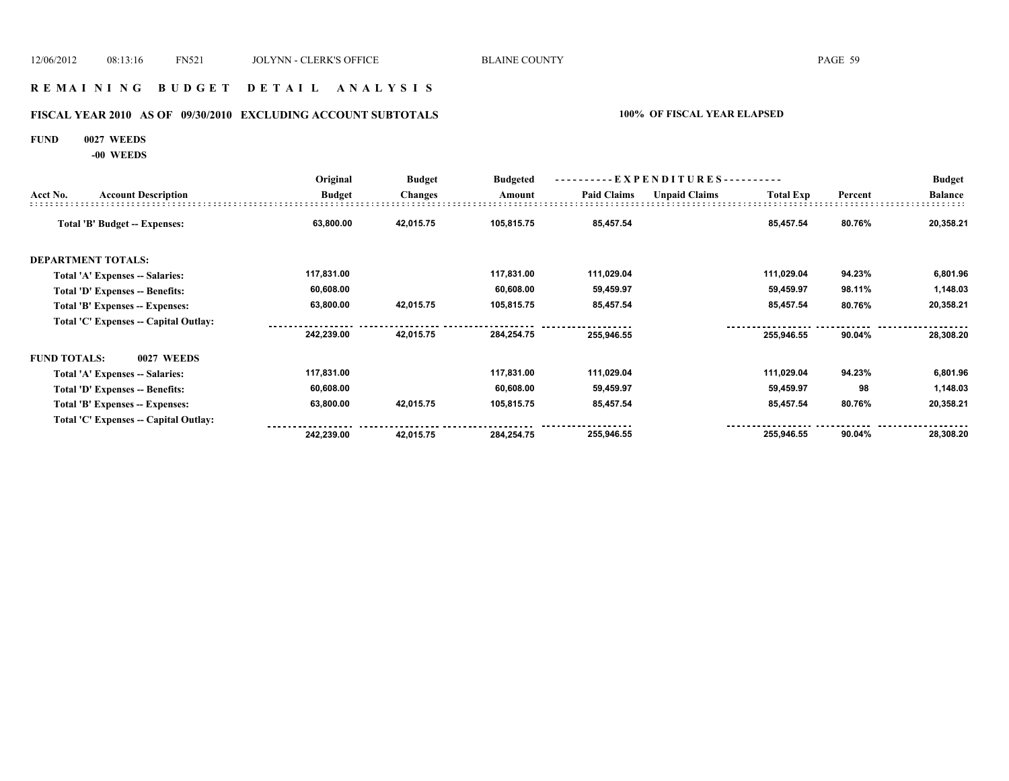### **R E M A I N I N G B U D G E T D E T A I L A N A L Y S I S**

# **FISCAL YEAR 2010 AS OF 09/30/2010 EXCLUDING ACCOUNT SUBTOTALS 100% OF FISCAL YEAR ELAPSED**

#### **FUND 0027 WEEDS**

**-00 WEEDS**

|                     | <b>Account Description</b>             | Original<br><b>Budget</b> | <b>Budget</b><br><b>Changes</b> | <b>Budgeted</b><br>Amount | $-EXPENDITURES$ --------- |                      |                  |         | <b>Budget</b>  |
|---------------------|----------------------------------------|---------------------------|---------------------------------|---------------------------|---------------------------|----------------------|------------------|---------|----------------|
| Acct No.            |                                        |                           |                                 |                           | <b>Paid Claims</b>        | <b>Unpaid Claims</b> | <b>Total Exp</b> | Percent | <b>Balance</b> |
|                     | Total 'B' Budget -- Expenses:          | 63,800.00                 | 42,015.75                       | 105,815.75                | 85,457.54                 |                      | 85,457.54        | 80.76%  | 20,358.21      |
|                     | <b>DEPARTMENT TOTALS:</b>              |                           |                                 |                           |                           |                      |                  |         |                |
|                     | <b>Total 'A' Expenses -- Salaries:</b> | 117,831.00                |                                 | 117,831.00                | 111,029.04                |                      | 111,029.04       | 94.23%  | 6,801.96       |
|                     | Total 'D' Expenses -- Benefits:        | 60,608.00                 |                                 | 60,608.00                 | 59,459.97                 |                      | 59,459.97        | 98.11%  | 1,148.03       |
|                     | Total 'B' Expenses -- Expenses:        | 63,800.00                 | 42,015.75                       | 105,815.75                | 85,457.54                 |                      | 85,457.54        | 80.76%  | 20,358.21      |
|                     | Total 'C' Expenses -- Capital Outlay:  |                           |                                 |                           |                           |                      |                  |         |                |
|                     |                                        | 242,239.00                | 42,015.75                       | 284,254.75                | 255,946.55                |                      | 255,946.55       | 90.04%  | 28,308.20      |
| <b>FUND TOTALS:</b> | <b>0027 WEEDS</b>                      |                           |                                 |                           |                           |                      |                  |         |                |
|                     | Total 'A' Expenses -- Salaries:        | 117,831.00                |                                 | 117,831.00                | 111,029.04                |                      | 111,029.04       | 94.23%  | 6,801.96       |
|                     | Total 'D' Expenses -- Benefits:        | 60,608.00                 |                                 | 60,608.00                 | 59,459.97                 |                      | 59,459.97        | 98      | 1,148.03       |
|                     | Total 'B' Expenses -- Expenses:        | 63,800.00                 | 42,015.75                       | 105,815.75                | 85,457.54                 |                      | 85,457.54        | 80.76%  | 20,358.21      |
|                     | Total 'C' Expenses -- Capital Outlay:  |                           |                                 |                           |                           |                      |                  |         |                |
|                     |                                        | 242,239.00                | 42,015.75                       | 284,254.75                | 255,946.55                |                      | 255,946.55       | 90.04%  | 28,308.20      |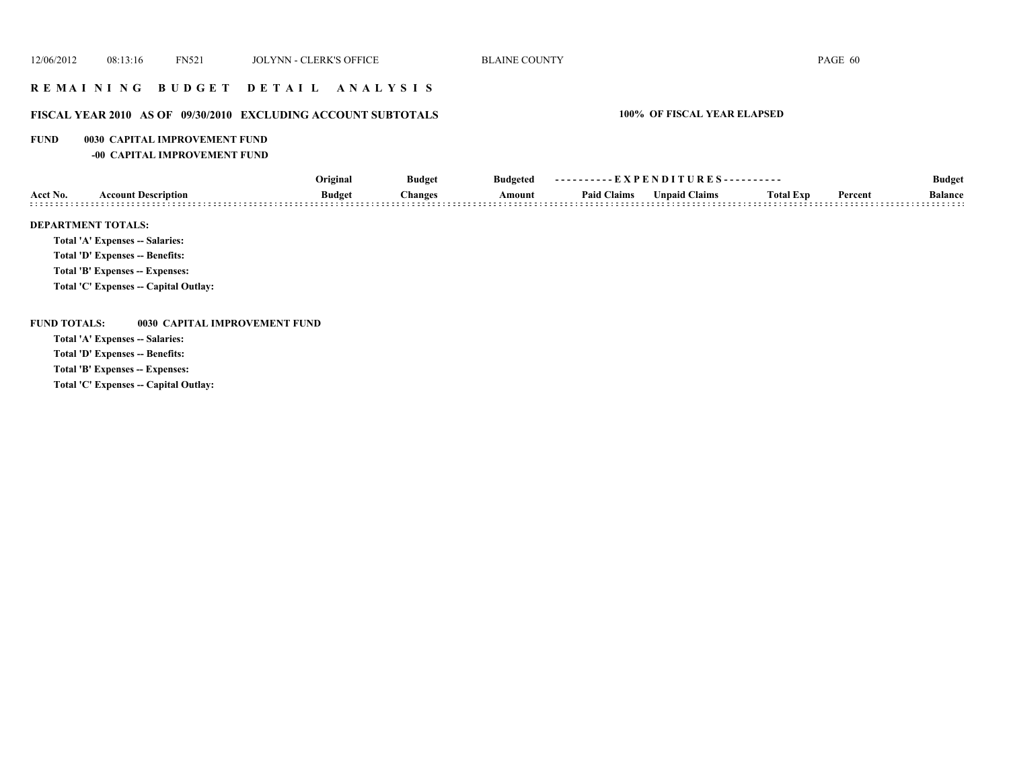# **R E M A I N I N G B U D G E T D E T A I L A N A L Y S I S**

# **FISCAL YEAR 2010 AS OF 09/30/2010 EXCLUDING ACCOUNT SUBTOTALS 100% OF FISCAL YEAR ELAPSED**

#### **FUND 0030 CAPITAL IMPROVEMENT FUND**

**-00 CAPITAL IMPROVEMENT FUND**

|                           |                                 | Original      | <b>Budget</b> | <b>Budgeted</b> | ----------EXPENDITURES---------- |                      |                  |         | <b>Budget</b>  |
|---------------------------|---------------------------------|---------------|---------------|-----------------|----------------------------------|----------------------|------------------|---------|----------------|
| Acct No.                  | <b>Account Description</b>      | <b>Budget</b> | hanges:       | Amount          | <b>Paid Claims</b>               | <b>Unpaid Claims</b> | <b>Total Exp</b> | Percent | <b>Balance</b> |
| <b>DEPARTMENT TOTALS:</b> | Total 'A' Expenses -- Salaries: |               |               |                 |                                  |                      |                  |         |                |

**Total 'D' Expenses -- Benefits:**

**Total 'B' Expenses -- Expenses:**

**Total 'C' Expenses -- Capital Outlay:**

#### **FUND TOTALS: 0030 CAPITAL IMPROVEMENT FUND**

**Total 'A' Expenses -- Salaries:**

**Total 'D' Expenses -- Benefits:**

**Total 'B' Expenses -- Expenses:**

**Total 'C' Expenses -- Capital Outlay:**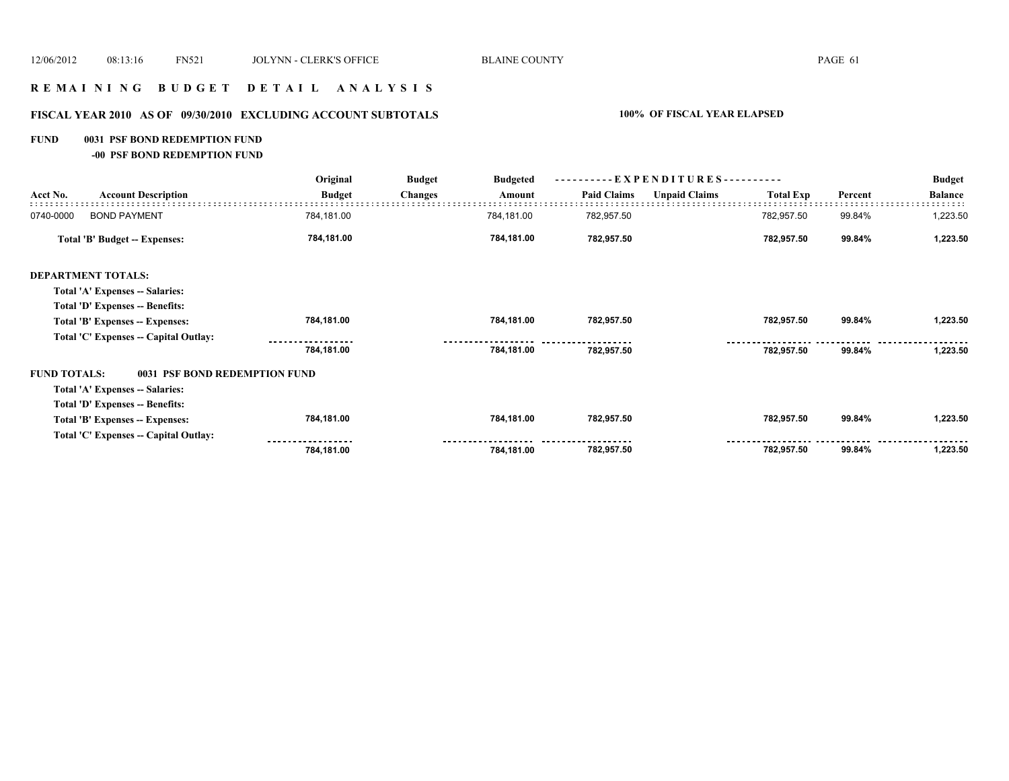# **R E M A I N I N G B U D G E T D E T A I L A N A L Y S I S**

# **FISCAL YEAR 2010 AS OF 09/30/2010 EXCLUDING ACCOUNT SUBTOTALS 100% OF FISCAL YEAR ELAPSED**

#### **FUND 0031 PSF BOND REDEMPTION FUND**

**-00 PSF BOND REDEMPTION FUND**

|                                       | Original      | <b>Budget</b><br><b>Budgeted</b> | ----------EXPENDITURES---------- |                    |                      |                  | <b>Budget</b> |                |
|---------------------------------------|---------------|----------------------------------|----------------------------------|--------------------|----------------------|------------------|---------------|----------------|
| <b>Account Description</b>            | <b>Budget</b> | <b>Changes</b>                   | Amount                           | <b>Paid Claims</b> | <b>Unpaid Claims</b> | <b>Total Exp</b> | Percent       | <b>Balance</b> |
| <b>BOND PAYMENT</b>                   | 784,181.00    |                                  | 784,181.00                       | 782,957.50         |                      | 782,957.50       | 99.84%        | 1,223.50       |
| Total 'B' Budget -- Expenses:         | 784,181.00    |                                  | 784,181.00                       | 782,957.50         |                      | 782,957.50       | 99.84%        | 1,223.50       |
| <b>DEPARTMENT TOTALS:</b>             |               |                                  |                                  |                    |                      |                  |               |                |
| Total 'A' Expenses -- Salaries:       |               |                                  |                                  |                    |                      |                  |               |                |
| Total 'D' Expenses -- Benefits:       |               |                                  |                                  |                    |                      |                  |               |                |
| Total 'B' Expenses -- Expenses:       | 784,181.00    |                                  | 784,181.00                       | 782,957.50         |                      | 782,957.50       | 99.84%        | 1,223.50       |
| Total 'C' Expenses -- Capital Outlay: |               |                                  |                                  |                    |                      |                  |               |                |
|                                       | 784,181.00    |                                  | 784,181.00                       | 782,957.50         |                      | 782,957.50       | 99.84%        | 1,223.50       |
| <b>FUND TOTALS:</b>                   |               |                                  |                                  |                    |                      |                  |               |                |
| Total 'A' Expenses -- Salaries:       |               |                                  |                                  |                    |                      |                  |               |                |
| Total 'D' Expenses -- Benefits:       |               |                                  |                                  |                    |                      |                  |               |                |
| Total 'B' Expenses -- Expenses:       | 784,181.00    |                                  | 784,181.00                       | 782,957.50         |                      | 782,957.50       | 99.84%        | 1,223.50       |
| Total 'C' Expenses -- Capital Outlay: |               |                                  |                                  |                    |                      |                  |               |                |
|                                       | 784,181.00    |                                  | 784,181.00                       | 782,957.50         |                      | 782,957.50       | 99.84%        | 1,223.50       |
|                                       |               | 0031 PSF BOND REDEMPTION FUND    |                                  |                    |                      |                  |               |                |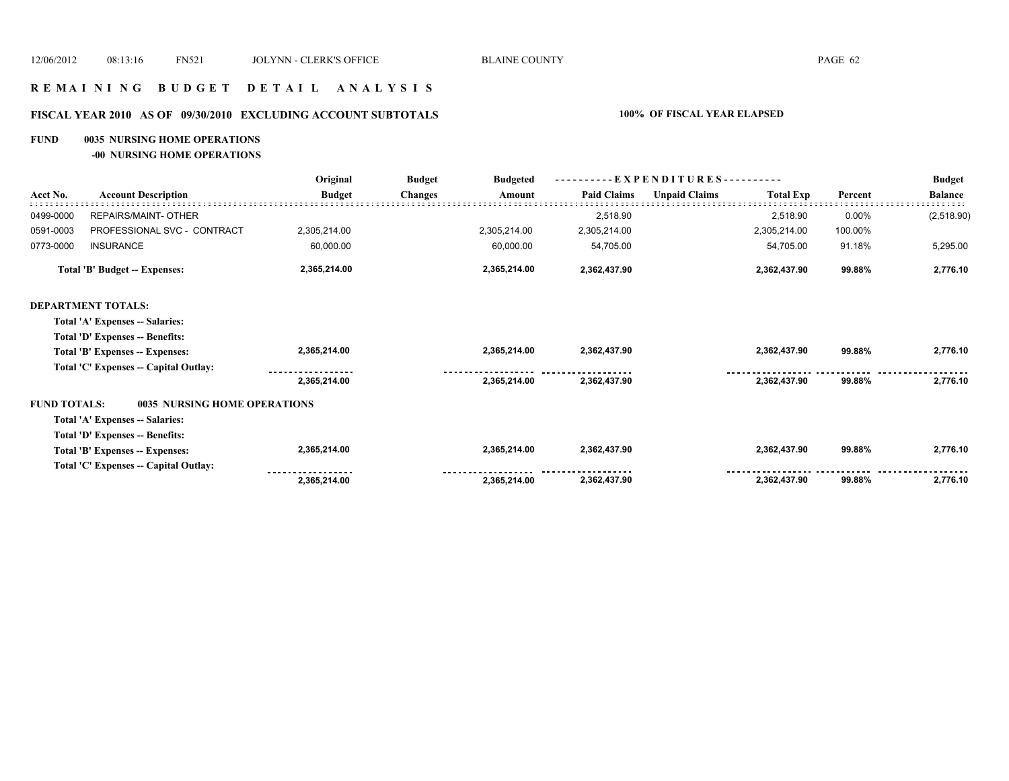## **R E M A I N I N G B U D G E T D E T A I L A N A L Y S I S**

### **FISCAL YEAR 2010 AS OF 09/30/2010 EXCLUDING ACCOUNT SUBTOTALS 100% OF FISCAL YEAR ELAPSED**

#### **FUND 0035 NURSING HOME OPERATIONS**

**-00 NURSING HOME OPERATIONS**

|                     |                                       | Original      | <b>Budget</b>  | <b>Budgeted</b> |                    | $-EXPENDITURES---$   |                  |         | <b>Budget</b>  |
|---------------------|---------------------------------------|---------------|----------------|-----------------|--------------------|----------------------|------------------|---------|----------------|
| Acct No.            | <b>Account Description</b>            | <b>Budget</b> | <b>Changes</b> | Amount          | <b>Paid Claims</b> | <b>Unpaid Claims</b> | <b>Total Exp</b> | Percent | <b>Balance</b> |
| 0499-0000           | REPAIRS/MAINT- OTHER                  |               |                |                 | 2,518.90           |                      | 2,518.90         | 0.00%   | (2,518.90)     |
| 0591-0003           | PROFESSIONAL SVC - CONTRACT           | 2,305,214.00  |                | 2,305,214.00    | 2,305,214.00       |                      | 2,305,214.00     | 100.00% |                |
| 0773-0000           | <b>INSURANCE</b>                      | 60,000.00     |                | 60,000.00       | 54,705.00          |                      | 54,705.00        | 91.18%  | 5,295.00       |
|                     | <b>Total 'B' Budget -- Expenses:</b>  | 2,365,214.00  |                | 2,365,214.00    | 2,362,437.90       |                      | 2,362,437.90     | 99.88%  | 2,776.10       |
|                     | <b>DEPARTMENT TOTALS:</b>             |               |                |                 |                    |                      |                  |         |                |
|                     | Total 'A' Expenses -- Salaries:       |               |                |                 |                    |                      |                  |         |                |
|                     | Total 'D' Expenses -- Benefits:       |               |                |                 |                    |                      |                  |         |                |
|                     | Total 'B' Expenses -- Expenses:       | 2,365,214.00  |                | 2,365,214.00    | 2,362,437.90       |                      | 2,362,437.90     | 99.88%  | 2,776.10       |
|                     | Total 'C' Expenses -- Capital Outlay: |               |                |                 |                    |                      |                  |         |                |
|                     |                                       | 2,365,214.00  |                | 2,365,214.00    | 2,362,437.90       |                      | 2,362,437.90     | 99.88%  | 2,776.10       |
| <b>FUND TOTALS:</b> | <b>0035 NURSING HOME OPERATIONS</b>   |               |                |                 |                    |                      |                  |         |                |
|                     | Total 'A' Expenses -- Salaries:       |               |                |                 |                    |                      |                  |         |                |
|                     | Total 'D' Expenses -- Benefits:       |               |                |                 |                    |                      |                  |         |                |
|                     | Total 'B' Expenses -- Expenses:       | 2,365,214.00  |                | 2,365,214.00    | 2,362,437.90       |                      | 2,362,437.90     | 99.88%  | 2,776.10       |
|                     | Total 'C' Expenses -- Capital Outlay: |               |                |                 |                    |                      |                  |         |                |
|                     |                                       | 2,365,214.00  |                | 2,365,214.00    | 2,362,437.90       |                      | 2,362,437.90     | 99.88%  | 2,776.10       |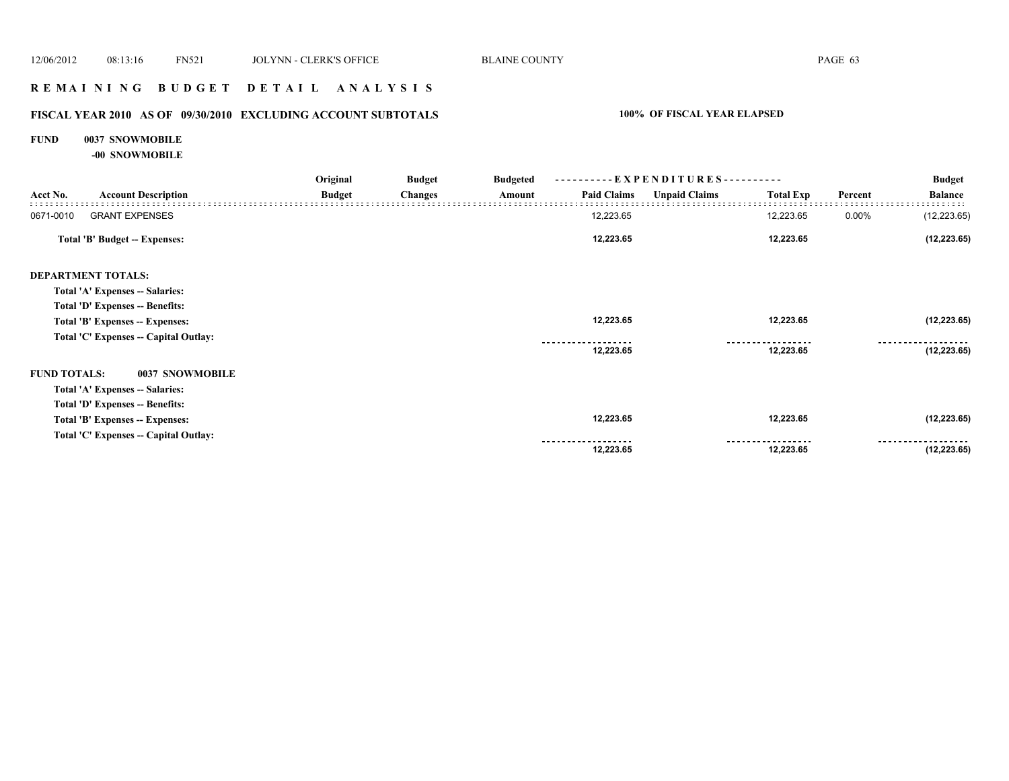# **R E M A I N I N G B U D G E T D E T A I L A N A L Y S I S**

# **FISCAL YEAR 2010 AS OF 09/30/2010 EXCLUDING ACCOUNT SUBTOTALS 100% OF FISCAL YEAR ELAPSED**

# **FUND 0037 SNOWMOBILE**

**-00 SNOWMOBILE**

|                     |                                       | Original      | <b>Budget</b>  | <b>Budgeted</b> |                    | ----------EXPENDITURES---------- |                  |         | <b>Budget</b>  |  |
|---------------------|---------------------------------------|---------------|----------------|-----------------|--------------------|----------------------------------|------------------|---------|----------------|--|
| Acct No.            | <b>Account Description</b>            | <b>Budget</b> | <b>Changes</b> | Amount          | <b>Paid Claims</b> | <b>Unpaid Claims</b>             | <b>Total Exp</b> | Percent | <b>Balance</b> |  |
| 0671-0010           | <b>GRANT EXPENSES</b>                 |               |                |                 | 12,223.65          |                                  | 12,223.65        | 0.00%   | (12, 223.65)   |  |
|                     | <b>Total 'B' Budget -- Expenses:</b>  |               |                |                 | 12,223.65          |                                  | 12,223.65        |         | (12, 223.65)   |  |
|                     | <b>DEPARTMENT TOTALS:</b>             |               |                |                 |                    |                                  |                  |         |                |  |
|                     | Total 'A' Expenses -- Salaries:       |               |                |                 |                    |                                  |                  |         |                |  |
|                     | Total 'D' Expenses -- Benefits:       |               |                |                 |                    |                                  |                  |         |                |  |
|                     | Total 'B' Expenses -- Expenses:       |               |                |                 | 12,223.65          |                                  | 12,223.65        |         | (12, 223.65)   |  |
|                     | Total 'C' Expenses -- Capital Outlay: |               |                |                 |                    |                                  |                  |         |                |  |
|                     |                                       |               |                |                 | 12,223.65          |                                  | 12,223.65        |         | (12, 223.65)   |  |
| <b>FUND TOTALS:</b> | 0037 SNOWMOBILE                       |               |                |                 |                    |                                  |                  |         |                |  |
|                     | Total 'A' Expenses -- Salaries:       |               |                |                 |                    |                                  |                  |         |                |  |
|                     | Total 'D' Expenses -- Benefits:       |               |                |                 |                    |                                  |                  |         |                |  |
|                     | Total 'B' Expenses -- Expenses:       |               |                |                 | 12,223.65          |                                  | 12,223.65        |         | (12, 223.65)   |  |
|                     | Total 'C' Expenses -- Capital Outlay: |               |                |                 |                    |                                  |                  |         |                |  |
|                     |                                       |               |                |                 | 12,223.65          |                                  | 12,223.65        |         | (12, 223.65)   |  |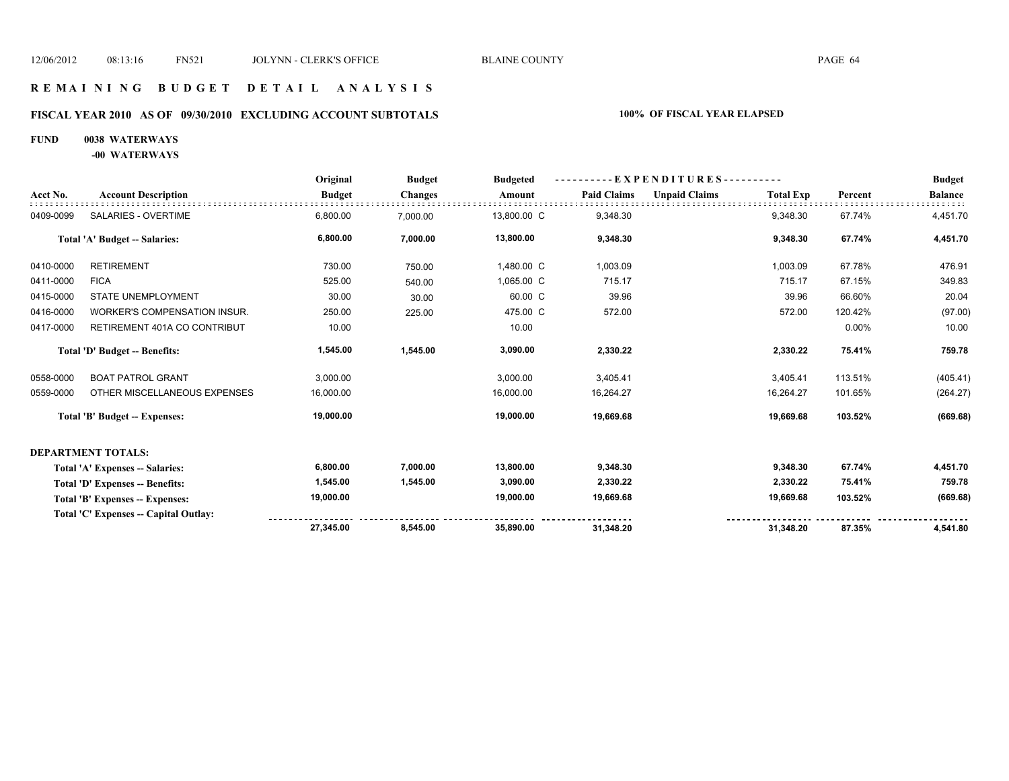### **R E M A I N I N G B U D G E T D E T A I L A N A L Y S I S**

# **FISCAL YEAR 2010 AS OF 09/30/2010 EXCLUDING ACCOUNT SUBTOTALS 100% OF FISCAL YEAR ELAPSED**

## **FUND 0038 WATERWAYS**

**-00 WATERWAYS**

|           |                                       | Original      | <b>Budget</b>  | <b>Budgeted</b> | --EXPENDITURES---------- |                      |                  |         | <b>Budget</b>  |
|-----------|---------------------------------------|---------------|----------------|-----------------|--------------------------|----------------------|------------------|---------|----------------|
| Acct No.  | <b>Account Description</b>            | <b>Budget</b> | <b>Changes</b> | Amount          | <b>Paid Claims</b>       | <b>Unpaid Claims</b> | <b>Total Exp</b> | Percent | <b>Balance</b> |
| 0409-0099 | SALARIES - OVERTIME                   | 6,800.00      | 7,000.00       | 13,800.00 C     | 9,348.30                 |                      | 9,348.30         | 67.74%  | 4,451.70       |
|           | Total 'A' Budget -- Salaries:         | 6,800.00      | 7,000.00       | 13,800.00       | 9,348.30                 |                      | 9,348.30         | 67.74%  | 4,451.70       |
| 0410-0000 | <b>RETIREMENT</b>                     | 730.00        | 750.00         | 1,480.00 C      | 1,003.09                 |                      | 1,003.09         | 67.78%  | 476.91         |
| 0411-0000 | <b>FICA</b>                           | 525.00        | 540.00         | 1,065.00 C      | 715.17                   |                      | 715.17           | 67.15%  | 349.83         |
| 0415-0000 | <b>STATE UNEMPLOYMENT</b>             | 30.00         | 30.00          | 60.00 C         | 39.96                    |                      | 39.96            | 66.60%  | 20.04          |
| 0416-0000 | <b>WORKER'S COMPENSATION INSUR.</b>   | 250.00        | 225.00         | 475.00 C        | 572.00                   |                      | 572.00           | 120.42% | (97.00)        |
| 0417-0000 | RETIREMENT 401A CO CONTRIBUT          | 10.00         |                | 10.00           |                          |                      |                  | 0.00%   | 10.00          |
|           | Total 'D' Budget -- Benefits:         | 1,545.00      | 1,545.00       | 3,090.00        | 2,330.22                 |                      | 2,330.22         | 75.41%  | 759.78         |
| 0558-0000 | <b>BOAT PATROL GRANT</b>              | 3,000.00      |                | 3,000.00        | 3,405.41                 |                      | 3,405.41         | 113.51% | (405.41)       |
| 0559-0000 | OTHER MISCELLANEOUS EXPENSES          | 16,000.00     |                | 16,000.00       | 16,264.27                |                      | 16,264.27        | 101.65% | (264.27)       |
|           | <b>Total 'B' Budget -- Expenses:</b>  | 19,000.00     |                | 19,000.00       | 19,669.68                |                      | 19,669.68        | 103.52% | (669.68)       |
|           | <b>DEPARTMENT TOTALS:</b>             |               |                |                 |                          |                      |                  |         |                |
|           | Total 'A' Expenses -- Salaries:       | 6,800.00      | 7,000.00       | 13,800.00       | 9,348.30                 |                      | 9,348.30         | 67.74%  | 4,451.70       |
|           | Total 'D' Expenses -- Benefits:       | 1,545.00      | 1,545.00       | 3,090.00        | 2,330.22                 |                      | 2,330.22         | 75.41%  | 759.78         |
|           | Total 'B' Expenses -- Expenses:       | 19,000.00     |                | 19,000.00       | 19,669.68                |                      | 19,669.68        | 103.52% | (669.68)       |
|           | Total 'C' Expenses -- Capital Outlay: |               |                |                 |                          |                      |                  |         |                |
|           |                                       | 27,345.00     | 8.545.00       | 35.890.00       | 31,348.20                |                      | 31,348.20        | 87.35%  | 4,541.80       |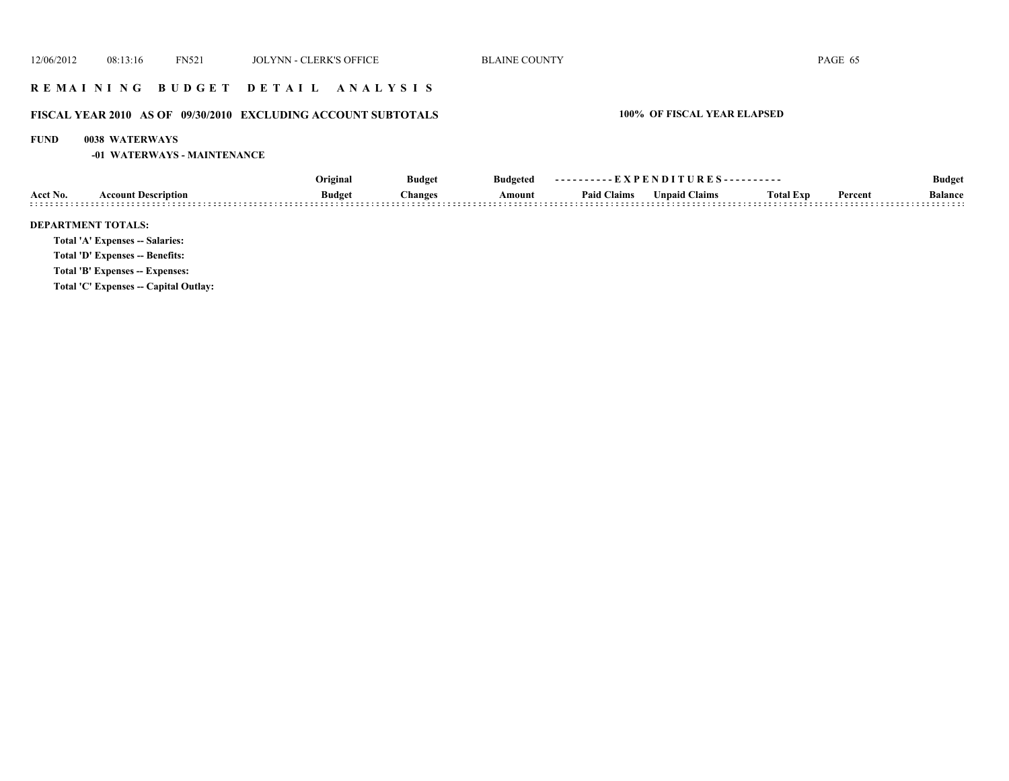# **R E M A I N I N G B U D G E T D E T A I L A N A L Y S I S**

# **FISCAL YEAR 2010 AS OF 09/30/2010 EXCLUDING ACCOUNT SUBTOTALS 100% OF FISCAL YEAR ELAPSED**

#### **FUND 0038 WATERWAYS**

**-01 WATERWAYS - MAINTENANCE**

|          |                                        | Original      | <b>Budget</b>  | <b>Budgeted</b> | ----------EXPENDITURES---------- |                      |                  | <b>Budget</b> |                |
|----------|----------------------------------------|---------------|----------------|-----------------|----------------------------------|----------------------|------------------|---------------|----------------|
| Acct No. | <b>Account Description</b>             | <b>Budget</b> | <b>Changes</b> | Amount          | <b>Paid Claims</b>               | <b>Unpaid Claims</b> | <b>Total Exp</b> | Percent       | <b>Balance</b> |
|          | <b>DEPARTMENT TOTALS:</b>              |               |                |                 |                                  |                      |                  |               |                |
|          | <b>Total 'A' Expenses -- Salaries:</b> |               |                |                 |                                  |                      |                  |               |                |
|          | Total 'D' Expenses -- Benefits:        |               |                |                 |                                  |                      |                  |               |                |
|          | Total 'B' Expenses -- Expenses:        |               |                |                 |                                  |                      |                  |               |                |
|          | Total 'C' Expenses -- Capital Outlay:  |               |                |                 |                                  |                      |                  |               |                |
|          |                                        |               |                |                 |                                  |                      |                  |               |                |
|          |                                        |               |                |                 |                                  |                      |                  |               |                |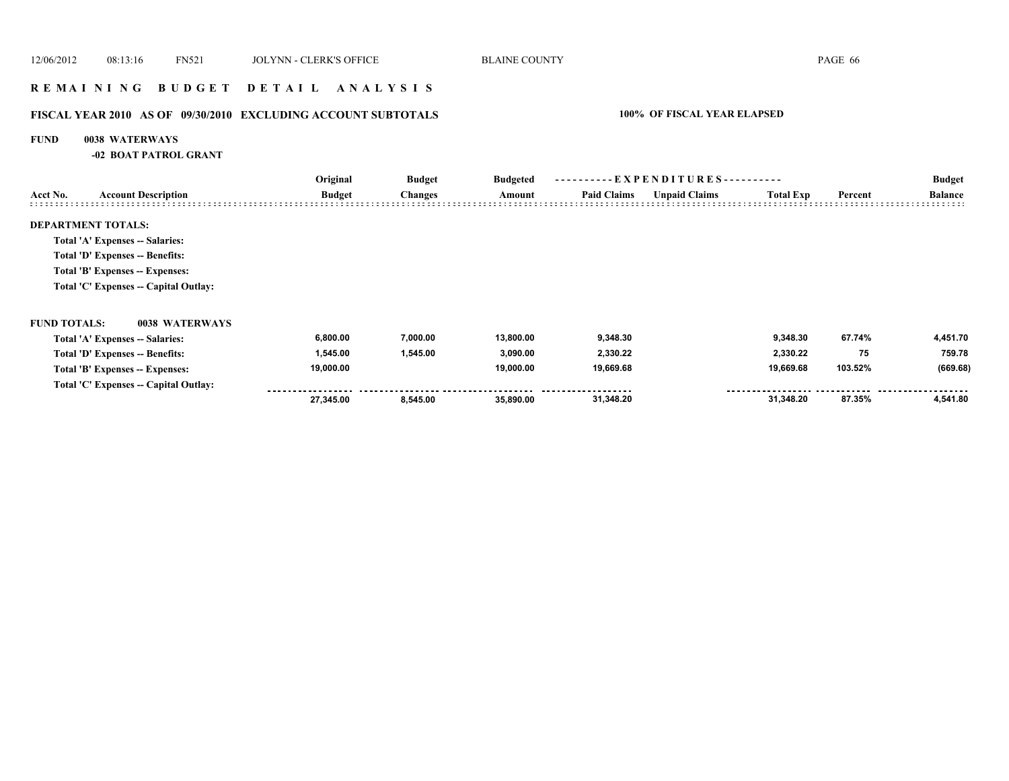# **R E M A I N I N G B U D G E T D E T A I L A N A L Y S I S**

# **FISCAL YEAR 2010 AS OF 09/30/2010 EXCLUDING ACCOUNT SUBTOTALS 100% OF FISCAL YEAR ELAPSED**

#### **FUND 0038 WATERWAYS**

**-02 BOAT PATROL GRANT**

|                     |                                       | Original      | <b>Budget</b>  | <b>Budgeted</b> | ----------EXPENDITURES---------- |                      |                  |         | <b>Budget</b>  |
|---------------------|---------------------------------------|---------------|----------------|-----------------|----------------------------------|----------------------|------------------|---------|----------------|
| Acct No.            | <b>Account Description</b>            | <b>Budget</b> | <b>Changes</b> | Amount          | <b>Paid Claims</b>               | <b>Unpaid Claims</b> | <b>Total Exp</b> | Percent | <b>Balance</b> |
|                     | <b>DEPARTMENT TOTALS:</b>             |               |                |                 |                                  |                      |                  |         |                |
|                     | Total 'A' Expenses -- Salaries:       |               |                |                 |                                  |                      |                  |         |                |
|                     | Total 'D' Expenses -- Benefits:       |               |                |                 |                                  |                      |                  |         |                |
|                     | Total 'B' Expenses -- Expenses:       |               |                |                 |                                  |                      |                  |         |                |
|                     | Total 'C' Expenses -- Capital Outlay: |               |                |                 |                                  |                      |                  |         |                |
| <b>FUND TOTALS:</b> | 0038 WATERWAYS                        |               |                |                 |                                  |                      |                  |         |                |
|                     | Total 'A' Expenses -- Salaries:       | 6,800.00      | 7,000.00       | 13,800.00       | 9,348.30                         |                      | 9,348.30         | 67.74%  | 4,451.70       |
|                     | Total 'D' Expenses -- Benefits:       | 1,545.00      | 1,545.00       | 3,090.00        | 2,330.22                         |                      | 2,330.22         | 75      | 759.78         |
|                     | Total 'B' Expenses -- Expenses:       | 19,000.00     |                | 19,000.00       | 19,669.68                        |                      | 19,669.68        | 103.52% | (669.68)       |
|                     | Total 'C' Expenses -- Capital Outlay: |               |                |                 |                                  |                      |                  |         |                |
|                     |                                       | 27,345.00     | 8,545.00       | 35,890.00       | 31,348.20                        |                      | 31,348.20        | 87.35%  | 4,541.80       |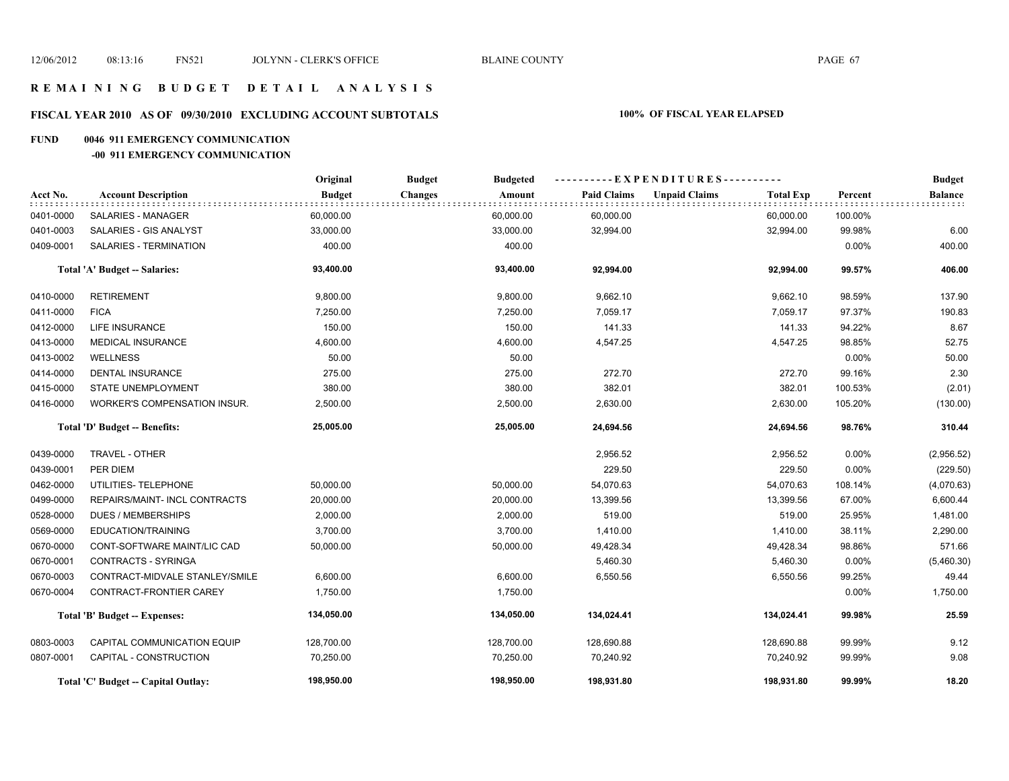# **FISCAL YEAR 2010 AS OF 09/30/2010 EXCLUDING ACCOUNT SUBTOTALS 100% OF FISCAL YEAR ELAPSED**

#### **FUND 0046 911 EMERGENCY COMMUNICATION**

#### **-00 911 EMERGENCY COMMUNICATION**

|           |                                      | Original      | <b>Budget</b><br><b>Budgeted</b> | ----------EXPENDITURES---------- |                                          |         | <b>Budget</b>  |
|-----------|--------------------------------------|---------------|----------------------------------|----------------------------------|------------------------------------------|---------|----------------|
| Acct No.  | <b>Account Description</b>           | <b>Budget</b> | <b>Changes</b><br>Amount         | <b>Paid Claims</b>               | <b>Unpaid Claims</b><br><b>Total Exp</b> | Percent | <b>Balance</b> |
| 0401-0000 | SALARIES - MANAGER                   | 60,000.00     | 60,000.00                        | 60,000.00                        | 60,000.00                                | 100.00% |                |
| 0401-0003 | SALARIES - GIS ANALYST               | 33,000.00     | 33,000.00                        | 32,994.00                        | 32,994.00                                | 99.98%  | 6.00           |
| 0409-0001 | SALARIES - TERMINATION               | 400.00        | 400.00                           |                                  |                                          | 0.00%   | 400.00         |
|           | Total 'A' Budget -- Salaries:        | 93,400.00     | 93,400.00                        | 92,994.00                        | 92,994.00                                | 99.57%  | 406.00         |
| 0410-0000 | <b>RETIREMENT</b>                    | 9,800.00      | 9,800.00                         | 9,662.10                         | 9,662.10                                 | 98.59%  | 137.90         |
| 0411-0000 | <b>FICA</b>                          | 7,250.00      | 7,250.00                         | 7,059.17                         | 7,059.17                                 | 97.37%  | 190.83         |
| 0412-0000 | <b>LIFE INSURANCE</b>                | 150.00        | 150.00                           | 141.33                           | 141.33                                   | 94.22%  | 8.67           |
| 0413-0000 | <b>MEDICAL INSURANCE</b>             | 4,600.00      | 4,600.00                         | 4,547.25                         | 4,547.25                                 | 98.85%  | 52.75          |
| 0413-0002 | <b>WELLNESS</b>                      | 50.00         | 50.00                            |                                  |                                          | 0.00%   | 50.00          |
| 0414-0000 | <b>DENTAL INSURANCE</b>              | 275.00        | 275.00                           | 272.70                           | 272.70                                   | 99.16%  | 2.30           |
| 0415-0000 | STATE UNEMPLOYMENT                   | 380.00        | 380.00                           | 382.01                           | 382.01                                   | 100.53% | (2.01)         |
| 0416-0000 | WORKER'S COMPENSATION INSUR.         | 2,500.00      | 2,500.00                         | 2,630.00                         | 2,630.00                                 | 105.20% | (130.00)       |
|           | <b>Total 'D' Budget -- Benefits:</b> | 25,005.00     | 25,005.00                        | 24,694.56                        | 24,694.56                                | 98.76%  | 310.44         |
| 0439-0000 | TRAVEL - OTHER                       |               |                                  | 2,956.52                         | 2,956.52                                 | 0.00%   | (2,956.52)     |
| 0439-0001 | PER DIEM                             |               |                                  | 229.50                           | 229.50                                   | 0.00%   | (229.50)       |
| 0462-0000 | UTILITIES- TELEPHONE                 | 50,000.00     | 50,000.00                        | 54,070.63                        | 54,070.63                                | 108.14% | (4,070.63)     |
| 0499-0000 | REPAIRS/MAINT- INCL CONTRACTS        | 20,000.00     | 20,000.00                        | 13,399.56                        | 13,399.56                                | 67.00%  | 6,600.44       |
| 0528-0000 | <b>DUES / MEMBERSHIPS</b>            | 2,000.00      | 2,000.00                         | 519.00                           | 519.00                                   | 25.95%  | 1,481.00       |
| 0569-0000 | EDUCATION/TRAINING                   | 3,700.00      | 3,700.00                         | 1,410.00                         | 1,410.00                                 | 38.11%  | 2,290.00       |
| 0670-0000 | CONT-SOFTWARE MAINT/LIC CAD          | 50,000.00     | 50,000.00                        | 49,428.34                        | 49,428.34                                | 98.86%  | 571.66         |
| 0670-0001 | <b>CONTRACTS - SYRINGA</b>           |               |                                  | 5,460.30                         | 5,460.30                                 | 0.00%   | (5,460.30)     |
| 0670-0003 | CONTRACT-MIDVALE STANLEY/SMILE       | 6,600.00      | 6,600.00                         | 6,550.56                         | 6,550.56                                 | 99.25%  | 49.44          |
| 0670-0004 | CONTRACT-FRONTIER CAREY              | 1,750.00      | 1,750.00                         |                                  |                                          | 0.00%   | 1,750.00       |
|           | Total 'B' Budget -- Expenses:        | 134,050.00    | 134,050.00                       | 134,024.41                       | 134,024.41                               | 99.98%  | 25.59          |
| 0803-0003 | CAPITAL COMMUNICATION EQUIP          | 128,700.00    | 128,700.00                       | 128,690.88                       | 128,690.88                               | 99.99%  | 9.12           |
| 0807-0001 | CAPITAL - CONSTRUCTION               | 70,250.00     | 70,250.00                        | 70,240.92                        | 70,240.92                                | 99.99%  | 9.08           |
|           | Total 'C' Budget -- Capital Outlay:  | 198,950.00    | 198,950.00                       | 198,931.80                       | 198,931.80                               | 99.99%  | 18.20          |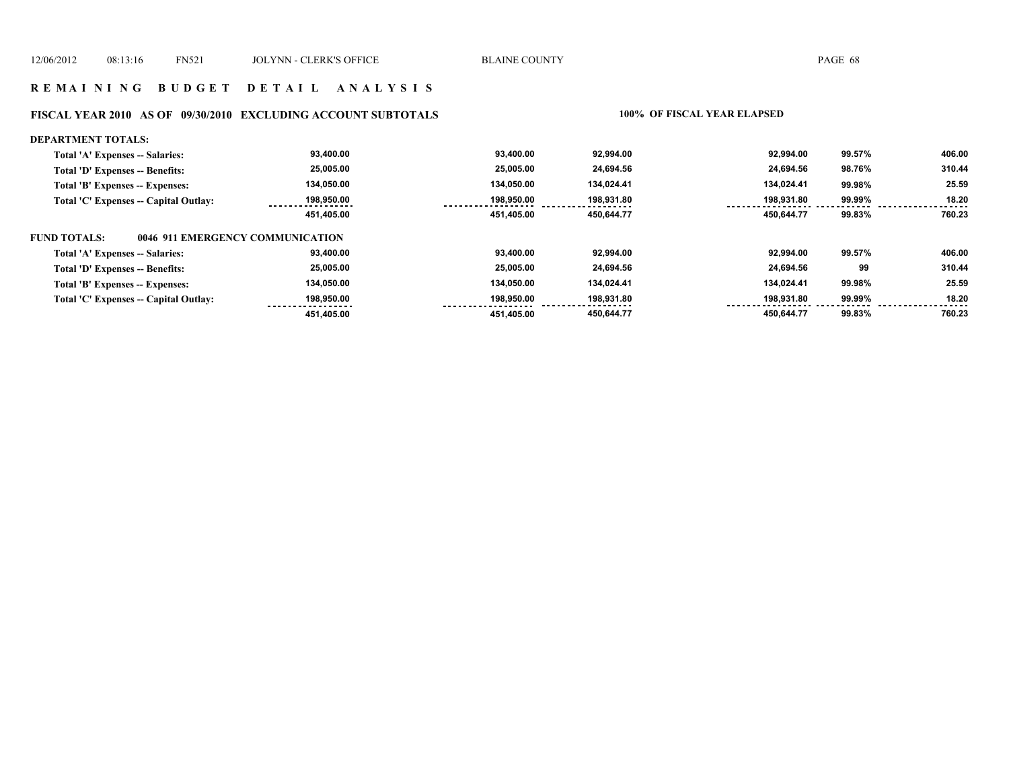#### **FISCAL YEAR 2010 AS OF 09/30/2010 EXCLUDING ACCOUNT SUBTOTALS 100% OF FISCAL YEAR ELAPSED**

#### **DEPARTMENT TOTALS: 450,644.77 450,644.77 99.83% 760.23 Total 'A' Expenses -- Salaries: Total 'D' Expenses -- Benefits: Total 'B' Expenses -- Expenses: Total 'C' Expenses -- Capital Outlay: 92,994.00 134,024.41 198,931.80 24,694.56 92,994.00 134,024.41 198,931.80 24,694.56 99.57% 99.98% 99.99% 98.76% 406.00 25.59 18.20 310.44 134,050.00 198,950.00 25,005.00 93,400.00 451,405.00 93,400.00 134,050.00 198,950.00 25,005.00 451,405.00 FUND TOTALS: 450,644.77 450,644.77 99.83% 760.23 Total 'A' Expenses -- Salaries: Total 'D' Expenses -- Benefits: Total 'B' Expenses -- Expenses: Total 'C' Expenses -- Capital Outlay: 92,994.00 134,024.41 198,931.80 24,694.56 92,994.00 134,024.41 198,931.80 24,694.56 99.57% 99.98% 99.99% 99 406.00 25.59 18.20 310.44 93,400.00 25,005.00 134,050.00 198,950.00 451,405.00 93,400.00 134,050.00 198,950.00 25,005.00 451,405.00 0046 911 EMERGENCY COMMUNICATION**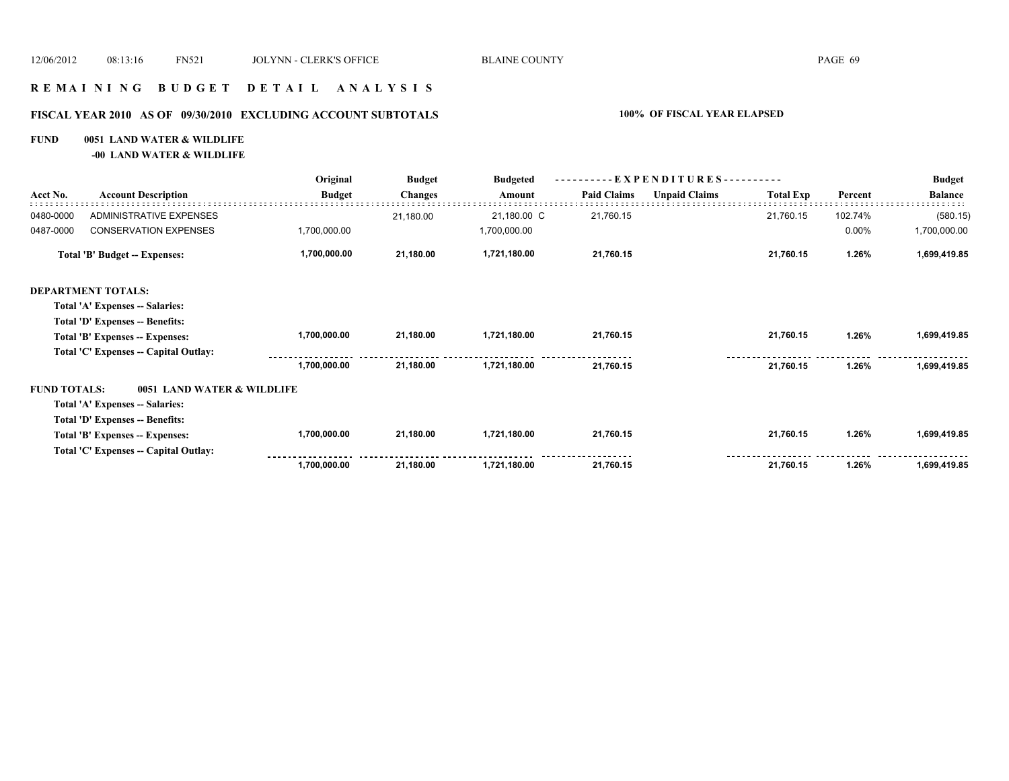# **R E M A I N I N G B U D G E T D E T A I L A N A L Y S I S**

# **FISCAL YEAR 2010 AS OF 09/30/2010 EXCLUDING ACCOUNT SUBTOTALS 100% OF FISCAL YEAR ELAPSED**

#### **FUND 0051 LAND WATER & WILDLIFE**

**-00 LAND WATER & WILDLIFE**

|                     |                                       | Original      | <b>Budget</b>  | <b>Budgeted</b> |                    | EXPENDITURES---------- |                  |         | <b>Budget</b>  |  |
|---------------------|---------------------------------------|---------------|----------------|-----------------|--------------------|------------------------|------------------|---------|----------------|--|
| Acct No.            | <b>Account Description</b>            | <b>Budget</b> | <b>Changes</b> | Amount          | <b>Paid Claims</b> | <b>Unpaid Claims</b>   | <b>Total Exp</b> | Percent | <b>Balance</b> |  |
| 0480-0000           | ADMINISTRATIVE EXPENSES               |               | 21,180.00      | 21,180.00 C     | 21,760.15          |                        | 21,760.15        | 102.74% | (580.15)       |  |
| 0487-0000           | <b>CONSERVATION EXPENSES</b>          | 1,700,000.00  |                | 1,700,000.00    |                    |                        |                  | 0.00%   | 1,700,000.00   |  |
|                     | <b>Total 'B' Budget -- Expenses:</b>  | 1,700,000.00  | 21,180.00      | 1,721,180.00    | 21,760.15          |                        | 21,760.15        | 1.26%   | 1,699,419.85   |  |
|                     | <b>DEPARTMENT TOTALS:</b>             |               |                |                 |                    |                        |                  |         |                |  |
|                     | Total 'A' Expenses -- Salaries:       |               |                |                 |                    |                        |                  |         |                |  |
|                     | Total 'D' Expenses -- Benefits:       |               |                |                 |                    |                        |                  |         |                |  |
|                     | Total 'B' Expenses -- Expenses:       | 1,700,000.00  | 21,180.00      | 1,721,180.00    | 21,760.15          |                        | 21,760.15        | 1.26%   | 1,699,419.85   |  |
|                     | Total 'C' Expenses -- Capital Outlay: |               |                |                 |                    |                        |                  |         |                |  |
|                     |                                       | 1,700,000.00  | 21,180.00      | 1,721,180.00    | 21,760.15          |                        | 21,760.15        | 1.26%   | 1,699,419.85   |  |
| <b>FUND TOTALS:</b> | 0051 LAND WATER & WILDLIFE            |               |                |                 |                    |                        |                  |         |                |  |
|                     | Total 'A' Expenses -- Salaries:       |               |                |                 |                    |                        |                  |         |                |  |
|                     | Total 'D' Expenses -- Benefits:       |               |                |                 |                    |                        |                  |         |                |  |
|                     | Total 'B' Expenses -- Expenses:       | 1,700,000.00  | 21,180.00      | 1,721,180.00    | 21,760.15          |                        | 21,760.15        | 1.26%   | 1,699,419.85   |  |
|                     | Total 'C' Expenses -- Capital Outlay: |               |                |                 |                    |                        |                  |         |                |  |
|                     |                                       | 1,700,000.00  | 21,180.00      | 1,721,180.00    | 21,760.15          |                        | 21,760.15        | 1.26%   | 1,699,419.85   |  |